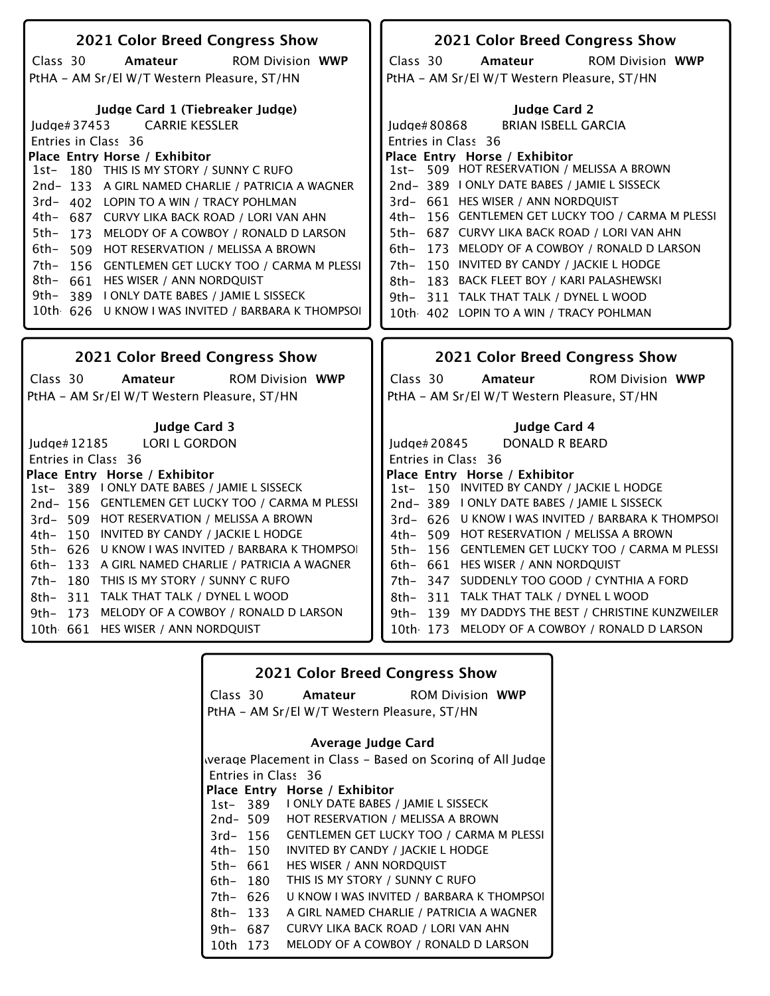| 2021 Color Breed Congress Show                       | 2021 Color Breed Congress Show                       |
|------------------------------------------------------|------------------------------------------------------|
| <b>ROM Division WWP</b><br>Class 30<br>Amateur       | <b>ROM Division WWP</b><br>Class 30<br>Amateur       |
| PtHA - AM Sr/El W/T Western Pleasure, ST/HN          | PtHA - AM Sr/El W/T Western Pleasure, ST/HN          |
| Judge Card 1 (Tiebreaker Judge)                      | <b>Judge Card 2</b>                                  |
| <b>CARRIE KESSLER</b><br>Judge# $37453$              | <b>BRIAN ISBELL GARCIA</b><br>Judge# $80868$         |
| Entries in Class 36                                  | Entries in Class 36                                  |
| Place Entry Horse / Exhibitor                        | Place Entry Horse / Exhibitor                        |
| 180 THIS IS MY STORY / SUNNY C RUFO<br>$1st-$        | 1st- 509 HOT RESERVATION / MELISSA A BROWN           |
| 2nd-133 A GIRL NAMED CHARLIE / PATRICIA A WAGNER     | 2nd-389   ONLY DATE BABES / JAMIE L SISSECK          |
| 3rd- 402 LOPIN TO A WIN / TRACY POHLMAN              | 3rd- 661 HES WISER / ANN NORDQUIST                   |
| 4th- 687 CURVY LIKA BACK ROAD / LORI VAN AHN         | 4th- 156 GENTLEMEN GET LUCKY TOO / CARMA M PLESSI    |
| $5th-$<br>173 MELODY OF A COWBOY / RONALD D LARSON   | 5th- 687 CURVY LIKA BACK ROAD / LORI VAN AHN         |
| 6th–<br>509 HOT RESERVATION / MELISSA A BROWN        | 173 MELODY OF A COWBOY / RONALD D LARSON<br>6th-     |
| 7th- 156 GENTLEMEN GET LUCKY TOO / CARMA M PLESSI    | 7th-<br>150 INVITED BY CANDY / JACKIE L HODGE        |
| 8th- 661 HES WISER / ANN NORDQUIST                   | 183 BACK FLEET BOY / KARI PALASHEWSKI<br>8th-        |
| 9th–<br>389 LONLY DATE BABES / JAMIE L SISSECK       | 311 TALK THAT TALK / DYNEL L WOOD<br>9th–            |
| 10th 626 U KNOW I WAS INVITED / BARBARA K THOMPSOL   | 10th 402 LOPIN TO A WIN / TRACY POHLMAN              |
|                                                      |                                                      |
|                                                      |                                                      |
|                                                      |                                                      |
| 2021 Color Breed Congress Show                       | 2021 Color Breed Congress Show                       |
| Class 30<br><b>ROM Division WWP</b><br>Amateur       | Class 30<br><b>ROM Division WWP</b><br>Amateur       |
| PtHA - AM Sr/El W/T Western Pleasure, ST/HN          | PtHA - AM Sr/El W/T Western Pleasure, ST/HN          |
| <b>Judge Card 3</b>                                  | <b>Judge Card 4</b>                                  |
| Judge# 12185<br><b>LORI L GORDON</b>                 | Judge# 20845<br>DONALD R BEARD                       |
|                                                      |                                                      |
| Entries in Class 36<br>Place Entry Horse / Exhibitor | Entries in Class 36<br>Place Entry Horse / Exhibitor |
| 1st- 389 I ONLY DATE BABES / JAMIE L SISSECK         | 1st- 150 INVITED BY CANDY / JACKIE L HODGE           |
| 2nd-156 GENTLEMEN GET LUCKY TOO / CARMA M PLESSI     | 2nd-389 I ONLY DATE BABES / JAMIE L SISSECK          |
| 3rd- 509 HOT RESERVATION / MELISSA A BROWN           | 3rd- 626 U KNOW I WAS INVITED / BARBARA K THOMPSOI   |
| 4th- 150 INVITED BY CANDY / JACKIE L HODGE           | 4th- 509 HOT RESERVATION / MELISSA A BROWN           |
| 5th- 626 U KNOW I WAS INVITED / BARBARA K THOMPSOI   | 5th- 156 GENTLEMEN GET LUCKY TOO / CARMA M PLESSI    |
| 133 A GIRL NAMED CHARLIE / PATRICIA A WAGNER<br>6th- | 6th- 661 HES WISER / ANN NORDQUIST                   |
| 180 THIS IS MY STORY / SUNNY C RUFO<br>7th-          | 7th- 347 SUDDENLY TOO GOOD / CYNTHIA A FORD          |
| 311 TALK THAT TALK / DYNEL L WOOD<br>8th-            | 311 TALK THAT TALK / DYNEL L WOOD<br>8th–            |
| 173 MELODY OF A COWBOY / RONALD D LARSON<br>$9th-$   | 9th- 139 MY DADDYS THE BEST / CHRISTINE KUNZWEILER   |
| 10th 661 HES WISER / ANN NORDQUIST                   | 10th 173 MELODY OF A COWBOY / RONALD D LARSON        |

|          |          | <b>2021 Color Breed Congress Show</b>                     |
|----------|----------|-----------------------------------------------------------|
|          | Class 30 | <b>Amateur</b> ROM Division WWP                           |
|          |          | PtHA - AM Sr/El W/T Western Pleasure, ST/HN               |
|          |          |                                                           |
|          |          | Average Judge Card                                        |
|          |          | werage Placement in Class – Based on Scoring of All Judge |
|          |          | Entries in Class 36                                       |
|          |          | Place Entry Horse / Exhibitor                             |
|          |          | 1st-389 I ONLY DATE BABES / JAMIE L SISSECK               |
|          | 2nd- 509 | <b>HOT RESERVATION / MELISSA A BROWN</b>                  |
|          | 3rd- 156 | <b>GENTLEMEN GET LUCKY TOO / CARMA M PLESSI</b>           |
|          | 4th– 150 | INVITED BY CANDY / JACKIE L HODGE                         |
| 5th- 661 |          | HES WISER / ANN NORDQUIST                                 |
| 6th- 180 |          | THIS IS MY STORY / SUNNY C RUFO                           |
| 7th- 626 |          | U KNOW I WAS INVITED / BARBARA K THOMPSOI                 |
| 8th- 133 |          | A GIRL NAMED CHARLIE / PATRICIA A WAGNER                  |
| 9th- 687 |          | CURVY LIKA BACK ROAD / LORI VAN AHN                       |
| 10th -   | 173      | MELODY OF A COWBOY / RONALD D LARSON                      |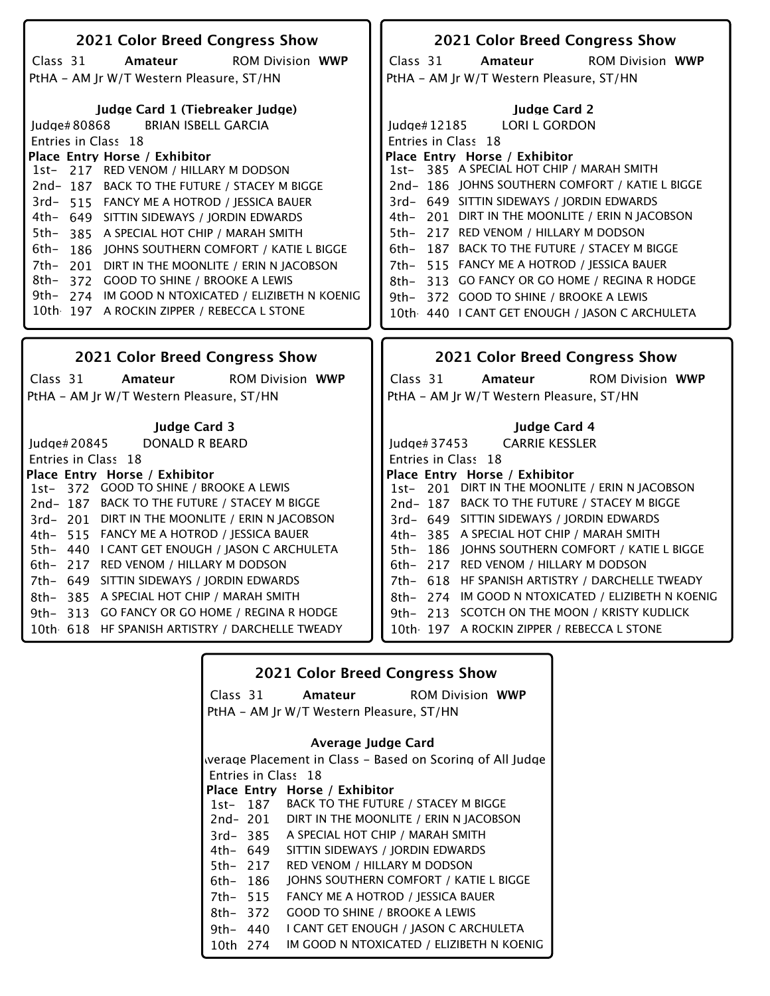| 2021 Color Breed Congress Show                     | 2021 Color Breed Congress Show                     |
|----------------------------------------------------|----------------------------------------------------|
| Class 31<br><b>ROM Division WWP</b><br>Amateur     | Class 31<br><b>ROM Division WWP</b><br>Amateur     |
| PtHA - AM Jr W/T Western Pleasure, ST/HN           | PtHA - AM Jr W/T Western Pleasure, ST/HN           |
|                                                    |                                                    |
| Judge Card 1 (Tiebreaker Judge)                    | <b>Judge Card 2</b>                                |
| <b>BRIAN ISBELL GARCIA</b><br>Judge#80868          | <b>LORI L GORDON</b><br>Judge#12185                |
| Entries in Class 18                                | Entries in Class 18                                |
| Place Entry Horse / Exhibitor                      | Place Entry Horse / Exhibitor                      |
| 1st- 217 RED VENOM / HILLARY M DODSON              | 1st- 385 A SPECIAL HOT CHIP / MARAH SMITH          |
| 2nd-187 BACK TO THE FUTURE / STACEY M BIGGE        | 2nd-186 JOHNS SOUTHERN COMFORT / KATIE L BIGGE     |
| 3rd- 515 FANCY ME A HOTROD / JESSICA BAUER         | 3rd- 649 SITTIN SIDEWAYS / JORDIN EDWARDS          |
| 4th- 649 SITTIN SIDEWAYS / JORDIN EDWARDS          | 4th- 201 DIRT IN THE MOONLITE / ERIN N JACOBSON    |
| 5th-<br>385 A SPECIAL HOT CHIP / MARAH SMITH       | 217 RED VENOM / HILLARY M DODSON<br>5th-           |
| 6th–<br>186 JOHNS SOUTHERN COMFORT / KATIE L BIGGE | 187 BACK TO THE FUTURE / STACEY M BIGGE<br>$6th-$  |
| 7th-<br>201 DIRT IN THE MOONLITE / ERIN N JACOBSON | 515 FANCY ME A HOTROD / JESSICA BAUER<br>7th–      |
| 8th-<br>372 GOOD TO SHINE / BROOKE A LEWIS         | 313 GO FANCY OR GO HOME / REGINA R HODGE<br>8th–   |
| 9th- 274 IM GOOD N NTOXICATED / ELIZIBETH N KOENIG | 9th- 372 GOOD TO SHINE / BROOKE A LEWIS            |
| 10th 197 A ROCKIN ZIPPER / REBECCA L STONE         | 10th 440 I CANT GET ENOUGH / JASON C ARCHULETA     |
|                                                    |                                                    |
| 2021 Color Breed Congress Show                     | <b>2021 Color Breed Congress Show</b>              |
|                                                    |                                                    |
| <b>ROM Division WWP</b><br>Class 31<br>Amateur     | Class 31<br><b>ROM Division WWP</b><br>Amateur     |
| PtHA - AM Jr W/T Western Pleasure, ST/HN           | PtHA - AM Jr W/T Western Pleasure, ST/HN           |
| <b>Judge Card 3</b>                                | Judge Card 4                                       |
| Judge# 20845<br>DONALD R BEARD                     | <b>CARRIE KESSLER</b><br>Judge#37453               |
| Entries in Class 18                                | Entries in Class 18                                |
| Place Entry Horse / Exhibitor                      | Place Entry Horse / Exhibitor                      |
| 1st- 372 GOOD TO SHINE / BROOKE A LEWIS            | 1st- 201 DIRT IN THE MOONLITE / ERIN N JACOBSON    |
| 2nd-187 BACK TO THE FUTURE / STACEY M BIGGE        | 2nd-187 BACK TO THE FUTURE / STACEY M BIGGE        |
| 3rd- 201 DIRT IN THE MOONLITE / ERIN N JACOBSON    | 3rd- 649 SITTIN SIDEWAYS / JORDIN EDWARDS          |
| 4th- 515 FANCY ME A HOTROD / JESSICA BAUER         | 4th- 385 A SPECIAL HOT CHIP / MARAH SMITH          |
| 5th- 440 I CANT GET ENOUGH / JASON C ARCHULETA     | 5th- 186 JOHNS SOUTHERN COMFORT / KATIE L BIGGE    |
| 6th- 217 RED VENOM / HILLARY M DODSON              | 6th- 217 RED VENOM / HILLARY M DODSON              |
| 7th- 649 SITTIN SIDEWAYS / JORDIN EDWARDS          | 7th- 618 HF SPANISH ARTISTRY / DARCHELLE TWEADY    |
| 385 A SPECIAL HOT CHIP / MARAH SMITH<br>8th-       | 8th- 274 IM GOOD N NTOXICATED / ELIZIBETH N KOENIG |
| 9th- 313 GO FANCY OR GO HOME / REGINA R HODGE      | 9th- 213 SCOTCH ON THE MOON / KRISTY KUDLICK       |
| 10th 618 HF SPANISH ARTISTRY / DARCHELLE TWEADY    | 10th 197 A ROCKIN ZIPPER / REBECCA L STONE         |
|                                                    |                                                    |

|             |          | <b>2021 Color Breed Congress Show</b>                     |  |
|-------------|----------|-----------------------------------------------------------|--|
|             |          | Class 31 <b>Amateur</b> ROM Division WWP                  |  |
|             |          | PtHA - AM Jr W/T Western Pleasure, ST/HN                  |  |
|             |          | Average Judge Card                                        |  |
|             |          | werage Placement in Class – Based on Scoring of All Judge |  |
|             |          | Entries in Class 18                                       |  |
|             |          | Place Entry Horse / Exhibitor                             |  |
|             | 1st- 187 | BACK TO THE FUTURE / STACEY M BIGGE                       |  |
|             | 2nd- 201 | DIRT IN THE MOONLITE / ERIN N JACOBSON                    |  |
|             | 3rd-385  | A SPECIAL HOT CHIP / MARAH SMITH                          |  |
| 4th– 649    |          | SITTIN SIDEWAYS / IORDIN EDWARDS                          |  |
| 5th- 217    |          | RED VENOM / HILLARY M DODSON                              |  |
| 6th- 186    |          | JOHNS SOUTHERN COMFORT / KATIE L BIGGE                    |  |
| 7th- 515    |          | FANCY ME A HOTROD / JESSICA BAUER                         |  |
| $8th - 372$ |          | <b>GOOD TO SHINE / BROOKE A LEWIS</b>                     |  |
| 9th- 440    |          | I CANT GET ENOUGH / IASON C ARCHULETA                     |  |
| 10th 274    |          | IM GOOD N NTOXICATED / ELIZIBETH N KOENIG                 |  |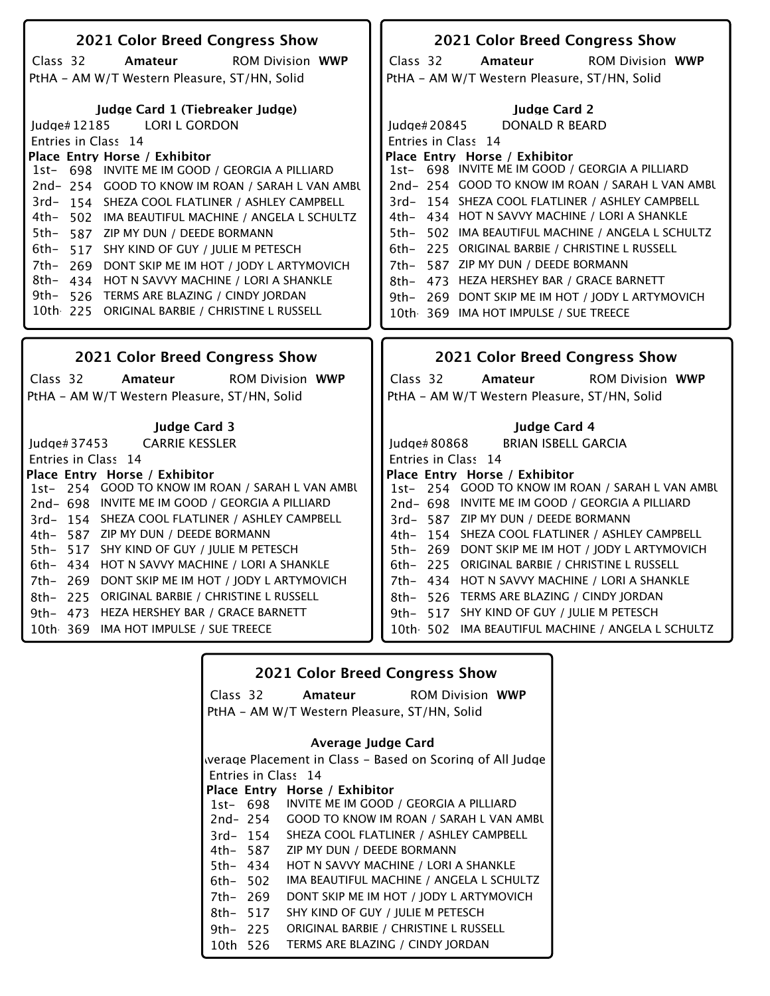| 2021 Color Breed Congress Show                       | 2021 Color Breed Congress Show                       |
|------------------------------------------------------|------------------------------------------------------|
| Class 32<br><b>ROM Division WWP</b><br>Amateur       | Class 32<br><b>ROM Division WWP</b><br>Amateur       |
| PtHA - AM W/T Western Pleasure, ST/HN, Solid         | PtHA - AM W/T Western Pleasure, ST/HN, Solid         |
|                                                      |                                                      |
| Judge Card 1 (Tiebreaker Judge)                      | <b>Judge Card 2</b>                                  |
| <b>LORI L GORDON</b><br>Judge#12185                  | <b>DONALD R BEARD</b><br>Judge# 20845                |
| Entries in Class 14                                  | Entries in Class 14                                  |
| Place Entry Horse / Exhibitor                        | Place Entry Horse / Exhibitor                        |
| 1st- 698 INVITE ME IM GOOD / GEORGIA A PILLIARD      | 1st- 698 INVITE ME IM GOOD / GEORGIA A PILLIARD      |
| 2nd-254 GOOD TO KNOW IM ROAN / SARAH L VAN AMBU      | 2nd-254 GOOD TO KNOW IM ROAN / SARAH L VAN AMBU      |
| 3rd-154 SHEZA COOL FLATLINER / ASHLEY CAMPBELL       | 3rd-154 SHEZA COOL FLATLINER / ASHLEY CAMPBELL       |
| 4th- 502 IMA BEAUTIFUL MACHINE / ANGELA L SCHULTZ    | 4th- 434 HOT N SAVVY MACHINE / LORI A SHANKLE        |
| 5th-587 ZIP MY DUN / DEEDE BORMANN                   | 502 IMA BEAUTIFUL MACHINE / ANGELA L SCHULTZ<br>5th- |
| 6th- 517 SHY KIND OF GUY / JULIE M PETESCH           | 225 ORIGINAL BARBIE / CHRISTINE L RUSSELL<br>6th-    |
| 7th- 269 DONT SKIP ME IM HOT / JODY L ARTYMOVICH     | 587 ZIP MY DUN / DEEDE BORMANN<br>7th-               |
| 8th- 434 HOT N SAVVY MACHINE / LORI A SHANKLE        | 473 HEZA HERSHEY BAR / GRACE BARNETT<br>8th-         |
| 9th- 526 TERMS ARE BLAZING / CINDY JORDAN            | 9th- 269 DONT SKIP ME IM HOT / JODY L ARTYMOVICH     |
| 10th 225 ORIGINAL BARBIE / CHRISTINE L RUSSELL       | 10th 369 IMA HOT IMPULSE / SUE TREECE                |
|                                                      |                                                      |
|                                                      |                                                      |
|                                                      |                                                      |
| 2021 Color Breed Congress Show                       | <b>2021 Color Breed Congress Show</b>                |
| <b>ROM Division WWP</b><br>Class 32<br>Amateur       | Class 32<br><b>ROM Division WWP</b><br>Amateur       |
|                                                      |                                                      |
| PtHA - AM W/T Western Pleasure, ST/HN, Solid         | PtHA - AM W/T Western Pleasure, ST/HN, Solid         |
| <b>Judge Card 3</b>                                  | Judge Card 4                                         |
| <b>CARRIE KESSLER</b><br>Iudge# $37453$              | <b>BRIAN ISBELL GARCIA</b><br>ludge $#80868$         |
|                                                      |                                                      |
| Entries in Class 14<br>Place Entry Horse / Exhibitor | Entries in Class 14<br>Place Entry Horse / Exhibitor |
| 1st- 254 GOOD TO KNOW IM ROAN / SARAH L VAN AMBU     | 1st- 254 GOOD TO KNOW IM ROAN / SARAH L VAN AMBU     |
| 2nd- 698 INVITE ME IM GOOD / GEORGIA A PILLIARD      | 2nd-698 INVITE ME IM GOOD / GEORGIA A PILLIARD       |
| 3rd- 154 SHEZA COOL FLATLINER / ASHLEY CAMPBELL      | 3rd- 587 ZIP MY DUN / DEEDE BORMANN                  |
| 4th- 587 ZIP MY DUN / DEEDE BORMANN                  | 4th- 154 SHEZA COOL FLATLINER / ASHLEY CAMPBELL      |
| 5th- 517 SHY KIND OF GUY / JULIE M PETESCH           | 5th- 269 DONT SKIP ME IM HOT / JODY L ARTYMOVICH     |
| 6th- 434 HOT N SAVVY MACHINE / LORI A SHANKLE        | 6th- 225 ORIGINAL BARBIE / CHRISTINE L RUSSELL       |
| 7th- 269 DONT SKIP ME IM HOT / JODY L ARTYMOVICH     | 7th- 434 HOT N SAVVY MACHINE / LORI A SHANKLE        |
| 8th- 225 ORIGINAL BARBIE / CHRISTINE L RUSSELL       | 8th- 526 TERMS ARE BLAZING / CINDY JORDAN            |
| 9th- 473 HEZA HERSHEY BAR / GRACE BARNETT            | 517 SHY KIND OF GUY / JULIE M PETESCH<br>9th–        |
| 10th 369 IMA HOT IMPULSE / SUE TREECE                | 10th 502 IMA BEAUTIFUL MACHINE / ANGELA L SCHULTZ    |

|           |          | <b>2021 Color Breed Congress Show</b>                     |
|-----------|----------|-----------------------------------------------------------|
|           | Class 32 | <b>Amateur</b> ROM Division WWP                           |
|           |          | PtHA - AM W/T Western Pleasure, ST/HN, Solid              |
|           |          | Average Judge Card                                        |
|           |          | werage Placement in Class - Based on Scoring of All Judge |
|           |          | Entries in Class 14                                       |
|           |          | Place Entry Horse / Exhibitor                             |
|           | 1st- 698 | INVITE ME IM GOOD / GEORGIA A PILLIARD                    |
|           | 2nd- 254 | GOOD TO KNOW IM ROAN / SARAH L VAN AMBU                   |
|           | 3rd- 154 | SHEZA COOL FLATLINER / ASHLEY CAMPBELL                    |
|           | 4th– 587 | ZIP MY DUN / DEEDE BORMANN                                |
| 5th- 434  |          | HOT N SAVVY MACHINE / LORI A SHANKLE                      |
| $6th-502$ |          | IMA BEAUTIFUL MACHINE / ANGELA L SCHULTZ                  |
| 7th- 269  |          | DONT SKIP ME IM HOT / JODY L ARTYMOVICH                   |
| 8th- 517  |          | SHY KIND OF GUY / JULIE M PETESCH                         |
| 9th- 225  |          | ORIGINAL BARBIE / CHRISTINE L RUSSELL                     |
| 10th 526  |          | TERMS ARE BLAZING / CINDY IORDAN                          |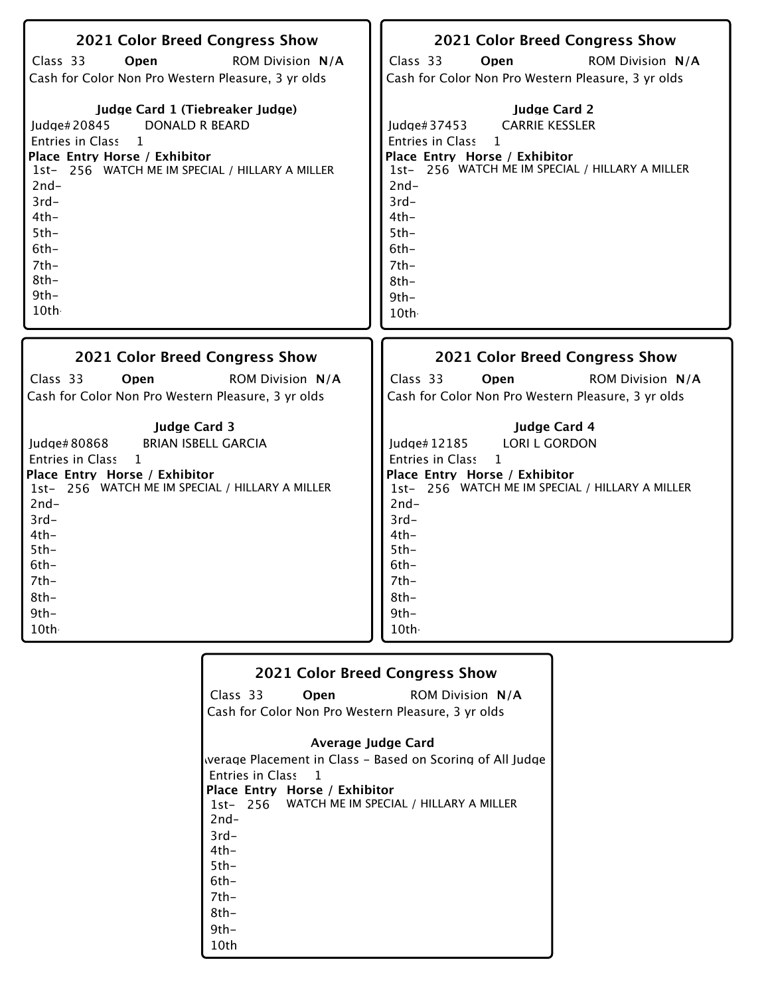| 2021 Color Breed Congress Show<br>Class 33<br>Open<br>ROM Division N/A<br>Cash for Color Non Pro Western Pleasure, 3 yr olds<br>Judge Card 1 (Tiebreaker Judge)<br><b>DONALD R BEARD</b><br>Judge#20845<br>Entries in Class 1<br>Place Entry Horse / Exhibitor<br>1st- 256 WATCH ME IM SPECIAL / HILLARY A MILLER<br>$2nd-$<br>$3rd-$<br>$4th-$<br>$5th-$<br>$6th-$<br>$7th-$<br>$8th-$<br>$9th-$<br>10th | <b>2021 Color Breed Congress Show</b><br>Class 33<br>Open<br><b>ROM Division N/A</b><br>Cash for Color Non Pro Western Pleasure, 3 yr olds<br><b>Judge Card 2</b><br><b>CARRIE KESSLER</b><br>Judge#37453<br>Entries in Class<br>$\mathbf{1}$<br>Place Entry Horse / Exhibitor<br>1st- 256 WATCH ME IM SPECIAL / HILLARY A MILLER<br>$2nd-$<br>$3rd-$<br>$4th-$<br>$5th-$<br>$6th-$<br>$7th-$<br>$8th-$<br>$9th-$<br>10th |
|-----------------------------------------------------------------------------------------------------------------------------------------------------------------------------------------------------------------------------------------------------------------------------------------------------------------------------------------------------------------------------------------------------------|---------------------------------------------------------------------------------------------------------------------------------------------------------------------------------------------------------------------------------------------------------------------------------------------------------------------------------------------------------------------------------------------------------------------------|
| 2021 Color Breed Congress Show                                                                                                                                                                                                                                                                                                                                                                            | 2021 Color Breed Congress Show                                                                                                                                                                                                                                                                                                                                                                                            |
| Class 33                                                                                                                                                                                                                                                                                                                                                                                                  | Class 33                                                                                                                                                                                                                                                                                                                                                                                                                  |
| Open                                                                                                                                                                                                                                                                                                                                                                                                      | Open                                                                                                                                                                                                                                                                                                                                                                                                                      |
| <b>ROM Division N/A</b>                                                                                                                                                                                                                                                                                                                                                                                   | <b>ROM Division N/A</b>                                                                                                                                                                                                                                                                                                                                                                                                   |
| Cash for Color Non Pro Western Pleasure, 3 yr olds                                                                                                                                                                                                                                                                                                                                                        | Cash for Color Non Pro Western Pleasure, 3 yr olds                                                                                                                                                                                                                                                                                                                                                                        |
| <b>Judge Card 3</b>                                                                                                                                                                                                                                                                                                                                                                                       | Judge Card 4                                                                                                                                                                                                                                                                                                                                                                                                              |
| <b>BRIAN ISBELL GARCIA</b>                                                                                                                                                                                                                                                                                                                                                                                | Judge# 12185                                                                                                                                                                                                                                                                                                                                                                                                              |
| ludge# $80868$                                                                                                                                                                                                                                                                                                                                                                                            | <b>LORI L GORDON</b>                                                                                                                                                                                                                                                                                                                                                                                                      |
| <b>Entries in Class</b>                                                                                                                                                                                                                                                                                                                                                                                   | <b>Entries in Class</b>                                                                                                                                                                                                                                                                                                                                                                                                   |
| 1                                                                                                                                                                                                                                                                                                                                                                                                         | $\mathbf{1}$                                                                                                                                                                                                                                                                                                                                                                                                              |
| Place Entry Horse / Exhibitor                                                                                                                                                                                                                                                                                                                                                                             | Place Entry Horse / Exhibitor                                                                                                                                                                                                                                                                                                                                                                                             |
| 1st- 256 WATCH ME IM SPECIAL / HILLARY A MILLER                                                                                                                                                                                                                                                                                                                                                           | 1st- 256 WATCH ME IM SPECIAL / HILLARY A MILLER                                                                                                                                                                                                                                                                                                                                                                           |
| $2nd-$                                                                                                                                                                                                                                                                                                                                                                                                    | $2nd-$                                                                                                                                                                                                                                                                                                                                                                                                                    |
| $3rd-$                                                                                                                                                                                                                                                                                                                                                                                                    | $3rd-$                                                                                                                                                                                                                                                                                                                                                                                                                    |
| $4th-$                                                                                                                                                                                                                                                                                                                                                                                                    | $4th-$                                                                                                                                                                                                                                                                                                                                                                                                                    |
| $5th-$                                                                                                                                                                                                                                                                                                                                                                                                    | $5th-$                                                                                                                                                                                                                                                                                                                                                                                                                    |
| $6th-$                                                                                                                                                                                                                                                                                                                                                                                                    | $6th-$                                                                                                                                                                                                                                                                                                                                                                                                                    |
| 7th-                                                                                                                                                                                                                                                                                                                                                                                                      | $7th-$                                                                                                                                                                                                                                                                                                                                                                                                                    |
| $8th-$                                                                                                                                                                                                                                                                                                                                                                                                    | $8th-$                                                                                                                                                                                                                                                                                                                                                                                                                    |
| $9th-$                                                                                                                                                                                                                                                                                                                                                                                                    | $9th-$                                                                                                                                                                                                                                                                                                                                                                                                                    |
| 10th                                                                                                                                                                                                                                                                                                                                                                                                      | 10th                                                                                                                                                                                                                                                                                                                                                                                                                      |

| <b>2021 Color Breed Congress Show</b>                     |
|-----------------------------------------------------------|
| Class 33 Open<br><b>ROM Division N/A</b>                  |
| Cash for Color Non Pro Western Pleasure, 3 yr olds        |
| Average Judge Card                                        |
| werage Placement in Class - Based on Scoring of All Judge |
| Entries in Class 1                                        |
| Place Entry Horse / Exhibitor                             |
| 1st- 256 WATCH ME IM SPECIAL / HILLARY A MILLER           |
| $2nd-$                                                    |
| $3rd-$                                                    |
| $4th-$                                                    |
| $5th -$                                                   |
| $6th-$                                                    |
| $7th-$                                                    |
| 8th-                                                      |
| $9th -$                                                   |
| 10th                                                      |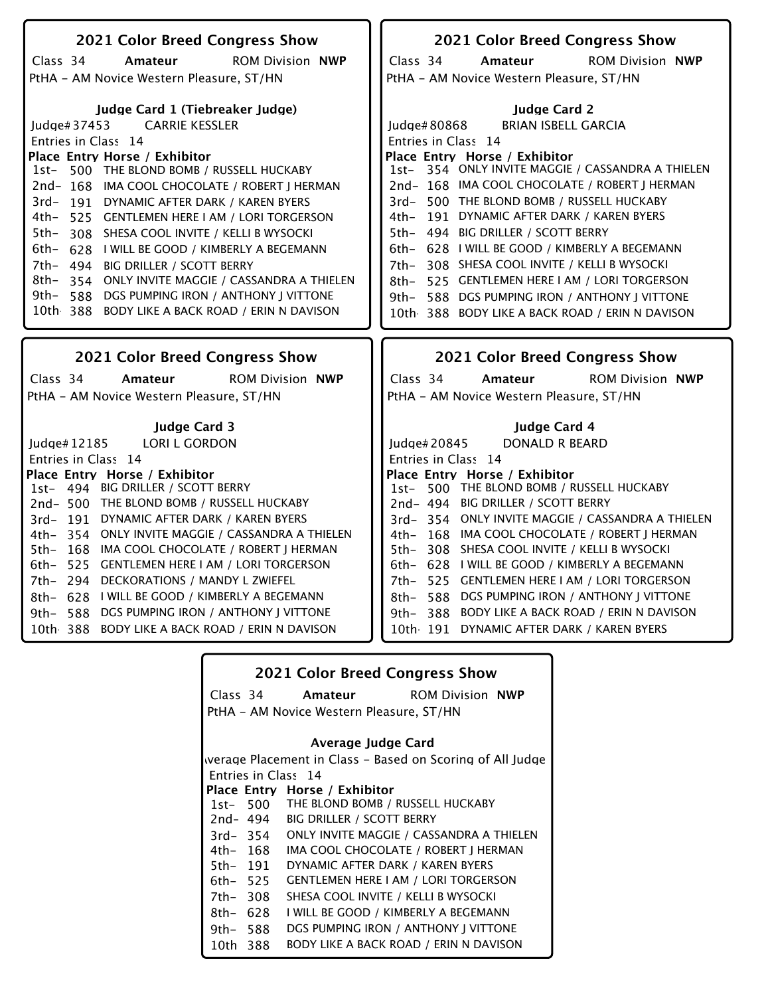| 2021 Color Breed Congress Show                                      | 2021 Color Breed Congress Show                                             |
|---------------------------------------------------------------------|----------------------------------------------------------------------------|
| Class 34<br>Amateur<br><b>ROM Division NWP</b>                      | Class 34<br>Amateur<br><b>ROM Division NWP</b>                             |
| PtHA - AM Novice Western Pleasure, ST/HN                            | PtHA - AM Novice Western Pleasure, ST/HN                                   |
|                                                                     |                                                                            |
| Judge Card 1 (Tiebreaker Judge)                                     | <b>Judge Card 2</b>                                                        |
| <b>CARRIE KESSLER</b><br>ludge# $37453$                             | <b>BRIAN ISBELL GARCIA</b><br>Judge#80868                                  |
| Entries in Class 14                                                 | Entries in Class 14                                                        |
| Place Entry Horse / Exhibitor                                       | Place Entry Horse / Exhibitor                                              |
| 1st- 500 THE BLOND BOMB / RUSSELL HUCKABY                           | 1st- 354 ONLY INVITE MAGGIE / CASSANDRA A THIELEN                          |
| 2nd-168 IMA COOL CHOCOLATE / ROBERT J HERMAN                        | 2nd-168 IMA COOL CHOCOLATE / ROBERT   HERMAN                               |
| 3rd-191 DYNAMIC AFTER DARK / KAREN BYERS                            | 500 THE BLOND BOMB / RUSSELL HUCKABY<br>$3rd-$                             |
| 4th-<br>525 GENTLEMEN HERE I AM / LORI TORGERSON                    | 4th- 191 DYNAMIC AFTER DARK / KAREN BYERS                                  |
| $5th-$<br>308 SHESA COOL INVITE / KELLI B WYSOCKI                   | 5th- 494 BIG DRILLER / SCOTT BERRY                                         |
| 6th-<br>628   WILL BE GOOD / KIMBERLY A BEGEMANN                    | 6th- 628 I WILL BE GOOD / KIMBERLY A BEGEMANN                              |
| 7th- 494 BIG DRILLER / SCOTT BERRY                                  | 308 SHESA COOL INVITE / KELLI B WYSOCKI<br>$7th-$                          |
| 8th- 354 ONLY INVITE MAGGIE / CASSANDRA A THIELEN                   | 525 GENTLEMEN HERE I AM / LORI TORGERSON<br>8th-                           |
| 9th–<br>588 DGS PUMPING IRON / ANTHONY J VITTONE                    | 588 DGS PUMPING IRON / ANTHONY J VITTONE<br>9th–                           |
| 10th 388 BODY LIKE A BACK ROAD / ERIN N DAVISON                     | 10th 388 BODY LIKE A BACK ROAD / ERIN N DAVISON                            |
|                                                                     |                                                                            |
|                                                                     |                                                                            |
|                                                                     |                                                                            |
| 2021 Color Breed Congress Show                                      | 2021 Color Breed Congress Show                                             |
| Amateur                                                             | Amateur                                                                    |
| Class 34<br><b>ROM Division NWP</b>                                 | Class 34<br><b>ROM Division NWP</b>                                        |
| PtHA - AM Novice Western Pleasure, ST/HN                            | PtHA - AM Novice Western Pleasure, ST/HN                                   |
|                                                                     |                                                                            |
| <b>Judge Card 3</b>                                                 | Judge Card 4                                                               |
| <b>LORI L GORDON</b><br>Judge# 12185                                | <b>DONALD R BEARD</b><br>Judge#20845                                       |
| Entries in Class 14                                                 | Entries in Class 14                                                        |
| Place Entry Horse / Exhibitor<br>1st- 494 BIG DRILLER / SCOTT BERRY | Place Entry Horse / Exhibitor<br>1st- 500 THE BLOND BOMB / RUSSELL HUCKABY |
| 2nd-500 THE BLOND BOMB / RUSSELL HUCKABY                            | 2nd- 494 BIG DRILLER / SCOTT BERRY                                         |
| 3rd-191 DYNAMIC AFTER DARK / KAREN BYERS                            | 3rd-354 ONLY INVITE MAGGIE / CASSANDRA A THIELEN                           |
| 4th- 354 ONLY INVITE MAGGIE / CASSANDRA A THIELEN                   | 4th- 168 IMA COOL CHOCOLATE / ROBERT J HERMAN                              |
| 5th- 168 IMA COOL CHOCOLATE / ROBERT J HERMAN                       | 5th- 308 SHESA COOL INVITE / KELLI B WYSOCKI                               |
| 6th- 525 GENTLEMEN HERE I AM / LORI TORGERSON                       | 6th- 628 I WILL BE GOOD / KIMBERLY A BEGEMANN                              |
| DECKORATIONS / MANDY L ZWIEFEL<br>7th- 294                          | 7th- 525 GENTLEMEN HERE I AM / LORI TORGERSON                              |
| 8th- 628 I WILL BE GOOD / KIMBERLY A BEGEMANN                       | 588 DGS PUMPING IRON / ANTHONY J VITTONE<br>8th–                           |
| DGS PUMPING IRON / ANTHONY J VITTONE<br>9th– 588                    | <b>BODY LIKE A BACK ROAD / ERIN N DAVISON</b><br>9th– 388                  |
| <b>BODY LIKE A BACK ROAD / ERIN N DAVISON</b><br>10th 388           | 10th 191 DYNAMIC AFTER DARK / KAREN BYERS                                  |
|                                                                     |                                                                            |

|             |          | <b>2021 Color Breed Congress Show</b>       |                                                           |
|-------------|----------|---------------------------------------------|-----------------------------------------------------------|
|             |          |                                             | Class 34 <b>Amateur</b> ROM Division NWP                  |
|             |          | PtHA - AM Novice Western Pleasure, ST/HN    |                                                           |
|             |          | Average Judge Card                          |                                                           |
|             |          |                                             | werage Placement in Class – Based on Scoring of All Judge |
|             |          | Entries in Class 14                         |                                                           |
|             |          | Place Entry Horse / Exhibitor               |                                                           |
|             |          | 1st- 500 THE BLOND BOMB / RUSSELL HUCKABY   |                                                           |
|             | 2nd- 494 | <b>BIG DRILLER / SCOTT BERRY</b>            |                                                           |
|             | 3rd- 354 |                                             | ONLY INVITE MAGGIE / CASSANDRA A THIELEN                  |
| 4th- 168    |          |                                             | IMA COOL CHOCOLATE / ROBERT   HERMAN                      |
|             | 5th- 191 | DYNAMIC AFTER DARK / KAREN BYERS            |                                                           |
| 6th– 525    |          | <b>GENTLEMEN HERE I AM / LORI TORGERSON</b> |                                                           |
| 7th- 308    |          | SHESA COOL INVITE / KELLI B WYSOCKI         |                                                           |
| $8th - 628$ |          | I WILL BE GOOD / KIMBERLY A BEGEMANN        |                                                           |
| 9th- 588    |          | DGS PUMPING IRON / ANTHONY J VITTONE        |                                                           |
| 10th 388    |          |                                             | BODY LIKE A BACK ROAD / ERIN N DAVISON                    |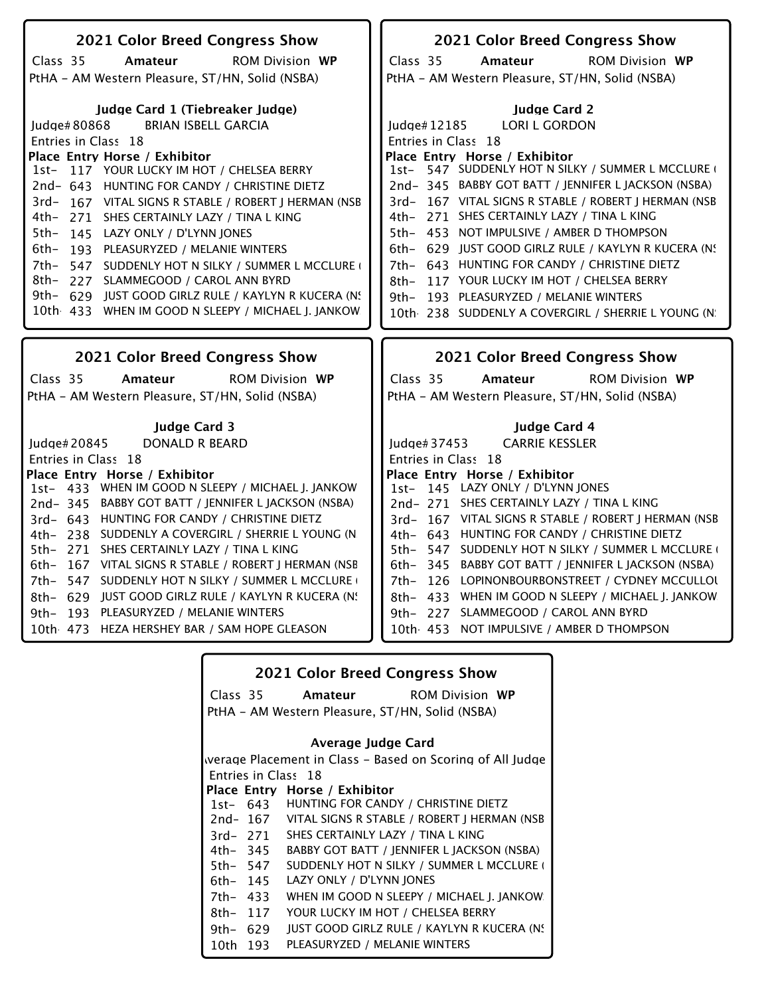| 2021 Color Breed Congress Show                                                                                                                                                                                                                                                           | 2021 Color Breed Congress Show                                                    |
|------------------------------------------------------------------------------------------------------------------------------------------------------------------------------------------------------------------------------------------------------------------------------------------|-----------------------------------------------------------------------------------|
| Class 35<br><b>ROM Division WP</b><br>Amateur                                                                                                                                                                                                                                            | Class 35<br><b>ROM Division WP</b><br>Amateur                                     |
| PtHA - AM Western Pleasure, ST/HN, Solid (NSBA)                                                                                                                                                                                                                                          | PtHA - AM Western Pleasure, ST/HN, Solid (NSBA)                                   |
|                                                                                                                                                                                                                                                                                          |                                                                                   |
| Judge Card 1 (Tiebreaker Judge)                                                                                                                                                                                                                                                          | <b>Judge Card 2</b>                                                               |
| Judge#80868<br><b>BRIAN ISBELL GARCIA</b>                                                                                                                                                                                                                                                | LORI L GORDON<br>Judge# 12185                                                     |
| Entries in Class 18                                                                                                                                                                                                                                                                      | Entries in Class 18                                                               |
| Place Entry Horse / Exhibitor                                                                                                                                                                                                                                                            | Place Entry Horse / Exhibitor                                                     |
| 117 YOUR LUCKY IM HOT / CHELSEA BERRY<br>$1st-$                                                                                                                                                                                                                                          | 1st- 547 SUDDENLY HOT N SILKY / SUMMER L MCCLURE                                  |
| 2nd-643 HUNTING FOR CANDY / CHRISTINE DIETZ                                                                                                                                                                                                                                              | 2nd-345 BABBY GOT BATT / JENNIFER L JACKSON (NSBA)                                |
| 3rd- 167 VITAL SIGNS R STABLE / ROBERT J HERMAN (NSB                                                                                                                                                                                                                                     | 3rd-167 VITAL SIGNS R STABLE / ROBERT   HERMAN (NSB                               |
| 4th-<br>271 SHES CERTAINLY LAZY / TINA L KING                                                                                                                                                                                                                                            | 4th- 271 SHES CERTAINLY LAZY / TINA L KING                                        |
| $5th-$<br>145 LAZY ONLY / D'LYNN JONES                                                                                                                                                                                                                                                   | 5th- 453 NOT IMPULSIVE / AMBER D THOMPSON                                         |
| 6th-<br>193 PLEASURYZED / MELANIE WINTERS                                                                                                                                                                                                                                                | 6th- 629 JUST GOOD GIRLZ RULE / KAYLYN R KUCERA (N.                               |
| 7th-<br>547 SUDDENLY HOT N SILKY / SUMMER L MCCLURE                                                                                                                                                                                                                                      | 7th- 643 HUNTING FOR CANDY / CHRISTINE DIETZ                                      |
| 8th-<br>227 SLAMMEGOOD / CAROL ANN BYRD                                                                                                                                                                                                                                                  | 117 YOUR LUCKY IM HOT / CHELSEA BERRY<br>8th-                                     |
| $9th-$<br>629 JUST GOOD GIRLZ RULE / KAYLYN R KUCERA (N.                                                                                                                                                                                                                                 | 9th- 193 PLEASURYZED / MELANIE WINTERS                                            |
| 10th 433 WHEN IM GOOD N SLEEPY / MICHAEL J. JANKOW                                                                                                                                                                                                                                       | 10th 238 SUDDENLY A COVERGIRL / SHERRIE L YOUNG (N)                               |
|                                                                                                                                                                                                                                                                                          |                                                                                   |
|                                                                                                                                                                                                                                                                                          |                                                                                   |
| 2021 Color Breed Congress Show                                                                                                                                                                                                                                                           | 2021 Color Breed Congress Show                                                    |
| <b>ROM Division WP</b><br>Amateur                                                                                                                                                                                                                                                        | Class 35<br><b>ROM Division WP</b><br>Amateur                                     |
|                                                                                                                                                                                                                                                                                          |                                                                                   |
|                                                                                                                                                                                                                                                                                          | PtHA - AM Western Pleasure, ST/HN, Solid (NSBA)                                   |
| <b>Judge Card 3</b>                                                                                                                                                                                                                                                                      | Judge Card 4                                                                      |
| DONALD R BEARD                                                                                                                                                                                                                                                                           | <b>CARRIE KESSLER</b><br>ludge $#37453$                                           |
|                                                                                                                                                                                                                                                                                          | Entries in Class 18                                                               |
|                                                                                                                                                                                                                                                                                          | Place Entry Horse / Exhibitor                                                     |
|                                                                                                                                                                                                                                                                                          | 1st- 145 LAZY ONLY / D'LYNN JONES                                                 |
|                                                                                                                                                                                                                                                                                          | 2nd-271 SHES CERTAINLY LAZY / TINA L KING                                         |
|                                                                                                                                                                                                                                                                                          | 3rd-167 VITAL SIGNS R STABLE / ROBERT J HERMAN (NSB                               |
| 2nd-345 BABBY GOT BATT / JENNIFER L JACKSON (NSBA)<br>3rd- 643 HUNTING FOR CANDY / CHRISTINE DIETZ<br>4th- 238 SUDDENLY A COVERGIRL / SHERRIE L YOUNG (N)                                                                                                                                | 4th- 643 HUNTING FOR CANDY / CHRISTINE DIETZ                                      |
| 5th- 271 SHES CERTAINLY LAZY / TINA L KING                                                                                                                                                                                                                                               | 5th- 547 SUDDENLY HOT N SILKY / SUMMER L MCCLURE (                                |
| 167 VITAL SIGNS R STABLE / ROBERT J HERMAN (NSB<br>6th–                                                                                                                                                                                                                                  | 6th- 345 BABBY GOT BATT / JENNIFER L JACKSON (NSBA)                               |
| 547 SUDDENLY HOT N SILKY / SUMMER L MCCLURE (<br>7th-                                                                                                                                                                                                                                    | 7th- 126 LOPINONBOURBONSTREET / CYDNEY MCCULLOL                                   |
| 629 JUST GOOD GIRLZ RULE / KAYLYN R KUCERA (N.<br>8th-                                                                                                                                                                                                                                   | 8th- 433 WHEN IM GOOD N SLEEPY / MICHAEL J. JANKOW                                |
| Class 35<br>PtHA - AM Western Pleasure, ST/HN, Solid (NSBA)<br>ludge $#20845$<br>Entries in Class 18<br>Place Entry Horse / Exhibitor<br>1st- 433 WHEN IM GOOD N SLEEPY / MICHAEL J. JANKOW<br>193 PLEASURYZED / MELANIE WINTERS<br>9th–<br>10th 473 HEZA HERSHEY BAR / SAM HOPE GLEASON | 9th- 227 SLAMMEGOOD / CAROL ANN BYRD<br>10th 453 NOT IMPULSIVE / AMBER D THOMPSON |

|          |          | <b>2021 Color Breed Congress Show</b>                     |  |
|----------|----------|-----------------------------------------------------------|--|
|          | Class 35 | <b>Amateur</b> ROM Division WP                            |  |
|          |          | PtHA – AM Western Pleasure, ST/HN, Solid (NSBA)           |  |
|          |          | Average Judge Card                                        |  |
|          |          | werage Placement in Class – Based on Scoring of All Judge |  |
|          |          | Entries in Class 18                                       |  |
|          |          | Place Entry Horse / Exhibitor                             |  |
|          |          | 1st- 643 HUNTING FOR CANDY / CHRISTINE DIETZ              |  |
|          |          | 2nd-167 VITAL SIGNS R STABLE / ROBERT J HERMAN (NSB       |  |
|          |          | 3rd- 271 SHES CERTAINLY LAZY / TINA L KING                |  |
|          |          | 4th- 345 BABBY GOT BATT / JENNIFER L JACKSON (NSBA)       |  |
|          | 5th– 547 | SUDDENLY HOT N SILKY / SUMMER L MCCLURE                   |  |
|          | 6th– 145 | LAZY ONLY / D'LYNN JONES                                  |  |
|          | 7th– 433 | WHEN IM GOOD N SLEEPY / MICHAEL J. JANKOW                 |  |
| 8th- 117 |          | YOUR LUCKY IM HOT / CHELSEA BERRY                         |  |
|          | 9th– 629 | JUST GOOD GIRLZ RULE / KAYLYN R KUCERA (N.                |  |
|          | 10th 193 | PLEASURYZED / MELANIE WINTERS                             |  |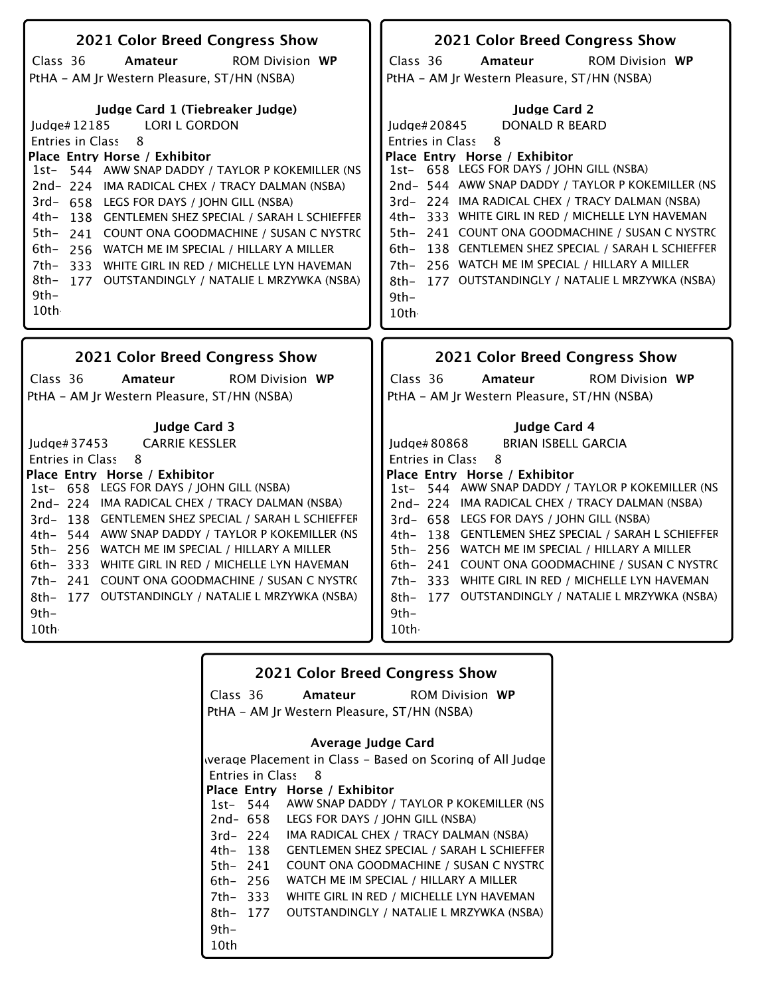| 2021 Color Breed Congress Show                                                                                                                                                                                                                                                                                                                                                                                                                                                                                                                                                                          | 2021 Color Breed Congress Show                                                                                                                                                                                                                                                                                                                                                                                                                                                                                                                                                |
|---------------------------------------------------------------------------------------------------------------------------------------------------------------------------------------------------------------------------------------------------------------------------------------------------------------------------------------------------------------------------------------------------------------------------------------------------------------------------------------------------------------------------------------------------------------------------------------------------------|-------------------------------------------------------------------------------------------------------------------------------------------------------------------------------------------------------------------------------------------------------------------------------------------------------------------------------------------------------------------------------------------------------------------------------------------------------------------------------------------------------------------------------------------------------------------------------|
| Class 36<br>Amateur<br><b>ROM Division WP</b>                                                                                                                                                                                                                                                                                                                                                                                                                                                                                                                                                           | Class 36<br><b>ROM Division WP</b><br>Amateur                                                                                                                                                                                                                                                                                                                                                                                                                                                                                                                                 |
| PtHA - AM Jr Western Pleasure, ST/HN (NSBA)                                                                                                                                                                                                                                                                                                                                                                                                                                                                                                                                                             | PtHA - AM Jr Western Pleasure, ST/HN (NSBA)                                                                                                                                                                                                                                                                                                                                                                                                                                                                                                                                   |
| Judge Card 1 (Tiebreaker Judge)<br><b>LORI L GORDON</b><br>Judge#12185<br>8<br><b>Entries in Class</b><br>Place Entry Horse / Exhibitor<br>544 AWW SNAP DADDY / TAYLOR P KOKEMILLER (NS<br>$1st-$<br>2nd-224 IMA RADICAL CHEX / TRACY DALMAN (NSBA)<br>3rd- 658 LEGS FOR DAYS / JOHN GILL (NSBA)<br>4th-<br>138 GENTLEMEN SHEZ SPECIAL / SARAH L SCHIEFFER<br>5th-<br>241 COUNT ONA GOODMACHINE / SUSAN C NYSTRO<br>6th-<br>256 WATCH ME IM SPECIAL / HILLARY A MILLER<br>7th-<br>333 WHITE GIRL IN RED / MICHELLE LYN HAVEMAN<br>8th-<br>177 OUTSTANDINGLY / NATALIE L MRZYWKA (NSBA)<br>9th-<br>10th· | <b>Judge Card 2</b><br><b>DONALD R BEARD</b><br>Judge#20845<br>8<br>Entries in Class<br>Place Entry Horse / Exhibitor<br>1st- 658 LEGS FOR DAYS / JOHN GILL (NSBA)<br>2nd-544 AWW SNAP DADDY / TAYLOR P KOKEMILLER (NS<br>3rd-224 IMA RADICAL CHEX / TRACY DALMAN (NSBA)<br>4th- 333 WHITE GIRL IN RED / MICHELLE LYN HAVEMAN<br>5th- 241 COUNT ONA GOODMACHINE / SUSAN C NYSTRO<br>138 GENTLEMEN SHEZ SPECIAL / SARAH L SCHIEFFER<br>$6th-$<br>256 WATCH ME IM SPECIAL / HILLARY A MILLER<br>7th–<br>177 OUTSTANDINGLY / NATALIE L MRZYWKA (NSBA)<br>8th-<br>$9th -$<br>10th |
| 2021 Color Breed Congress Show                                                                                                                                                                                                                                                                                                                                                                                                                                                                                                                                                                          | 2021 Color Breed Congress Show                                                                                                                                                                                                                                                                                                                                                                                                                                                                                                                                                |
| Class 36<br><b>ROM Division WP</b>                                                                                                                                                                                                                                                                                                                                                                                                                                                                                                                                                                      | Class 36<br><b>ROM Division WP</b>                                                                                                                                                                                                                                                                                                                                                                                                                                                                                                                                            |
| Amateur<br>PtHA - AM Jr Western Pleasure, ST/HN (NSBA)                                                                                                                                                                                                                                                                                                                                                                                                                                                                                                                                                  | Amateur<br>PtHA - AM Jr Western Pleasure, ST/HN (NSBA)                                                                                                                                                                                                                                                                                                                                                                                                                                                                                                                        |
| <b>Judge Card 3</b><br><b>CARRIE KESSLER</b><br>Judge# 37453<br>8<br>Entries in Class<br>Place Entry Horse / Exhibitor<br>1st- 658 LEGS FOR DAYS / JOHN GILL (NSBA)<br>2nd-224 IMA RADICAL CHEX / TRACY DALMAN (NSBA)<br>3rd- 138 GENTLEMEN SHEZ SPECIAL / SARAH L SCHIEFFER<br>4th- 544 AWW SNAP DADDY / TAYLOR P KOKEMILLER (NS<br>5th- 256 WATCH ME IM SPECIAL / HILLARY A MILLER<br>333 WHITE GIRL IN RED / MICHELLE LYN HAVEMAN<br>6th–<br>241 COUNT ONA GOODMACHINE / SUSAN C NYSTRO<br>7th-<br>8th- 177 OUTSTANDINGLY / NATALIE L MRZYWKA (NSBA)<br>$9th -$<br>10th                              | Judge Card 4<br><b>BRIAN ISBELL GARCIA</b><br>Judge#80868<br>8<br>Entries in Class<br>Place Entry Horse / Exhibitor<br>1st- 544 AWW SNAP DADDY / TAYLOR P KOKEMILLER (NS<br>2nd-224 IMA RADICAL CHEX / TRACY DALMAN (NSBA)<br>3rd- 658 LEGS FOR DAYS / JOHN GILL (NSBA)<br>4th- 138 GENTLEMEN SHEZ SPECIAL / SARAH L SCHIEFFER<br>5th- 256 WATCH ME IM SPECIAL / HILLARY A MILLER<br>6th- 241 COUNT ONA GOODMACHINE / SUSAN C NYSTRO<br>7th- 333 WHITE GIRL IN RED / MICHELLE LYN HAVEMAN<br>8th- 177 OUTSTANDINGLY / NATALIE L MRZYWKA (NSBA)<br>$9th-$<br>10th              |

|                         |                               | <b>2021 Color Breed Congress Show</b>                     |
|-------------------------|-------------------------------|-----------------------------------------------------------|
|                         | Class 36 Amateur              | <b>ROM Division WP</b>                                    |
|                         |                               | PtHA - AM Jr Western Pleasure, ST/HN (NSBA)               |
|                         |                               | Average Judge Card                                        |
|                         |                               | werage Placement in Class – Based on Scoring of All Judge |
| <b>Entries in Class</b> | - 8                           |                                                           |
|                         | Place Entry Horse / Exhibitor |                                                           |
|                         |                               | 1st- 544 AWW SNAP DADDY / TAYLOR P KOKEMILLER (NS         |
|                         |                               | 2nd- 658 LEGS FOR DAYS / JOHN GILL (NSBA)                 |
|                         |                               | 3rd-224 IMA RADICAL CHEX / TRACY DALMAN (NSBA)            |
|                         |                               | 4th- 138 GENTLEMEN SHEZ SPECIAL / SARAH L SCHIEFFER       |
| 5th– 241                |                               | COUNT ONA GOODMACHINE / SUSAN C NYSTRO                    |
| 6th– 256                |                               | WATCH ME IM SPECIAL / HILLARY A MILLER                    |
| 7th- 333                |                               | WHITE GIRL IN RED / MICHELLE LYN HAVEMAN                  |
| 8th- 177                |                               | OUTSTANDINGLY / NATALIE L MRZYWKA (NSBA)                  |
| $9th -$                 |                               |                                                           |
| 10th                    |                               |                                                           |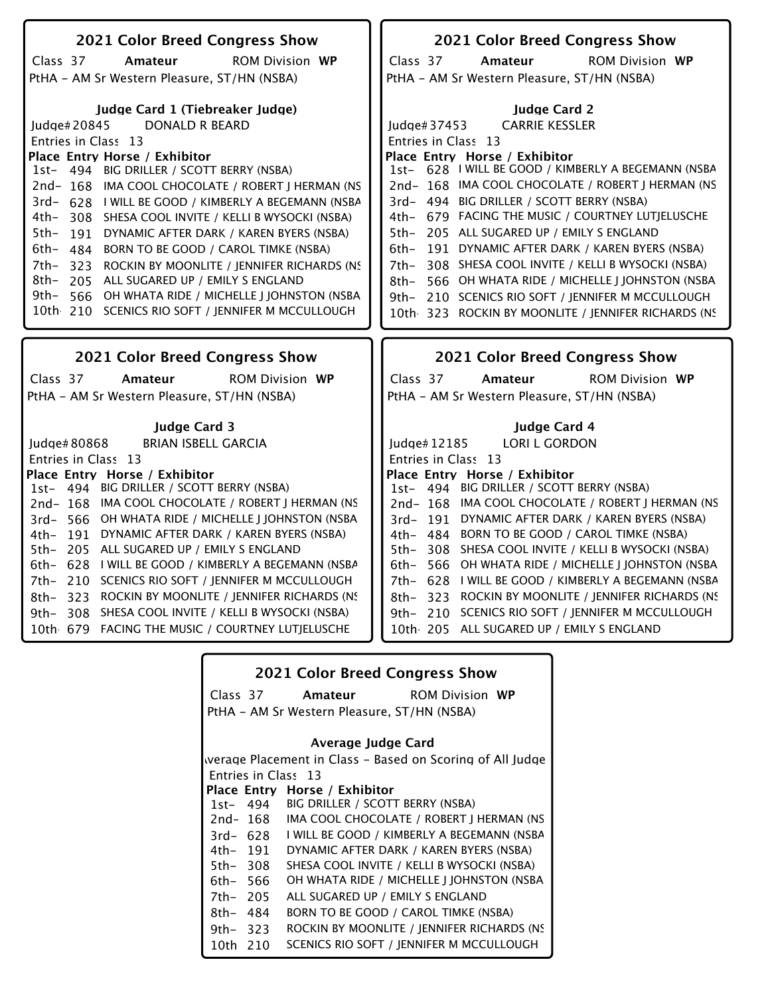| 2021 Color Breed Congress Show                                                                | 2021 Color Breed Congress Show                                                                |
|-----------------------------------------------------------------------------------------------|-----------------------------------------------------------------------------------------------|
| Amateur<br><b>ROM Division WP</b><br>Class 37                                                 | <b>ROM Division WP</b><br>Class 37<br>Amateur                                                 |
| PtHA - AM Sr Western Pleasure, ST/HN (NSBA)                                                   | PtHA - AM Sr Western Pleasure, ST/HN (NSBA)                                                   |
|                                                                                               |                                                                                               |
| Judge Card 1 (Tiebreaker Judge)                                                               | Judge Card 2                                                                                  |
| <b>DONALD R BEARD</b><br>Judge#20845                                                          | <b>CARRIE KESSLER</b><br>Judge $\#37453$                                                      |
| Entries in Class 13                                                                           | Entries in Class 13                                                                           |
| Place Entry Horse / Exhibitor                                                                 | Place Entry Horse / Exhibitor                                                                 |
| 1st- 494 BIG DRILLER / SCOTT BERRY (NSBA)                                                     | 1st- 628   WILL BE GOOD / KIMBERLY A BEGEMANN (NSBA                                           |
| 2nd-168 IMA COOL CHOCOLATE / ROBERT J HERMAN (NS                                              | 2nd- 168 IMA COOL CHOCOLATE / ROBERT J HERMAN (NS                                             |
| 3rd- 628 I WILL BE GOOD / KIMBERLY A BEGEMANN (NSBA                                           | 3rd- 494 BIG DRILLER / SCOTT BERRY (NSBA)                                                     |
| 4th–<br>308 SHESA COOL INVITE / KELLI B WYSOCKI (NSBA)                                        | 4th- 679 FACING THE MUSIC / COURTNEY LUTIELUSCHE<br>5th- 205 ALL SUGARED UP / EMILY S ENGLAND |
| 5th-<br>191 DYNAMIC AFTER DARK / KAREN BYERS (NSBA)                                           | 191 DYNAMIC AFTER DARK / KAREN BYERS (NSBA)                                                   |
| 6th- 484 BORN TO BE GOOD / CAROL TIMKE (NSBA)                                                 | 6th-                                                                                          |
| 7th–<br>323 ROCKIN BY MOONLITE / JENNIFER RICHARDS (NS<br>8th–                                | 308 SHESA COOL INVITE / KELLI B WYSOCKI (NSBA)<br>7th-                                        |
| 205 ALL SUGARED UP / EMILY S ENGLAND<br>9th–<br>566 OH WHATA RIDE / MICHELLE J JOHNSTON (NSBA | 566 OH WHATA RIDE / MICHELLE J JOHNSTON (NSBA<br>8th-                                         |
| 10th 210 SCENICS RIO SOFT / JENNIFER M MCCULLOUGH                                             | 9th- 210 SCENICS RIO SOFT / JENNIFER M MCCULLOUGH                                             |
|                                                                                               | 10th 323 ROCKIN BY MOONLITE / JENNIFER RICHARDS (NS                                           |
|                                                                                               |                                                                                               |
|                                                                                               |                                                                                               |
| 2021 Color Breed Congress Show                                                                | <b>2021 Color Breed Congress Show</b>                                                         |
| <b>ROM Division WP</b><br>Class 37<br>Amateur                                                 | <b>ROM Division WP</b><br>Class 37<br>Amateur                                                 |
| PtHA - AM Sr Western Pleasure, ST/HN (NSBA)                                                   | PtHA - AM Sr Western Pleasure, ST/HN (NSBA)                                                   |
|                                                                                               |                                                                                               |
| <b>Judge Card 3</b>                                                                           | Judge Card 4                                                                                  |
| <b>BRIAN ISBELL GARCIA</b><br>Judge# 80868                                                    | <b>LORI L GORDON</b><br>Judge# 12185                                                          |
| Entries in Class 13                                                                           | Entries in Class 13                                                                           |
| Place Entry Horse / Exhibitor                                                                 | Place Entry Horse / Exhibitor                                                                 |
| 1st- 494 BIG DRILLER / SCOTT BERRY (NSBA)                                                     | 1st- 494 BIG DRILLER / SCOTT BERRY (NSBA)                                                     |
| 2nd-168 IMA COOL CHOCOLATE / ROBERT J HERMAN (NS                                              | 2nd-168 IMA COOL CHOCOLATE / ROBERT J HERMAN (NS                                              |
| 3rd- 566 OH WHATA RIDE / MICHELLE J JOHNSTON (NSBA                                            | 3rd- 191 DYNAMIC AFTER DARK / KAREN BYERS (NSBA)                                              |
| 4th- 191 DYNAMIC AFTER DARK / KAREN BYERS (NSBA)                                              | 4th- 484 BORN TO BE GOOD / CAROL TIMKE (NSBA)                                                 |
| 5th- 205 ALL SUGARED UP / EMILY S ENGLAND                                                     | SHESA COOL INVITE / KELLI B WYSOCKI (NSBA)<br>5th- 308                                        |
| 6th- 628 I WILL BE GOOD / KIMBERLY A BEGEMANN (NSBA                                           | 566 OH WHATA RIDE / MICHELLE J JOHNSTON (NSBA<br>6th-                                         |
| 210 SCENICS RIO SOFT / JENNIFER M MCCULLOUGH<br>7th–                                          | 7th- 628 I WILL BE GOOD / KIMBERLY A BEGEMANN (NSBA                                           |
| 323 ROCKIN BY MOONLITE / JENNIFER RICHARDS (NS<br>8th-                                        | 323 ROCKIN BY MOONLITE / JENNIFER RICHARDS (NS<br>8th-                                        |
| 308 SHESA COOL INVITE / KELLI B WYSOCKI (NSBA)<br>9th–                                        | 210 SCENICS RIO SOFT / JENNIFER M MCCULLOUGH<br>9th–                                          |
| 10th 679 FACING THE MUSIC / COURTNEY LUTJELUSCHE                                              | 10th 205 ALL SUGARED UP / EMILY S ENGLAND                                                     |

|             |          | <b>2021 Color Breed Congress Show</b>                     |
|-------------|----------|-----------------------------------------------------------|
|             | Class 37 | <b>Amateur</b> ROM Division WP                            |
|             |          | PtHA – AM Sr Western Pleasure, ST/HN (NSBA)               |
|             |          | <b>Average Judge Card</b>                                 |
|             |          | werage Placement in Class - Based on Scoring of All Judge |
|             |          | Entries in Class 13                                       |
|             |          | Place Entry Horse / Exhibitor                             |
|             | 1st- 494 | BIG DRILLER / SCOTT BERRY (NSBA)                          |
|             | 2nd- 168 | IMA COOL CHOCOLATE / ROBERT   HERMAN (NS                  |
| $3rd - 628$ |          | I WILL BE GOOD / KIMBERLY A BEGEMANN (NSBA                |
| 4th- 191    |          | DYNAMIC AFTER DARK / KAREN BYERS (NSBA)                   |
| 5th-308     |          | SHESA COOL INVITE / KELLI B WYSOCKI (NSBA)                |
| 6th- 566    |          | OH WHATA RIDE / MICHELLE J JOHNSTON (NSBA                 |
| 7th- 205    |          | ALL SUGARED UP / EMILY S ENGLAND                          |
| 8th- 484    |          | BORN TO BE GOOD / CAROL TIMKE (NSBA)                      |
| 9th- $323$  |          | ROCKIN BY MOONLITE / JENNIFER RICHARDS (NS                |
| 10th 210    |          | SCENICS RIO SOFT / IENNIFER M MCCULLOUGH                  |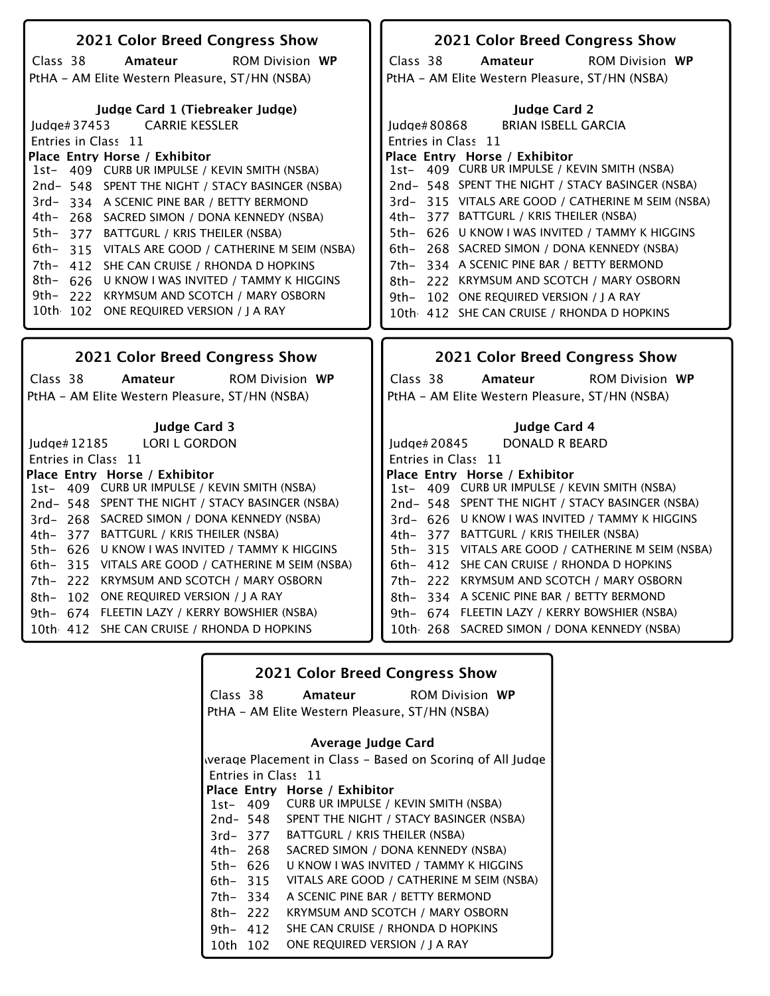| 2021 Color Breed Congress Show                        | 2021 Color Breed Congress Show                     |
|-------------------------------------------------------|----------------------------------------------------|
| Class 38<br>Amateur<br><b>ROM Division WP</b>         | Class 38<br><b>ROM Division WP</b><br>Amateur      |
| PtHA - AM Elite Western Pleasure, ST/HN (NSBA)        | PtHA - AM Elite Western Pleasure, ST/HN (NSBA)     |
|                                                       |                                                    |
| Judge Card 1 (Tiebreaker Judge)                       | <b>Judge Card 2</b>                                |
| <b>CARRIE KESSLER</b><br>Judge# $37453$               | <b>BRIAN ISBELL GARCIA</b><br>Judge# 80868         |
| Entries in Class 11                                   | Entries in Class 11                                |
| Place Entry Horse / Exhibitor                         | Place Entry Horse / Exhibitor                      |
| 1st- 409 CURB UR IMPULSE / KEVIN SMITH (NSBA)         | 1st- 409 CURB UR IMPULSE / KEVIN SMITH (NSBA)      |
| 2nd-548 SPENT THE NIGHT / STACY BASINGER (NSBA)       | 2nd-548 SPENT THE NIGHT / STACY BASINGER (NSBA)    |
| 3rd-334 A SCENIC PINE BAR / BETTY BERMOND             | 3rd-315 VITALS ARE GOOD / CATHERINE M SEIM (NSBA)  |
| 4th- 268 SACRED SIMON / DONA KENNEDY (NSBA)           | 4th- 377 BATTGURL / KRIS THEILER (NSBA)            |
| $5th-$<br>377 BATTGURL / KRIS THEILER (NSBA)          | 5th- 626 U KNOW I WAS INVITED / TAMMY K HIGGINS    |
| 6th–<br>315 VITALS ARE GOOD / CATHERINE M SEIM (NSBA) | 6th- 268 SACRED SIMON / DONA KENNEDY (NSBA)        |
| 7th-<br>412 SHE CAN CRUISE / RHONDA D HOPKINS         | 7th- 334 A SCENIC PINE BAR / BETTY BERMOND         |
| 8th-<br>626 U KNOW I WAS INVITED / TAMMY K HIGGINS    | 8th- 222 KRYMSUM AND SCOTCH / MARY OSBORN          |
| 9th–<br>222 KRYMSUM AND SCOTCH / MARY OSBORN          | 9th- 102 ONE REQUIRED VERSION / J A RAY            |
| 10th 102 ONE REQUIRED VERSION / J A RAY               | 10th 412 SHE CAN CRUISE / RHONDA D HOPKINS         |
|                                                       |                                                    |
|                                                       |                                                    |
| <b>2021 Color Breed Congress Show</b>                 | 2021 Color Breed Congress Show                     |
| Class 38<br>Amateur<br><b>ROM Division WP</b>         | Class 38<br>Amateur<br><b>ROM Division WP</b>      |
|                                                       |                                                    |
| PtHA - AM Elite Western Pleasure, ST/HN (NSBA)        | PtHA - AM Elite Western Pleasure, ST/HN (NSBA)     |
| <b>Judge Card 3</b>                                   | <b>Judge Card 4</b>                                |
| <b>LORI L GORDON</b><br>Judge# 12185                  | <b>DONALD R BEARD</b><br>Judge#20845               |
| Entries in Class 11                                   | Entries in Class 11                                |
| Place Entry Horse / Exhibitor                         | Place Entry Horse / Exhibitor                      |
| 1st- 409 CURB UR IMPULSE / KEVIN SMITH (NSBA)         | 1st- 409 CURB UR IMPULSE / KEVIN SMITH (NSBA)      |
| 2nd-548 SPENT THE NIGHT / STACY BASINGER (NSBA)       | 2nd-548 SPENT THE NIGHT / STACY BASINGER (NSBA)    |
| 3rd- 268 SACRED SIMON / DONA KENNEDY (NSBA)           | 3rd- 626 U KNOW I WAS INVITED / TAMMY K HIGGINS    |
| 377 BATTGURL / KRIS THEILER (NSBA)<br>4th–            | 4th- 377 BATTGURL / KRIS THEILER (NSBA)            |
| U KNOW I WAS INVITED / TAMMY K HIGGINS<br>5th- 626    | 5th- 315 VITALS ARE GOOD / CATHERINE M SEIM (NSBA) |
| 315 VITALS ARE GOOD / CATHERINE M SEIM (NSBA)<br>6th- | 6th- 412 SHE CAN CRUISE / RHONDA D HOPKINS         |
| 222 KRYMSUM AND SCOTCH / MARY OSBORN<br>7th-          | 7th- 222 KRYMSUM AND SCOTCH / MARY OSBORN          |
| 102 ONE REQUIRED VERSION / J A RAY<br>8th-            | 8th- 334 A SCENIC PINE BAR / BETTY BERMOND         |
| 674 FLEETIN LAZY / KERRY BOWSHIER (NSBA)<br>9th–      | 9th- 674 FLEETIN LAZY / KERRY BOWSHIER (NSBA)      |
| 10th 412 SHE CAN CRUISE / RHONDA D HOPKINS            | 10th 268 SACRED SIMON / DONA KENNEDY (NSBA)        |

|             |          | <b>2021 Color Breed Congress Show</b>                     |  |
|-------------|----------|-----------------------------------------------------------|--|
|             | Class 38 | <b>Amateur</b> ROM Division WP                            |  |
|             |          | PtHA – AM Elite Western Pleasure, ST/HN (NSBA)            |  |
|             |          | Average Judge Card                                        |  |
|             |          | werage Placement in Class – Based on Scoring of All Judge |  |
|             |          | Entries in Class 11                                       |  |
|             |          | Place Entry Horse / Exhibitor                             |  |
|             |          | 1st- 409 CURB UR IMPULSE / KEVIN SMITH (NSBA)             |  |
|             | 2nd- 548 | SPENT THE NIGHT / STACY BASINGER (NSBA)                   |  |
|             | 3rd-377  | <b>BATTGURL / KRIS THEILER (NSBA)</b>                     |  |
|             | 4th– 268 | SACRED SIMON / DONA KENNEDY (NSBA)                        |  |
| 5th- 626    |          | U KNOW I WAS INVITED / TAMMY K HIGGINS                    |  |
| 6th- 315    |          | VITALS ARE GOOD / CATHERINE M SEIM (NSBA)                 |  |
| 7th- 334    |          | A SCENIC PINE BAR / BETTY BERMOND                         |  |
| $8th - 222$ |          | KRYMSUM AND SCOTCH / MARY OSBORN                          |  |
|             | 9th- 412 | SHE CAN CRUISE / RHONDA D HOPKINS                         |  |
| 10th 102    |          | ONE REQUIRED VERSION / J A RAY                            |  |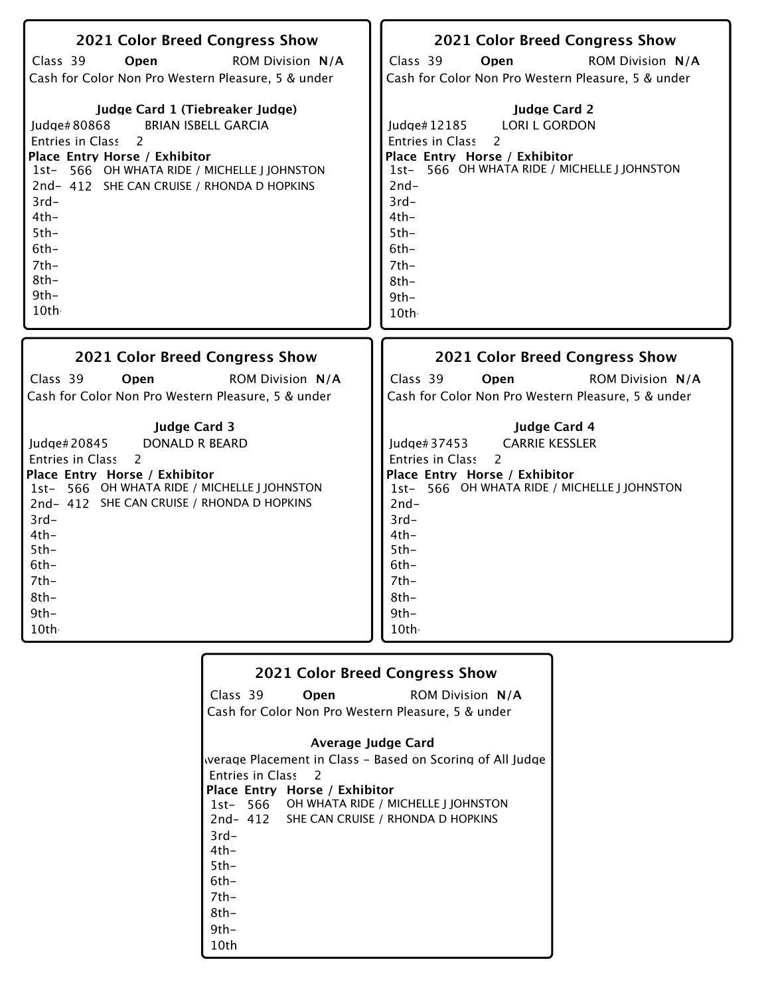| 2021 Color Breed Congress Show                                                                                                                                                                                                                                                                                  | 2021 Color Breed Congress Show                                                                                                                                                                                                                               |
|-----------------------------------------------------------------------------------------------------------------------------------------------------------------------------------------------------------------------------------------------------------------------------------------------------------------|--------------------------------------------------------------------------------------------------------------------------------------------------------------------------------------------------------------------------------------------------------------|
| Class 39                                                                                                                                                                                                                                                                                                        | Class 39                                                                                                                                                                                                                                                     |
| Open                                                                                                                                                                                                                                                                                                            | Open                                                                                                                                                                                                                                                         |
| <b>ROM Division N/A</b>                                                                                                                                                                                                                                                                                         | <b>ROM Division N/A</b>                                                                                                                                                                                                                                      |
| Cash for Color Non Pro Western Pleasure, 5 & under                                                                                                                                                                                                                                                              | Cash for Color Non Pro Western Pleasure, 5 & under                                                                                                                                                                                                           |
| Judge Card 1 (Tiebreaker Judge)<br><b>BRIAN ISBELL GARCIA</b><br>Judge#80868<br>Entries in Class 2<br>Place Entry Horse / Exhibitor<br>1st- 566 OH WHATA RIDE / MICHELLE J JOHNSTON<br>2nd-412 SHE CAN CRUISE / RHONDA D HOPKINS<br>$3rd-$<br>$4th-$<br>$5th-$<br>$6th -$<br>$7th-$<br>$8th-$<br>$9th-$<br>10th | <b>Judge Card 2</b><br><b>LORI L GORDON</b><br>Judge#12185<br>Entries in Class<br>2<br>Place Entry Horse / Exhibitor<br>1st- 566 OH WHATA RIDE / MICHELLE J JOHNSTON<br>$2nd-$<br>$3rd-$<br>$4th-$<br>$5th-$<br>$6th-$<br>$7th-$<br>$8th-$<br>$9th-$<br>10th |
|                                                                                                                                                                                                                                                                                                                 |                                                                                                                                                                                                                                                              |
| <b>2021 Color Breed Congress Show</b>                                                                                                                                                                                                                                                                           | 2021 Color Breed Congress Show                                                                                                                                                                                                                               |
| Class 39                                                                                                                                                                                                                                                                                                        | Class 39                                                                                                                                                                                                                                                     |
| Open                                                                                                                                                                                                                                                                                                            | Open                                                                                                                                                                                                                                                         |
| <b>ROM Division N/A</b>                                                                                                                                                                                                                                                                                         | <b>ROM Division N/A</b>                                                                                                                                                                                                                                      |
| Cash for Color Non Pro Western Pleasure, 5 & under                                                                                                                                                                                                                                                              | Cash for Color Non Pro Western Pleasure, 5 & under                                                                                                                                                                                                           |

|                    | 2021 Color Breed Congress Show                            |
|--------------------|-----------------------------------------------------------|
| Class 39           | <b>ROM Division N/A</b><br>Open                           |
|                    | Cash for Color Non Pro Western Pleasure, 5 & under        |
|                    | Average Judge Card                                        |
|                    | werage Placement in Class – Based on Scoring of All Judge |
| Entries in Class 2 |                                                           |
|                    | Place Entry Horse / Exhibitor                             |
|                    | 1st- 566 OH WHATA RIDE / MICHELLE J JOHNSTON              |
|                    | 2nd-412 SHE CAN CRUISE / RHONDA D HOPKINS                 |
| $3rd-$             |                                                           |
| $4th-$             |                                                           |
| $5th -$            |                                                           |
| $6th-$             |                                                           |
| $7th-$             |                                                           |
| 8th-               |                                                           |
| $9th -$            |                                                           |
| 10th               |                                                           |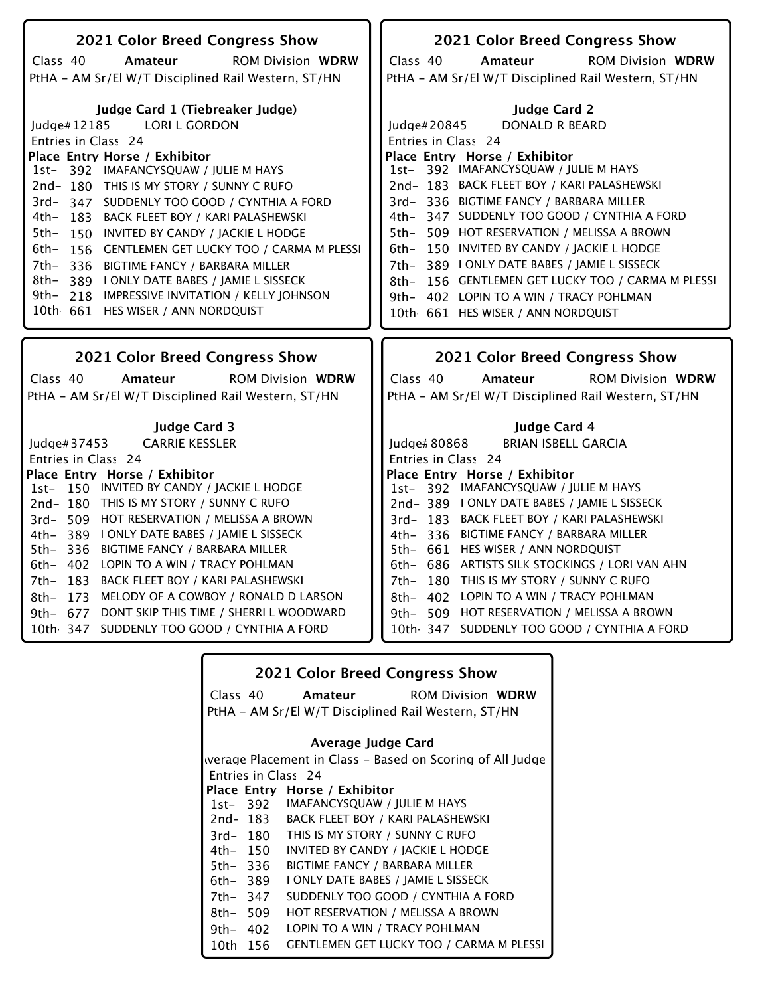| 2021 Color Breed Congress Show                                                                                                                                                                                                                                                                                                                                                                                                                                                                                                                                                                                  | 2021 Color Breed Congress Show                                                                                                                                                                                                                                                                                                                                                                                                                                                                                                                                                               |
|-----------------------------------------------------------------------------------------------------------------------------------------------------------------------------------------------------------------------------------------------------------------------------------------------------------------------------------------------------------------------------------------------------------------------------------------------------------------------------------------------------------------------------------------------------------------------------------------------------------------|----------------------------------------------------------------------------------------------------------------------------------------------------------------------------------------------------------------------------------------------------------------------------------------------------------------------------------------------------------------------------------------------------------------------------------------------------------------------------------------------------------------------------------------------------------------------------------------------|
|                                                                                                                                                                                                                                                                                                                                                                                                                                                                                                                                                                                                                 |                                                                                                                                                                                                                                                                                                                                                                                                                                                                                                                                                                                              |
| Class 40<br><b>ROM Division WDRW</b><br>Amateur                                                                                                                                                                                                                                                                                                                                                                                                                                                                                                                                                                 | Class 40<br><b>ROM Division WDRW</b><br>Amateur                                                                                                                                                                                                                                                                                                                                                                                                                                                                                                                                              |
| PtHA - AM Sr/El W/T Disciplined Rail Western, ST/HN                                                                                                                                                                                                                                                                                                                                                                                                                                                                                                                                                             | PtHA - AM Sr/El W/T Disciplined Rail Western, ST/HN                                                                                                                                                                                                                                                                                                                                                                                                                                                                                                                                          |
| Judge Card 1 (Tiebreaker Judge)<br><b>LORI L GORDON</b><br>Judge#12185<br>Entries in Class 24<br>Place Entry Horse / Exhibitor<br>1st- 392 IMAFANCYSQUAW / JULIE M HAYS<br>2nd-180 THIS IS MY STORY / SUNNY C RUFO<br>3rd-347 SUDDENLY TOO GOOD / CYNTHIA A FORD<br>4th-<br>183 BACK FLEET BOY / KARI PALASHEWSKI<br>5th-<br>150 INVITED BY CANDY / JACKIE L HODGE<br>6th-<br>156 GENTLEMEN GET LUCKY TOO / CARMA M PLESSI<br>7th-336 BIGTIME FANCY / BARBARA MILLER<br>8th–<br>389 I ONLY DATE BABES / JAMIE L SISSECK<br>9th- 218 IMPRESSIVE INVITATION / KELLY JOHNSON<br>10th 661 HES WISER / ANN NORDQUIST | <b>Judge Card 2</b><br><b>DONALD R BEARD</b><br>Judge#20845<br>Entries in Class 24<br>Place Entry Horse / Exhibitor<br>1st- 392 IMAFANCYSQUAW / JULIE M HAYS<br>2nd- 183 BACK FLEET BOY / KARI PALASHEWSKI<br>3rd- 336 BIGTIME FANCY / BARBARA MILLER<br>4th- 347 SUDDENLY TOO GOOD / CYNTHIA A FORD<br>5th- 509 HOT RESERVATION / MELISSA A BROWN<br>6th- 150 INVITED BY CANDY / JACKIE L HODGE<br>389 I ONLY DATE BABES / JAMIE L SISSECK<br>7th-<br>156 GENTLEMEN GET LUCKY TOO / CARMA M PLESSI<br>8th-<br>9th- 402 LOPIN TO A WIN / TRACY POHLMAN<br>10th 661 HES WISER / ANN NORDQUIST |
|                                                                                                                                                                                                                                                                                                                                                                                                                                                                                                                                                                                                                 |                                                                                                                                                                                                                                                                                                                                                                                                                                                                                                                                                                                              |
|                                                                                                                                                                                                                                                                                                                                                                                                                                                                                                                                                                                                                 |                                                                                                                                                                                                                                                                                                                                                                                                                                                                                                                                                                                              |
| <b>2021 Color Breed Congress Show</b>                                                                                                                                                                                                                                                                                                                                                                                                                                                                                                                                                                           | <b>2021 Color Breed Congress Show</b>                                                                                                                                                                                                                                                                                                                                                                                                                                                                                                                                                        |
| Class 40<br><b>ROM Division WDRW</b><br>Amateur                                                                                                                                                                                                                                                                                                                                                                                                                                                                                                                                                                 | Class 40<br>Amateur<br><b>ROM Division WDRW</b>                                                                                                                                                                                                                                                                                                                                                                                                                                                                                                                                              |
| PtHA - AM Sr/El W/T Disciplined Rail Western, ST/HN                                                                                                                                                                                                                                                                                                                                                                                                                                                                                                                                                             | PtHA - AM Sr/El W/T Disciplined Rail Western, ST/HN                                                                                                                                                                                                                                                                                                                                                                                                                                                                                                                                          |
|                                                                                                                                                                                                                                                                                                                                                                                                                                                                                                                                                                                                                 |                                                                                                                                                                                                                                                                                                                                                                                                                                                                                                                                                                                              |
| <b>Judge Card 3</b>                                                                                                                                                                                                                                                                                                                                                                                                                                                                                                                                                                                             | Judge Card 4                                                                                                                                                                                                                                                                                                                                                                                                                                                                                                                                                                                 |
| <b>CARRIE KESSLER</b><br>Judge# $37453$                                                                                                                                                                                                                                                                                                                                                                                                                                                                                                                                                                         | <b>BRIAN ISBELL GARCIA</b><br>Judge# 80868                                                                                                                                                                                                                                                                                                                                                                                                                                                                                                                                                   |
| Entries in Class 24                                                                                                                                                                                                                                                                                                                                                                                                                                                                                                                                                                                             | Entries in Class 24                                                                                                                                                                                                                                                                                                                                                                                                                                                                                                                                                                          |
| Place Entry Horse / Exhibitor                                                                                                                                                                                                                                                                                                                                                                                                                                                                                                                                                                                   | Place Entry Horse / Exhibitor                                                                                                                                                                                                                                                                                                                                                                                                                                                                                                                                                                |
| 1st-150 INVITED BY CANDY / JACKIE L HODGE                                                                                                                                                                                                                                                                                                                                                                                                                                                                                                                                                                       | 1st- 392 IMAFANCYSQUAW / JULIE M HAYS                                                                                                                                                                                                                                                                                                                                                                                                                                                                                                                                                        |
| 2nd-180 THIS IS MY STORY / SUNNY C RUFO                                                                                                                                                                                                                                                                                                                                                                                                                                                                                                                                                                         | 2nd-389   ONLY DATE BABES / JAMIE L SISSECK                                                                                                                                                                                                                                                                                                                                                                                                                                                                                                                                                  |
| 3rd- 509 HOT RESERVATION / MELISSA A BROWN                                                                                                                                                                                                                                                                                                                                                                                                                                                                                                                                                                      | 3rd- 183 BACK FLEET BOY / KARI PALASHEWSKI                                                                                                                                                                                                                                                                                                                                                                                                                                                                                                                                                   |
| 4th- 389 I ONLY DATE BABES / JAMIE L SISSECK                                                                                                                                                                                                                                                                                                                                                                                                                                                                                                                                                                    | 4th- 336 BIGTIME FANCY / BARBARA MILLER                                                                                                                                                                                                                                                                                                                                                                                                                                                                                                                                                      |
| 5th- 336 BIGTIME FANCY / BARBARA MILLER                                                                                                                                                                                                                                                                                                                                                                                                                                                                                                                                                                         | 5th- 661 HES WISER / ANN NORDQUIST                                                                                                                                                                                                                                                                                                                                                                                                                                                                                                                                                           |
| 6th- 402 LOPIN TO A WIN / TRACY POHLMAN                                                                                                                                                                                                                                                                                                                                                                                                                                                                                                                                                                         | 6th- 686 ARTISTS SILK STOCKINGS / LORI VAN AHN                                                                                                                                                                                                                                                                                                                                                                                                                                                                                                                                               |
| 7th- 183 BACK FLEET BOY / KARI PALASHEWSKI                                                                                                                                                                                                                                                                                                                                                                                                                                                                                                                                                                      | 7th- 180 THIS IS MY STORY / SUNNY C RUFO<br>8th- 402 LOPIN TO A WIN / TRACY POHLMAN                                                                                                                                                                                                                                                                                                                                                                                                                                                                                                          |
| 8th- 173 MELODY OF A COWBOY / RONALD D LARSON                                                                                                                                                                                                                                                                                                                                                                                                                                                                                                                                                                   |                                                                                                                                                                                                                                                                                                                                                                                                                                                                                                                                                                                              |
| 9th- 677 DONT SKIP THIS TIME / SHERRI L WOODWARD<br>10th 347 SUDDENLY TOO GOOD / CYNTHIA A FORD                                                                                                                                                                                                                                                                                                                                                                                                                                                                                                                 | 9th- 509 HOT RESERVATION / MELISSA A BROWN<br>10th 347 SUDDENLY TOO GOOD / CYNTHIA A FORD                                                                                                                                                                                                                                                                                                                                                                                                                                                                                                    |

|           |          | <b>2021 Color Breed Congress Show</b>                     |
|-----------|----------|-----------------------------------------------------------|
| Class 40  |          | <b>ROM Division WDRW</b><br>Amateur                       |
|           |          | PtHA - AM Sr/El W/T Disciplined Rail Western, ST/HN       |
|           |          | Average Judge Card                                        |
|           |          | werage Placement in Class – Based on Scoring of All Judge |
|           |          | Entries in Class 24                                       |
|           |          | Place Entry Horse / Exhibitor                             |
|           | 1st- 392 | IMAFANCYSQUAW / JULIE M HAYS                              |
|           | 2nd- 183 | BACK FLEET BOY / KARI PALASHEWSKI                         |
| $3rd-180$ |          | THIS IS MY STORY / SUNNY C RUFO                           |
| 4th- 150  |          | INVITED BY CANDY / JACKIE L HODGE                         |
| 5th- 336  |          | BIGTIME FANCY / BARBARA MILLER                            |
| 6th- 389  |          | I ONLY DATE BABES / JAMIE L SISSECK                       |
| 7th- 347  |          | SUDDENLY TOO GOOD / CYNTHIA A FORD                        |
| 8th- 509  |          | HOT RESERVATION / MELISSA A BROWN                         |
| 9th– 402  |          | LOPIN TO A WIN / TRACY POHLMAN                            |
| 10th 156  |          | <b>GENTLEMEN GET LUCKY TOO / CARMA M PLESSI</b>           |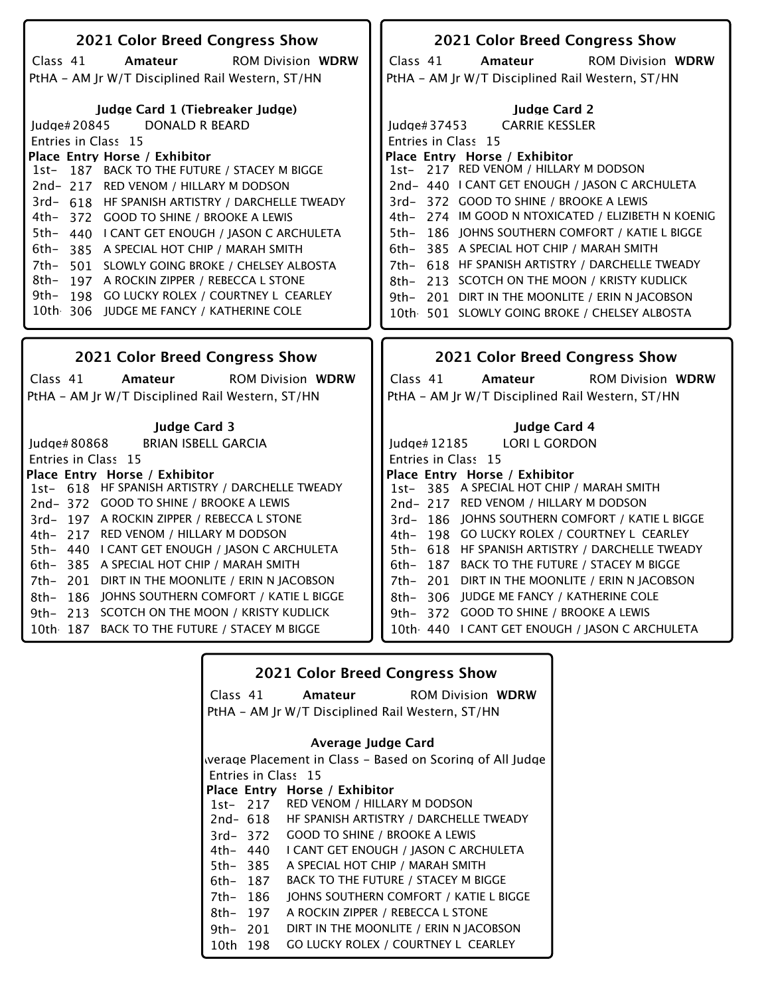| 2021 Color Breed Congress Show                                                                                                                                                                                                                                                                                                                                                                                                                                                                                                                                                                                                       | 2021 Color Breed Congress Show                                                                                                                                                                                                                                                                                                                                                                                                                                                                                                                                                                                        |
|--------------------------------------------------------------------------------------------------------------------------------------------------------------------------------------------------------------------------------------------------------------------------------------------------------------------------------------------------------------------------------------------------------------------------------------------------------------------------------------------------------------------------------------------------------------------------------------------------------------------------------------|-----------------------------------------------------------------------------------------------------------------------------------------------------------------------------------------------------------------------------------------------------------------------------------------------------------------------------------------------------------------------------------------------------------------------------------------------------------------------------------------------------------------------------------------------------------------------------------------------------------------------|
|                                                                                                                                                                                                                                                                                                                                                                                                                                                                                                                                                                                                                                      |                                                                                                                                                                                                                                                                                                                                                                                                                                                                                                                                                                                                                       |
| Class 41<br>Amateur<br><b>ROM Division WDRW</b>                                                                                                                                                                                                                                                                                                                                                                                                                                                                                                                                                                                      | Class 41<br>Amateur<br><b>ROM Division WDRW</b>                                                                                                                                                                                                                                                                                                                                                                                                                                                                                                                                                                       |
| PtHA - AM Jr W/T Disciplined Rail Western, ST/HN                                                                                                                                                                                                                                                                                                                                                                                                                                                                                                                                                                                     | PtHA - AM Jr W/T Disciplined Rail Western, ST/HN                                                                                                                                                                                                                                                                                                                                                                                                                                                                                                                                                                      |
| Judge Card 1 (Tiebreaker Judge)<br><b>DONALD R BEARD</b><br>Judge#20845<br>Entries in Class 15<br>Place Entry Horse / Exhibitor<br>187 BACK TO THE FUTURE / STACEY M BIGGE<br>1st-<br>2nd-217 RED VENOM / HILLARY M DODSON<br>3rd- 618 HF SPANISH ARTISTRY / DARCHELLE TWEADY<br>4th-<br>372 GOOD TO SHINE / BROOKE A LEWIS<br>5th-<br>440 I CANT GET ENOUGH / JASON C ARCHULETA<br>6th-<br>385 A SPECIAL HOT CHIP / MARAH SMITH<br>7th-<br>501 SLOWLY GOING BROKE / CHELSEY ALBOSTA<br>8th-<br>197 A ROCKIN ZIPPER / REBECCA L STONE<br>9th–<br>198 GO LUCKY ROLEX / COURTNEY L CEARLEY<br>10th 306 JUDGE ME FANCY / KATHERINE COLE | <b>Judge Card 2</b><br>Judge#37453<br><b>CARRIE KESSLER</b><br>Entries in Class 15<br>Place Entry Horse / Exhibitor<br>1st- 217 RED VENOM / HILLARY M DODSON<br>2nd- 440   CANT GET ENOUGH / JASON C ARCHULETA<br>3rd-372 GOOD TO SHINE / BROOKE A LEWIS<br>4th- 274 IM GOOD N NTOXICATED / ELIZIBETH N KOENIG<br>5th- 186 JOHNS SOUTHERN COMFORT / KATIE L BIGGE<br>6th- 385 A SPECIAL HOT CHIP / MARAH SMITH<br>7th- 618 HF SPANISH ARTISTRY / DARCHELLE TWEADY<br>8th- 213 SCOTCH ON THE MOON / KRISTY KUDLICK<br>9th- 201 DIRT IN THE MOONLITE / ERIN N JACOBSON<br>10th 501 SLOWLY GOING BROKE / CHELSEY ALBOSTA |
|                                                                                                                                                                                                                                                                                                                                                                                                                                                                                                                                                                                                                                      |                                                                                                                                                                                                                                                                                                                                                                                                                                                                                                                                                                                                                       |
|                                                                                                                                                                                                                                                                                                                                                                                                                                                                                                                                                                                                                                      |                                                                                                                                                                                                                                                                                                                                                                                                                                                                                                                                                                                                                       |
| 2021 Color Breed Congress Show                                                                                                                                                                                                                                                                                                                                                                                                                                                                                                                                                                                                       | 2021 Color Breed Congress Show                                                                                                                                                                                                                                                                                                                                                                                                                                                                                                                                                                                        |
| Class 41<br><b>ROM Division WDRW</b><br>Amateur                                                                                                                                                                                                                                                                                                                                                                                                                                                                                                                                                                                      | Class 41<br>Amateur<br><b>ROM Division WDRW</b>                                                                                                                                                                                                                                                                                                                                                                                                                                                                                                                                                                       |
| PtHA - AM Jr W/T Disciplined Rail Western, ST/HN                                                                                                                                                                                                                                                                                                                                                                                                                                                                                                                                                                                     |                                                                                                                                                                                                                                                                                                                                                                                                                                                                                                                                                                                                                       |
|                                                                                                                                                                                                                                                                                                                                                                                                                                                                                                                                                                                                                                      | PtHA - AM Jr W/T Disciplined Rail Western, ST/HN                                                                                                                                                                                                                                                                                                                                                                                                                                                                                                                                                                      |
| <b>Judge Card 3</b>                                                                                                                                                                                                                                                                                                                                                                                                                                                                                                                                                                                                                  | Judge Card 4                                                                                                                                                                                                                                                                                                                                                                                                                                                                                                                                                                                                          |
| <b>BRIAN ISBELL GARCIA</b><br>Judge# 80868                                                                                                                                                                                                                                                                                                                                                                                                                                                                                                                                                                                           | <b>LORI L GORDON</b><br>Judge# 12185                                                                                                                                                                                                                                                                                                                                                                                                                                                                                                                                                                                  |
| Entries in Class 15                                                                                                                                                                                                                                                                                                                                                                                                                                                                                                                                                                                                                  | Entries in Class 15                                                                                                                                                                                                                                                                                                                                                                                                                                                                                                                                                                                                   |
| Place Entry Horse / Exhibitor                                                                                                                                                                                                                                                                                                                                                                                                                                                                                                                                                                                                        | Place Entry Horse / Exhibitor                                                                                                                                                                                                                                                                                                                                                                                                                                                                                                                                                                                         |
| 1st- 618 HF SPANISH ARTISTRY / DARCHELLE TWEADY                                                                                                                                                                                                                                                                                                                                                                                                                                                                                                                                                                                      | 1st- 385 A SPECIAL HOT CHIP / MARAH SMITH                                                                                                                                                                                                                                                                                                                                                                                                                                                                                                                                                                             |
| 2nd-372 GOOD TO SHINE / BROOKE A LEWIS                                                                                                                                                                                                                                                                                                                                                                                                                                                                                                                                                                                               | 2nd-217 RED VENOM / HILLARY M DODSON                                                                                                                                                                                                                                                                                                                                                                                                                                                                                                                                                                                  |
| 3rd-197 A ROCKIN ZIPPER / REBECCA L STONE                                                                                                                                                                                                                                                                                                                                                                                                                                                                                                                                                                                            | 3rd-186 JOHNS SOUTHERN COMFORT / KATIE L BIGGE                                                                                                                                                                                                                                                                                                                                                                                                                                                                                                                                                                        |
| 4th- 217 RED VENOM / HILLARY M DODSON                                                                                                                                                                                                                                                                                                                                                                                                                                                                                                                                                                                                | 4th- 198 GO LUCKY ROLEX / COURTNEY L CEARLEY<br>5th- 618 HF SPANISH ARTISTRY / DARCHELLE TWEADY                                                                                                                                                                                                                                                                                                                                                                                                                                                                                                                       |
| 5th- 440 I CANT GET ENOUGH / JASON C ARCHULETA<br>6th- 385 A SPECIAL HOT CHIP / MARAH SMITH                                                                                                                                                                                                                                                                                                                                                                                                                                                                                                                                          | 6th- 187 BACK TO THE FUTURE / STACEY M BIGGE                                                                                                                                                                                                                                                                                                                                                                                                                                                                                                                                                                          |
| 201 DIRT IN THE MOONLITE / ERIN N JACOBSON<br>7th–                                                                                                                                                                                                                                                                                                                                                                                                                                                                                                                                                                                   | 7th- 201 DIRT IN THE MOONLITE / ERIN N JACOBSON                                                                                                                                                                                                                                                                                                                                                                                                                                                                                                                                                                       |
| JOHNS SOUTHERN COMFORT / KATIE L BIGGE<br>8th-<br>-186                                                                                                                                                                                                                                                                                                                                                                                                                                                                                                                                                                               | 8th-306 JUDGE ME FANCY / KATHERINE COLE                                                                                                                                                                                                                                                                                                                                                                                                                                                                                                                                                                               |
| 213 SCOTCH ON THE MOON / KRISTY KUDLICK<br>9th–                                                                                                                                                                                                                                                                                                                                                                                                                                                                                                                                                                                      | <b>GOOD TO SHINE / BROOKE A LEWIS</b><br>9th-372                                                                                                                                                                                                                                                                                                                                                                                                                                                                                                                                                                      |
| 10th 187 BACK TO THE FUTURE / STACEY M BIGGE                                                                                                                                                                                                                                                                                                                                                                                                                                                                                                                                                                                         | 10th 440 I CANT GET ENOUGH / JASON C ARCHULETA                                                                                                                                                                                                                                                                                                                                                                                                                                                                                                                                                                        |

### Class 41 **Average Judge Card**  ROM Division **Amateur WDRW 2021 Color Breed Congress Show** PtHA - AM Jr W/T Disciplined Rail Western, ST/HN

Entries in Class 15 **Place Entry Horse / Exhibitor** Werage Placement in Class - Based on Scoring of All Judge

#### 1st-RED VENOM / HILLARY M DODSON

- 2nd-618 HF SPANISH ARTISTRY / DARCHELLE TWEADY
- 3rd-372 GOOD TO SHINE / BROOKE A LEWIS
- 4th-440 I CANT GET ENOUGH / JASON C ARCHULETA
- 5th-385 A SPECIAL HOT CHIP / MARAH SMITH
- 6th-187 BACK TO THE FUTURE / STACEY M BIGGE
- 7th-186 JOHNS SOUTHERN COMFORT / KATIE L BIGGE
- 8th-197 A ROCKIN ZIPPER / REBECCA L STONE
- 9th-201 DIRT IN THE MOONLITE / ERIN N JACOBSON
- 10th-198 GO LUCKY ROLEX / COURTNEY L CEARLEY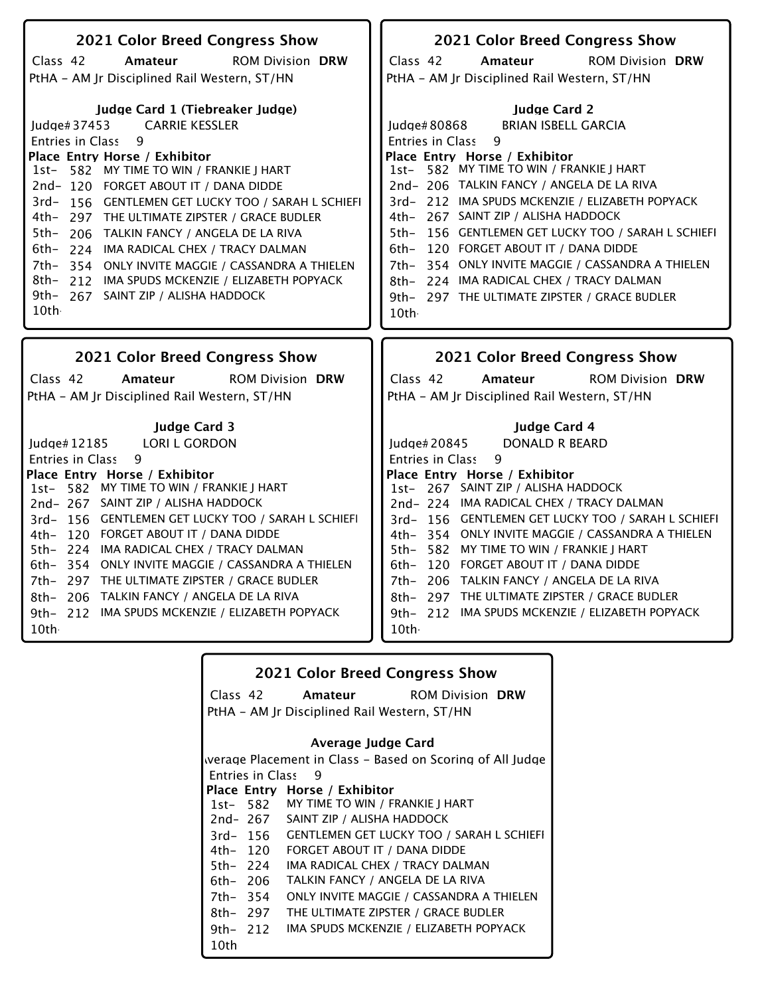| 2021 Color Breed Congress Show                                                    | 2021 Color Breed Congress Show                                                                |
|-----------------------------------------------------------------------------------|-----------------------------------------------------------------------------------------------|
| Class 42<br>Amateur<br><b>ROM Division DRW</b>                                    | Class 42<br><b>ROM Division DRW</b><br>Amateur                                                |
| PtHA - AM Jr Disciplined Rail Western, ST/HN                                      | PtHA - AM Jr Disciplined Rail Western, ST/HN                                                  |
|                                                                                   |                                                                                               |
| Judge Card 1 (Tiebreaker Judge)                                                   | <b>Judge Card 2</b>                                                                           |
| <b>CARRIE KESSLER</b><br>Judge#37453                                              | <b>BRIAN ISBELL GARCIA</b><br>Judge#80868                                                     |
| 9<br>Entries in Class                                                             | $\mathsf{q}$<br>Entries in Class                                                              |
| Place Entry Horse / Exhibitor<br>1st- 582 MY TIME TO WIN / FRANKIE J HART         | Place Entry Horse / Exhibitor<br>1st- 582 MY TIME TO WIN / FRANKIE J HART                     |
| 2nd-120 FORGET ABOUT IT / DANA DIDDE                                              | 2nd-206 TALKIN FANCY / ANGELA DE LA RIVA                                                      |
| 3rd-156 GENTLEMEN GET LUCKY TOO / SARAH L SCHIEFI                                 | 3rd-212 IMA SPUDS MCKENZIE / ELIZABETH POPYACK                                                |
| 4th- 297 THE ULTIMATE ZIPSTER / GRACE BUDLER                                      | 267 SAINT ZIP / ALISHA HADDOCK<br>4th–                                                        |
| 5th- 206 TALKIN FANCY / ANGELA DE LA RIVA                                         | 156 GENTLEMEN GET LUCKY TOO / SARAH L SCHIEFI<br>$5th-$                                       |
| 6th- 224 IMA RADICAL CHEX / TRACY DALMAN                                          | 120 FORGET ABOUT IT / DANA DIDDE<br>$6th-$                                                    |
| 7th-<br>354 ONLY INVITE MAGGIE / CASSANDRA A THIELEN                              | 354 ONLY INVITE MAGGIE / CASSANDRA A THIELEN<br>7th–                                          |
| 8th- 212 IMA SPUDS MCKENZIE / ELIZABETH POPYACK                                   | 224 IMA RADICAL CHEX / TRACY DALMAN<br>8th-                                                   |
| 9th- 267 SAINT ZIP / ALISHA HADDOCK                                               | 9th- 297 THE ULTIMATE ZIPSTER / GRACE BUDLER                                                  |
| 10th                                                                              | 10th                                                                                          |
|                                                                                   |                                                                                               |
|                                                                                   |                                                                                               |
| 2021 Color Breed Congress Show                                                    | 2021 Color Breed Congress Show                                                                |
| Class 42<br><b>ROM Division DRW</b><br>Amateur                                    | Class 42<br><b>ROM Division DRW</b><br>Amateur                                                |
| PtHA - AM Jr Disciplined Rail Western, ST/HN                                      | PtHA - AM Jr Disciplined Rail Western, ST/HN                                                  |
| <b>Judge Card 3</b>                                                               | Judge Card 4                                                                                  |
| <b>LORI L GORDON</b><br>Judge# 12185                                              | <b>DONALD R BEARD</b><br>Judge# 20845                                                         |
| 9<br><b>Entries in Class</b>                                                      | 9<br>Entries in Class                                                                         |
| Place Entry Horse / Exhibitor                                                     | Place Entry Horse / Exhibitor                                                                 |
| 582 MY TIME TO WIN / FRANKIE J HART<br>$1st-$                                     | 1st- 267 SAINT ZIP / ALISHA HADDOCK                                                           |
| 2nd-267 SAINT ZIP / ALISHA HADDOCK                                                | 2nd-224 IMA RADICAL CHEX / TRACY DALMAN                                                       |
| 3rd-156 GENTLEMEN GET LUCKY TOO / SARAH L SCHIEFI                                 | 3rd-156 GENTLEMEN GET LUCKY TOO / SARAH L SCHIEFI                                             |
| 4th- 120 FORGET ABOUT IT / DANA DIDDE<br>5th- 224 IMA RADICAL CHEX / TRACY DALMAN | 4th- 354 ONLY INVITE MAGGIE / CASSANDRA A THIELEN<br>5th- 582 MY TIME TO WIN / FRANKIE J HART |
| 6th- 354 ONLY INVITE MAGGIE / CASSANDRA A THIELEN                                 | 6th- 120 FORGET ABOUT IT / DANA DIDDE                                                         |
| 7th- 297 THE ULTIMATE ZIPSTER / GRACE BUDLER                                      | TALKIN FANCY / ANGELA DE LA RIVA<br>7th- 206                                                  |
| 8th- 206 TALKIN FANCY / ANGELA DE LA RIVA                                         | 8th- 297 THE ULTIMATE ZIPSTER / GRACE BUDLER                                                  |
| 9th- 212 IMA SPUDS MCKENZIE / ELIZABETH POPYACK<br>10th                           | 9th- 212 IMA SPUDS MCKENZIE / ELIZABETH POPYACK<br>10th                                       |

|          |                         | <b>2021 Color Breed Congress Show</b>                     |  |
|----------|-------------------------|-----------------------------------------------------------|--|
|          | Class 42                | <b>Amateur</b> ROM Division DRW                           |  |
|          |                         | PtHA – AM Jr Disciplined Rail Western, ST/HN              |  |
|          |                         | Average Judge Card                                        |  |
|          |                         | werage Placement in Class – Based on Scoring of All Judge |  |
|          | <b>Entries in Class</b> | 9                                                         |  |
|          |                         | Place Entry Horse / Exhibitor                             |  |
|          |                         | 1st- 582 MY TIME TO WIN / FRANKIE J HART                  |  |
|          |                         | 2nd-267 SAINT ZIP / ALISHA HADDOCK                        |  |
|          | 3rd- 156                | <b>GENTLEMEN GET LUCKY TOO / SARAH L SCHIEFI</b>          |  |
|          | 4th– 120                | FORGET ABOUT IT / DANA DIDDE                              |  |
| 5th- 224 |                         | IMA RADICAL CHEX / TRACY DALMAN                           |  |
| 6th- 206 |                         | TALKIN FANCY / ANGELA DE LA RIVA                          |  |
| 7th- 354 |                         | ONLY INVITE MAGGIE / CASSANDRA A THIELEN                  |  |
|          | 8th– 297                | THE ULTIMATE ZIPSTER / GRACE BUDLER                       |  |
|          | 9th– 212                | IMA SPUDS MCKENZIE / ELIZABETH POPYACK                    |  |
| 10th     |                         |                                                           |  |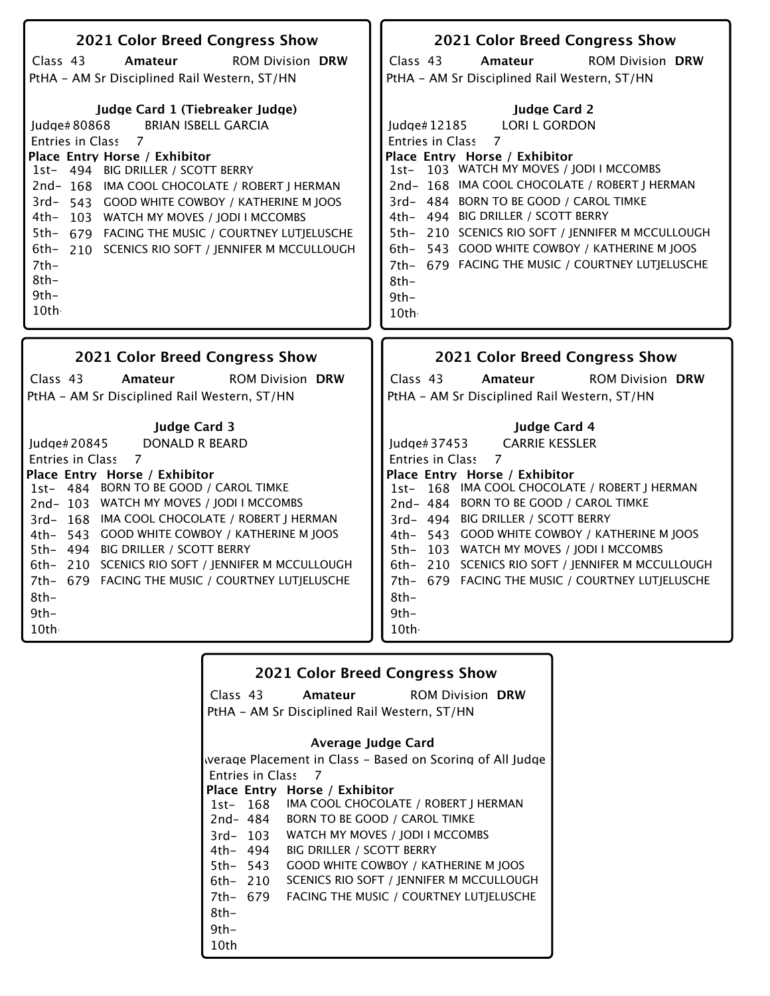| 2021 Color Breed Congress Show<br>Class 43<br><b>ROM Division DRW</b><br>Amateur<br>PtHA - AM Sr Disciplined Rail Western, ST/HN                                                                                                                                                                                                                                                                                                                                            | 2021 Color Breed Congress Show<br>Class 43<br>Amateur<br><b>ROM Division DRW</b><br>PtHA - AM Sr Disciplined Rail Western, ST/HN                                                                                                                                                                                                                                                                                                                                                               |
|-----------------------------------------------------------------------------------------------------------------------------------------------------------------------------------------------------------------------------------------------------------------------------------------------------------------------------------------------------------------------------------------------------------------------------------------------------------------------------|------------------------------------------------------------------------------------------------------------------------------------------------------------------------------------------------------------------------------------------------------------------------------------------------------------------------------------------------------------------------------------------------------------------------------------------------------------------------------------------------|
| Judge Card 1 (Tiebreaker Judge)<br><b>BRIAN ISBELL GARCIA</b><br>Judge#80868<br>Entries in Class 7<br>Place Entry Horse / Exhibitor<br>1st- 494 BIG DRILLER / SCOTT BERRY<br>2nd-168 IMA COOL CHOCOLATE / ROBERT J HERMAN<br>3rd- 543 GOOD WHITE COWBOY / KATHERINE M JOOS<br>4th-<br>103 WATCH MY MOVES / JODI I MCCOMBS<br>5th- 679 FACING THE MUSIC / COURTNEY LUTJELUSCHE<br>6th-<br>210 SCENICS RIO SOFT / JENNIFER M MCCULLOUGH<br>$7th-$<br>$8th-$<br>$9th-$<br>10th | <b>Judge Card 2</b><br><b>LORI L GORDON</b><br>Judge#12185<br><b>Entries in Class</b><br>7<br>Place Entry Horse / Exhibitor<br>1st- 103 WATCH MY MOVES / JODI I MCCOMBS<br>2nd-168 IMA COOL CHOCOLATE / ROBERT J HERMAN<br>3rd- 484 BORN TO BE GOOD / CAROL TIMKE<br>4th- 494 BIG DRILLER / SCOTT BERRY<br>5th- 210 SCENICS RIO SOFT / JENNIFER M MCCULLOUGH<br>6th- 543 GOOD WHITE COWBOY / KATHERINE M JOOS<br>7th- 679 FACING THE MUSIC / COURTNEY LUTJELUSCHE<br>$8th-$<br>$9th -$<br>10th |
|                                                                                                                                                                                                                                                                                                                                                                                                                                                                             |                                                                                                                                                                                                                                                                                                                                                                                                                                                                                                |
| 2021 Color Breed Congress Show                                                                                                                                                                                                                                                                                                                                                                                                                                              | 2021 Color Breed Congress Show                                                                                                                                                                                                                                                                                                                                                                                                                                                                 |
| Class 43<br><b>ROM Division DRW</b><br>Amateur<br>PtHA - AM Sr Disciplined Rail Western, ST/HN                                                                                                                                                                                                                                                                                                                                                                              | Class 43<br><b>ROM Division DRW</b><br>Amateur<br>PtHA - AM Sr Disciplined Rail Western, ST/HN                                                                                                                                                                                                                                                                                                                                                                                                 |

|                         |                                              | <b>2021 Color Breed Congress Show</b>                     |
|-------------------------|----------------------------------------------|-----------------------------------------------------------|
| Class 43                |                                              | <b>Amateur</b> ROM Division DRW                           |
|                         | PtHA - AM Sr Disciplined Rail Western, ST/HN |                                                           |
|                         | Average Judge Card                           |                                                           |
|                         |                                              | werage Placement in Class – Based on Scoring of All Judge |
| <b>Entries in Class</b> | - 7                                          |                                                           |
|                         | Place Entry Horse / Exhibitor                |                                                           |
|                         |                                              | 1st- 168 IMA COOL CHOCOLATE / ROBERT J HERMAN             |
| 2nd- 484                |                                              | <b>BORN TO BE GOOD / CAROL TIMKE</b>                      |
|                         |                                              | 3rd-103 WATCH MY MOVES / JODI I MCCOMBS                   |
| 4th– 494                | <b>BIG DRILLER / SCOTT BERRY</b>             |                                                           |
| 5th– 543                |                                              | <b>GOOD WHITE COWBOY / KATHERINE M JOOS</b>               |
| 6th– 210                |                                              | SCENICS RIO SOFT / IENNIFER M MCCULLOUGH                  |
| 7th- 679                |                                              | FACING THE MUSIC / COURTNEY LUTIELUSCHE                   |
| 8th-                    |                                              |                                                           |
| $9th -$                 |                                              |                                                           |
| 10th                    |                                              |                                                           |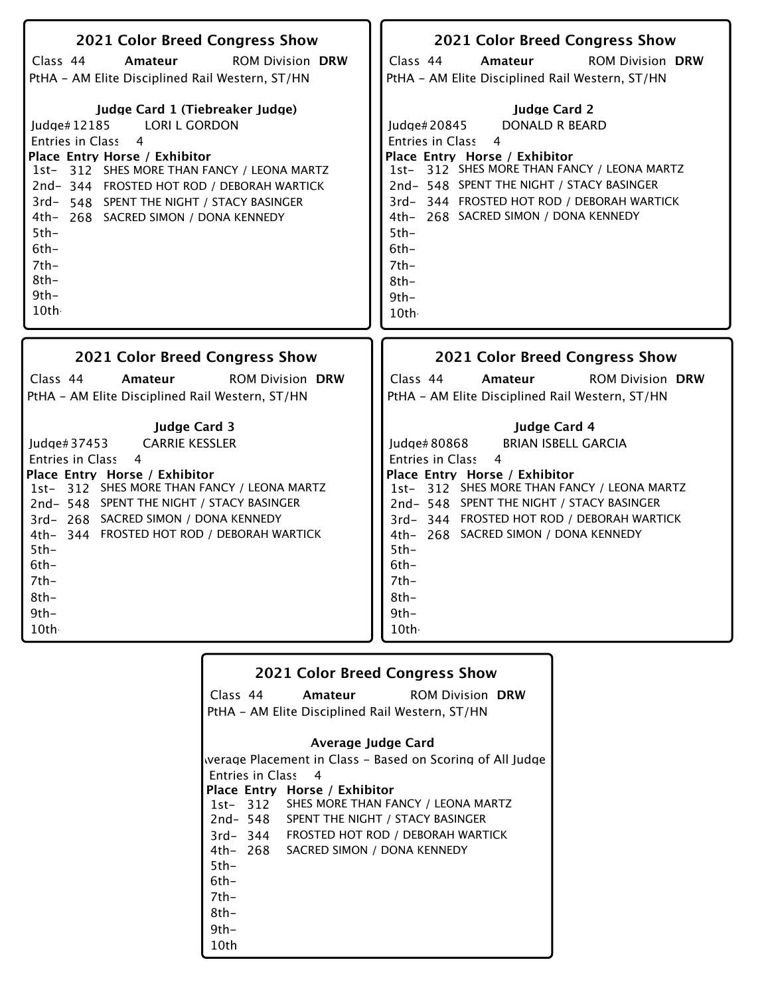| 2021 Color Breed Congress Show                  | 2021 Color Breed Congress Show                  |
|-------------------------------------------------|-------------------------------------------------|
| Class 44                                        | Class 44                                        |
| <b>ROM Division DRW</b>                         | <b>ROM Division DRW</b>                         |
| Amateur                                         | Amateur                                         |
| PtHA - AM Elite Disciplined Rail Western, ST/HN | PtHA - AM Elite Disciplined Rail Western, ST/HN |
| Judge Card 1 (Tiebreaker Judge)                 | <b>Judge Card 2</b>                             |
| <b>LORI L GORDON</b>                            | Judge#20845                                     |
| ludge# $12185$                                  | <b>DONALD R BEARD</b>                           |
| Entries in Class                                | 4                                               |
| $\overline{4}$                                  | Entries in Class                                |
| Place Entry Horse / Exhibitor                   | Place Entry Horse / Exhibitor                   |
| 1st- 312 SHES MORE THAN FANCY / LEONA MARTZ     | 1st- 312 SHES MORE THAN FANCY / LEONA MARTZ     |
| 2nd-344 FROSTED HOT ROD / DEBORAH WARTICK       | 2nd-548 SPENT THE NIGHT / STACY BASINGER        |
| 3rd- 548 SPENT THE NIGHT / STACY BASINGER       | 3rd-344 FROSTED HOT ROD / DEBORAH WARTICK       |
| 4th- 268 SACRED SIMON / DONA KENNEDY            | 4th- 268 SACRED SIMON / DONA KENNEDY            |
| $5th-$                                          | $5th-$                                          |
| $6th-$                                          | $6th-$                                          |
| $7th-$                                          | $7th-$                                          |
| $8th-$                                          | $8th-$                                          |
| 9th-                                            | $9th -$                                         |
| 10th                                            | 10th                                            |
| 2021 Color Breed Congress Show                  | 2021 Color Breed Congress Show                  |
| Class 44                                        | Class 44                                        |
| <b>ROM Division DRW</b>                         | Amateur                                         |
| Amateur                                         | <b>ROM Division DRW</b>                         |
| PtHA - AM Elite Disciplined Rail Western, ST/HN | PtHA - AM Elite Disciplined Rail Western, ST/HN |

|                    | <b>2021 Color Breed Congress Show</b>           |                                                           |
|--------------------|-------------------------------------------------|-----------------------------------------------------------|
|                    |                                                 | Class 44 <b>Amateur</b> ROM Division <b>DRW</b>           |
|                    | PtHA – AM Elite Disciplined Rail Western, ST/HN |                                                           |
|                    | Average Judge Card                              |                                                           |
|                    |                                                 |                                                           |
|                    |                                                 | werage Placement in Class – Based on Scoring of All Judge |
| Entries in Class 4 |                                                 |                                                           |
|                    | Place Entry Horse / Exhibitor                   |                                                           |
|                    | 1st- 312 SHES MORE THAN FANCY / LEONA MARTZ     |                                                           |
|                    | 2nd-548 SPENT THE NIGHT / STACY BASINGER        |                                                           |
|                    | 3rd-344 FROSTED HOT ROD / DEBORAH WARTICK       |                                                           |
|                    | 4th- 268 SACRED SIMON / DONA KENNEDY            |                                                           |
| $5th-$             |                                                 |                                                           |
| 6th-               |                                                 |                                                           |
| 7th-               |                                                 |                                                           |
| 8th-               |                                                 |                                                           |
| $9th -$            |                                                 |                                                           |
| 10th               |                                                 |                                                           |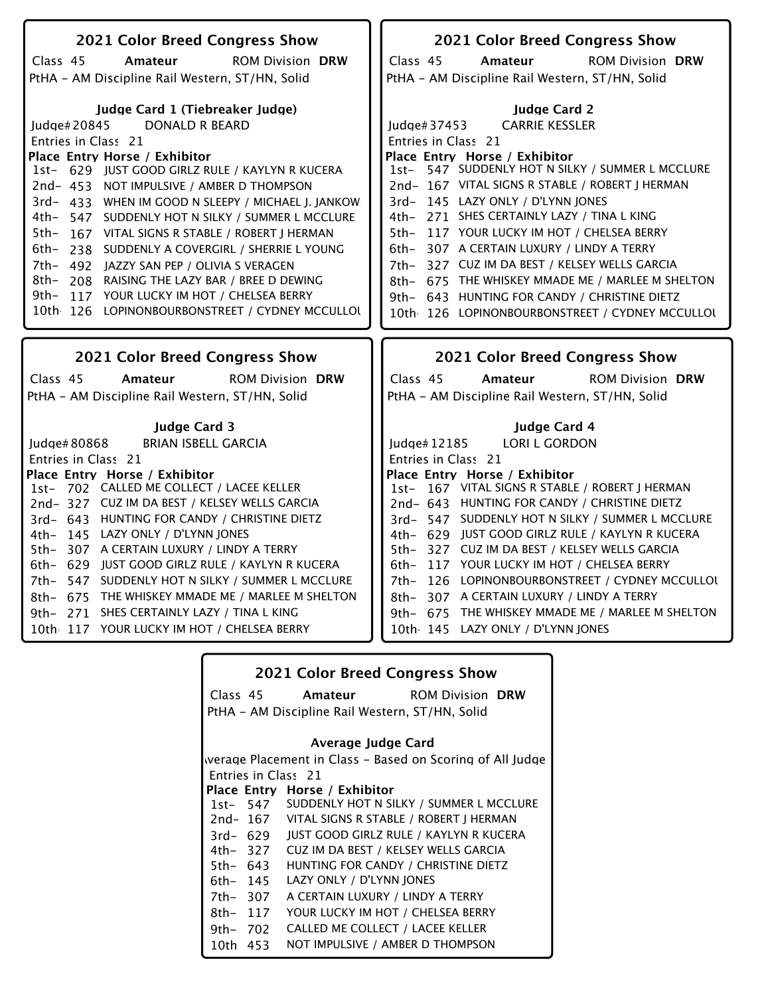| 2021 Color Breed Congress Show                                                                                                                                                                                                                                                                                                                                                                                                                                                                                                                                                                                                                                | 2021 Color Breed Congress Show                                                                                                                                                                                                                                                                                                                                                                                                                                                                                                                                                                                        |
|---------------------------------------------------------------------------------------------------------------------------------------------------------------------------------------------------------------------------------------------------------------------------------------------------------------------------------------------------------------------------------------------------------------------------------------------------------------------------------------------------------------------------------------------------------------------------------------------------------------------------------------------------------------|-----------------------------------------------------------------------------------------------------------------------------------------------------------------------------------------------------------------------------------------------------------------------------------------------------------------------------------------------------------------------------------------------------------------------------------------------------------------------------------------------------------------------------------------------------------------------------------------------------------------------|
| Class 45<br>Amateur<br><b>ROM Division DRW</b>                                                                                                                                                                                                                                                                                                                                                                                                                                                                                                                                                                                                                | Class 45<br>Amateur<br><b>ROM Division DRW</b>                                                                                                                                                                                                                                                                                                                                                                                                                                                                                                                                                                        |
| PtHA - AM Discipline Rail Western, ST/HN, Solid                                                                                                                                                                                                                                                                                                                                                                                                                                                                                                                                                                                                               | PtHA - AM Discipline Rail Western, ST/HN, Solid                                                                                                                                                                                                                                                                                                                                                                                                                                                                                                                                                                       |
| Judge Card 1 (Tiebreaker Judge)<br><b>DONALD R BEARD</b><br>Judge#20845<br>Entries in Class 21<br>Place Entry Horse / Exhibitor<br>1st- 629 JUST GOOD GIRLZ RULE / KAYLYN R KUCERA<br>2nd- 453 NOT IMPULSIVE / AMBER D THOMPSON<br>3rd- 433 WHEN IM GOOD N SLEEPY / MICHAEL J. JANKOW<br>4th-<br>547 SUDDENLY HOT N SILKY / SUMMER L MCCLURE<br>5th-<br>167 VITAL SIGNS R STABLE / ROBERT J HERMAN<br>6th–<br>238 SUDDENLY A COVERGIRL / SHERRIE L YOUNG<br>7th-<br>492 JAZZY SAN PEP / OLIVIA S VERAGEN<br>8th–<br>208 RAISING THE LAZY BAR / BREE D DEWING<br>9th- 117 YOUR LUCKY IM HOT / CHELSEA BERRY<br>10th 126 LOPINONBOURBONSTREET / CYDNEY MCCULLOU | <b>Judge Card 2</b><br><b>CARRIE KESSLER</b><br>Judge#37453<br>Entries in Class 21<br>Place Entry Horse / Exhibitor<br>1st- 547 SUDDENLY HOT N SILKY / SUMMER L MCCLURE<br>2nd-167 VITAL SIGNS R STABLE / ROBERT   HERMAN<br>3rd- 145 LAZY ONLY / D'LYNN JONES<br>4th- 271 SHES CERTAINLY LAZY / TINA L KING<br>5th- 117 YOUR LUCKY IM HOT / CHELSEA BERRY<br>6th- 307 A CERTAIN LUXURY / LINDY A TERRY<br>327 CUZ IM DA BEST / KELSEY WELLS GARCIA<br>7th-<br>675 THE WHISKEY MMADE ME / MARLEE M SHELTON<br>8th-<br>9th- 643 HUNTING FOR CANDY / CHRISTINE DIETZ<br>10th 126 LOPINONBOURBONSTREET / CYDNEY MCCULLOU |
|                                                                                                                                                                                                                                                                                                                                                                                                                                                                                                                                                                                                                                                               |                                                                                                                                                                                                                                                                                                                                                                                                                                                                                                                                                                                                                       |
|                                                                                                                                                                                                                                                                                                                                                                                                                                                                                                                                                                                                                                                               |                                                                                                                                                                                                                                                                                                                                                                                                                                                                                                                                                                                                                       |
| 2021 Color Breed Congress Show                                                                                                                                                                                                                                                                                                                                                                                                                                                                                                                                                                                                                                | 2021 Color Breed Congress Show                                                                                                                                                                                                                                                                                                                                                                                                                                                                                                                                                                                        |
| Class 45<br>Amateur<br><b>ROM Division DRW</b><br>PtHA - AM Discipline Rail Western, ST/HN, Solid                                                                                                                                                                                                                                                                                                                                                                                                                                                                                                                                                             | Class 45<br>Amateur<br><b>ROM Division DRW</b><br>PtHA - AM Discipline Rail Western, ST/HN, Solid                                                                                                                                                                                                                                                                                                                                                                                                                                                                                                                     |
|                                                                                                                                                                                                                                                                                                                                                                                                                                                                                                                                                                                                                                                               |                                                                                                                                                                                                                                                                                                                                                                                                                                                                                                                                                                                                                       |
| <b>Judge Card 3</b><br><b>BRIAN ISBELL GARCIA</b><br>Judge# 80868                                                                                                                                                                                                                                                                                                                                                                                                                                                                                                                                                                                             | <b>Judge Card 4</b><br><b>LORI L GORDON</b><br>Judge# 12185                                                                                                                                                                                                                                                                                                                                                                                                                                                                                                                                                           |
| Entries in Class 21                                                                                                                                                                                                                                                                                                                                                                                                                                                                                                                                                                                                                                           | Entries in Class 21                                                                                                                                                                                                                                                                                                                                                                                                                                                                                                                                                                                                   |
| Place Entry Horse / Exhibitor                                                                                                                                                                                                                                                                                                                                                                                                                                                                                                                                                                                                                                 | Place Entry Horse / Exhibitor                                                                                                                                                                                                                                                                                                                                                                                                                                                                                                                                                                                         |
| 1st- 702 CALLED ME COLLECT / LACEE KELLER                                                                                                                                                                                                                                                                                                                                                                                                                                                                                                                                                                                                                     | 1st- 167 VITAL SIGNS R STABLE / ROBERT J HERMAN                                                                                                                                                                                                                                                                                                                                                                                                                                                                                                                                                                       |
| 2nd-327 CUZ IM DA BEST / KELSEY WELLS GARCIA                                                                                                                                                                                                                                                                                                                                                                                                                                                                                                                                                                                                                  | 2nd- 643 HUNTING FOR CANDY / CHRISTINE DIETZ                                                                                                                                                                                                                                                                                                                                                                                                                                                                                                                                                                          |
| 3rd- 643 HUNTING FOR CANDY / CHRISTINE DIETZ                                                                                                                                                                                                                                                                                                                                                                                                                                                                                                                                                                                                                  | 3rd-547 SUDDENLY HOT N SILKY / SUMMER L MCCLURE                                                                                                                                                                                                                                                                                                                                                                                                                                                                                                                                                                       |
| 4th- 145 LAZY ONLY / D'LYNN JONES                                                                                                                                                                                                                                                                                                                                                                                                                                                                                                                                                                                                                             | 4th- 629 JUST GOOD GIRLZ RULE / KAYLYN R KUCERA                                                                                                                                                                                                                                                                                                                                                                                                                                                                                                                                                                       |
| 5th- 307 A CERTAIN LUXURY / LINDY A TERRY                                                                                                                                                                                                                                                                                                                                                                                                                                                                                                                                                                                                                     | 5th- 327 CUZ IM DA BEST / KELSEY WELLS GARCIA                                                                                                                                                                                                                                                                                                                                                                                                                                                                                                                                                                         |
| 6th- 629 JUST GOOD GIRLZ RULE / KAYLYN R KUCERA                                                                                                                                                                                                                                                                                                                                                                                                                                                                                                                                                                                                               | 6th- 117 YOUR LUCKY IM HOT / CHELSEA BERRY                                                                                                                                                                                                                                                                                                                                                                                                                                                                                                                                                                            |
| 7th- 547 SUDDENLY HOT N SILKY / SUMMER L MCCLURE                                                                                                                                                                                                                                                                                                                                                                                                                                                                                                                                                                                                              | 126 LOPINONBOURBONSTREET / CYDNEY MCCULLOL<br>7th-                                                                                                                                                                                                                                                                                                                                                                                                                                                                                                                                                                    |
| THE WHISKEY MMADE ME / MARLEE M SHELTON<br>8th- 675                                                                                                                                                                                                                                                                                                                                                                                                                                                                                                                                                                                                           | 8th- 307 A CERTAIN LUXURY / LINDY A TERRY                                                                                                                                                                                                                                                                                                                                                                                                                                                                                                                                                                             |
| 9th- 271 SHES CERTAINLY LAZY / TINA L KING                                                                                                                                                                                                                                                                                                                                                                                                                                                                                                                                                                                                                    | 9th- 675 THE WHISKEY MMADE ME / MARLEE M SHELTON                                                                                                                                                                                                                                                                                                                                                                                                                                                                                                                                                                      |
| 10th 117 YOUR LUCKY IM HOT / CHELSEA BERRY                                                                                                                                                                                                                                                                                                                                                                                                                                                                                                                                                                                                                    | 10th 145 LAZY ONLY / D'LYNN JONES                                                                                                                                                                                                                                                                                                                                                                                                                                                                                                                                                                                     |

|          |          | <b>2021 Color Breed Congress Show</b>                     |
|----------|----------|-----------------------------------------------------------|
|          | Class 45 | <b>Amateur</b> ROM Division DRW                           |
|          |          | PtHA - AM Discipline Rail Western, ST/HN, Solid           |
|          |          | Average Judge Card                                        |
|          |          | werage Placement in Class - Based on Scoring of All Judge |
|          |          | Entries in Class 21                                       |
|          |          | Place Entry Horse / Exhibitor                             |
|          | 1st- 547 | SUDDENLY HOT N SILKY / SUMMER L MCCLURE                   |
|          |          | 2nd-167 VITAL SIGNS R STABLE / ROBERT J HERMAN            |
|          | 3rd- 629 | JUST GOOD GIRLZ RULE / KAYLYN R KUCERA                    |
|          | 4th– 327 | CUZ IM DA BEST / KELSEY WELLS GARCIA                      |
|          | 5th– 643 | HUNTING FOR CANDY / CHRISTINE DIETZ                       |
| 6th- 145 |          | LAZY ONLY / D'LYNN JONES                                  |
| 7th- 307 |          | A CERTAIN LUXURY / LINDY A TERRY                          |
| 8th- 117 |          | YOUR LUCKY IM HOT / CHELSEA BERRY                         |
| 9th- 702 |          | CALLED ME COLLECT / LACEE KELLER                          |
| 10th     | 453      | NOT IMPULSIVE / AMBER D THOMPSON                          |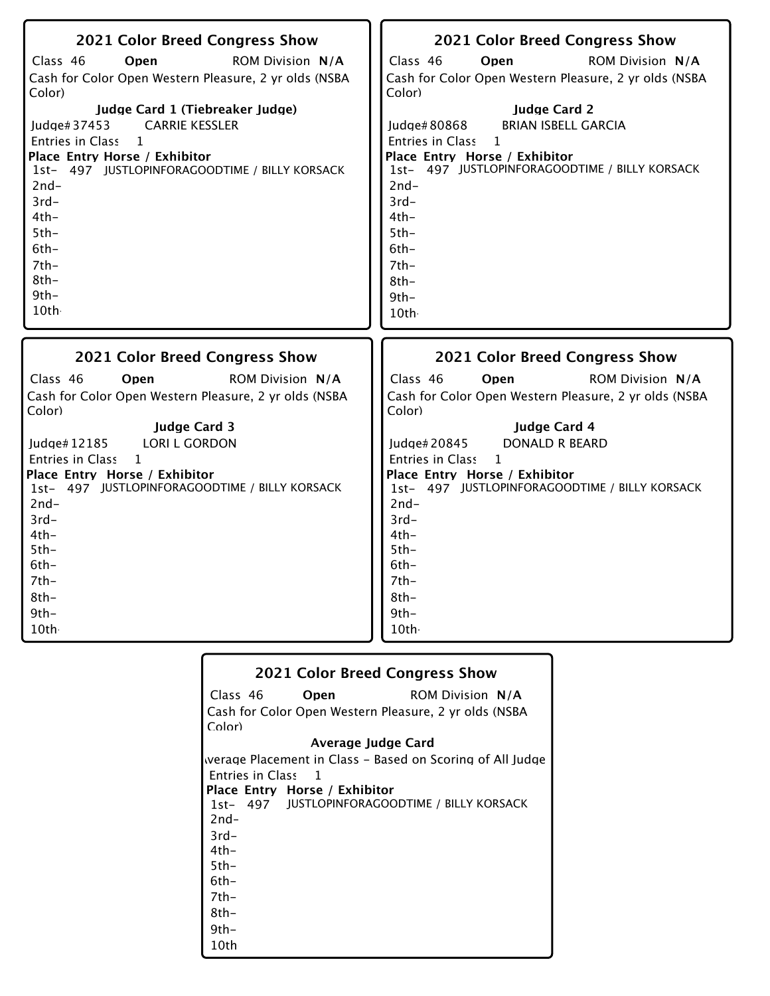| 2021 Color Breed Congress Show                                    | 2021 Color Breed Congress Show                                    |
|-------------------------------------------------------------------|-------------------------------------------------------------------|
| Class 46<br>Onen<br><b>ROM Division N/A</b>                       | Class 46<br>Open<br><b>ROM Division N/A</b>                       |
| Cash for Color Open Western Pleasure, 2 yr olds (NSBA             | Cash for Color Open Western Pleasure, 2 yr olds (NSBA             |
| Color)                                                            | Color)                                                            |
| Judge Card 1 (Tiebreaker Judge)                                   | <b>Judge Card 2</b>                                               |
| <b>CARRIE KESSLER</b><br>Judge#37453                              | <b>BRIAN ISBELL GARCIA</b><br>Judge#80868                         |
| Entries in Class<br>$\mathbf{1}$<br>Place Entry Horse / Exhibitor | Entries in Class<br>$\mathbf{1}$<br>Place Entry Horse / Exhibitor |
| 1st- 497 JUSTLOPINFORAGOODTIME / BILLY KORSACK                    | 1st- 497 JUSTLOPINFORAGOODTIME / BILLY KORSACK                    |
| $2nd-$                                                            | $2nd-$                                                            |
| $3rd-$                                                            | $3rd-$                                                            |
| $4th-$                                                            | $4th-$                                                            |
| $5th-$                                                            | $5th-$                                                            |
| $6th-$                                                            | $6th-$                                                            |
| $7th-$<br>$8th-$                                                  | $7th-$                                                            |
| $9th -$                                                           | $8th-$<br>$9th-$                                                  |
| 10th                                                              | 10th                                                              |
|                                                                   |                                                                   |
|                                                                   |                                                                   |
| <b>2021 Color Breed Congress Show</b>                             | <b>2021 Color Breed Congress Show</b>                             |
| Class 46<br><b>ROM Division N/A</b><br>Open                       | Class 46<br>Open<br><b>ROM Division N/A</b>                       |
| Cash for Color Open Western Pleasure, 2 yr olds (NSBA             | Cash for Color Open Western Pleasure, 2 yr olds (NSBA             |
| Color)                                                            | Color)                                                            |
| <b>Judge Card 3</b>                                               | Judge Card 4                                                      |
| <b>LORI L GORDON</b><br>Judge# 12185                              | <b>DONALD R BEARD</b><br>Judge# 20845                             |
| <b>Entries in Class</b><br>$\mathbf{1}$                           | Entries in Class<br>$\mathbf{1}$                                  |
| Place Entry Horse / Exhibitor                                     | Place Entry Horse / Exhibitor                                     |
| 1st- 497 JUSTLOPINFORAGOODTIME / BILLY KORSACK<br>$2nd-$          | 1st- 497 JUSTLOPINFORAGOODTIME / BILLY KORSACK<br>$2nd-$          |
| $3rd-$                                                            | $3rd-$                                                            |
| $4th-$                                                            | $4th-$                                                            |
| $5th-$                                                            | $5th-$                                                            |
| $6th-$                                                            | $6th-$                                                            |
| $7th-$                                                            | $7th-$                                                            |
| $8th-$                                                            | $8th-$                                                            |
| $9th-$<br>10th                                                    | $9th-$<br>10th                                                    |

| <b>2021 Color Breed Congress Show</b>                     |
|-----------------------------------------------------------|
| Class 46<br><b>ROM Division N/A</b><br>Open               |
| Cash for Color Open Western Pleasure, 2 yr olds (NSBA     |
| Color)                                                    |
| Average Judge Card                                        |
| werage Placement in Class – Based on Scoring of All Judge |
| Entries in Class 1                                        |
| Place Entry Horse / Exhibitor                             |
| 1st- 497 JUSTLOPINFORAGOODTIME / BILLY KORSACK            |
| $2nd-$                                                    |
| $3rd-$                                                    |
| $4th-$                                                    |
| $5th-$                                                    |
| 6th-                                                      |
| 7th-                                                      |
| 8th-                                                      |
| $9th-$                                                    |
| 10th                                                      |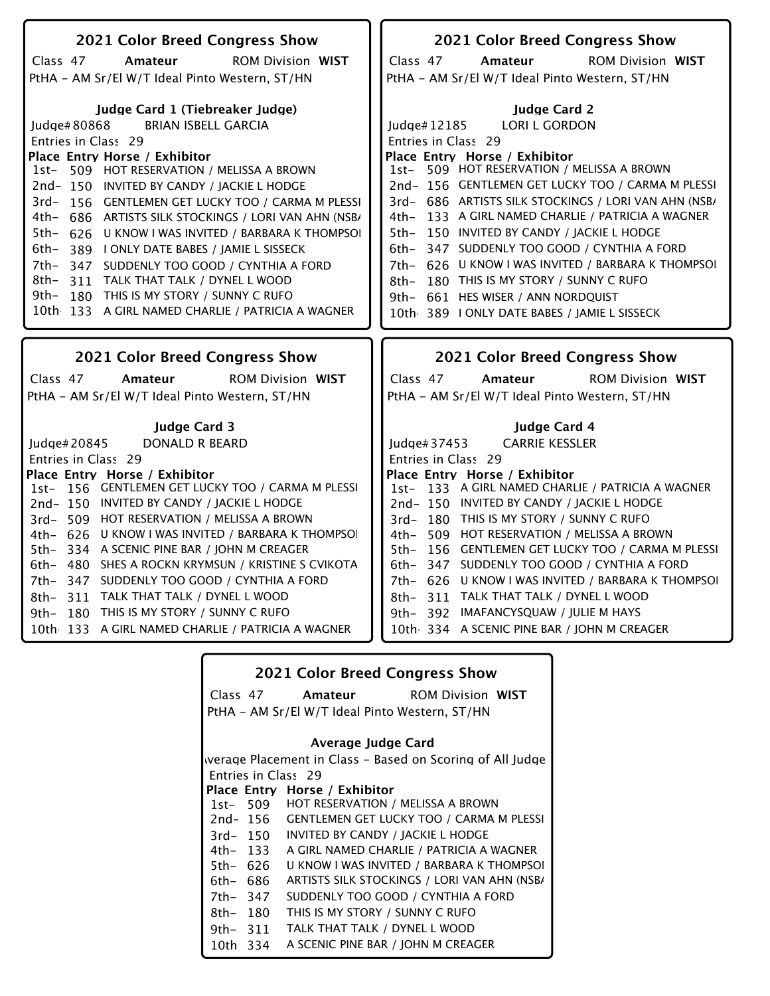| 2021 Color Breed Congress Show                          | 2021 Color Breed Congress Show                       |
|---------------------------------------------------------|------------------------------------------------------|
| Class 47<br>Amateur<br><b>ROM Division WIST</b>         | Class 47<br><b>ROM Division WIST</b><br>Amateur      |
| PtHA - AM Sr/El W/T Ideal Pinto Western, ST/HN          | PtHA - AM Sr/El W/T Ideal Pinto Western, ST/HN       |
|                                                         |                                                      |
| Judge Card 1 (Tiebreaker Judge)                         | <b>Judge Card 2</b>                                  |
| <b>BRIAN ISBELL GARCIA</b><br>Judge#80868               | <b>LORI L GORDON</b><br>ludge# $12185$               |
| Entries in Class 29                                     | Entries in Class 29                                  |
| Place Entry Horse / Exhibitor                           | Place Entry Horse / Exhibitor                        |
| 1st- 509 HOT RESERVATION / MELISSA A BROWN              | 1st- 509 HOT RESERVATION / MELISSA A BROWN           |
| 2nd-150 INVITED BY CANDY / JACKIE L HODGE               | 2nd-156 GENTLEMEN GET LUCKY TOO / CARMA M PLESSI     |
| 3rd-156 GENTLEMEN GET LUCKY TOO / CARMA M PLESSI        | 3rd- 686 ARTISTS SILK STOCKINGS / LORI VAN AHN (NSB/ |
| 4th-<br>686 ARTISTS SILK STOCKINGS / LORI VAN AHN (NSB/ | 133 A GIRL NAMED CHARLIE / PATRICIA A WAGNER<br>4th- |
| 5th-<br>626 U KNOW I WAS INVITED / BARBARA K THOMPSOI   | 150 INVITED BY CANDY / JACKIE L HODGE<br>5th-        |
| $6th-$<br>389 I ONLY DATE BABES / JAMIE L SISSECK       | 347 SUDDENLY TOO GOOD / CYNTHIA A FORD<br>$6th-$     |
| 7th-<br>347 SUDDENLY TOO GOOD / CYNTHIA A FORD          | 7th- 626 U KNOW I WAS INVITED / BARBARA K THOMPSOI   |
| 8th–<br>311 TALK THAT TALK / DYNEL L WOOD               | 180 THIS IS MY STORY / SUNNY C RUFO<br>8th-          |
| 9th- 180 THIS IS MY STORY / SUNNY C RUFO                | 9th- 661 HES WISER / ANN NORDQUIST                   |
| 10th 133 A GIRL NAMED CHARLIE / PATRICIA A WAGNER       | 10th 389 I ONLY DATE BABES / JAMIE L SISSECK         |
|                                                         |                                                      |
|                                                         |                                                      |
| 2021 Color Breed Congress Show                          | 2021 Color Breed Congress Show                       |
| <b>ROM Division WIST</b><br>Class 47<br>Amateur         | <b>ROM Division WIST</b><br>Class 47<br>Amateur      |
| PtHA - AM Sr/El W/T Ideal Pinto Western, ST/HN          | PtHA - AM Sr/El W/T Ideal Pinto Western, ST/HN       |
|                                                         |                                                      |
| <b>Judge Card 3</b>                                     | Judge Card 4                                         |
|                                                         |                                                      |
| ludge $#20845$<br>DONALD R BEARD                        | <b>CARRIE KESSLER</b><br>ludge $#37453$              |
| Entries in Class 29                                     | Entries in Class 29                                  |
| Place Entry Horse / Exhibitor                           | Place Entry Horse / Exhibitor                        |
| 1st- 156 GENTLEMEN GET LUCKY TOO / CARMA M PLESSI       | 1st- 133 A GIRL NAMED CHARLIE / PATRICIA A WAGNER    |
| 2nd-150 INVITED BY CANDY / JACKIE L HODGE               | 2nd-150 INVITED BY CANDY / JACKIE L HODGE            |
| 3rd- 509 HOT RESERVATION / MELISSA A BROWN              | 3rd-180 THIS IS MY STORY / SUNNY C RUFO              |
| 4th- 626 U KNOW I WAS INVITED / BARBARA K THOMPSOI      | 4th- 509 HOT RESERVATION / MELISSA A BROWN           |
| 5th-334 A SCENIC PINE BAR / JOHN M CREAGER              | 156 GENTLEMEN GET LUCKY TOO / CARMA M PLESSI<br>5th– |
| 6th- 480 SHES A ROCKN KRYMSUN / KRISTINE S CVIKOTA      | 347 SUDDENLY TOO GOOD / CYNTHIA A FORD<br>6th-       |
| 7th- 347 SUDDENLY TOO GOOD / CYNTHIA A FORD             | 7th- 626 U KNOW I WAS INVITED / BARBARA K THOMPSOI   |
| 8th- 311 TALK THAT TALK / DYNEL L WOOD                  | 8th- 311 TALK THAT TALK / DYNEL L WOOD               |
| 180 THIS IS MY STORY / SUNNY C RUFO<br>$9th-$           | 9th- 392 IMAFANCYSQUAW / JULIE M HAYS                |
| 10th 133 A GIRL NAMED CHARLIE / PATRICIA A WAGNER       | 10th 334 A SCENIC PINE BAR / JOHN M CREAGER          |

| <b>2021 Color Breed Congress Show</b>          |          |                                                           |  |
|------------------------------------------------|----------|-----------------------------------------------------------|--|
|                                                | Class 47 | <b>Amateur</b> ROM Division WIST                          |  |
| PtHA - AM Sr/El W/T Ideal Pinto Western, ST/HN |          |                                                           |  |
|                                                |          | Average Judge Card                                        |  |
|                                                |          | werage Placement in Class – Based on Scoring of All Judge |  |
|                                                |          | Entries in Class 29                                       |  |
|                                                |          | Place Entry Horse / Exhibitor                             |  |
|                                                | 1st- 509 | HOT RESERVATION / MELISSA A BROWN                         |  |
|                                                | 2nd- 156 | <b>GENTLEMEN GET LUCKY TOO / CARMA M PLESSI</b>           |  |
|                                                | 3rd- 150 | INVITED BY CANDY / JACKIE L HODGE                         |  |
| 4th- 133                                       |          | A GIRL NAMED CHARLIE / PATRICIA A WAGNER                  |  |
| 5th- 626                                       |          | U KNOW I WAS INVITED / BARBARA K THOMPSOI                 |  |
| 6th- 686                                       |          | ARTISTS SILK STOCKINGS / LORI VAN AHN (NSB)               |  |
| 7th- 347                                       |          | SUDDENLY TOO GOOD / CYNTHIA A FORD                        |  |
| 8th–                                           | 180      | THIS IS MY STORY / SUNNY C RUFO                           |  |
| 9th- 311                                       |          | TALK THAT TALK / DYNEL L WOOD                             |  |
| 10th 334                                       |          | A SCENIC PINE BAR / JOHN M CREAGER                        |  |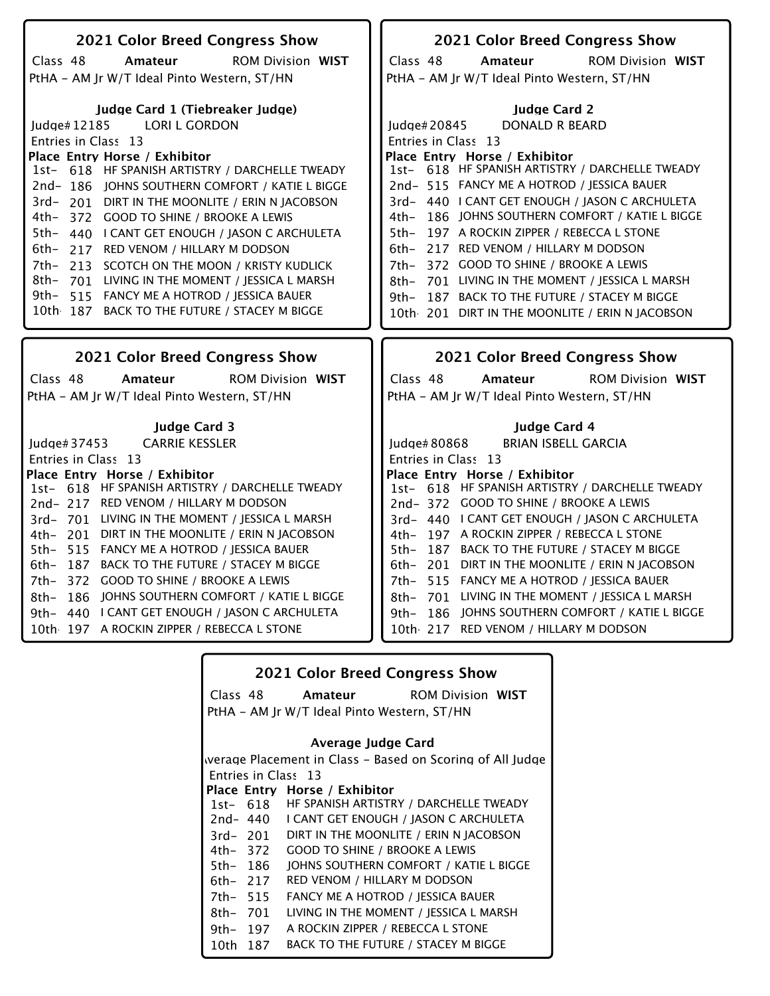| 2021 Color Breed Congress Show                                                                | 2021 Color Breed Congress Show                                                                       |
|-----------------------------------------------------------------------------------------------|------------------------------------------------------------------------------------------------------|
| Class 48<br>Amateur<br><b>ROM Division WIST</b>                                               | Class 48<br>Amateur<br><b>ROM Division WIST</b>                                                      |
| PtHA - AM Jr W/T Ideal Pinto Western, ST/HN                                                   | PtHA - AM Jr W/T Ideal Pinto Western, ST/HN                                                          |
|                                                                                               |                                                                                                      |
| Judge Card 1 (Tiebreaker Judge)                                                               | <b>Judge Card 2</b>                                                                                  |
| <b>LORI L GORDON</b><br>Judge#12185                                                           | <b>DONALD R BEARD</b><br>Judge#20845                                                                 |
| Entries in Class 13                                                                           | Entries in Class 13                                                                                  |
| Place Entry Horse / Exhibitor                                                                 | Place Entry Horse / Exhibitor                                                                        |
| 1st- 618 HF SPANISH ARTISTRY / DARCHELLE TWEADY                                               | 1st- 618 HF SPANISH ARTISTRY / DARCHELLE TWEADY                                                      |
| 2nd-186 JOHNS SOUTHERN COMFORT / KATIE L BIGGE                                                | 2nd-515 FANCY ME A HOTROD / JESSICA BAUER                                                            |
| 3rd- 201 DIRT IN THE MOONLITE / ERIN N JACOBSON<br>4th–                                       | 3rd- 440   CANT GET ENOUGH / IASON C ARCHULETA<br>186 JOHNS SOUTHERN COMFORT / KATIE L BIGGE<br>4th– |
| 372 GOOD TO SHINE / BROOKE A LEWIS                                                            | 197 A ROCKIN ZIPPER / REBECCA L STONE<br>$5th-$                                                      |
| 5th-<br>440 LCANT GET ENOUGH / JASON C ARCHULETA<br>6th-                                      | 217 RED VENOM / HILLARY M DODSON                                                                     |
| 217 RED VENOM / HILLARY M DODSON<br>7th-                                                      | 6th–<br>372 GOOD TO SHINE / BROOKE A LEWIS                                                           |
| 213 SCOTCH ON THE MOON / KRISTY KUDLICK<br>8th-<br>701 LIVING IN THE MOMENT / JESSICA L MARSH | 7th-<br>701 LIVING IN THE MOMENT / JESSICA L MARSH                                                   |
| 9th-<br>515 FANCY ME A HOTROD / JESSICA BAUER                                                 | 8th–<br>187 BACK TO THE FUTURE / STACEY M BIGGE<br>9th-                                              |
| 10th 187 BACK TO THE FUTURE / STACEY M BIGGE                                                  | 10th 201 DIRT IN THE MOONLITE / ERIN N JACOBSON                                                      |
|                                                                                               |                                                                                                      |
|                                                                                               |                                                                                                      |
|                                                                                               |                                                                                                      |
| 2021 Color Breed Congress Show                                                                | 2021 Color Breed Congress Show                                                                       |
| Class 48<br>Amateur<br><b>ROM Division WIST</b>                                               | Class 48<br><b>ROM Division WIST</b><br>Amateur                                                      |
| PtHA - AM Jr W/T Ideal Pinto Western, ST/HN                                                   | PtHA - AM Jr W/T Ideal Pinto Western, ST/HN                                                          |
|                                                                                               |                                                                                                      |
| <b>Judge Card 3</b>                                                                           | Judge Card 4                                                                                         |
| <b>CARRIE KESSLER</b><br>Judge# $37453$                                                       | <b>BRIAN ISBELL GARCIA</b><br>Judge# 80868                                                           |
| Entries in Class 13                                                                           | Entries in Class 13                                                                                  |
| Place Entry Horse / Exhibitor                                                                 | Place Entry Horse / Exhibitor                                                                        |
| 618 HF SPANISH ARTISTRY / DARCHELLE TWEADY<br>$1st-$                                          | 1st- 618 HF SPANISH ARTISTRY / DARCHELLE TWEADY                                                      |
| 2nd-217 RED VENOM / HILLARY M DODSON                                                          | 2nd-372 GOOD TO SHINE / BROOKE A LEWIS                                                               |
| 3rd-701 LIVING IN THE MOMENT / JESSICA L MARSH                                                | 3rd- 440   CANT GET ENOUGH / IASON C ARCHULETA                                                       |
| 4th- 201 DIRT IN THE MOONLITE / ERIN N JACOBSON                                               | 4th- 197 A ROCKIN ZIPPER / REBECCA L STONE                                                           |
| 5th- 515 FANCY ME A HOTROD / JESSICA BAUER                                                    | 5th- 187 BACK TO THE FUTURE / STACEY M BIGGE                                                         |
| 6th- 187 BACK TO THE FUTURE / STACEY M BIGGE                                                  | 6th- 201 DIRT IN THE MOONLITE / ERIN N JACOBSON                                                      |
| 7th- 372 GOOD TO SHINE / BROOKE A LEWIS                                                       | 7th- 515 FANCY ME A HOTROD / JESSICA BAUER                                                           |
| 8th- 186 JOHNS SOUTHERN COMFORT / KATIE L BIGGE                                               | 8th- 701 LIVING IN THE MOMENT / JESSICA L MARSH                                                      |
| 440   CANT GET ENOUGH / JASON C ARCHULETA<br>$9th-$                                           | 9th- 186 JOHNS SOUTHERN COMFORT / KATIE L BIGGE                                                      |
| 10th 197 A ROCKIN ZIPPER / REBECCA L STONE                                                    | 10th 217 RED VENOM / HILLARY M DODSON                                                                |

| <b>2021 Color Breed Congress Show</b>                     |             |                                        |  |
|-----------------------------------------------------------|-------------|----------------------------------------|--|
|                                                           | Class 48    | <b>Amateur</b> ROM Division WIST       |  |
| PtHA – AM Jr W/T Ideal Pinto Western, ST/HN               |             |                                        |  |
| Average Judge Card                                        |             |                                        |  |
| werage Placement in Class – Based on Scoring of All Judge |             |                                        |  |
|                                                           |             | Entries in Class 13                    |  |
|                                                           |             | Place Entry Horse / Exhibitor          |  |
|                                                           | 1st- 618    | HE SPANISH ARTISTRY / DARCHELLE TWEADY |  |
|                                                           | 2nd- 440    | I CANT GET ENOUGH / JASON C ARCHULETA  |  |
|                                                           | $3rd - 201$ | DIRT IN THE MOONLITE / ERIN N IACOBSON |  |
|                                                           | 4th- 372    | <b>GOOD TO SHINE / BROOKE A LEWIS</b>  |  |
| 5th- 186                                                  |             | JOHNS SOUTHERN COMFORT / KATIE L BIGGE |  |
| 6th- 217                                                  |             | RED VENOM / HILLARY M DODSON           |  |
| 7th- 515                                                  |             | FANCY ME A HOTROD / JESSICA BAUER      |  |
| 8th- 701                                                  |             | LIVING IN THE MOMENT / JESSICA L MARSH |  |
| 9th- 197                                                  |             | A ROCKIN ZIPPER / REBECCA L STONE      |  |
| 10th -                                                    | 187         | BACK TO THE FUTURE / STACEY M BIGGE    |  |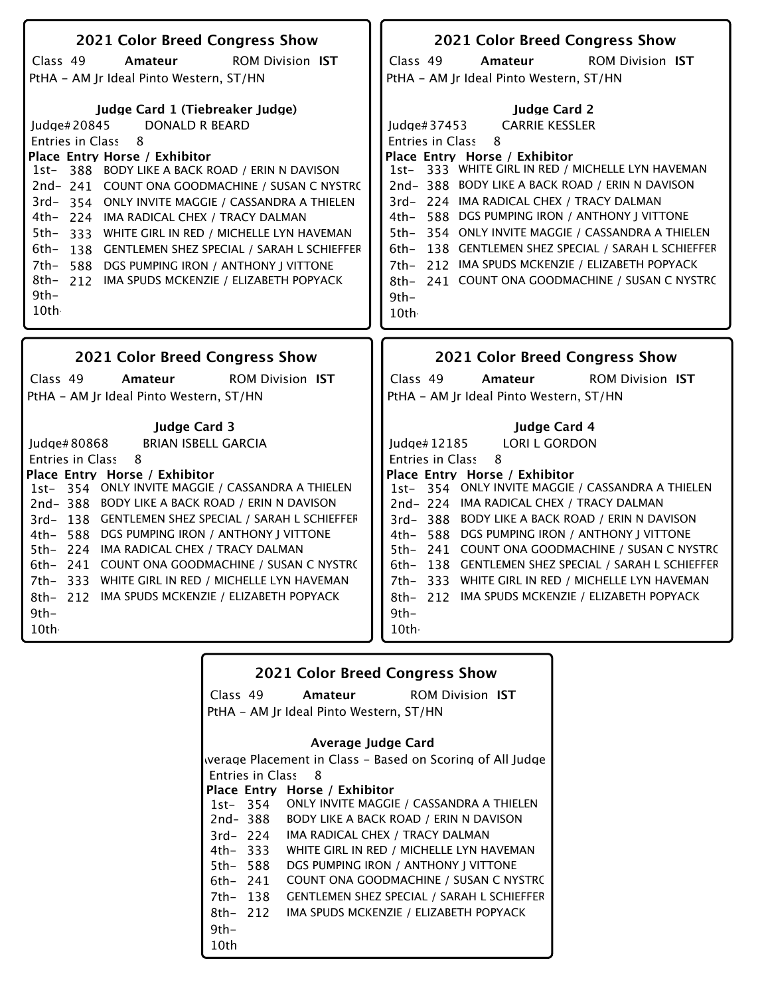| 2021 Color Breed Congress Show                                                                                                                                                                                                                                                                                                                                                                                                                                                                                                                                                            | 2021 Color Breed Congress Show                                                                                                                                                                                                                                                                                                                                                                                                                                                                                                                                              |
|-------------------------------------------------------------------------------------------------------------------------------------------------------------------------------------------------------------------------------------------------------------------------------------------------------------------------------------------------------------------------------------------------------------------------------------------------------------------------------------------------------------------------------------------------------------------------------------------|-----------------------------------------------------------------------------------------------------------------------------------------------------------------------------------------------------------------------------------------------------------------------------------------------------------------------------------------------------------------------------------------------------------------------------------------------------------------------------------------------------------------------------------------------------------------------------|
| Class 49<br>Amateur<br><b>ROM Division IST</b>                                                                                                                                                                                                                                                                                                                                                                                                                                                                                                                                            | Class 49<br>Amateur<br><b>ROM Division IST</b>                                                                                                                                                                                                                                                                                                                                                                                                                                                                                                                              |
| PtHA - AM Jr Ideal Pinto Western, ST/HN                                                                                                                                                                                                                                                                                                                                                                                                                                                                                                                                                   | PtHA - AM Jr Ideal Pinto Western, ST/HN                                                                                                                                                                                                                                                                                                                                                                                                                                                                                                                                     |
| Judge Card 1 (Tiebreaker Judge)<br>Judge#20845<br><b>DONALD R BEARD</b><br>Entries in Class<br>8<br>Place Entry Horse / Exhibitor<br>1st- 388 BODY LIKE A BACK ROAD / ERIN N DAVISON<br>2nd-241 COUNT ONA GOODMACHINE / SUSAN C NYSTRO<br>ONLY INVITE MAGGIE / CASSANDRA A THIELEN<br>3rd- 354<br>4th- 224 IMA RADICAL CHEX / TRACY DALMAN<br>5th-<br>333 WHITE GIRL IN RED / MICHELLE LYN HAVEMAN<br>6th-<br>138 GENTLEMEN SHEZ SPECIAL / SARAH L SCHIEFFER<br>7th-<br>588 DGS PUMPING IRON / ANTHONY J VITTONE<br>8th-<br>212 IMA SPUDS MCKENZIE / ELIZABETH POPYACK<br>9th-<br>$10$ th | <b>Judge Card 2</b><br><b>CARRIE KESSLER</b><br>Judge#37453<br>Entries in Class<br>8<br>Place Entry Horse / Exhibitor<br>1st- 333 WHITE GIRL IN RED / MICHELLE LYN HAVEMAN<br>2nd-388 BODY LIKE A BACK ROAD / ERIN N DAVISON<br>3rd- 224 IMA RADICAL CHEX / TRACY DALMAN<br>588 DGS PUMPING IRON / ANTHONY J VITTONE<br>4th-<br>5th- 354 ONLY INVITE MAGGIE / CASSANDRA A THIELEN<br>138 GENTLEMEN SHEZ SPECIAL / SARAH L SCHIEFFER<br>$6th-$<br>212 IMA SPUDS MCKENZIE / ELIZABETH POPYACK<br>7th–<br>241 COUNT ONA GOODMACHINE / SUSAN C NYSTRO<br>8th-<br>$9th-$<br>10th |
|                                                                                                                                                                                                                                                                                                                                                                                                                                                                                                                                                                                           |                                                                                                                                                                                                                                                                                                                                                                                                                                                                                                                                                                             |
|                                                                                                                                                                                                                                                                                                                                                                                                                                                                                                                                                                                           |                                                                                                                                                                                                                                                                                                                                                                                                                                                                                                                                                                             |
| 2021 Color Breed Congress Show                                                                                                                                                                                                                                                                                                                                                                                                                                                                                                                                                            | 2021 Color Breed Congress Show                                                                                                                                                                                                                                                                                                                                                                                                                                                                                                                                              |
| Class 49<br>Amateur<br><b>ROM Division IST</b>                                                                                                                                                                                                                                                                                                                                                                                                                                                                                                                                            | Class 49<br>Amateur<br><b>ROM Division IST</b>                                                                                                                                                                                                                                                                                                                                                                                                                                                                                                                              |
| PtHA - AM Jr Ideal Pinto Western, ST/HN                                                                                                                                                                                                                                                                                                                                                                                                                                                                                                                                                   | PtHA - AM Jr Ideal Pinto Western, ST/HN                                                                                                                                                                                                                                                                                                                                                                                                                                                                                                                                     |
|                                                                                                                                                                                                                                                                                                                                                                                                                                                                                                                                                                                           |                                                                                                                                                                                                                                                                                                                                                                                                                                                                                                                                                                             |
| <b>Judge Card 3</b>                                                                                                                                                                                                                                                                                                                                                                                                                                                                                                                                                                       | <b>Judge Card 4</b>                                                                                                                                                                                                                                                                                                                                                                                                                                                                                                                                                         |
| <b>BRIAN ISBELL GARCIA</b><br>Judge# 80868                                                                                                                                                                                                                                                                                                                                                                                                                                                                                                                                                | <b>LORI L GORDON</b><br>Judge#12185<br>8                                                                                                                                                                                                                                                                                                                                                                                                                                                                                                                                    |
| Entries in Class<br>8<br>Place Entry Horse / Exhibitor                                                                                                                                                                                                                                                                                                                                                                                                                                                                                                                                    | <b>Entries in Class</b><br>Place Entry Horse / Exhibitor                                                                                                                                                                                                                                                                                                                                                                                                                                                                                                                    |
| 1st- 354 ONLY INVITE MAGGIE / CASSANDRA A THIELEN                                                                                                                                                                                                                                                                                                                                                                                                                                                                                                                                         | 1st- 354 ONLY INVITE MAGGIE / CASSANDRA A THIELEN                                                                                                                                                                                                                                                                                                                                                                                                                                                                                                                           |
| 2nd-388 BODY LIKE A BACK ROAD / ERIN N DAVISON                                                                                                                                                                                                                                                                                                                                                                                                                                                                                                                                            | 2nd-224 IMA RADICAL CHEX / TRACY DALMAN                                                                                                                                                                                                                                                                                                                                                                                                                                                                                                                                     |
| 3rd- 138 GENTLEMEN SHEZ SPECIAL / SARAH L SCHIEFFER                                                                                                                                                                                                                                                                                                                                                                                                                                                                                                                                       | 3rd-388 BODY LIKE A BACK ROAD / ERIN N DAVISON                                                                                                                                                                                                                                                                                                                                                                                                                                                                                                                              |
| 588 DGS PUMPING IRON / ANTHONY J VITTONE<br>4th-                                                                                                                                                                                                                                                                                                                                                                                                                                                                                                                                          | 588 DGS PUMPING IRON / ANTHONY J VITTONE<br>4th-                                                                                                                                                                                                                                                                                                                                                                                                                                                                                                                            |
| 5th- 224 IMA RADICAL CHEX / TRACY DALMAN                                                                                                                                                                                                                                                                                                                                                                                                                                                                                                                                                  | 5th- 241 COUNT ONA GOODMACHINE / SUSAN C NYSTRO                                                                                                                                                                                                                                                                                                                                                                                                                                                                                                                             |
| 6th- 241 COUNT ONA GOODMACHINE / SUSAN C NYSTRO                                                                                                                                                                                                                                                                                                                                                                                                                                                                                                                                           | 138 GENTLEMEN SHEZ SPECIAL / SARAH L SCHIEFFER<br>6th-                                                                                                                                                                                                                                                                                                                                                                                                                                                                                                                      |
| 7th- 333 WHITE GIRL IN RED / MICHELLE LYN HAVEMAN<br>8th- 212 IMA SPUDS MCKENZIE / ELIZABETH POPYACK                                                                                                                                                                                                                                                                                                                                                                                                                                                                                      | 7th- 333 WHITE GIRL IN RED / MICHELLE LYN HAVEMAN<br>8th- 212 IMA SPUDS MCKENZIE / ELIZABETH POPYACK                                                                                                                                                                                                                                                                                                                                                                                                                                                                        |
| $9th-$                                                                                                                                                                                                                                                                                                                                                                                                                                                                                                                                                                                    | $9th-$                                                                                                                                                                                                                                                                                                                                                                                                                                                                                                                                                                      |
| 10th                                                                                                                                                                                                                                                                                                                                                                                                                                                                                                                                                                                      | 10th                                                                                                                                                                                                                                                                                                                                                                                                                                                                                                                                                                        |

| <b>2021 Color Breed Congress Show</b>   |                         |                                                           |  |
|-----------------------------------------|-------------------------|-----------------------------------------------------------|--|
|                                         | Class 49                | <b>Amateur</b> ROM Division IST                           |  |
| PtHA - AM Jr Ideal Pinto Western, ST/HN |                         |                                                           |  |
|                                         |                         | Average Judge Card                                        |  |
|                                         |                         | werage Placement in Class – Based on Scoring of All Judge |  |
|                                         | <b>Entries in Class</b> | - 8                                                       |  |
|                                         |                         | Place Entry Horse / Exhibitor                             |  |
|                                         |                         | 1st-354 ONLY INVITE MAGGIE / CASSANDRA A THIELEN          |  |
|                                         | 2nd- 388                | <b>BODY LIKE A BACK ROAD / ERIN N DAVISON</b>             |  |
| $3rd - 224$                             |                         | IMA RADICAL CHEX / TRACY DALMAN                           |  |
|                                         | 4th- 333                | WHITE GIRL IN RED / MICHELLE LYN HAVEMAN                  |  |
| 5th- 588                                |                         | DGS PUMPING IRON / ANTHONY J VITTONE                      |  |
| 6th- 241                                |                         | COUNT ONA GOODMACHINE / SUSAN C NYSTR(                    |  |
| 7th- 138                                |                         | GENTLEMEN SHEZ SPECIAL / SARAH L SCHIEFFER                |  |
| $8th - 212$                             |                         | IMA SPUDS MCKENZIE / ELIZABETH POPYACK                    |  |
| $9th-$                                  |                         |                                                           |  |
| 10th                                    |                         |                                                           |  |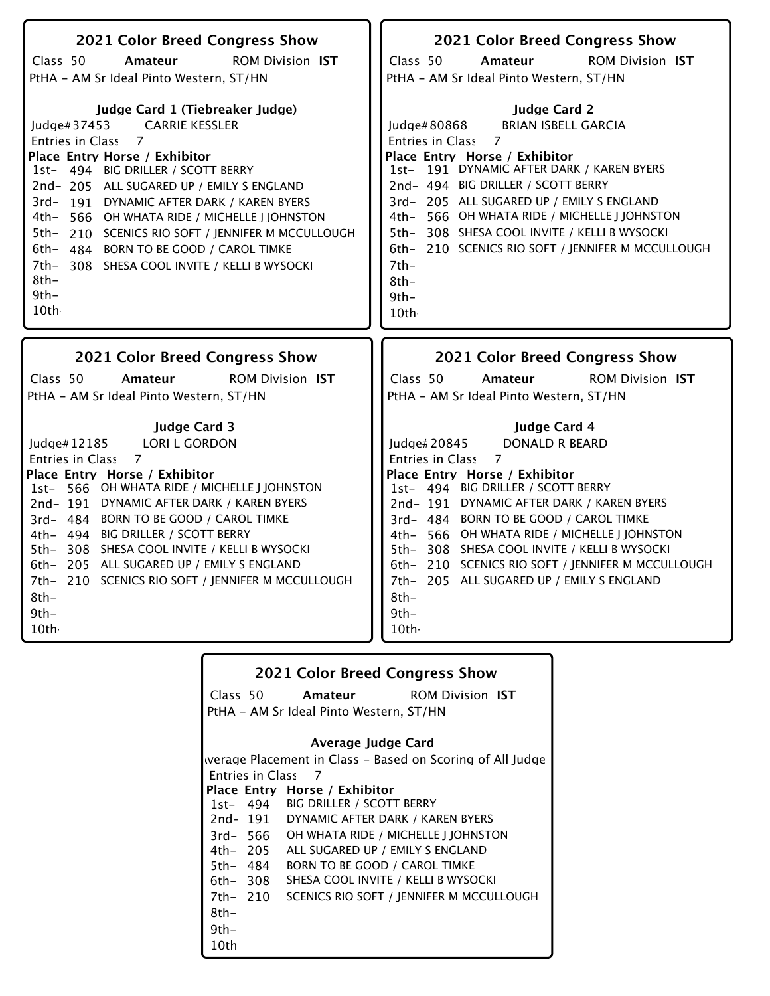| 2021 Color Breed Congress Show                                | 2021 Color Breed Congress Show                              |
|---------------------------------------------------------------|-------------------------------------------------------------|
| <b>ROM Division IST</b><br>Class 50<br>Amateur                | ROM Division IST<br>Class 50<br>Amateur                     |
| PtHA - AM Sr Ideal Pinto Western, ST/HN                       | PtHA - AM Sr Ideal Pinto Western, ST/HN                     |
|                                                               |                                                             |
| Judge Card 1 (Tiebreaker Judge)                               | <b>Judge Card 2</b>                                         |
| <b>CARRIE KESSLER</b><br>Judge# $37453$                       | Judge#80868<br><b>BRIAN ISBELL GARCIA</b>                   |
| $\overline{7}$<br><b>Entries in Class</b>                     | Entries in Class<br>$\overline{7}$                          |
| Place Entry Horse / Exhibitor                                 | Place Entry Horse / Exhibitor                               |
| 1st- 494 BIG DRILLER / SCOTT BERRY                            | 1st- 191 DYNAMIC AFTER DARK / KAREN BYERS                   |
| 2nd-205 ALL SUGARED UP / EMILY S ENGLAND                      | 2nd- 494 BIG DRILLER / SCOTT BERRY                          |
| 3rd-191 DYNAMIC AFTER DARK / KAREN BYERS                      | 3rd- 205 ALL SUGARED UP / EMILY S ENGLAND                   |
| 4th- 566 OH WHATA RIDE / MICHELLE J JOHNSTON                  | 4th- 566 OH WHATA RIDE / MICHELLE J JOHNSTON                |
| 5th-<br>210 SCENICS RIO SOFT / JENNIFER M MCCULLOUGH          | 5th- 308 SHESA COOL INVITE / KELLI B WYSOCKI                |
| 6th- 484 BORN TO BE GOOD / CAROL TIMKE                        | 6th- 210 SCENICS RIO SOFT / JENNIFER M MCCULLOUGH           |
| 7th- 308 SHESA COOL INVITE / KELLI B WYSOCKI                  | $7th-$                                                      |
| 8th-                                                          | 8th-                                                        |
| $9th-$                                                        | $9th-$                                                      |
| 10th                                                          | 10th                                                        |
|                                                               |                                                             |
|                                                               |                                                             |
| 2021 Color Breed Congress Show                                | 2021 Color Breed Congress Show                              |
| Class 50                                                      | Class 50                                                    |
| <b>ROM Division IST</b><br>Amateur                            | <b>ROM Division IST</b><br>Amateur                          |
| PtHA - AM Sr Ideal Pinto Western, ST/HN                       | PtHA - AM Sr Ideal Pinto Western, ST/HN                     |
|                                                               | Judge Card 4                                                |
| <b>Judge Card 3</b><br>ludge $#12185$<br><b>LORI L GORDON</b> | ludge $#20845$                                              |
| <b>Entries in Class</b><br>7                                  | <b>DONALD R BEARD</b><br>Entries in Class<br>$\overline{7}$ |
| Place Entry Horse / Exhibitor                                 | Place Entry Horse / Exhibitor                               |
| 1st- 566 OH WHATA RIDE / MICHELLE J JOHNSTON                  | 1st- 494 BIG DRILLER / SCOTT BERRY                          |
| 2nd-191 DYNAMIC AFTER DARK / KAREN BYERS                      | 2nd-191 DYNAMIC AFTER DARK / KAREN BYERS                    |
| 3rd- 484 BORN TO BE GOOD / CAROL TIMKE                        | 3rd- 484 BORN TO BE GOOD / CAROL TIMKE                      |
| 4th- 494 BIG DRILLER / SCOTT BERRY                            | 4th- 566 OH WHATA RIDE / MICHELLE J JOHNSTON                |
| 5th-308 SHESA COOL INVITE / KELLI B WYSOCKI                   | 5th- 308 SHESA COOL INVITE / KELLI B WYSOCKI                |
| 6th- 205 ALL SUGARED UP / EMILY S ENGLAND                     | 6th- 210 SCENICS RIO SOFT / JENNIFER M MCCULLOUGH           |
| 7th- 210 SCENICS RIO SOFT / JENNIFER M MCCULLOUGH             | 7th- 205 ALL SUGARED UP / EMILY S ENGLAND                   |
| $8th-$                                                        | 8th-                                                        |
| $9th-$                                                        | $9th-$                                                      |
| 10th                                                          | 10th                                                        |

| 2021 Color Breed Congress Show          |                                                           |                                          |                                          |  |  |
|-----------------------------------------|-----------------------------------------------------------|------------------------------------------|------------------------------------------|--|--|
|                                         | Class 50                                                  |                                          | <b>Amateur</b> ROM Division IST          |  |  |
| PtHA - AM Sr Ideal Pinto Western, ST/HN |                                                           |                                          |                                          |  |  |
|                                         | Average Judge Card                                        |                                          |                                          |  |  |
|                                         | werage Placement in Class – Based on Scoring of All Judge |                                          |                                          |  |  |
|                                         | <b>Entries in Class</b>                                   | - 7                                      |                                          |  |  |
|                                         |                                                           | Place Entry Horse / Exhibitor            |                                          |  |  |
|                                         |                                                           | 1st- 494 BIG DRILLER / SCOTT BERRY       |                                          |  |  |
|                                         |                                                           | 2nd-191 DYNAMIC AFTER DARK / KAREN BYERS |                                          |  |  |
|                                         | 3rd- 566                                                  | OH WHATA RIDE / MICHELLE J JOHNSTON      |                                          |  |  |
|                                         | 4th– 205                                                  | ALL SUGARED UP / EMILY S ENGLAND         |                                          |  |  |
|                                         | 5th– 484                                                  | BORN TO BE GOOD / CAROL TIMKE            |                                          |  |  |
|                                         | 6th– 308                                                  | SHESA COOL INVITE / KELLI B WYSOCKI      |                                          |  |  |
|                                         | 7th- 210                                                  |                                          | SCENICS RIO SOFT / JENNIFER M MCCULLOUGH |  |  |
| 8th-                                    |                                                           |                                          |                                          |  |  |
| $9th-$                                  |                                                           |                                          |                                          |  |  |
| 10th                                    |                                                           |                                          |                                          |  |  |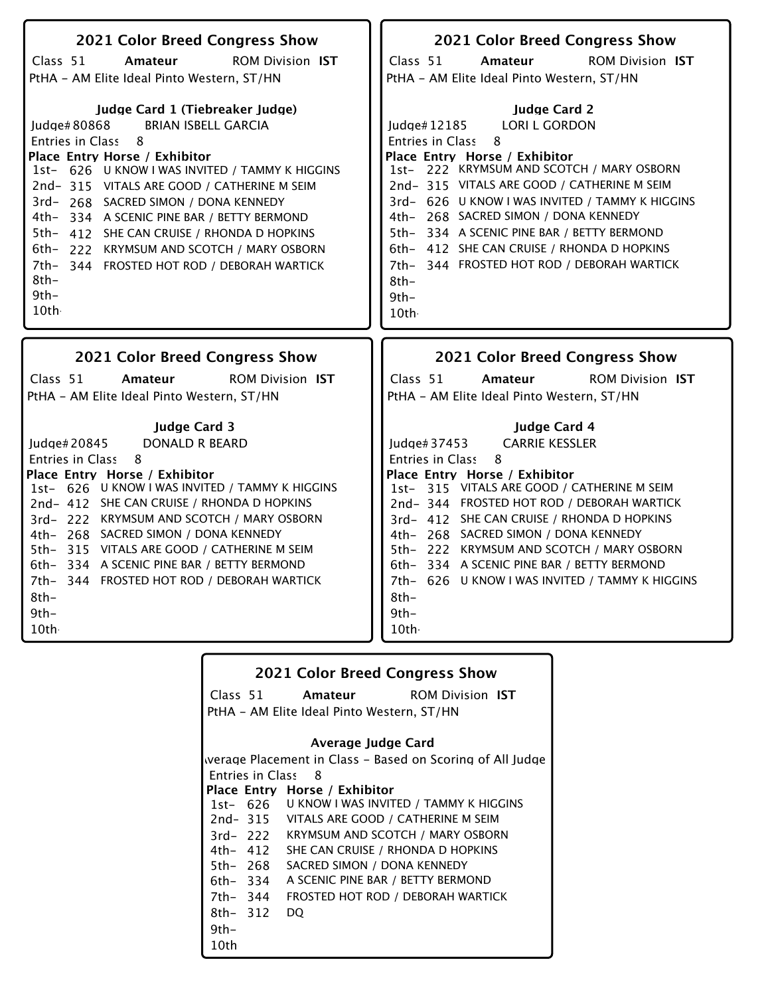| 2021 Color Breed Congress Show                  | 2021 Color Breed Congress Show                  |
|-------------------------------------------------|-------------------------------------------------|
| Class 51                                        | Class 51                                        |
| Amateur                                         | Amateur                                         |
| <b>ROM Division IST</b>                         | <b>ROM Division IST</b>                         |
| PtHA - AM Elite Ideal Pinto Western, ST/HN      | PtHA - AM Elite Ideal Pinto Western, ST/HN      |
| Judge Card 1 (Tiebreaker Judge)                 | <b>Judge Card 2</b>                             |
| <b>BRIAN ISBELL GARCIA</b>                      | <b>LORI L GORDON</b>                            |
| ludge# $80868$                                  | Judge#12185                                     |
| 8                                               | 8                                               |
| Entries in Class                                | Entries in Class                                |
| Place Entry Horse / Exhibitor                   | Place Entry Horse / Exhibitor                   |
| 1st- 626 U KNOW I WAS INVITED / TAMMY K HIGGINS | 1st- 222 KRYMSUM AND SCOTCH / MARY OSBORN       |
| 2nd-315 VITALS ARE GOOD / CATHERINE M SEIM      | 2nd-315 VITALS ARE GOOD / CATHERINE M SEIM      |
| 3rd-268 SACRED SIMON / DONA KENNEDY             | 3rd- 626 U KNOW I WAS INVITED / TAMMY K HIGGINS |
| 4th- 334 A SCENIC PINE BAR / BETTY BERMOND      | 4th- 268 SACRED SIMON / DONA KENNEDY            |
| 5th- 412 SHE CAN CRUISE / RHONDA D HOPKINS      | 5th- 334 A SCENIC PINE BAR / BETTY BERMOND      |
| 6th- 222 KRYMSUM AND SCOTCH / MARY OSBORN       | 6th- 412 SHE CAN CRUISE / RHONDA D HOPKINS      |
| 7th-344 FROSTED HOT ROD / DEBORAH WARTICK       | 7th- 344 FROSTED HOT ROD / DEBORAH WARTICK      |
| $8th-$                                          | $8th-$                                          |
| $9th-$                                          | $9th-$                                          |
| 10th                                            | 10th                                            |
| <b>2021 Color Breed Congress Show</b>           | <b>2021 Color Breed Congress Show</b>           |
|                                                 |                                                 |
| Class $51$                                      | Class 51                                        |
| <b>ROM Division IST</b>                         | <b>ROM Division IST</b>                         |
| Amateur                                         | Amateur                                         |
| PtHA - AM Elite Ideal Pinto Western, ST/HN      | PtHA - AM Elite Ideal Pinto Western, ST/HN      |

# **2021 Color Breed Congress Show**

ROM Division **Amateur IST**

Class 51 PtHA - AM Elite Ideal Pinto Western, ST/HN

### **Average Judge Card**

Entries in Class 8 1st-626 U KNOW I WAS INVITED / TAMMY K HIGGINS **Place Entry Horse / Exhibitor** 2nd-315 3rd-222 Werage Placement in Class - Based on Scoring of All Judge VITALS ARE GOOD / CATHERINE M SEIM KRYMSUM AND SCOTCH / MARY OSBORN SHE CAN CRUISE / RHONDA D HOPKINS

- 4th-412
- 5th-268 SACRED SIMON / DONA KENNEDY A SCENIC PINE BAR / BETTY BERMOND
- 6th-334
- 7th-344 FROSTED HOT ROD / DEBORAH WARTICK 8th- 312 DQ
- 9th-
- 10th-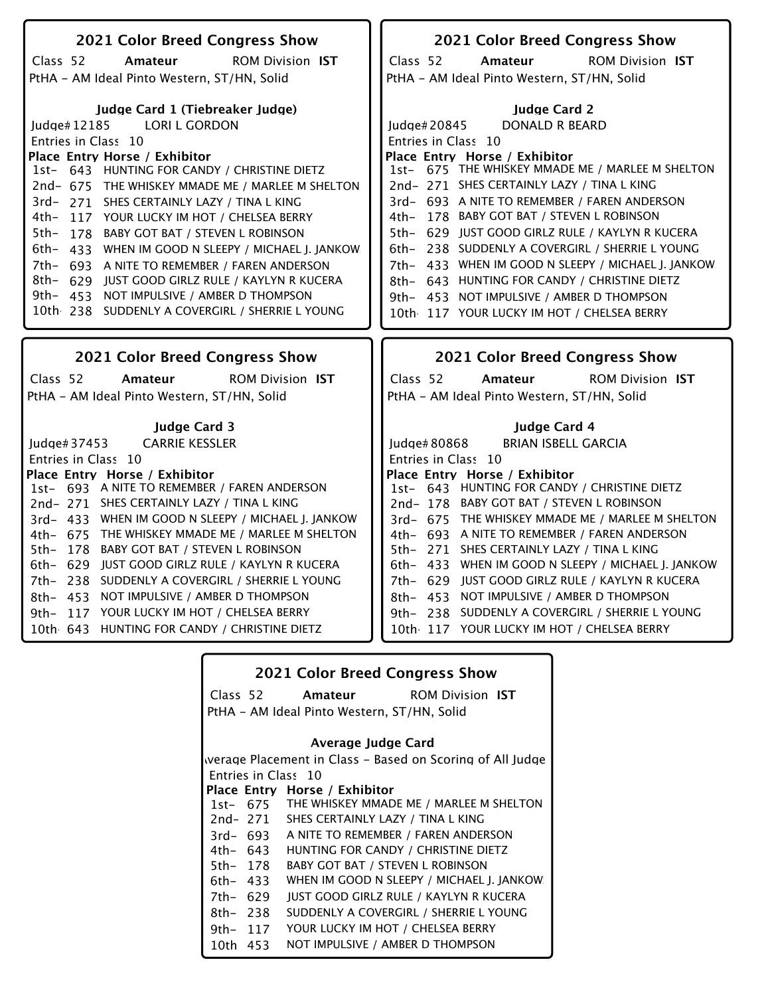| 2021 Color Breed Congress Show                     | 2021 Color Breed Congress Show                     |  |
|----------------------------------------------------|----------------------------------------------------|--|
| <b>ROM Division IST</b><br>Class 52<br>Amateur     | <b>ROM Division IST</b><br>Class 52<br>Amateur     |  |
| PtHA - AM Ideal Pinto Western, ST/HN, Solid        | PtHA - AM Ideal Pinto Western, ST/HN, Solid        |  |
|                                                    |                                                    |  |
| Judge Card 1 (Tiebreaker Judge)                    | <b>Judge Card 2</b>                                |  |
| Judge#12185 LORI L GORDON                          | Judge#20845<br>DONALD R BEARD                      |  |
| Entries in Class 10                                | Entries in Class 10                                |  |
| Place Entry Horse / Exhibitor                      | Place Entry Horse / Exhibitor                      |  |
| 1st- 643 HUNTING FOR CANDY / CHRISTINE DIETZ       | 1st- 675 THE WHISKEY MMADE ME / MARLEE M SHELTON   |  |
| 2nd- 675 THE WHISKEY MMADE ME / MARLEE M SHELTON   | 2nd-271 SHES CERTAINLY LAZY / TINA L KING          |  |
| 3rd- 271 SHES CERTAINLY LAZY / TINA L KING         | 3rd- 693 A NITE TO REMEMBER / FAREN ANDERSON       |  |
| 4th-<br>117 YOUR LUCKY IM HOT / CHELSEA BERRY      | 4th- 178 BABY GOT BAT / STEVEN L ROBINSON          |  |
| 5th-<br>178 BABY GOT BAT / STEVEN L ROBINSON       | 5th- 629 JUST GOOD GIRLZ RULE / KAYLYN R KUCERA    |  |
| 6th- 433 WHEN IM GOOD N SLEEPY / MICHAEL J. JANKOW | 6th- 238 SUDDENLY A COVERGIRL / SHERRIE L YOUNG    |  |
| 7th- 693 A NITE TO REMEMBER / FAREN ANDERSON       | 7th- 433 WHEN IM GOOD N SLEEPY / MICHAEL J. JANKOW |  |
| 8th- 629 IUST GOOD GIRLZ RULE / KAYLYN R KUCERA    | 8th- 643 HUNTING FOR CANDY / CHRISTINE DIETZ       |  |
| 9th- 453 NOT IMPULSIVE / AMBER D THOMPSON          | 9th- 453 NOT IMPULSIVE / AMBER D THOMPSON          |  |
| 10th 238 SUDDENLY A COVERGIRL / SHERRIE L YOUNG    | 10th 117 YOUR LUCKY IM HOT / CHELSEA BERRY         |  |
|                                                    |                                                    |  |
|                                                    |                                                    |  |
|                                                    |                                                    |  |
| 2021 Color Breed Congress Show                     | 2021 Color Breed Congress Show                     |  |
| Class 52<br>Amateur<br><b>ROM Division IST</b>     | Class 52<br>Amateur<br><b>ROM Division IST</b>     |  |
| PtHA - AM Ideal Pinto Western, ST/HN, Solid        | PtHA - AM Ideal Pinto Western, ST/HN, Solid        |  |
|                                                    |                                                    |  |
| <b>Iudge Card 3</b>                                | <b>Judge Card 4</b>                                |  |
| <b>CARRIE KESSLER</b><br>Judge# 37453              | <b>BRIAN ISBELL GARCIA</b><br>Judge# 80868         |  |
| Entries in Class 10                                | Entries in Class 10                                |  |
| Place Entry Horse / Exhibitor                      | Place Entry Horse / Exhibitor                      |  |
| 1st- 693 A NITE TO REMEMBER / FAREN ANDERSON       | 1st- 643 HUNTING FOR CANDY / CHRISTINE DIETZ       |  |
| 2nd-271 SHES CERTAINLY LAZY / TINA L KING          | 2nd-178 BABY GOT BAT / STEVEN L ROBINSON           |  |
| 3rd- 433 WHEN IM GOOD N SLEEPY / MICHAEL J. JANKOW | 3rd- 675 THE WHISKEY MMADE ME / MARLEE M SHELTON   |  |
| 4th- 675 THE WHISKEY MMADE ME / MARLEE M SHELTON   | 4th- 693 A NITE TO REMEMBER / FAREN ANDERSON       |  |
| BABY GOT BAT / STEVEN L ROBINSON<br>5th- 178       | 5th- 271 SHES CERTAINLY LAZY / TINA L KING         |  |
| 6th- 629 JUST GOOD GIRLZ RULE / KAYLYN R KUCERA    | 6th- 433 WHEN IM GOOD N SLEEPY / MICHAEL J. JANKOW |  |
| 7th- 238 SUDDENLY A COVERGIRL / SHERRIE L YOUNG    | 7th- 629 JUST GOOD GIRLZ RULE / KAYLYN R KUCERA    |  |
| 8th- 453 NOT IMPULSIVE / AMBER D THOMPSON          | 8th- 453 NOT IMPULSIVE / AMBER D THOMPSON          |  |
| 117 YOUR LUCKY IM HOT / CHELSEA BERRY<br>$9th-$    | 9th- 238 SUDDENLY A COVERGIRL / SHERRIE L YOUNG    |  |
| 10th 643 HUNTING FOR CANDY / CHRISTINE DIETZ       | 10th 117 YOUR LUCKY IM HOT / CHELSEA BERRY         |  |
|                                                    |                                                    |  |

| <b>2021 Color Breed Congress Show</b>                     |          |                                                  |  |  |
|-----------------------------------------------------------|----------|--------------------------------------------------|--|--|
|                                                           | Class 52 | <b>Amateur</b> ROM Division IST                  |  |  |
| PtHA - AM Ideal Pinto Western, ST/HN, Solid               |          |                                                  |  |  |
| Average Judge Card                                        |          |                                                  |  |  |
| werage Placement in Class – Based on Scoring of All Judge |          |                                                  |  |  |
|                                                           |          | Entries in Class 10                              |  |  |
|                                                           |          | Place Entry Horse / Exhibitor                    |  |  |
|                                                           |          | 1st- 675 THE WHISKEY MMADE ME / MARLEE M SHELTON |  |  |
|                                                           |          | 2nd-271 SHES CERTAINLY LAZY / TINA L KING        |  |  |
|                                                           | 3rd- 693 | A NITE TO REMEMBER / FAREN ANDERSON              |  |  |
|                                                           | 4th- 643 | HUNTING FOR CANDY / CHRISTINE DIETZ              |  |  |
| 5th- 178                                                  |          | BABY GOT BAT / STEVEN L ROBINSON                 |  |  |
| 6th- 433                                                  |          | WHEN IM GOOD N SLEEPY / MICHAEL J. JANKOW        |  |  |
| 7th- 629                                                  |          | JUST GOOD GIRLZ RULE / KAYLYN R KUCERA           |  |  |
| 8th- 238                                                  |          | SUDDENLY A COVERGIRL / SHERRIE L YOUNG           |  |  |
| 9th- 117                                                  |          | YOUR LUCKY IM HOT / CHELSEA BERRY                |  |  |
| 10th 453                                                  |          | NOT IMPULSIVE / AMBER D THOMPSON                 |  |  |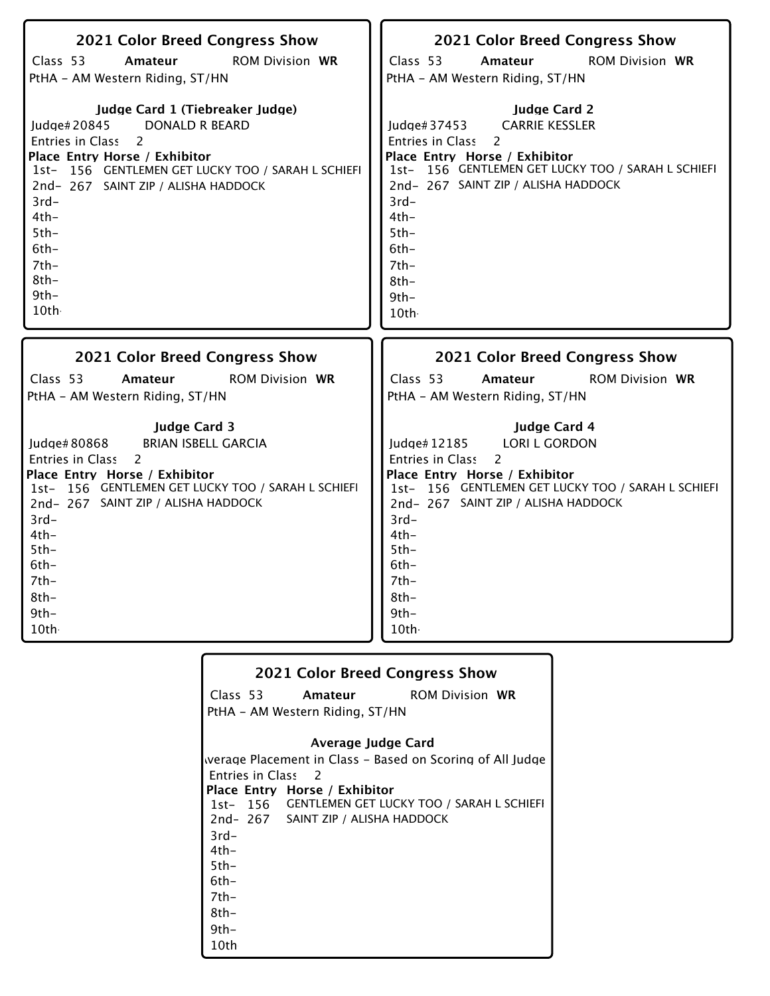| 2021 Color Breed Congress Show<br>Class 53<br><b>ROM Division WR</b><br>Amateur<br>PtHA - AM Western Riding, ST/HN                                                                                                                                                                                       | 2021 Color Breed Congress Show<br>Class 53<br><b>ROM Division WR</b><br>Amateur<br>PtHA - AM Western Riding, ST/HN                                                                                                                                                                                  |
|----------------------------------------------------------------------------------------------------------------------------------------------------------------------------------------------------------------------------------------------------------------------------------------------------------|-----------------------------------------------------------------------------------------------------------------------------------------------------------------------------------------------------------------------------------------------------------------------------------------------------|
| Judge Card 1 (Tiebreaker Judge)<br><b>DONALD R BEARD</b><br>Judge#20845<br>Entries in Class 2<br>Place Entry Horse / Exhibitor<br>1st- 156 GENTLEMEN GET LUCKY TOO / SARAH L SCHIEFI<br>2nd-267 SAINT ZIP / ALISHA HADDOCK<br>$3rd-$<br>$4th-$<br>$5th-$<br>$6th-$<br>$7th-$<br>$8th-$<br>$9th-$<br>10th | <b>Judge Card 2</b><br><b>CARRIE KESSLER</b><br>Judge#37453<br>Entries in Class<br>2<br>Place Entry Horse / Exhibitor<br>1st- 156 GENTLEMEN GET LUCKY TOO / SARAH L SCHIEFI<br>2nd- 267 SAINT ZIP / ALISHA HADDOCK<br>$3rd-$<br>$4th-$<br>$5th-$<br>$6th-$<br>$7th-$<br>$8th-$<br>$9th -$<br>10th - |
|                                                                                                                                                                                                                                                                                                          |                                                                                                                                                                                                                                                                                                     |
| 2021 Color Breed Congress Show                                                                                                                                                                                                                                                                           | 2021 Color Breed Congress Show                                                                                                                                                                                                                                                                      |
| Class 53<br><b>ROM Division WR</b><br>Amateur<br>PtHA - AM Western Riding, ST/HN                                                                                                                                                                                                                         | Class 53<br>Amateur<br><b>ROM Division WR</b><br>PtHA - AM Western Riding, ST/HN                                                                                                                                                                                                                    |

|        | <b>2021 Color Breed Congress Show</b>   |                                                           |
|--------|-----------------------------------------|-----------------------------------------------------------|
|        | Class 53 <b>Amateur</b> ROM Division WR |                                                           |
|        | PtHA - AM Western Riding, ST/HN         |                                                           |
|        | Average Judge Card                      |                                                           |
|        |                                         | werage Placement in Class – Based on Scoring of All Judge |
|        |                                         |                                                           |
|        | Entries in Class 2                      |                                                           |
|        | Place Entry Horse / Exhibitor           |                                                           |
|        |                                         | 1st- 156 GENTLEMEN GET LUCKY TOO / SARAH L SCHIEFI        |
|        | 2nd-267 SAINT ZIP / ALISHA HADDOCK      |                                                           |
| $3rd-$ |                                         |                                                           |
| 4th-   |                                         |                                                           |
| $5th-$ |                                         |                                                           |
| 6th-   |                                         |                                                           |
| 7th-   |                                         |                                                           |
| 8th-   |                                         |                                                           |
| 9th-   |                                         |                                                           |
| 10th   |                                         |                                                           |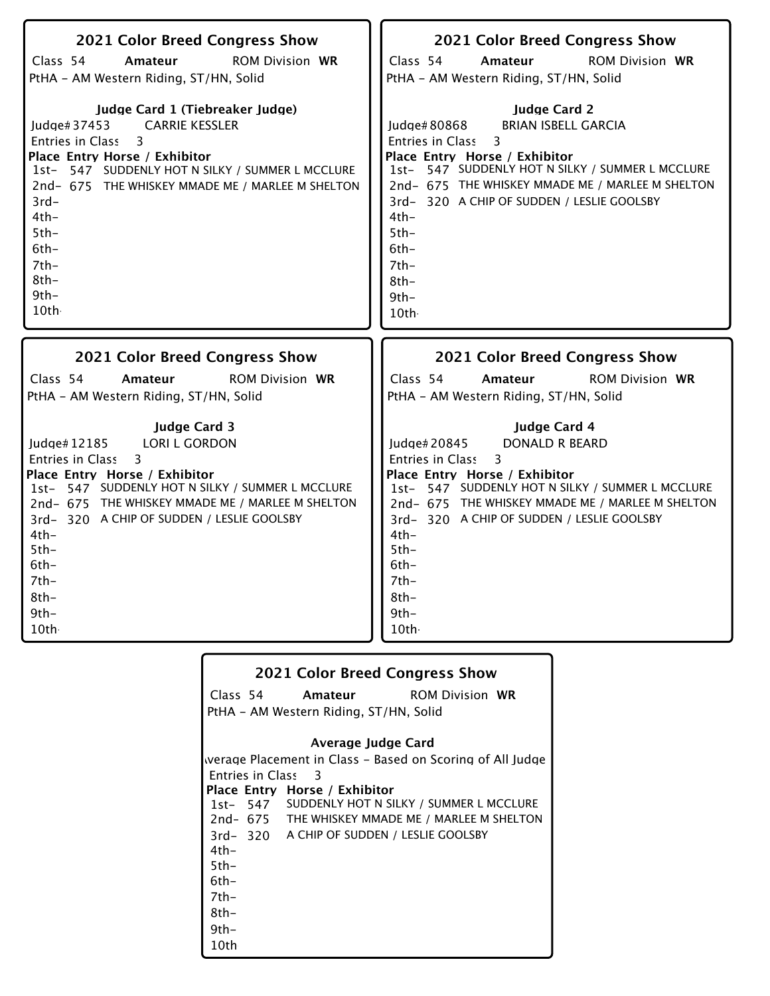| 2021 Color Breed Congress Show                   | 2021 Color Breed Congress Show                   |
|--------------------------------------------------|--------------------------------------------------|
| Class 54                                         | Class 54                                         |
| <b>ROM Division WR</b>                           | <b>ROM Division WR</b>                           |
| Amateur                                          | Amateur                                          |
| PtHA - AM Western Riding, ST/HN, Solid           | PtHA - AM Western Riding, ST/HN, Solid           |
| Judge Card 1 (Tiebreaker Judge)                  | <b>Judge Card 2</b>                              |
| <b>CARRIE KESSLER</b>                            | <b>BRIAN ISBELL GARCIA</b>                       |
| Judge#37453                                      | Judge#80868                                      |
| Entries in Class                                 | Entries in Class                                 |
| 3                                                | 3                                                |
| Place Entry Horse / Exhibitor                    | Place Entry Horse / Exhibitor                    |
| 1st- 547 SUDDENLY HOT N SILKY / SUMMER L MCCLURE | 1st-547 SUDDENLY HOT N SILKY / SUMMER L MCCLURE  |
| 2nd- 675 THE WHISKEY MMADE ME / MARLEE M SHELTON | 2nd- 675 THE WHISKEY MMADE ME / MARLEE M SHELTON |
| $3rd-$                                           | 3rd-320 A CHIP OF SUDDEN / LESLIE GOOLSBY        |
| $4th-$                                           | $4th-$                                           |
| $5th-$                                           | $5th-$                                           |
| $6th-$                                           | $6th -$                                          |
| $7th-$                                           | $7th-$                                           |
| $8th-$                                           | $8th-$                                           |
| $9th-$                                           | $9th -$                                          |
| 10th                                             | 10th                                             |
| 2021 Color Breed Congress Show                   | 2021 Color Breed Congress Show                   |
| Class 54                                         | Class 54                                         |
| Amateur                                          | <b>ROM Division WR</b>                           |
| <b>ROM Division WR</b>                           | Amateur                                          |
| PtHA - AM Western Riding, ST/HN, Solid           | PtHA - AM Western Riding, ST/HN, Solid           |
| <b>Judge Card 3</b>                              | Judge Card 4                                     |
| Judge# 12185                                     | Judge# 20845                                     |
| <b>LORI L GORDON</b>                             | <b>DONALD R BEARD</b>                            |
| <b>Entries in Class</b>                          | <b>Entries in Class</b>                          |
| 3                                                | 3                                                |
| Place Entry Horse / Exhibitor                    | Place Entry Horse / Exhibitor                    |
| 1st- 547 SUDDENLY HOT N SILKY / SUMMER L MCCLURE | 1st- 547 SUDDENLY HOT N SILKY / SUMMER L MCCLURE |
| 2nd- 675 THE WHISKEY MMADE ME / MARLEE M SHELTON | 2nd-675 THE WHISKEY MMADE ME / MARLEE M SHELTON  |
| 3rd-320 A CHIP OF SUDDEN / LESLIE GOOLSBY        | 3rd-320 A CHIP OF SUDDEN / LESLIE GOOLSBY        |
| $4th-$                                           | $4th-$                                           |
| $5th-$                                           | $5th-$                                           |
| $6th-$                                           | $6th-$                                           |
| $7th-$                                           | 7th-                                             |
| $8th-$                                           | $8th-$                                           |
| $9th-$                                           | $9th -$                                          |
| 10th                                             | 10th                                             |

|         | <b>2021 Color Breed Congress Show</b>            |                                                           |
|---------|--------------------------------------------------|-----------------------------------------------------------|
|         | Class 54 Amateur ROM Division WR                 |                                                           |
|         | PtHA – AM Western Riding, ST/HN, Solid           |                                                           |
|         |                                                  |                                                           |
|         | Average Judge Card                               |                                                           |
|         |                                                  | werage Placement in Class – Based on Scoring of All Judge |
|         | Entries in Class 3                               |                                                           |
|         | Place Entry Horse / Exhibitor                    |                                                           |
|         | 1st-547 SUDDENLY HOT N SILKY / SUMMER L MCCLURE  |                                                           |
|         | 2nd- 675 THE WHISKEY MMADE ME / MARLEE M SHELTON |                                                           |
|         | 3rd-320 A CHIP OF SUDDEN / LESLIE GOOLSBY        |                                                           |
| $4th-$  |                                                  |                                                           |
| $5th-$  |                                                  |                                                           |
| $6th-$  |                                                  |                                                           |
| 7th-    |                                                  |                                                           |
| $8th -$ |                                                  |                                                           |
| $9th -$ |                                                  |                                                           |
| 10th    |                                                  |                                                           |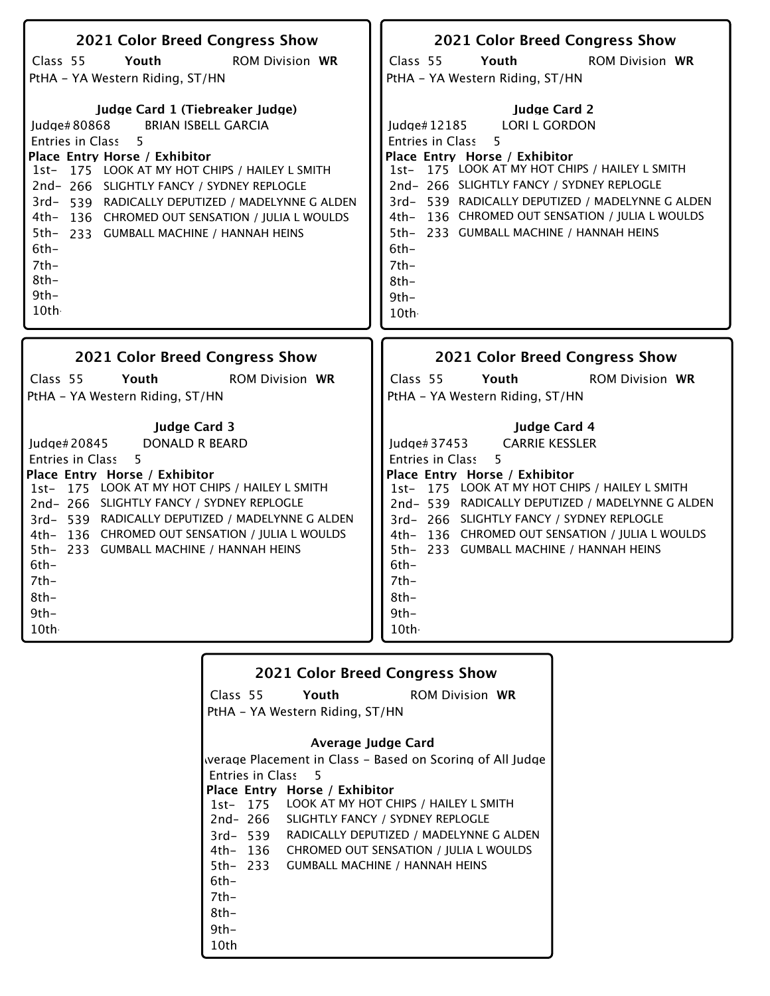| 2021 Color Breed Congress Show                  | 2021 Color Breed Congress Show                  |
|-------------------------------------------------|-------------------------------------------------|
| Class 55                                        | Class 55                                        |
| Youth                                           | Youth                                           |
| <b>ROM Division WR</b>                          | <b>ROM Division WR</b>                          |
| PtHA - YA Western Riding, ST/HN                 | PtHA - YA Western Riding, ST/HN                 |
| Judge Card 1 (Tiebreaker Judge)                 | <b>Judge Card 2</b>                             |
| Judge#80868                                     | Judge#12185                                     |
| <b>BRIAN ISBELL GARCIA</b>                      | <b>LORI L GORDON</b>                            |
| 5                                               | <b>Entries in Class</b>                         |
| Entries in Class                                | 5                                               |
| Place Entry Horse / Exhibitor                   | Place Entry Horse / Exhibitor                   |
| 1st- 175 LOOK AT MY HOT CHIPS / HAILEY L SMITH  | 1st- 175 LOOK AT MY HOT CHIPS / HAILEY L SMITH  |
| 2nd-266 SLIGHTLY FANCY / SYDNEY REPLOGLE        | 2nd-266 SLIGHTLY FANCY / SYDNEY REPLOGLE        |
| 3rd-539 RADICALLY DEPUTIZED / MADELYNNE G ALDEN | 3rd-539 RADICALLY DEPUTIZED / MADELYNNE G ALDEN |
| 4th- 136 CHROMED OUT SENSATION / JULIA L WOULDS | 4th- 136 CHROMED OUT SENSATION / JULIA L WOULDS |
| 5th- 233 GUMBALL MACHINE / HANNAH HEINS         | 5th- 233 GUMBALL MACHINE / HANNAH HEINS         |
| $6th-$                                          | 6th-                                            |
| $7th-$                                          | 7th-                                            |
| $8th-$                                          | 8th-                                            |
| $9th-$                                          | $9th -$                                         |
| 10th                                            | 10th                                            |
| 2021 Color Breed Congress Show                  | 2021 Color Breed Congress Show                  |
| Class 55                                        | Class 55                                        |
| Youth                                           | Youth                                           |
| <b>ROM Division WR</b>                          | <b>ROM Division WR</b>                          |
| PtHA - YA Western Riding, ST/HN                 | PtHA - YA Western Riding, ST/HN                 |
| <b>Judge Card 3</b>                             | <b>Judge Card 4</b>                             |
| Judge# 20845                                    | <b>CARRIE KESSLER</b>                           |
| DONALD R BEARD                                  | Judge#37453                                     |
| <b>Entries in Class</b>                         | <b>Entries in Class</b>                         |
| 5                                               | 5                                               |
| Place Entry Horse / Exhibitor                   | Place Entry Horse / Exhibitor                   |
| 1st- 175 LOOK AT MY HOT CHIPS / HAILEY L SMITH  | 1st- 175 LOOK AT MY HOT CHIPS / HAILEY L SMITH  |
| 2nd-266 SLIGHTLY FANCY / SYDNEY REPLOGLE        | 2nd-539 RADICALLY DEPUTIZED / MADELYNNE G ALDEN |

|                    |                                 | <b>2021 Color Breed Congress Show</b>                     |
|--------------------|---------------------------------|-----------------------------------------------------------|
| Class 55 Youth     |                                 | <b>ROM Division WR</b>                                    |
|                    | PtHA - YA Western Riding, ST/HN |                                                           |
|                    |                                 |                                                           |
|                    |                                 | Average Judge Card                                        |
|                    |                                 | werage Placement in Class – Based on Scoring of All Judge |
| Entries in Class 5 |                                 |                                                           |
|                    | Place Entry Horse / Exhibitor   |                                                           |
|                    |                                 | 1st- 175 LOOK AT MY HOT CHIPS / HAILEY L SMITH            |
|                    |                                 | 2nd-266 SLIGHTLY FANCY / SYDNEY REPLOGLE                  |
|                    |                                 | 3rd-539 RADICALLY DEPUTIZED / MADELYNNE G ALDEN           |
|                    |                                 | 4th- 136 CHROMED OUT SENSATION / JULIA L WOULDS           |
|                    |                                 | 5th- 233 GUMBALL MACHINE / HANNAH HEINS                   |
| $6th-$             |                                 |                                                           |
| $7th-$             |                                 |                                                           |
| 8th-               |                                 |                                                           |
| $9th-$             |                                 |                                                           |
| 10th               |                                 |                                                           |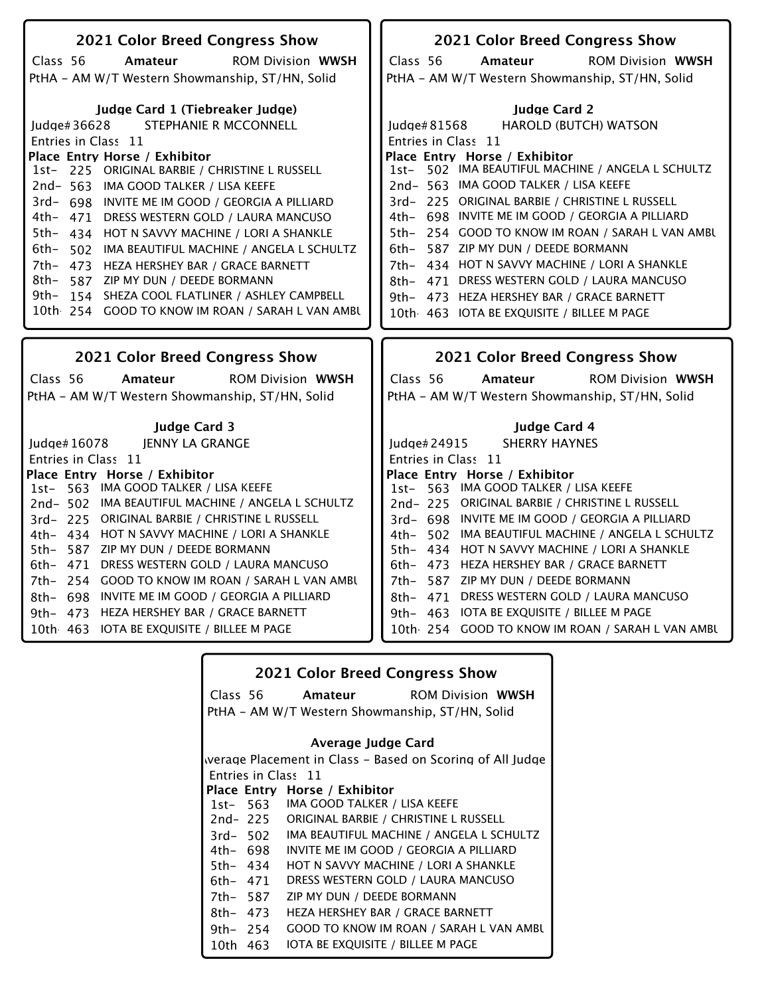| 2021 Color Breed Congress Show                       | 2021 Color Breed Congress Show                    |
|------------------------------------------------------|---------------------------------------------------|
| Class 56<br>Amateur<br><b>ROM Division WWSH</b>      | Class 56<br><b>ROM Division WWSH</b><br>Amateur   |
| PtHA - AM W/T Western Showmanship, ST/HN, Solid      | PtHA - AM W/T Western Showmanship, ST/HN, Solid   |
|                                                      |                                                   |
| Judge Card 1 (Tiebreaker Judge)                      | <b>Judge Card 2</b>                               |
| STEPHANIE R MCCONNELL<br>Judge#36628                 | <b>HAROLD (BUTCH) WATSON</b><br>Judge#81568       |
| Entries in Class 11                                  | Entries in Class 11                               |
| Place Entry Horse / Exhibitor                        | Place Entry Horse / Exhibitor                     |
| 1st- 225 ORIGINAL BARBIE / CHRISTINE L RUSSELL       | 1st- 502 IMA BEAUTIFUL MACHINE / ANGELA L SCHULTZ |
| 2nd-563 IMA GOOD TALKER / LISA KEEFE                 | 2nd- 563 IMA GOOD TALKER / LISA KEEFE             |
| 3rd- 698 INVITE ME IM GOOD / GEORGIA A PILLIARD      | 3rd-225 ORIGINAL BARBIE / CHRISTINE L RUSSELL     |
| 4th- 471 DRESS WESTERN GOLD / LAURA MANCUSO          | 4th- 698 INVITE ME IM GOOD / GEORGIA A PILLIARD   |
| 5th- 434 HOT N SAVVY MACHINE / LORI A SHANKLE        | 5th- 254 GOOD TO KNOW IM ROAN / SARAH L VAN AMBU  |
| 6th–<br>502 IMA BEAUTIFUL MACHINE / ANGELA L SCHULTZ | 587 ZIP MY DUN / DEEDE BORMANN<br>$6th-$          |
| 7th- 473 HEZA HERSHEY BAR / GRACE BARNETT            | 434 HOT N SAVVY MACHINE / LORI A SHANKLE<br>7th-  |
| 8th–<br>587 ZIP MY DUN / DEEDE BORMANN               | 8th- 471 DRESS WESTERN GOLD / LAURA MANCUSO       |
| 9th- 154 SHEZA COOL FLATLINER / ASHLEY CAMPBELL      | 9th- 473 HEZA HERSHEY BAR / GRACE BARNETT         |
| 10th 254 GOOD TO KNOW IM ROAN / SARAH L VAN AMBU     | 10th 463 IOTA BE EXQUISITE / BILLEE M PAGE        |
|                                                      |                                                   |
|                                                      |                                                   |
| 2021 Color Breed Congress Show                       | 2021 Color Breed Congress Show                    |
| Class 56<br><b>ROM Division WWSH</b><br>Amateur      | Class 56<br><b>ROM Division WWSH</b><br>Amateur   |
| PtHA - AM W/T Western Showmanship, ST/HN, Solid      | PtHA - AM W/T Western Showmanship, ST/HN, Solid   |
|                                                      |                                                   |
| <b>Judge Card 3</b>                                  | Judge Card 4                                      |
| <b>JENNY LA GRANGE</b><br>Judge# 16078               | <b>SHERRY HAYNES</b><br>Judge#24915               |
| Entries in Class 11                                  | Entries in Class 11                               |
| Place Entry Horse / Exhibitor                        | Place Entry Horse / Exhibitor                     |
| 1st- 563 IMA GOOD TALKER / LISA KEEFE                | 1st- 563 IMA GOOD TALKER / LISA KEEFE             |
| 2nd- 502 IMA BEAUTIFUL MACHINE / ANGELA L SCHULTZ    | 2nd-225 ORIGINAL BARBIE / CHRISTINE L RUSSELL     |
| 3rd-225 ORIGINAL BARBIE / CHRISTINE L RUSSELL        | 3rd- 698 INVITE ME IM GOOD / GEORGIA A PILLIARD   |
| 4th- 434 HOT N SAVVY MACHINE / LORI A SHANKLE        | 4th- 502 IMA BEAUTIFUL MACHINE / ANGELA L SCHULTZ |
| 5th- 587 ZIP MY DUN / DEEDE BORMANN                  | 5th- 434 HOT N SAVVY MACHINE / LORI A SHANKLE     |
| 6th- 471 DRESS WESTERN GOLD / LAURA MANCUSO          | 6th- 473 HEZA HERSHEY BAR / GRACE BARNETT         |
| 7th- 254 GOOD TO KNOW IM ROAN / SARAH L VAN AMBU     | 7th- 587 ZIP MY DUN / DEEDE BORMANN               |
| 8th- 698 INVITE ME IM GOOD / GEORGIA A PILLIARD      | 8th- 471 DRESS WESTERN GOLD / LAURA MANCUSO       |
| 9th- 473<br>HEZA HERSHEY BAR / GRACE BARNETT         | IOTA BE EXQUISITE / BILLEE M PAGE<br>9th- 463     |
| 10th 463 IOTA BE EXQUISITE / BILLEE M PAGE           | 10th 254 GOOD TO KNOW IM ROAN / SARAH L VAN AMBU  |

| <b>2021 Color Breed Congress Show</b> |          |                                                           |  |
|---------------------------------------|----------|-----------------------------------------------------------|--|
|                                       | Class 56 | <b>Amateur</b> ROM Division WWSH                          |  |
|                                       |          | PtHA - AM W/T Western Showmanship, ST/HN, Solid           |  |
|                                       |          | Average Judge Card                                        |  |
|                                       |          | werage Placement in Class - Based on Scoring of All Judge |  |
|                                       |          | Entries in Class 11                                       |  |
|                                       |          | Place Entry Horse / Exhibitor                             |  |
|                                       | 1st- 563 | IMA GOOD TALKER / LISA KEEFE                              |  |
|                                       | 2nd- 225 | ORIGINAL BARBIE / CHRISTINE L RUSSELL                     |  |
|                                       | 3rd- 502 | IMA BEAUTIFUL MACHINE / ANGELA L SCHULTZ                  |  |
|                                       | 4th– 698 | INVITE ME IM GOOD / GEORGIA A PILLIARD                    |  |
| 5th- 434                              |          | HOT N SAVVY MACHINE / LORI A SHANKLE                      |  |
| 6th- 471                              |          | DRESS WESTERN GOLD / LAURA MANCUSO                        |  |
| 7th- 587                              |          | ZIP MY DUN / DEEDE BORMANN                                |  |
| $8th-473$                             |          | HEZA HERSHEY BAR / GRACE BARNETT                          |  |
| 9th- 254                              |          | GOOD TO KNOW IM ROAN / SARAH L VAN AMBU                   |  |
| 10th 463                              |          | IOTA BE EXQUISITE / BILLEE M PAGE                         |  |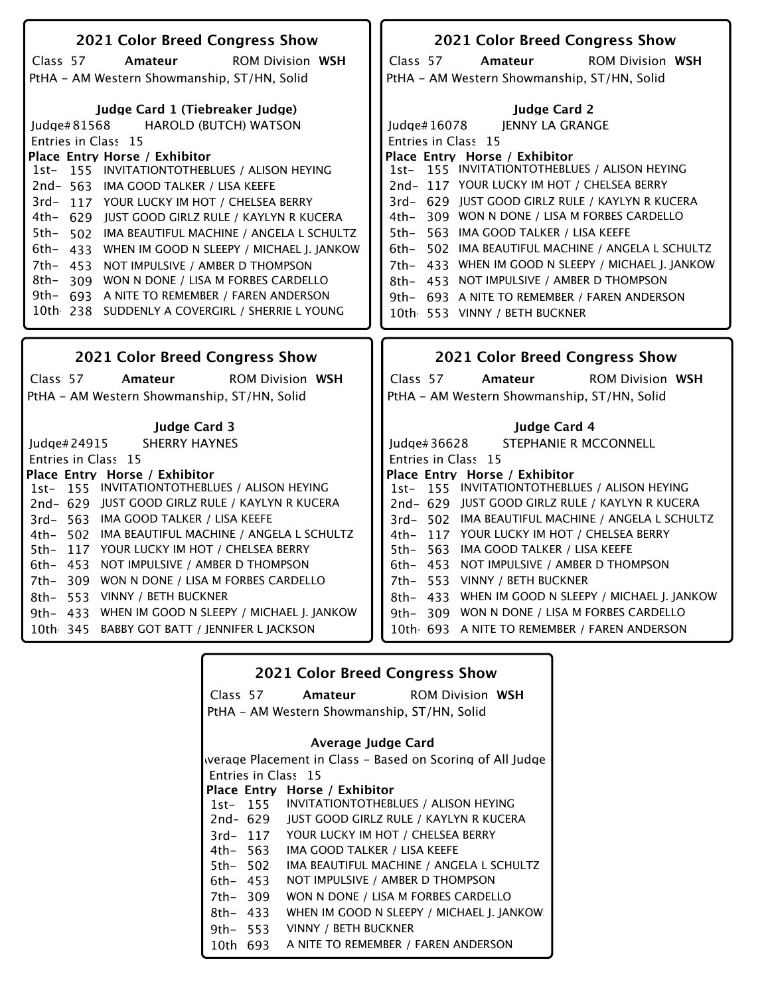| 2021 Color Breed Congress Show                                                                  | 2021 Color Breed Congress Show                                                                      |  |  |
|-------------------------------------------------------------------------------------------------|-----------------------------------------------------------------------------------------------------|--|--|
| Class 57<br>Amateur<br><b>ROM Division WSH</b>                                                  | Class 57<br>Amateur<br><b>ROM Division WSH</b>                                                      |  |  |
| PtHA - AM Western Showmanship, ST/HN, Solid                                                     | PtHA - AM Western Showmanship, ST/HN, Solid                                                         |  |  |
|                                                                                                 |                                                                                                     |  |  |
| Judge Card 1 (Tiebreaker Judge)                                                                 | <b>Judge Card 2</b>                                                                                 |  |  |
| Judge#81568 HAROLD (BUTCH) WATSON<br>Entries in Class 15                                        | <b>JENNY LA GRANGE</b><br>Judge#16078<br>Entries in Class 15                                        |  |  |
| Place Entry Horse / Exhibitor                                                                   | Place Entry Horse / Exhibitor                                                                       |  |  |
| 1st- 155 INVITATIONTOTHEBLUES / ALISON HEYING                                                   | 1st- 155 INVITATIONTOTHEBLUES / ALISON HEYING                                                       |  |  |
| 2nd-563 IMA GOOD TALKER / LISA KEEFE                                                            | 2nd-117 YOUR LUCKY IM HOT / CHELSEA BERRY                                                           |  |  |
| 3rd-117 YOUR LUCKY IM HOT / CHELSEA BERRY                                                       | 3rd- 629 JUST GOOD GIRLZ RULE / KAYLYN R KUCERA                                                     |  |  |
| 4th- 629 JUST GOOD GIRLZ RULE / KAYLYN R KUCERA                                                 | 4th- 309 WON N DONE / LISA M FORBES CARDELLO                                                        |  |  |
| 5th- 502 IMA BEAUTIFUL MACHINE / ANGELA L SCHULTZ                                               | 563 IMA GOOD TALKER / LISA KEEFE<br>5th-                                                            |  |  |
| 6th- 433 WHEN IM GOOD N SLEEPY / MICHAEL J. JANKOW                                              | 6th- 502 IMA BEAUTIFUL MACHINE / ANGELA L SCHULTZ                                                   |  |  |
| 7th- 453 NOT IMPULSIVE / AMBER D THOMPSON                                                       | 7th- 433 WHEN IM GOOD N SLEEPY / MICHAEL J. JANKOW                                                  |  |  |
| 8th- 309 WON N DONE / LISA M FORBES CARDELLO                                                    | 8th- 453 NOT IMPULSIVE / AMBER D THOMPSON                                                           |  |  |
| 9th- 693 A NITE TO REMEMBER / FAREN ANDERSON<br>10th 238 SUDDENLY A COVERGIRL / SHERRIE L YOUNG | 9th- 693 A NITE TO REMEMBER / FAREN ANDERSON                                                        |  |  |
|                                                                                                 | 10th 553 VINNY / BETH BUCKNER                                                                       |  |  |
|                                                                                                 |                                                                                                     |  |  |
|                                                                                                 |                                                                                                     |  |  |
| <b>2021 Color Breed Congress Show</b>                                                           | 2021 Color Breed Congress Show                                                                      |  |  |
| Class 57<br>Amateur<br><b>ROM Division WSH</b>                                                  | Class 57<br>Amateur<br><b>ROM Division WSH</b>                                                      |  |  |
| PtHA - AM Western Showmanship, ST/HN, Solid                                                     | PtHA - AM Western Showmanship, ST/HN, Solid                                                         |  |  |
|                                                                                                 |                                                                                                     |  |  |
| <b>Judge Card 3</b>                                                                             | <b>Judge Card 4</b>                                                                                 |  |  |
| <b>SHERRY HAYNES</b><br>Judge# 24915                                                            | STEPHANIE R MCCONNELL<br>Judge# 36628                                                               |  |  |
| Entries in Class 15                                                                             | Entries in Class 15                                                                                 |  |  |
| Place Entry Horse / Exhibitor                                                                   | Place Entry Horse / Exhibitor                                                                       |  |  |
| 1st- 155 INVITATIONTOTHEBLUES / ALISON HEYING                                                   | 1st- 155 INVITATIONTOTHEBLUES / ALISON HEYING                                                       |  |  |
| 2nd-629 JUST GOOD GIRLZ RULE / KAYLYN R KUCERA<br>3rd- 563 IMA GOOD TALKER / LISA KEEFE         | 2nd-629 JUST GOOD GIRLZ RULE / KAYLYN R KUCERA<br>3rd- 502 IMA BEAUTIFUL MACHINE / ANGELA L SCHULTZ |  |  |
| 4th- 502 IMA BEAUTIFUL MACHINE / ANGELA L SCHULTZ                                               | 4th- 117 YOUR LUCKY IM HOT / CHELSEA BERRY                                                          |  |  |
| 5th- 117 YOUR LUCKY IM HOT / CHELSEA BERRY                                                      | 5th- 563 IMA GOOD TALKER / LISA KEEFE                                                               |  |  |
| 6th- 453 NOT IMPULSIVE / AMBER D THOMPSON                                                       | 6th- 453 NOT IMPULSIVE / AMBER D THOMPSON                                                           |  |  |
| 7th- 309 WON N DONE / LISA M FORBES CARDELLO                                                    | 7th- 553 VINNY / BETH BUCKNER                                                                       |  |  |
| 8th- 553 VINNY / BETH BUCKNER                                                                   | 8th- 433 WHEN IM GOOD N SLEEPY / MICHAEL J. JANKOW                                                  |  |  |
| 9th- 433 WHEN IM GOOD N SLEEPY / MICHAEL J. JANKOW                                              | 9th-309 WON N DONE / LISA M FORBES CARDELLO                                                         |  |  |
| 10th 345 BABBY GOT BATT / JENNIFER L JACKSON                                                    | 10th 693 A NITE TO REMEMBER / FAREN ANDERSON                                                        |  |  |

|          |          | 2021 Color Breed Congress Show                |                                                           |
|----------|----------|-----------------------------------------------|-----------------------------------------------------------|
|          |          | Class 57 Amateur                              | <b>ROM Division WSH</b>                                   |
|          |          | PtHA - AM Western Showmanship, ST/HN, Solid   |                                                           |
|          |          | Average Judge Card                            |                                                           |
|          |          |                                               | werage Placement in Class – Based on Scoring of All Judge |
|          |          | Entries in Class 15                           |                                                           |
|          |          | Place Entry Horse / Exhibitor                 |                                                           |
|          |          | 1st- 155 INVITATIONTOTHEBLUES / ALISON HEYING |                                                           |
|          | 2nd- 629 |                                               | JUST GOOD GIRLZ RULE / KAYLYN R KUCERA                    |
|          |          | 3rd-117 YOUR LUCKY IM HOT / CHELSEA BERRY     |                                                           |
|          | 4th– 563 | IMA GOOD TALKER / LISA KEEFE                  |                                                           |
|          | 5th- 502 |                                               | IMA BEAUTIFUL MACHINE / ANGELA L SCHULTZ                  |
| 6th- 453 |          | NOT IMPULSIVE / AMBER D THOMPSON              |                                                           |
| 7th- 309 |          | WON N DONE / LISA M FORBES CARDELLO           |                                                           |
| 8th- 433 |          |                                               | WHEN IM GOOD N SLEEPY / MICHAEL J. JANKOW                 |
|          | 9th– 553 | VINNY / BETH BUCKNER                          |                                                           |
|          | 10th 693 | A NITE TO REMEMBER / FAREN ANDERSON           |                                                           |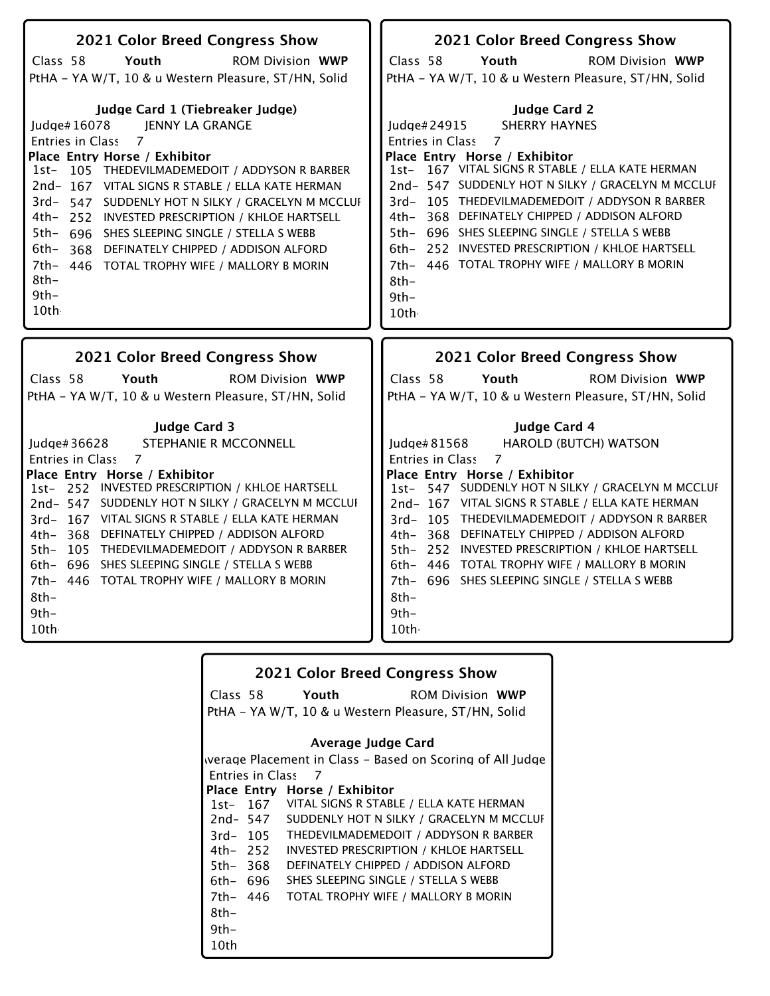| 2021 Color Breed Congress Show                                                                                                                                                                                                                                                                                                                                                                                                                                                                                                                            | 2021 Color Breed Congress Show                                                                                                                                                                                                                                                                                                                                                                                                                                                                                        |
|-----------------------------------------------------------------------------------------------------------------------------------------------------------------------------------------------------------------------------------------------------------------------------------------------------------------------------------------------------------------------------------------------------------------------------------------------------------------------------------------------------------------------------------------------------------|-----------------------------------------------------------------------------------------------------------------------------------------------------------------------------------------------------------------------------------------------------------------------------------------------------------------------------------------------------------------------------------------------------------------------------------------------------------------------------------------------------------------------|
| Class 58<br>Youth<br><b>ROM Division WWP</b>                                                                                                                                                                                                                                                                                                                                                                                                                                                                                                              | Class 58<br>Youth<br><b>ROM Division WWP</b>                                                                                                                                                                                                                                                                                                                                                                                                                                                                          |
| PtHA - YA W/T, 10 & u Western Pleasure, ST/HN, Solid                                                                                                                                                                                                                                                                                                                                                                                                                                                                                                      | PtHA - YA W/T, 10 & u Western Pleasure, ST/HN, Solid                                                                                                                                                                                                                                                                                                                                                                                                                                                                  |
| Judge Card 1 (Tiebreaker Judge)<br><b>JENNY LA GRANGE</b><br>ludge# $16078$<br>$\overline{7}$<br>Entries in Class<br>Place Entry Horse / Exhibitor<br>105 THEDEVILMADEMEDOIT / ADDYSON R BARBER<br>1st-<br>2nd-167 VITAL SIGNS R STABLE / ELLA KATE HERMAN<br>3rd- 547 SUDDENLY HOT N SILKY / GRACELYN M MCCLUI<br>4th- 252 INVESTED PRESCRIPTION / KHLOE HARTSELL<br>5th-<br>696 SHES SLEEPING SINGLE / STELLA S WEBB<br>6th–<br>368 DEFINATELY CHIPPED / ADDISON ALFORD<br>7th-<br>446 TOTAL TROPHY WIFE / MALLORY B MORIN<br>$8th-$<br>$9th -$<br>10th | <b>Judge Card 2</b><br><b>SHERRY HAYNES</b><br>Judge#24915<br>7<br><b>Entries in Class</b><br>Place Entry Horse / Exhibitor<br>1st- 167 VITAL SIGNS R STABLE / ELLA KATE HERMAN<br>2nd- 547 SUDDENLY HOT N SILKY / GRACELYN M MCCLUI<br>3rd-105 THEDEVILMADEMEDOIT / ADDYSON R BARBER<br>4th- 368 DEFINATELY CHIPPED / ADDISON ALFORD<br>5th- 696 SHES SLEEPING SINGLE / STELLA S WEBB<br>6th- 252 INVESTED PRESCRIPTION / KHLOE HARTSELL<br>7th- 446 TOTAL TROPHY WIFE / MALLORY B MORIN<br>$8th-$<br>$9th-$<br>10th |
|                                                                                                                                                                                                                                                                                                                                                                                                                                                                                                                                                           | <b>2021 Color Breed Congress Show</b>                                                                                                                                                                                                                                                                                                                                                                                                                                                                                 |
|                                                                                                                                                                                                                                                                                                                                                                                                                                                                                                                                                           |                                                                                                                                                                                                                                                                                                                                                                                                                                                                                                                       |
| <b>2021 Color Breed Congress Show</b><br>Class 58<br>Youth<br><b>ROM Division WWP</b>                                                                                                                                                                                                                                                                                                                                                                                                                                                                     | Class 58<br>Youth<br><b>ROM Division WWP</b>                                                                                                                                                                                                                                                                                                                                                                                                                                                                          |
| PtHA - YA W/T, 10 & u Western Pleasure, ST/HN, Solid                                                                                                                                                                                                                                                                                                                                                                                                                                                                                                      | PtHA - YA W/T, 10 & u Western Pleasure, ST/HN, Solid                                                                                                                                                                                                                                                                                                                                                                                                                                                                  |

|          |                         | <b>2021 Color Breed Congress Show</b>                     |
|----------|-------------------------|-----------------------------------------------------------|
|          |                         | Class 58 Youth<br><b>ROM Division WWP</b>                 |
|          |                         | PtHA – YA W/T, 10 & u Western Pleasure, ST/HN, Solid      |
|          |                         |                                                           |
|          |                         | Average Judge Card                                        |
|          |                         | werage Placement in Class - Based on Scoring of All Judge |
|          | <b>Entries in Class</b> | - 7                                                       |
|          |                         | Place Entry Horse / Exhibitor                             |
|          |                         | 1st- 167 VITAL SIGNS R STABLE / ELLA KATE HERMAN          |
|          | 2nd- 547                | SUDDENLY HOT N SILKY / GRACELYN M MCCLUI                  |
|          | $3rd - 105$             | THEDEVILMADEMEDOIT / ADDYSON R BARBER                     |
|          | 4th– 252                | INVESTED PRESCRIPTION / KHLOE HARTSELL                    |
| 5th- 368 |                         | DEFINATELY CHIPPED / ADDISON ALFORD                       |
|          | 6th– 696                | SHES SLEEPING SINGLE / STELLA S WEBB                      |
|          | 7th- 446                | TOTAL TROPHY WIFE / MALLORY B MORIN                       |
| 8th-     |                         |                                                           |
| $9th-$   |                         |                                                           |
| 10th     |                         |                                                           |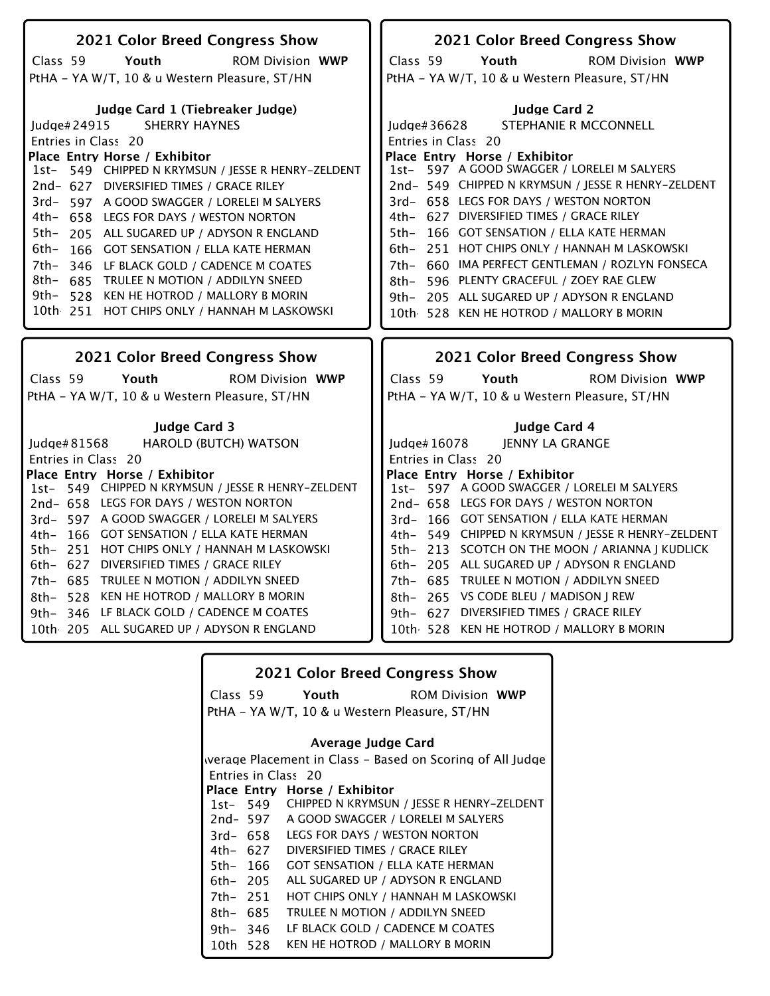| 2021 Color Breed Congress Show                                                           | 2021 Color Breed Congress Show                     |
|------------------------------------------------------------------------------------------|----------------------------------------------------|
| Class 59<br>Youth<br><b>ROM Division WWP</b>                                             | Youth<br><b>ROM Division WWP</b><br>Class 59       |
| PtHA - YA W/T, 10 & u Western Pleasure, ST/HN                                            | PtHA - YA W/T, 10 & u Western Pleasure, ST/HN      |
| Judge Card 1 (Tiebreaker Judge)                                                          | <b>Judge Card 2</b>                                |
| SHERRY HAYNES<br>Judge#24915                                                             | STEPHANIE R MCCONNELL<br>Judge#36628               |
| Entries in Class 20                                                                      | Entries in Class 20                                |
| Place Entry Horse / Exhibitor                                                            | Place Entry Horse / Exhibitor                      |
| 1st- 549 CHIPPED N KRYMSUN / JESSE R HENRY-ZELDENT                                       | 1st- 597 A GOOD SWAGGER / LORELEI M SALYERS        |
| 2nd- 627 DIVERSIFIED TIMES / GRACE RILEY                                                 | 2nd- 549 CHIPPED N KRYMSUN / JESSE R HENRY-ZELDENT |
| 3rd-597 A GOOD SWAGGER / LORELEI M SALYERS                                               | 3rd- 658 LEGS FOR DAYS / WESTON NORTON             |
| 4th- 658 LEGS FOR DAYS / WESTON NORTON                                                   | 4th- 627 DIVERSIFIED TIMES / GRACE RILEY           |
| 5th- 205 ALL SUGARED UP / ADYSON R ENGLAND                                               | 5th- 166 GOT SENSATION / ELLA KATE HERMAN          |
| 6th- 166 GOT SENSATION / ELLA KATE HERMAN                                                | 6th- 251 HOT CHIPS ONLY / HANNAH M LASKOWSKI       |
| 7th-346 LF BLACK GOLD / CADENCE M COATES                                                 | 7th- 660 IMA PERFECT GENTLEMAN / ROZLYN FONSECA    |
| 8th- 685 TRULEE N MOTION / ADDILYN SNEED                                                 | 8th- 596 PLENTY GRACEFUL / ZOEY RAE GLEW           |
| 9th- 528 KEN HE HOTROD / MALLORY B MORIN                                                 | 9th- 205 ALL SUGARED UP / ADYSON R ENGLAND         |
| 10th 251 HOT CHIPS ONLY / HANNAH M LASKOWSKI                                             | 10th 528 KEN HE HOTROD / MALLORY B MORIN           |
|                                                                                          |                                                    |
|                                                                                          |                                                    |
|                                                                                          |                                                    |
| 2021 Color Breed Congress Show                                                           | 2021 Color Breed Congress Show                     |
| Class 59<br>Youth<br><b>ROM Division WWP</b>                                             | Class 59<br>Youth<br><b>ROM Division WWP</b>       |
| PtHA - YA W/T, 10 & u Western Pleasure, ST/HN                                            | PtHA - YA W/T, 10 & u Western Pleasure, ST/HN      |
|                                                                                          |                                                    |
| <b>Judge Card 3</b>                                                                      | Judge Card 4                                       |
| HAROLD (BUTCH) WATSON<br>Judge# 81568                                                    | JENNY LA GRANGE<br>Judge# 16078                    |
| Entries in Class 20                                                                      | Entries in Class 20                                |
| Place Entry Horse / Exhibitor                                                            | Place Entry Horse / Exhibitor                      |
| 1st- 549 CHIPPED N KRYMSUN / JESSE R HENRY-ZELDENT                                       | 1st- 597 A GOOD SWAGGER / LORELEI M SALYERS        |
| 2nd- 658 LEGS FOR DAYS / WESTON NORTON                                                   | 2nd- 658 LEGS FOR DAYS / WESTON NORTON             |
| 3rd- 597 A GOOD SWAGGER / LORELEI M SALYERS                                              | 3rd- 166 GOT SENSATION / ELLA KATE HERMAN          |
| 4th- 166 GOT SENSATION / ELLA KATE HERMAN                                                | 4th- 549 CHIPPED N KRYMSUN / JESSE R HENRY-ZELDENT |
| 5th- 251 HOT CHIPS ONLY / HANNAH M LASKOWSKI<br>6th- 627 DIVERSIFIED TIMES / GRACE RILEY | 5th- 213 SCOTCH ON THE MOON / ARIANNA J KUDLICK    |
| TRULEE N MOTION / ADDILYN SNEED                                                          | 6th- 205 ALL SUGARED UP / ADYSON R ENGLAND         |
| 7th- 685                                                                                 | 7th- 685 TRULEE N MOTION / ADDILYN SNEED           |
| 8th- 528 KEN HE HOTROD / MALLORY B MORIN                                                 | 8th- 265 VS CODE BLEU / MADISON J REW              |
| 9th- 346 LF BLACK GOLD / CADENCE M COATES                                                | 9th- 627 DIVERSIFIED TIMES / GRACE RILEY           |
| 10th 205 ALL SUGARED UP / ADYSON R ENGLAND                                               | 10th 528 KEN HE HOTROD / MALLORY B MORIN           |

| <b>2021 Color Breed Congress Show</b> |          |                                               |                                                           |
|---------------------------------------|----------|-----------------------------------------------|-----------------------------------------------------------|
|                                       | Class 59 | Youth                                         | <b>ROM Division WWP</b>                                   |
|                                       |          | PtHA - YA W/T, 10 & u Western Pleasure, ST/HN |                                                           |
|                                       |          |                                               |                                                           |
|                                       |          | Average Judge Card                            |                                                           |
|                                       |          |                                               | werage Placement in Class – Based on Scoring of All Judge |
|                                       |          | Entries in Class 20                           |                                                           |
|                                       |          | Place Entry Horse / Exhibitor                 |                                                           |
|                                       |          |                                               | 1st- 549 CHIPPED N KRYMSUN / JESSE R HENRY-ZELDENT        |
|                                       |          | 2nd-597 A GOOD SWAGGER / LORELEI M SALYERS    |                                                           |
|                                       | 3rd- 658 | LEGS FOR DAYS / WESTON NORTON                 |                                                           |
|                                       | 4th– 627 | DIVERSIFIED TIMES / GRACE RILEY               |                                                           |
|                                       | 5th- 166 | <b>GOT SENSATION / ELLA KATE HERMAN</b>       |                                                           |
|                                       | 6th– 205 | ALL SUGARED UP / ADYSON R ENGLAND             |                                                           |
|                                       | 7th- 251 | HOT CHIPS ONLY / HANNAH M LASKOWSKI           |                                                           |
|                                       | 8th- 685 | TRULEE N MOTION / ADDILYN SNEED               |                                                           |
|                                       | 9th-346  | LF BLACK GOLD / CADENCE M COATES              |                                                           |
| 10th 528                              |          | KEN HE HOTROD / MALLORY B MORIN               |                                                           |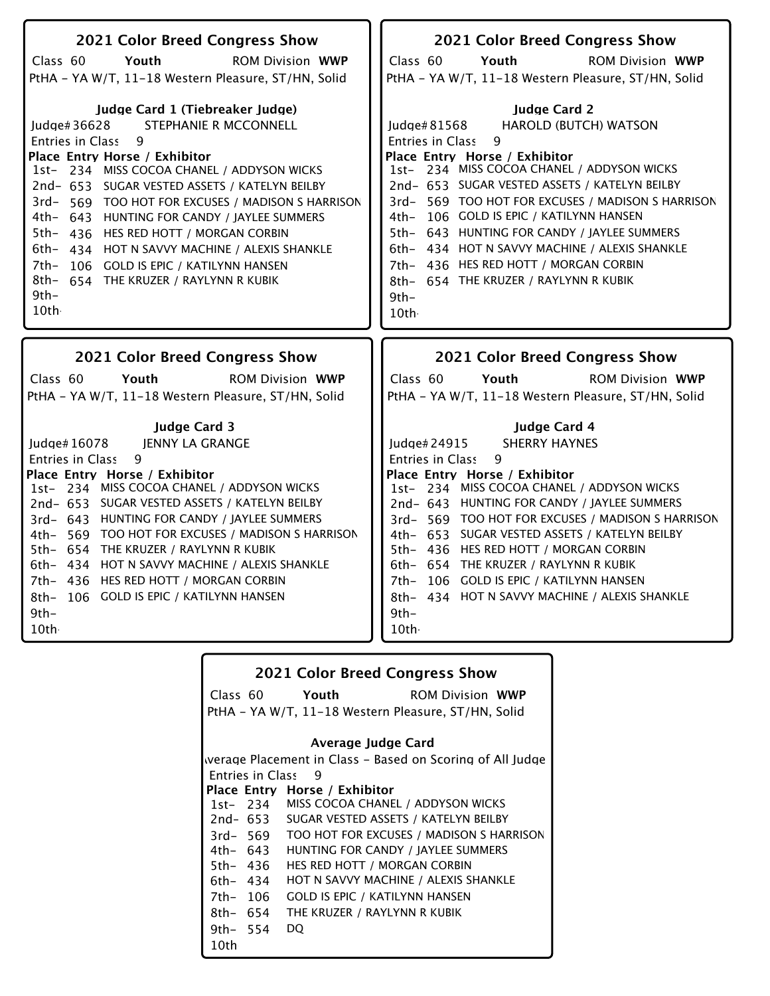| 2021 Color Breed Congress Show                                                                                                                                                                                                                                                                                                                                                                                                                                                                                                                    | 2021 Color Breed Congress Show                                                                                                                                                                                                                                                                                                                                                                                                                                                                                                   |
|---------------------------------------------------------------------------------------------------------------------------------------------------------------------------------------------------------------------------------------------------------------------------------------------------------------------------------------------------------------------------------------------------------------------------------------------------------------------------------------------------------------------------------------------------|----------------------------------------------------------------------------------------------------------------------------------------------------------------------------------------------------------------------------------------------------------------------------------------------------------------------------------------------------------------------------------------------------------------------------------------------------------------------------------------------------------------------------------|
| Class <sub>60</sub><br>Youth<br><b>ROM Division WWP</b>                                                                                                                                                                                                                                                                                                                                                                                                                                                                                           | Class <sub>60</sub><br>Youth<br><b>ROM Division WWP</b>                                                                                                                                                                                                                                                                                                                                                                                                                                                                          |
| PtHA - YA W/T, 11-18 Western Pleasure, ST/HN, Solid                                                                                                                                                                                                                                                                                                                                                                                                                                                                                               | PtHA - YA W/T, 11-18 Western Pleasure, ST/HN, Solid                                                                                                                                                                                                                                                                                                                                                                                                                                                                              |
| Judge Card 1 (Tiebreaker Judge)<br>STEPHANIE R MCCONNELL<br>Judge#36628<br><b>Entries in Class</b><br>9<br>Place Entry Horse / Exhibitor<br>1st- 234 MISS COCOA CHANEL / ADDYSON WICKS<br>2nd- 653 SUGAR VESTED ASSETS / KATELYN BEILBY<br>3rd- 569 TOO HOT FOR EXCUSES / MADISON S HARRISON<br>4th- 643 HUNTING FOR CANDY / JAYLEE SUMMERS<br>5th-<br>436 HES RED HOTT / MORGAN CORBIN<br>6th- 434 HOT N SAVVY MACHINE / ALEXIS SHANKLE<br>7th-<br>106 GOLD IS EPIC / KATILYNN HANSEN<br>8th- 654 THE KRUZER / RAYLYNN R KUBIK<br>$9th-$<br>10th | <b>Judge Card 2</b><br><b>HAROLD (BUTCH) WATSON</b><br>Judge#81568<br>9<br>Entries in Class<br>Place Entry Horse / Exhibitor<br>1st- 234 MISS COCOA CHANEL / ADDYSON WICKS<br>2nd- 653 SUGAR VESTED ASSETS / KATELYN BEILBY<br>3rd- 569 TOO HOT FOR EXCUSES / MADISON S HARRISON<br>4th- 106 GOLD IS EPIC / KATILYNN HANSEN<br>5th- 643 HUNTING FOR CANDY / JAYLEE SUMMERS<br>6th- 434 HOT N SAVVY MACHINE / ALEXIS SHANKLE<br>7th- 436 HES RED HOTT / MORGAN CORBIN<br>8th- 654 THE KRUZER / RAYLYNN R KUBIK<br>$9th -$<br>10th |
| <b>2021 Color Breed Congress Show</b>                                                                                                                                                                                                                                                                                                                                                                                                                                                                                                             | 2021 Color Breed Congress Show                                                                                                                                                                                                                                                                                                                                                                                                                                                                                                   |
| Class 60<br>Youth<br><b>ROM Division WWP</b>                                                                                                                                                                                                                                                                                                                                                                                                                                                                                                      | Class 60<br>Youth<br><b>ROM Division WWP</b>                                                                                                                                                                                                                                                                                                                                                                                                                                                                                     |
| PtHA - YA W/T, 11-18 Western Pleasure, ST/HN, Solid                                                                                                                                                                                                                                                                                                                                                                                                                                                                                               | PtHA - YA W/T, 11-18 Western Pleasure, ST/HN, Solid                                                                                                                                                                                                                                                                                                                                                                                                                                                                              |
| <b>Judge Card 3</b><br>JENNY LA GRANGE<br>Judge $#16078$<br>9<br><b>Entries in Class</b><br>Place Entry Horse / Exhibitor<br>1st-234 MISS COCOA CHANEL / ADDYSON WICKS<br>2nd- 653 SUGAR VESTED ASSETS / KATELYN BEILBY<br>3rd- 643 HUNTING FOR CANDY / JAYLEE SUMMERS<br>4th- 569 TOO HOT FOR EXCUSES / MADISON S HARRISON<br>5th- 654 THE KRUZER / RAYLYNN R KUBIK<br>6th- 434 HOT N SAVVY MACHINE / ALEXIS SHANKLE<br>7th- 436 HES RED HOTT / MORGAN CORBIN<br>106 GOLD IS EPIC / KATILYNN HANSEN<br>8th–<br>$9th -$<br>10th                   | <b>Judge Card 4</b><br>Judge#24915<br><b>SHERRY HAYNES</b><br>Entries in Class<br>9<br>Place Entry Horse / Exhibitor<br>1st- 234 MISS COCOA CHANEL / ADDYSON WICKS<br>2nd- 643 HUNTING FOR CANDY / JAYLEE SUMMERS<br>3rd- 569 TOO HOT FOR EXCUSES / MADISON S HARRISON<br>4th- 653 SUGAR VESTED ASSETS / KATELYN BEILBY<br>5th- 436 HES RED HOTT / MORGAN CORBIN<br>6th- 654 THE KRUZER / RAYLYNN R KUBIK<br>7th- 106 GOLD IS EPIC / KATILYNN HANSEN<br>8th- 434 HOT N SAVVY MACHINE / ALEXIS SHANKLE<br>$9th-$<br>10th          |

| <b>2021 Color Breed Congress Show</b> |                         |                                                     |                                                           |
|---------------------------------------|-------------------------|-----------------------------------------------------|-----------------------------------------------------------|
|                                       |                         | Class 60 Youth                                      | <b>ROM Division WWP</b>                                   |
|                                       |                         | PtHA - YA W/T, 11-18 Western Pleasure, ST/HN, Solid |                                                           |
|                                       |                         |                                                     |                                                           |
|                                       |                         | Average Judge Card                                  |                                                           |
|                                       |                         |                                                     | werage Placement in Class – Based on Scoring of All Judge |
|                                       | <b>Entries in Class</b> | - 9                                                 |                                                           |
|                                       |                         | Place Entry Horse / Exhibitor                       |                                                           |
|                                       |                         | 1st- 234 MISS COCOA CHANEL / ADDYSON WICKS          |                                                           |
|                                       |                         | 2nd- 653 SUGAR VESTED ASSETS / KATELYN BEILBY       |                                                           |
|                                       | $3rd - 569$             |                                                     | TOO HOT FOR EXCUSES / MADISON S HARRISON                  |
|                                       | 4th– 643                | HUNTING FOR CANDY / JAYLEE SUMMERS                  |                                                           |
|                                       | 5th– 436                | HES RED HOTT / MORGAN CORBIN                        |                                                           |
| 6th- 434                              |                         | HOT N SAVVY MACHINE / ALEXIS SHANKLE                |                                                           |
| 7th- 106                              |                         | <b>GOLD IS EPIC / KATILYNN HANSEN</b>               |                                                           |
| 8th- 654                              |                         | THE KRUZER / RAYLYNN R KUBIK                        |                                                           |
| 9th- $554$                            |                         | DO                                                  |                                                           |
| 10th                                  |                         |                                                     |                                                           |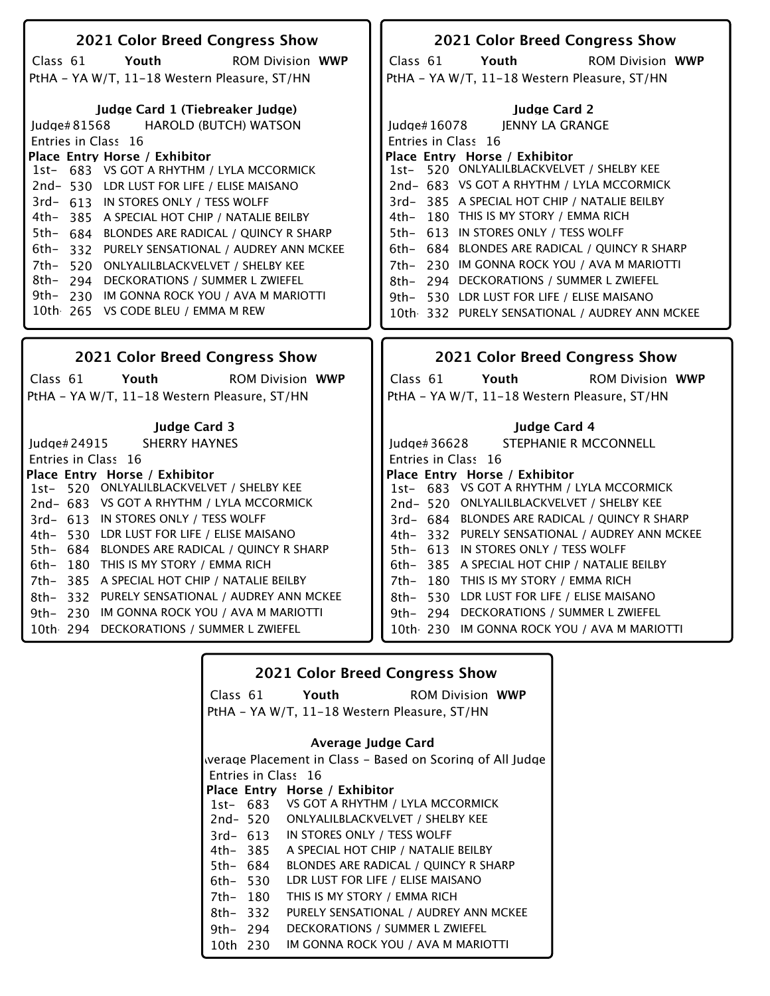| 2021 Color Breed Congress Show                    | 2021 Color Breed Congress Show                 |
|---------------------------------------------------|------------------------------------------------|
| Class 61<br>Youth<br><b>ROM Division WWP</b>      | Class 61<br>Youth<br><b>ROM Division WWP</b>   |
| PtHA - YA W/T, 11-18 Western Pleasure, ST/HN      | PtHA - YA W/T, 11-18 Western Pleasure, ST/HN   |
|                                                   |                                                |
| Judge Card 1 (Tiebreaker Judge)                   | <b>Judge Card 2</b>                            |
| <b>HAROLD (BUTCH) WATSON</b><br>ludge#81568       | <b>JENNY LA GRANGE</b><br>Judge# 16078         |
| Entries in Class 16                               | Entries in Class 16                            |
| Place Entry Horse / Exhibitor                     | Place Entry Horse / Exhibitor                  |
| 1st- 683 VS GOT A RHYTHM / LYLA MCCORMICK         | 1st- 520 ONLYALILBLACKVELVET / SHELBY KEE      |
| 2nd-530 LDR LUST FOR LIFE / ELISE MAISANO         | 2nd- 683 VS GOT A RHYTHM / LYLA MCCORMICK      |
| 3rd- 613 IN STORES ONLY / TESS WOLFF              | 3rd-385 A SPECIAL HOT CHIP / NATALIE BEILBY    |
| 4th-<br>385 A SPECIAL HOT CHIP / NATALIE BEILBY   | 4th- 180 THIS IS MY STORY / EMMA RICH          |
| 5th-<br>684 BLONDES ARE RADICAL / QUINCY R SHARP  | 5th- 613 IN STORES ONLY / TESS WOLFF           |
| 6th-<br>332 PURELY SENSATIONAL / AUDREY ANN MCKEE | 6th- 684 BLONDES ARE RADICAL / QUINCY R SHARP  |
| 7th-<br>520 ONLYALILBLACKVELVET / SHELBY KEE      | 7th- 230 IM GONNA ROCK YOU / AVA M MARIOTTI    |
| 8th- 294 DECKORATIONS / SUMMER L ZWIEFEL          | 8th- 294 DECKORATIONS / SUMMER L ZWIEFEL       |
| 9th- 230 IM GONNA ROCK YOU / AVA M MARIOTTI       | 9th- 530 LDR LUST FOR LIFE / ELISE MAISANO     |
| 10th 265 VS CODE BLEU / EMMA M REW                |                                                |
|                                                   | 10th 332 PURELY SENSATIONAL / AUDREY ANN MCKEE |
|                                                   |                                                |
|                                                   |                                                |
| 2021 Color Breed Congress Show                    | 2021 Color Breed Congress Show                 |
| Class 61<br>Youth<br><b>ROM Division WWP</b>      | Class 61<br>Youth<br><b>ROM Division WWP</b>   |
|                                                   |                                                |
| PtHA - YA W/T, 11-18 Western Pleasure, ST/HN      | PtHA - YA W/T, 11-18 Western Pleasure, ST/HN   |
| <b>Judge Card 3</b>                               | Judge Card 4                                   |
| <b>SHERRY HAYNES</b><br>Judge# 24915              | STEPHANIE R MCCONNELL<br>Judge# 36628          |
| Entries in Class 16                               | Entries in Class 16                            |
| Place Entry Horse / Exhibitor                     | Place Entry Horse / Exhibitor                  |
| 520 ONLYALILBLACKVELVET / SHELBY KEE<br>$1st-$    | 1st- 683 VS GOT A RHYTHM / LYLA MCCORMICK      |
| 2nd-683 VS GOT A RHYTHM / LYLA MCCORMICK          | 2nd-520 ONLYALILBLACKVELVET / SHELBY KEE       |
| 3rd- 613 IN STORES ONLY / TESS WOLFF              | 3rd- 684 BLONDES ARE RADICAL / QUINCY R SHARP  |
| 4th- 530 LDR LUST FOR LIFE / ELISE MAISANO        | 4th- 332 PURELY SENSATIONAL / AUDREY ANN MCKEE |
| 5th- 684 BLONDES ARE RADICAL / QUINCY R SHARP     | 5th- 613 IN STORES ONLY / TESS WOLFF           |
| 6th- 180 THIS IS MY STORY / EMMA RICH             | 6th-385 A SPECIAL HOT CHIP / NATALIE BEILBY    |
| 7th- 385 A SPECIAL HOT CHIP / NATALIE BEILBY      | 7th- 180 THIS IS MY STORY / EMMA RICH          |
| 8th- 332 PURELY SENSATIONAL / AUDREY ANN MCKEE    | 530 LDR LUST FOR LIFE / ELISE MAISANO<br>8th–  |
| IM GONNA ROCK YOU / AVA M MARIOTTI<br>9th- $230$  | 9th- 294 DECKORATIONS / SUMMER L ZWIEFEL       |
| 10th 294 DECKORATIONS / SUMMER L ZWIEFEL          | 10th 230 IM GONNA ROCK YOU / AVA M MARIOTTI    |

|                    |          | <b>2021 Color Breed Congress Show</b>        |                                                           |
|--------------------|----------|----------------------------------------------|-----------------------------------------------------------|
|                    |          | Class 61 Youth                               | <b>ROM Division WWP</b>                                   |
|                    |          | PtHA - YA W/T, 11-18 Western Pleasure, ST/HN |                                                           |
| Average Judge Card |          |                                              |                                                           |
|                    |          |                                              | werage Placement in Class – Based on Scoring of All Judge |
|                    |          | Entries in Class 16                          |                                                           |
|                    |          | Place Entry Horse / Exhibitor                |                                                           |
|                    |          | 1st- 683 VS GOT A RHYTHM / LYLA MCCORMICK    |                                                           |
|                    | 2nd- 520 | ONLYALILBLACKVELVET / SHELBY KEE             |                                                           |
|                    | 3rd- 613 | IN STORES ONLY / TESS WOLFF                  |                                                           |
|                    | 4th- 385 | A SPECIAL HOT CHIP / NATALIE BEILBY          |                                                           |
| 5th- 684           |          | <b>BLONDES ARE RADICAL / QUINCY R SHARP</b>  |                                                           |
| 6th- 530           |          | LDR LUST FOR LIFE / ELISE MAISANO            |                                                           |
| 7th- 180           |          | THIS IS MY STORY / EMMA RICH                 |                                                           |
| 8th-332            |          |                                              | PURELY SENSATIONAL / AUDREY ANN MCKEE                     |
| 9th- 294           |          | DECKORATIONS / SUMMER L ZWIEFEL              |                                                           |
| 10th 230           |          | IM GONNA ROCK YOU / AVA M MARIOTTI           |                                                           |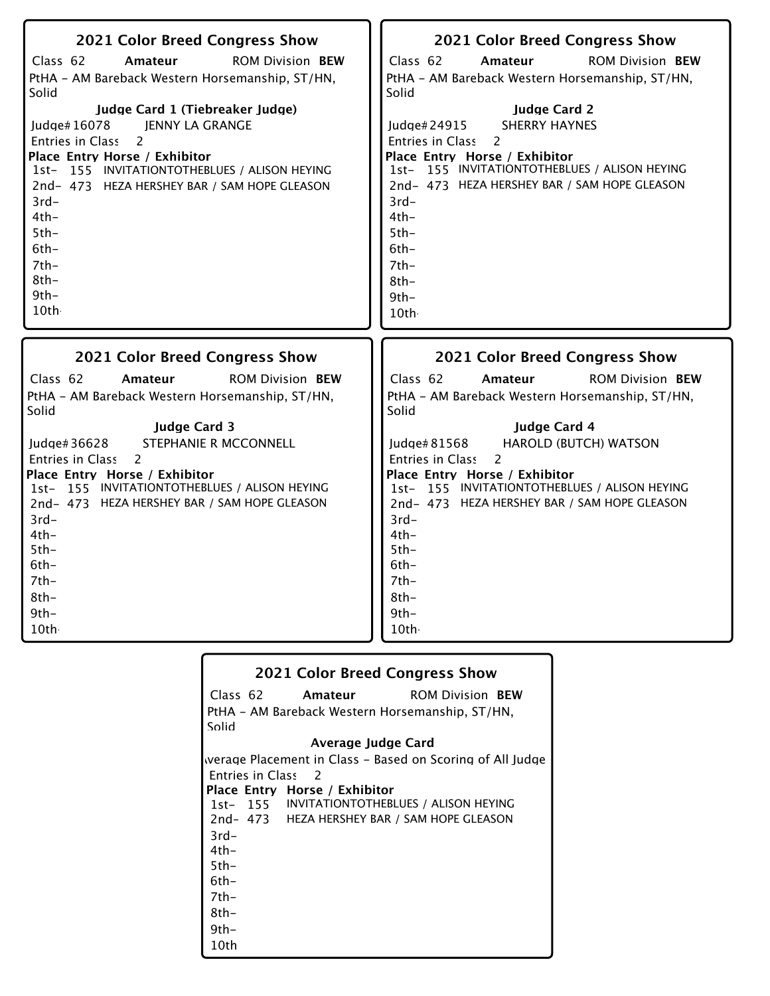| 2021 Color Breed Congress Show                  | 2021 Color Breed Congress Show                  |
|-------------------------------------------------|-------------------------------------------------|
| Class 62                                        | Class 62                                        |
| Amateur                                         | Amateur                                         |
| <b>ROM Division BEW</b>                         | <b>ROM Division BEW</b>                         |
| PtHA - AM Bareback Western Horsemanship, ST/HN, | PtHA - AM Bareback Western Horsemanship, ST/HN, |
| Solid                                           | Solid                                           |
| Judge Card 1 (Tiebreaker Judge)                 | <b>Judge Card 2</b>                             |
| <b>JENNY LA GRANGE</b>                          | <b>SHERRY HAYNES</b>                            |
| Judge#16078                                     | Judge#24915                                     |
| 2                                               | $\overline{c}$                                  |
| Entries in Class                                | Entries in Class                                |
| Place Entry Horse / Exhibitor                   | Place Entry Horse / Exhibitor                   |
| 1st- 155 INVITATIONTOTHEBLUES / ALISON HEYING   | 1st- 155 INVITATIONTOTHEBLUES / ALISON HEYING   |
| 2nd-473 HEZA HERSHEY BAR / SAM HOPE GLEASON     | 2nd- 473 HEZA HERSHEY BAR / SAM HOPE GLEASON    |
| $3rd-$                                          | $3rd-$                                          |
| $4th-$                                          | $4th-$                                          |
| $5th-$                                          | $5th-$                                          |
| $6th -$                                         | $6th -$                                         |
| $7th-$                                          | $7th-$                                          |
| $8th-$                                          | $8th-$                                          |
| $9th-$                                          | $9th-$                                          |
| 10th                                            | 10th                                            |
| 2021 Color Breed Congress Show                  | 2021 Color Breed Congress Show                  |
| Class 62                                        | Class 62                                        |
| <b>ROM Division BEW</b>                         | <b>ROM Division BEW</b>                         |
| Amateur                                         | Amateur                                         |
| PtHA - AM Bareback Western Horsemanship, ST/HN, | PtHA - AM Bareback Western Horsemanship, ST/HN, |
| Solid                                           | Solid                                           |
| <b>Judge Card 3</b>                             | Judge Card 4                                    |
| STEPHANIE R MCCONNELL                           | <b>HAROLD (BUTCH) WATSON</b>                    |
| Judge# 36628                                    | Judge#81568                                     |
| 2                                               | Entries in Class                                |
| <b>Entries in Class</b>                         | 2                                               |
| Place Entry Horse / Exhibitor                   | Place Entry Horse / Exhibitor                   |
| 1st- 155 INVITATIONTOTHEBLUES / ALISON HEYING   | 1st- 155 INVITATIONTOTHEBLUES / ALISON HEYING   |
| 2nd- 473 HEZA HERSHEY BAR / SAM HOPE GLEASON    | 2nd- 473 HEZA HERSHEY BAR / SAM HOPE GLEASON    |
| $3rd-$                                          | $3rd-$                                          |
| $4th-$                                          | $4th-$                                          |
| $5th-$                                          | $5th-$                                          |
| $6th -$                                         | $6th-$                                          |
| $7th-$                                          | $7th-$                                          |
| $8th-$                                          | $8th-$                                          |
| $9th -$                                         | $9th-$                                          |
| 10th                                            | 10th                                            |

|        |                               | <b>2021 Color Breed Congress Show</b>                     |
|--------|-------------------------------|-----------------------------------------------------------|
|        | Class 62 Amateur              | <b>ROM Division BEW</b>                                   |
|        |                               | PtHA - AM Bareback Western Horsemanship, ST/HN,           |
| Solid  |                               |                                                           |
|        | Average Judge Card            |                                                           |
|        |                               | werage Placement in Class – Based on Scoring of All Judge |
|        | Entries in Class 2            |                                                           |
|        | Place Entry Horse / Exhibitor |                                                           |
|        |                               | 1st- 155 INVITATIONTOTHEBLUES / ALISON HEYING             |
|        |                               | 2nd- 473 HEZA HERSHEY BAR / SAM HOPE GLEASON              |
| $3rd-$ |                               |                                                           |
| 4th-   |                               |                                                           |
| $5th-$ |                               |                                                           |
| 6th-   |                               |                                                           |
| 7th-   |                               |                                                           |
| 8th-   |                               |                                                           |
| $9th-$ |                               |                                                           |
| 10th   |                               |                                                           |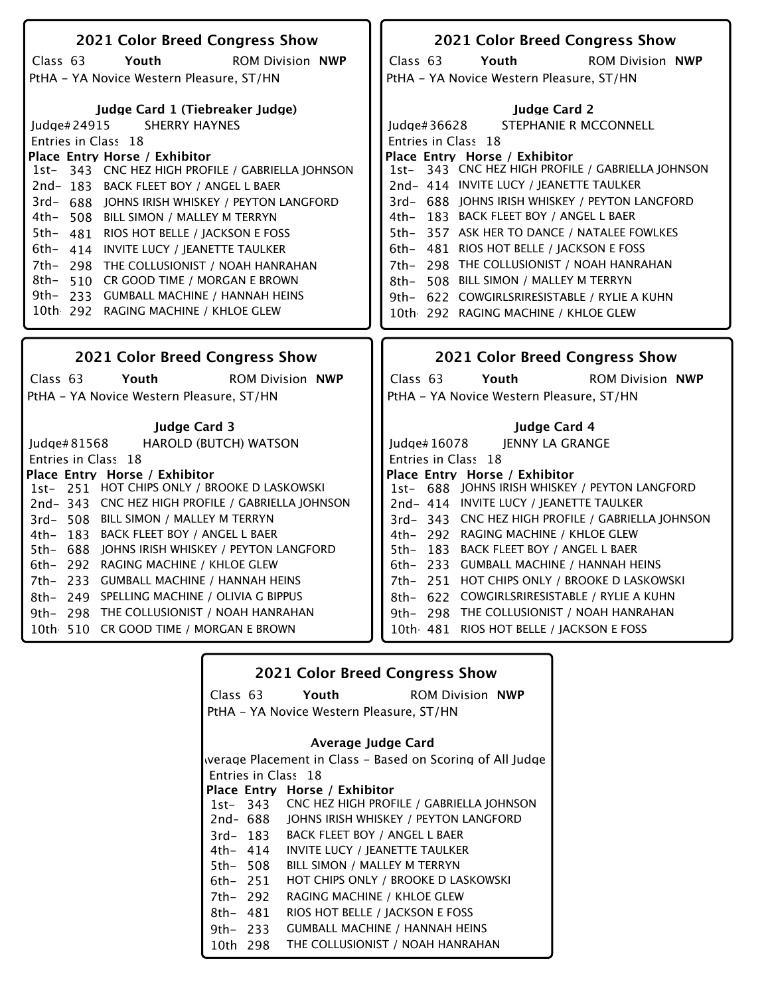| <b>2021 Color Breed Congress Show</b>             | 2021 Color Breed Congress Show                    |
|---------------------------------------------------|---------------------------------------------------|
| Class 63<br>Youth<br><b>ROM Division NWP</b>      | Class 63<br>Youth<br><b>ROM Division NWP</b>      |
| PtHA - YA Novice Western Pleasure, ST/HN          | PtHA - YA Novice Western Pleasure, ST/HN          |
|                                                   |                                                   |
| Judge Card 1 (Tiebreaker Judge)                   | <b>Judge Card 2</b>                               |
| <b>SHERRY HAYNES</b><br>Judge#24915               | STEPHANIE R MCCONNELL<br>Judge#36628              |
| Entries in Class 18                               | Entries in Class 18                               |
| Place Entry Horse / Exhibitor                     | Place Entry Horse / Exhibitor                     |
| 1st- 343 CNC HEZ HIGH PROFILE / GABRIELLA JOHNSON | 1st- 343 CNC HEZ HIGH PROFILE / GABRIELLA JOHNSON |
| 2nd-183 BACK FLEET BOY / ANGEL L BAER             | 2nd- 414 INVITE LUCY / JEANETTE TAULKER           |
| 3rd- 688 JOHNS IRISH WHISKEY / PEYTON LANGFORD    | 3rd- 688 JOHNS IRISH WHISKEY / PEYTON LANGFORD    |
| 4th- 508 BILL SIMON / MALLEY M TERRYN             | 4th- 183 BACK FLEET BOY / ANGEL L BAER            |
| 5th-481 RIOS HOT BELLE / JACKSON E FOSS           | 5th- 357 ASK HER TO DANCE / NATALEE FOWLKES       |
| 6th- 414 INVITE LUCY / JEANETTE TAULKER           | 6th- 481 RIOS HOT BELLE / JACKSON E FOSS          |
| 7th- 298 THE COLLUSIONIST / NOAH HANRAHAN         | 7th- 298 THE COLLUSIONIST / NOAH HANRAHAN         |
| 8th- 510 CR GOOD TIME / MORGAN E BROWN            | 508 BILL SIMON / MALLEY M TERRYN<br>8th–          |
| 9th- 233 GUMBALL MACHINE / HANNAH HEINS           | 9th- 622 COWGIRLSRIRESISTABLE / RYLIE A KUHN      |
| 10th 292 RAGING MACHINE / KHLOE GLEW              | 10th 292 RAGING MACHINE / KHLOE GLEW              |
|                                                   |                                                   |
|                                                   |                                                   |
|                                                   |                                                   |
| 2021 Color Breed Congress Show                    | 2021 Color Breed Congress Show                    |
|                                                   |                                                   |
| Class $63$<br>Youth<br><b>ROM Division NWP</b>    | Class 63<br>Youth<br><b>ROM Division NWP</b>      |
| PtHA - YA Novice Western Pleasure, ST/HN          | PtHA - YA Novice Western Pleasure, ST/HN          |
| <b>Judge Card 3</b>                               | Judge Card 4                                      |
| HAROLD (BUTCH) WATSON<br>Judge# 81568             | JENNY LA GRANGE<br>Judge# 16078                   |
| Entries in Class 18                               | Entries in Class 18                               |
| Place Entry Horse / Exhibitor                     | Place Entry Horse / Exhibitor                     |
| 1st- 251 HOT CHIPS ONLY / BROOKE D LASKOWSKI      | 1st- 688 JOHNS IRISH WHISKEY / PEYTON LANGFORD    |
| 2nd-343 CNC HEZ HIGH PROFILE / GABRIELLA JOHNSON  | 2nd- 414 INVITE LUCY / JEANETTE TAULKER           |
| 3rd-508 BILL SIMON / MALLEY M TERRYN              | 3rd- 343 CNC HEZ HIGH PROFILE / GABRIELLA JOHNSON |
| 4th- 183 BACK FLEET BOY / ANGEL L BAER            | 4th- 292 RAGING MACHINE / KHLOE GLEW              |
| 5th- 688 JOHNS IRISH WHISKEY / PEYTON LANGFORD    | 5th- 183 BACK FLEET BOY / ANGEL L BAER            |
| 6th- 292 RAGING MACHINE / KHLOE GLEW              | 6th- 233 GUMBALL MACHINE / HANNAH HEINS           |
| 7th- 233 GUMBALL MACHINE / HANNAH HEINS           | 7th- 251 HOT CHIPS ONLY / BROOKE D LASKOWSKI      |
| 8th- 249 SPELLING MACHINE / OLIVIA G BIPPUS       | 8th- 622 COWGIRLSRIRESISTABLE / RYLIE A KUHN      |
| 9th- 298 THE COLLUSIONIST / NOAH HANRAHAN         | 9th- 298 THE COLLUSIONIST / NOAH HANRAHAN         |
| 10th 510 CR GOOD TIME / MORGAN E BROWN            | 10th 481 RIOS HOT BELLE / JACKSON E FOSS          |

|          | <b>2021 Color Breed Congress Show</b> |                                          |                                                           |
|----------|---------------------------------------|------------------------------------------|-----------------------------------------------------------|
|          |                                       | Class 63 Youth                           | <b>ROM Division NWP</b>                                   |
|          |                                       | PtHA - YA Novice Western Pleasure, ST/HN |                                                           |
|          |                                       |                                          |                                                           |
|          |                                       | Average Judge Card                       |                                                           |
|          |                                       |                                          | werage Placement in Class – Based on Scoring of All Judge |
|          |                                       | Entries in Class 18                      |                                                           |
|          |                                       | Place Entry Horse / Exhibitor            |                                                           |
|          |                                       |                                          | 1st-343 CNC HEZ HIGH PROFILE / GABRIELLA JOHNSON          |
|          | 2nd- 688                              | JOHNS IRISH WHISKEY / PEYTON LANGFORD    |                                                           |
|          | 3rd- 183                              | <b>BACK FLEET BOY / ANGEL L BAER</b>     |                                                           |
|          | 4th– 414                              | INVITE LUCY / JEANETTE TAULKER           |                                                           |
| 5th- 508 |                                       | BILL SIMON / MALLEY M TERRYN             |                                                           |
| 6th- 251 |                                       | HOT CHIPS ONLY / BROOKE D LASKOWSKI      |                                                           |
| 7th- 292 |                                       | RAGING MACHINE / KHLOE GLEW              |                                                           |
| 8th- 481 |                                       | RIOS HOT BELLE / JACKSON E FOSS          |                                                           |
| 9th- 233 |                                       | <b>GUMBALL MACHINE / HANNAH HEINS</b>    |                                                           |
| 10th 298 |                                       | THE COLLUSIONIST / NOAH HANRAHAN         |                                                           |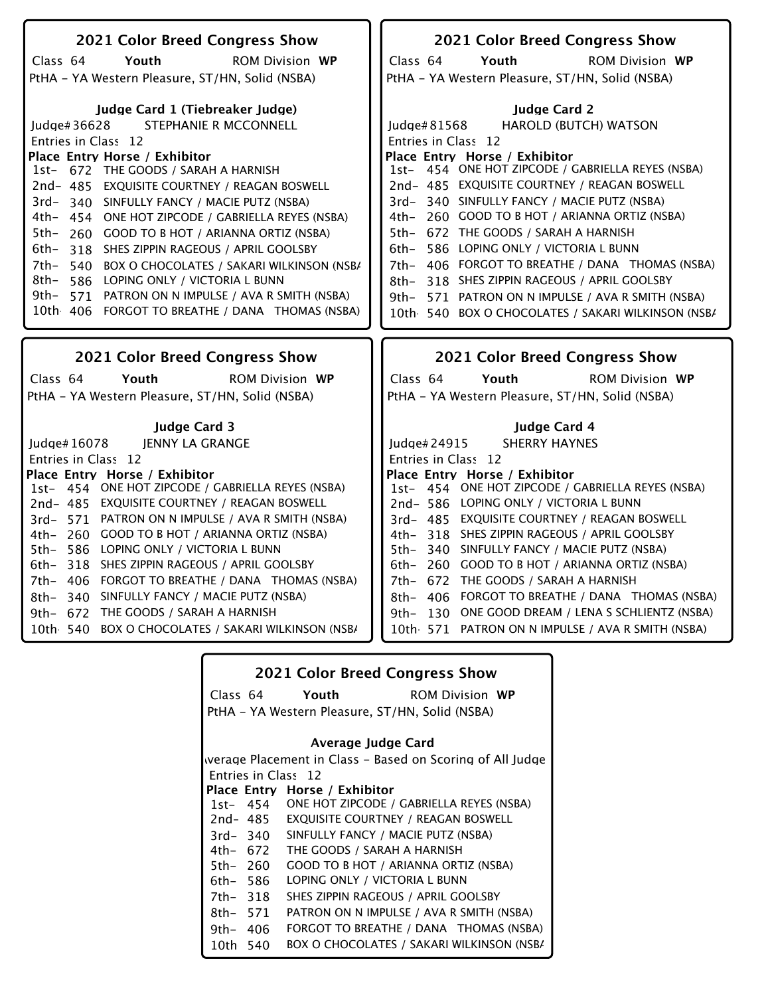| 2021 Color Breed Congress Show                       | 2021 Color Breed Congress Show                          |
|------------------------------------------------------|---------------------------------------------------------|
| Class 64<br>Youth<br><b>ROM Division WP</b>          | Class 64<br>Youth<br><b>ROM Division WP</b>             |
| PtHA - YA Western Pleasure, ST/HN, Solid (NSBA)      | PtHA - YA Western Pleasure, ST/HN, Solid (NSBA)         |
|                                                      |                                                         |
| Judge Card 1 (Tiebreaker Judge)                      | <b>Judge Card 2</b>                                     |
| STEPHANIE R MCCONNELL<br>Judge#36628                 | <b>HAROLD (BUTCH) WATSON</b><br>Judge# 81568            |
| Entries in Class 12                                  | Entries in Class 12                                     |
| Place Entry Horse / Exhibitor                        | Place Entry Horse / Exhibitor                           |
| 1st- 672 THE GOODS / SARAH A HARNISH                 | 1st- 454 ONE HOT ZIPCODE / GABRIELLA REYES (NSBA)       |
| 2nd-485 EXQUISITE COURTNEY / REAGAN BOSWELL          | 2nd- 485 EXQUISITE COURTNEY / REAGAN BOSWELL            |
| 3rd- 340 SINFULLY FANCY / MACIE PUTZ (NSBA)          | 3rd-340 SINFULLY FANCY / MACIE PUTZ (NSBA)              |
| 4th- 454<br>ONE HOT ZIPCODE / GABRIELLA REYES (NSBA) | 4th- 260 GOOD TO B HOT / ARIANNA ORTIZ (NSBA)           |
| 260 GOOD TO B HOT / ARIANNA ORTIZ (NSBA)<br>5th-     | 5th- 672 THE GOODS / SARAH A HARNISH                    |
| 6th-<br>318 SHES ZIPPIN RAGEOUS / APRIL GOOLSBY      | 586 LOPING ONLY / VICTORIA L BUNN<br>6th–               |
| 7th- 540 BOX O CHOCOLATES / SAKARI WILKINSON (NSB/   | 7th- 406 FORGOT TO BREATHE / DANA THOMAS (NSBA)         |
| 8th-<br>586 LOPING ONLY / VICTORIA L BUNN            | 8th- 318 SHES ZIPPIN RAGEOUS / APRIL GOOLSBY            |
| 9th–<br>571 PATRON ON N IMPULSE / AVA R SMITH (NSBA) | 9th- 571 PATRON ON N IMPULSE / AVA R SMITH (NSBA)       |
| 10th 406 FORGOT TO BREATHE / DANA THOMAS (NSBA)      | 10th 540 BOX O CHOCOLATES / SAKARI WILKINSON (NSB/      |
|                                                      |                                                         |
|                                                      |                                                         |
| 2021 Color Breed Congress Show                       | 2021 Color Breed Congress Show                          |
|                                                      |                                                         |
| Class 64<br>Youth<br><b>ROM Division WP</b>          | Class 64<br>Youth<br><b>ROM Division WP</b>             |
| PtHA - YA Western Pleasure, ST/HN, Solid (NSBA)      | PtHA - YA Western Pleasure, ST/HN, Solid (NSBA)         |
|                                                      |                                                         |
| <b>Judge Card 3</b><br>Judge# $16078$                | <b>Judge Card 4</b><br><b>SHERRY HAYNES</b>             |
| JENNY LA GRANGE<br>Entries in Class 12               | Judge#24915<br>Entries in Class 12                      |
| Place Entry Horse / Exhibitor                        | Place Entry Horse / Exhibitor                           |
| 1st- 454 ONE HOT ZIPCODE / GABRIELLA REYES (NSBA)    | 1st- 454 ONE HOT ZIPCODE / GABRIELLA REYES (NSBA)       |
| 2nd- 485 EXQUISITE COURTNEY / REAGAN BOSWELL         | 2nd-586 LOPING ONLY / VICTORIA L BUNN                   |
| 3rd- 571 PATRON ON N IMPULSE / AVA R SMITH (NSBA)    | 3rd- 485 EXQUISITE COURTNEY / REAGAN BOSWELL            |
| 4th- 260 GOOD TO B HOT / ARIANNA ORTIZ (NSBA)        | 4th- 318 SHES ZIPPIN RAGEOUS / APRIL GOOLSBY            |
| 586 LOPING ONLY / VICTORIA L BUNN<br>5th–            | 5th- 340 SINFULLY FANCY / MACIE PUTZ (NSBA)             |
| 318 SHES ZIPPIN RAGEOUS / APRIL GOOLSBY<br>6th–      | <b>GOOD TO B HOT / ARIANNA ORTIZ (NSBA)</b><br>6th– 260 |
| FORGOT TO BREATHE / DANA THOMAS (NSBA)<br>7th- 406   | THE GOODS / SARAH A HARNISH<br>7th- 672                 |
| 340 SINFULLY FANCY / MACIE PUTZ (NSBA)<br>8th–       | FORGOT TO BREATHE / DANA THOMAS (NSBA)<br>8th– 406      |
| 9th- 672 THE GOODS / SARAH A HARNISH                 | ONE GOOD DREAM / LENA S SCHLIENTZ (NSBA)<br>9th- 130    |
| 10th 540 BOX O CHOCOLATES / SAKARI WILKINSON (NSB/   | 10th 571 PATRON ON N IMPULSE / AVA R SMITH (NSBA)       |

|          | <b>2021 Color Breed Congress Show</b> |                                                                                                                                                                                                                                                           |
|----------|---------------------------------------|-----------------------------------------------------------------------------------------------------------------------------------------------------------------------------------------------------------------------------------------------------------|
|          | Class 64                              | Youth the control of the control of the control of the control of the control of the control of the control of the control of the control of the control of the control of the control of the control of the control of the con<br><b>ROM Division WP</b> |
|          |                                       | PtHA – YA Western Pleasure, ST/HN, Solid (NSBA)                                                                                                                                                                                                           |
|          |                                       | Average Judge Card                                                                                                                                                                                                                                        |
|          |                                       | werage Placement in Class – Based on Scoring of All Judge                                                                                                                                                                                                 |
|          | Entries in Class 12                   |                                                                                                                                                                                                                                                           |
|          |                                       | Place Entry Horse / Exhibitor                                                                                                                                                                                                                             |
|          |                                       | 1st- 454 ONE HOT ZIPCODE / GABRIELLA REYES (NSBA)                                                                                                                                                                                                         |
|          |                                       | 2nd-485 EXQUISITE COURTNEY / REAGAN BOSWELL                                                                                                                                                                                                               |
|          | 3rd-340                               | SINFULLY FANCY / MACIE PUTZ (NSBA)                                                                                                                                                                                                                        |
|          | 4th– 672                              | THE GOODS / SARAH A HARNISH                                                                                                                                                                                                                               |
| 5th- 260 |                                       | GOOD TO B HOT / ARIANNA ORTIZ (NSBA)                                                                                                                                                                                                                      |
| 6th- 586 |                                       | LOPING ONLY / VICTORIA L BUNN                                                                                                                                                                                                                             |
| 7th- 318 |                                       | SHES ZIPPIN RAGEOUS / APRIL GOOLSBY                                                                                                                                                                                                                       |
| 8th- 571 |                                       | PATRON ON N IMPULSE / AVA R SMITH (NSBA)                                                                                                                                                                                                                  |
| 9th- 406 |                                       | FORGOT TO BREATHE / DANA THOMAS (NSBA)                                                                                                                                                                                                                    |
| 10th 540 |                                       | BOX O CHOCOLATES / SAKARI WILKINSON (NSB/                                                                                                                                                                                                                 |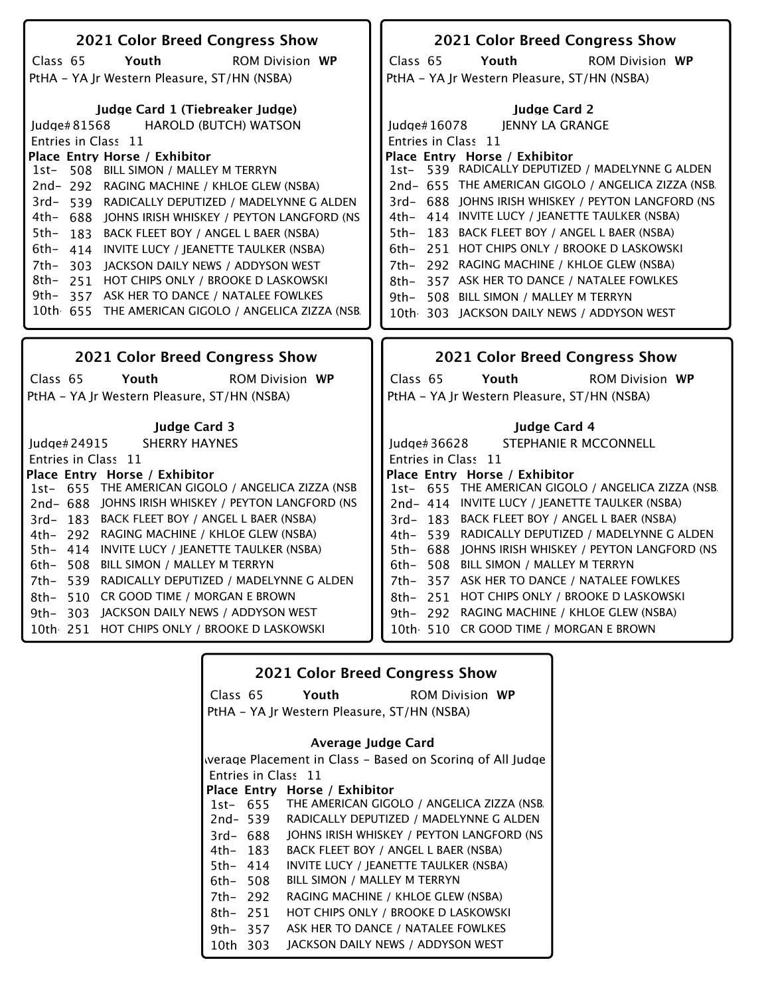| 2021 Color Breed Congress Show                                                                                                                                                                                                            | 2021 Color Breed Congress Show                                                                                                                           |
|-------------------------------------------------------------------------------------------------------------------------------------------------------------------------------------------------------------------------------------------|----------------------------------------------------------------------------------------------------------------------------------------------------------|
| Youth<br><b>ROM Division WP</b><br>Class 65                                                                                                                                                                                               | Class 65<br>Youth<br><b>ROM Division WP</b>                                                                                                              |
| PtHA - YA Jr Western Pleasure, ST/HN (NSBA)                                                                                                                                                                                               | PtHA - YA Jr Western Pleasure, ST/HN (NSBA)                                                                                                              |
| Judge Card 1 (Tiebreaker Judge)                                                                                                                                                                                                           | <b>Iudge Card 2</b>                                                                                                                                      |
| <b>HAROLD (BUTCH) WATSON</b><br>Judge#81568                                                                                                                                                                                               | JENNY LA GRANGE<br>Judge# 16078                                                                                                                          |
| Entries in Class 11                                                                                                                                                                                                                       | Entries in Class 11                                                                                                                                      |
| Place Entry Horse / Exhibitor                                                                                                                                                                                                             | Place Entry Horse / Exhibitor                                                                                                                            |
| 508 BILL SIMON / MALLEY M TERRYN<br>1st-                                                                                                                                                                                                  | 1st- 539 RADICALLY DEPUTIZED / MADELYNNE G ALDEN                                                                                                         |
| 2nd-292 RAGING MACHINE / KHLOE GLEW (NSBA)                                                                                                                                                                                                | 2nd- 655 THE AMERICAN GIGOLO / ANGELICA ZIZZA (NSB                                                                                                       |
| $3rd-$<br>539 RADICALLY DEPUTIZED / MADELYNNE G ALDEN                                                                                                                                                                                     | 3rd- 688 JOHNS IRISH WHISKEY / PEYTON LANGFORD (NS                                                                                                       |
| 4th-<br>688 JOHNS IRISH WHISKEY / PEYTON LANGFORD (NS                                                                                                                                                                                     | 4th- 414 INVITE LUCY / JEANETTE TAULKER (NSBA)                                                                                                           |
| 5th-<br>BACK FLEET BOY / ANGEL L BAER (NSBA)<br>183                                                                                                                                                                                       | 183 BACK FLEET BOY / ANGEL L BAER (NSBA)<br>5th–                                                                                                         |
| 6th-<br>414 INVITE LUCY / JEANETTE TAULKER (NSBA)                                                                                                                                                                                         | 6th- 251 HOT CHIPS ONLY / BROOKE D LASKOWSKI                                                                                                             |
| 7th-<br>303 JACKSON DAILY NEWS / ADDYSON WEST                                                                                                                                                                                             | 292 RAGING MACHINE / KHLOE GLEW (NSBA)<br>7th–                                                                                                           |
| 8th-<br>251 HOT CHIPS ONLY / BROOKE D LASKOWSKI                                                                                                                                                                                           | 357 ASK HER TO DANCE / NATALEE FOWLKES<br>8th–                                                                                                           |
| 357 ASK HER TO DANCE / NATALEE FOWLKES<br>9th-                                                                                                                                                                                            | 9th- 508 BILL SIMON / MALLEY M TERRYN                                                                                                                    |
| 10th 655 THE AMERICAN GIGOLO / ANGELICA ZIZZA (NSB                                                                                                                                                                                        | 10th 303 JACKSON DAILY NEWS / ADDYSON WEST                                                                                                               |
| 2021 Color Breed Congress Show                                                                                                                                                                                                            | <b>2021 Color Breed Congress Show</b>                                                                                                                    |
| Youth<br><b>ROM Division WP</b><br>Class 65                                                                                                                                                                                               | Class 65<br>Youth<br><b>ROM Division WP</b>                                                                                                              |
| PtHA - YA Jr Western Pleasure, ST/HN (NSBA)                                                                                                                                                                                               | PtHA - YA Jr Western Pleasure, ST/HN (NSBA)                                                                                                              |
|                                                                                                                                                                                                                                           |                                                                                                                                                          |
| <b>Judge Card 3</b>                                                                                                                                                                                                                       | Judge Card 4                                                                                                                                             |
|                                                                                                                                                                                                                                           |                                                                                                                                                          |
| <b>SHERRY HAYNES</b>                                                                                                                                                                                                                      | STEPHANIE R MCCONNELL<br>Judge# 36628                                                                                                                    |
|                                                                                                                                                                                                                                           | Entries in Class 11                                                                                                                                      |
|                                                                                                                                                                                                                                           | Place Entry Horse / Exhibitor                                                                                                                            |
|                                                                                                                                                                                                                                           |                                                                                                                                                          |
|                                                                                                                                                                                                                                           | 2nd- 414 INVITE LUCY / JEANETTE TAULKER (NSBA)                                                                                                           |
|                                                                                                                                                                                                                                           | 3rd- 183 BACK FLEET BOY / ANGEL L BAER (NSBA)                                                                                                            |
|                                                                                                                                                                                                                                           | 4th- 539 RADICALLY DEPUTIZED / MADELYNNE G ALDEN                                                                                                         |
|                                                                                                                                                                                                                                           |                                                                                                                                                          |
| BILL SIMON / MALLEY M TERRYN                                                                                                                                                                                                              | 6th- 508 BILL SIMON / MALLEY M TERRYN                                                                                                                    |
| RADICALLY DEPUTIZED / MADELYNNE G ALDEN                                                                                                                                                                                                   | 7th- 357 ASK HER TO DANCE / NATALEE FOWLKES                                                                                                              |
| 3rd-183 BACK FLEET BOY / ANGEL L BAER (NSBA)<br>4th- 292 RAGING MACHINE / KHLOE GLEW (NSBA)<br>5th- 414 INVITE LUCY / JEANETTE TAULKER (NSBA)<br>6th- 508<br>7th- 539<br>510 CR GOOD TIME / MORGAN E BROWN                                | 8th- 251 HOT CHIPS ONLY / BROOKE D LASKOWSKI                                                                                                             |
| Judge# 24915<br>Entries in Class 11<br>Place Entry Horse / Exhibitor<br>1st- 655 THE AMERICAN GIGOLO / ANGELICA ZIZZA (NSB.<br>2nd-688 JOHNS IRISH WHISKEY / PEYTON LANGFORD (NS<br>8th-<br>303 JACKSON DAILY NEWS / ADDYSON WEST<br>9th– | 1st- 655 THE AMERICAN GIGOLO / ANGELICA ZIZZA (NSB.<br>5th- 688 JOHNS IRISH WHISKEY / PEYTON LANGFORD (NS<br>9th- 292 RAGING MACHINE / KHLOE GLEW (NSBA) |

|          | <b>2021 Color Breed Congress Show</b>                     |  |
|----------|-----------------------------------------------------------|--|
| Class 65 | Youth<br><b>ROM Division WP</b>                           |  |
|          | PtHA – YA Jr Western Pleasure, ST/HN (NSBA)               |  |
|          | Average Judge Card                                        |  |
|          | werage Placement in Class – Based on Scoring of All Judge |  |
|          | Entries in Class 11                                       |  |
|          | Place Entry Horse / Exhibitor                             |  |
|          | 1st- 655 THE AMERICAN GIGOLO / ANGELICA ZIZZA (NSB.       |  |
|          | 2nd-539 RADICALLY DEPUTIZED / MADELYNNE G ALDEN           |  |
| 3rd- 688 | JOHNS IRISH WHISKEY / PEYTON LANGFORD (NS                 |  |
| 4th- 183 | BACK FLEET BOY / ANGEL L BAER (NSBA)                      |  |
| 5th- 414 | INVITE LUCY / JEANETTE TAULKER (NSBA)                     |  |
| 6th- 508 | BILL SIMON / MALLEY M TERRYN                              |  |
| 7th– 292 | RAGING MACHINE / KHLOE GLEW (NSBA)                        |  |
| 8th– 251 | HOT CHIPS ONLY / BROOKE D LASKOWSKI                       |  |
| 9th– 357 | ASK HER TO DANCE / NATALEE FOWLKES                        |  |
| 10th 303 | JACKSON DAILY NEWS / ADDYSON WEST                         |  |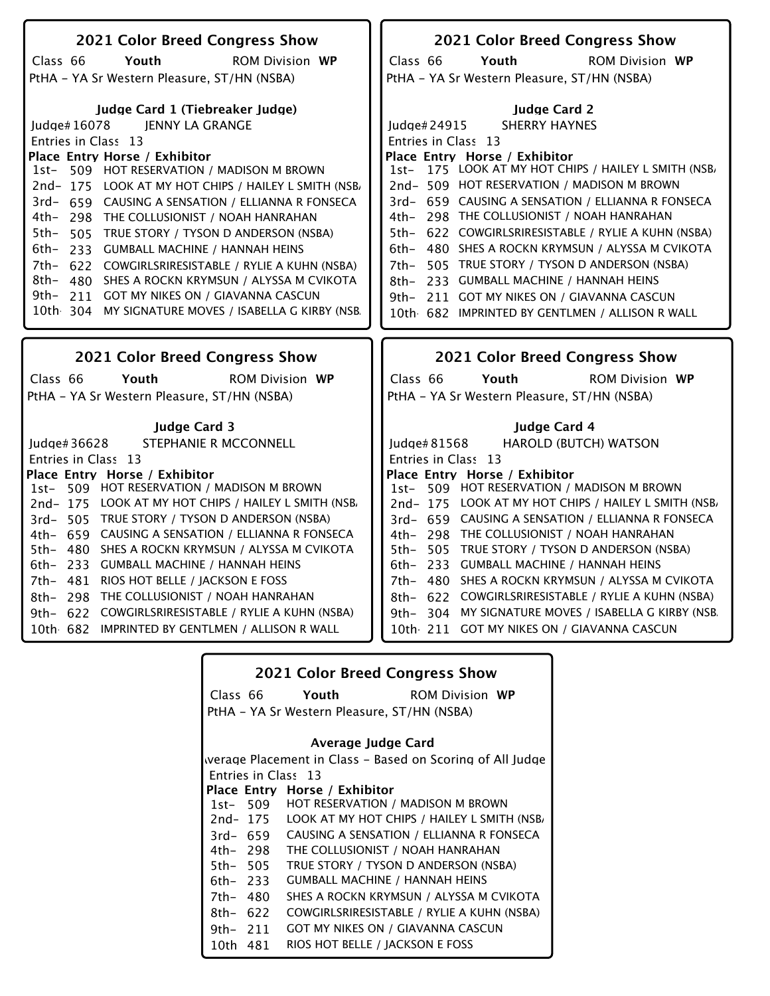| 2021 Color Breed Congress Show                         | 2021 Color Breed Congress Show                          |
|--------------------------------------------------------|---------------------------------------------------------|
| Class 66<br>Youth<br><b>ROM Division WP</b>            | Class 66<br>Youth<br><b>ROM Division WP</b>             |
| PtHA - YA Sr Western Pleasure, ST/HN (NSBA)            | PtHA - YA Sr Western Pleasure, ST/HN (NSBA)             |
|                                                        |                                                         |
| Judge Card 1 (Tiebreaker Judge)                        | <b>Judge Card 2</b>                                     |
| Judge#16078<br>IENNY LA GRANGE                         | <b>SHERRY HAYNES</b><br>Judge# 24915                    |
| Entries in Class 13                                    | Entries in Class 13                                     |
| Place Entry Horse / Exhibitor                          | Place Entry Horse / Exhibitor                           |
| 509 HOT RESERVATION / MADISON M BROWN<br>1st-          | 1st- 175 LOOK AT MY HOT CHIPS / HAILEY L SMITH (NSB,    |
| 2nd-175 LOOK AT MY HOT CHIPS / HAILEY L SMITH (NSB/    | 2nd-509 HOT RESERVATION / MADISON M BROWN               |
| 3rd- 659 CAUSING A SENSATION / ELLIANNA R FONSECA      | 3rd- 659 CAUSING A SENSATION / ELLIANNA R FONSECA       |
| 4th- 298 THE COLLUSIONIST / NOAH HANRAHAN              | 298 THE COLLUSIONIST / NOAH HANRAHAN<br>4th–            |
|                                                        | 5th- 622 COWGIRLSRIRESISTABLE / RYLIE A KUHN (NSBA)     |
| 5th- 505<br>TRUE STORY / TYSON D ANDERSON (NSBA)       |                                                         |
| 6th-<br>233 GUMBALL MACHINE / HANNAH HEINS             | 480 SHES A ROCKN KRYMSUN / ALYSSA M CVIKOTA<br>$6th-$   |
| 7th- 622 COWGIRLSRIRESISTABLE / RYLIE A KUHN (NSBA)    | 505 TRUE STORY / TYSON D ANDERSON (NSBA)<br>7th-        |
| 8th- 480 SHES A ROCKN KRYMSUN / ALYSSA M CVIKOTA       | 233 GUMBALL MACHINE / HANNAH HEINS<br>8th–              |
| 9th- 211 GOT MY NIKES ON / GIAVANNA CASCUN             | 9th- 211 GOT MY NIKES ON / GIAVANNA CASCUN              |
| 10th 304 MY SIGNATURE MOVES / ISABELLA G KIRBY (NSB.   | 10th 682 IMPRINTED BY GENTLMEN / ALLISON R WALL         |
|                                                        |                                                         |
|                                                        |                                                         |
| 2021 Color Breed Congress Show                         | 2021 Color Breed Congress Show                          |
|                                                        |                                                         |
| Class 66<br>Youth<br><b>ROM Division WP</b>            | Class 66<br>Youth<br><b>ROM Division WP</b>             |
| PtHA - YA Sr Western Pleasure, ST/HN (NSBA)            | PtHA - YA Sr Western Pleasure, ST/HN (NSBA)             |
|                                                        |                                                         |
| <b>Judge Card 3</b>                                    | Judge Card 4                                            |
| STEPHANIE R MCCONNELL<br>ludge# $36628$                | HAROLD (BUTCH) WATSON<br>ludge# $81568$                 |
| Entries in Class 13                                    | Entries in Class 13                                     |
| Place Entry Horse / Exhibitor                          | Place Entry Horse / Exhibitor                           |
| 509 HOT RESERVATION / MADISON M BROWN<br>$1st-$        | 1st- 509 HOT RESERVATION / MADISON M BROWN              |
| 2nd-175 LOOK AT MY HOT CHIPS / HAILEY L SMITH (NSB)    | 2nd-175 LOOK AT MY HOT CHIPS / HAILEY L SMITH (NSB)     |
| 3rd- 505 TRUE STORY / TYSON D ANDERSON (NSBA)          | 3rd- 659 CAUSING A SENSATION / ELLIANNA R FONSECA       |
| 4th- 659 CAUSING A SENSATION / ELLIANNA R FONSECA      | 4th- 298 THE COLLUSIONIST / NOAH HANRAHAN               |
| 5th- 480 SHES A ROCKN KRYMSUN / ALYSSA M CVIKOTA       | 5th- 505 TRUE STORY / TYSON D ANDERSON (NSBA)           |
| 6th- 233 GUMBALL MACHINE / HANNAH HEINS                | 6th- 233 GUMBALL MACHINE / HANNAH HEINS                 |
| 7th- 481 RIOS HOT BELLE / JACKSON E FOSS               | 7th- 480 SHES A ROCKN KRYMSUN / ALYSSA M CVIKOTA        |
| THE COLLUSIONIST / NOAH HANRAHAN<br>8th-<br>298        | COWGIRLSRIRESISTABLE / RYLIE A KUHN (NSBA)<br>8th- 622  |
| 622 COWGIRLSRIRESISTABLE / RYLIE A KUHN (NSBA)<br>9th– | MY SIGNATURE MOVES / ISABELLA G KIRBY (NSB.<br>9th- 304 |
| 10th 682 IMPRINTED BY GENTLMEN / ALLISON R WALL        | 10th 211 GOT MY NIKES ON / GIAVANNA CASCUN              |

|            |          | <b>2021 Color Breed Congress Show</b>                     |
|------------|----------|-----------------------------------------------------------|
|            | Class 66 | Youth<br><b>ROM Division WP</b>                           |
|            |          | PtHA – YA Sr Western Pleasure, ST/HN (NSBA)               |
|            |          |                                                           |
|            |          | Average Judge Card                                        |
|            |          | werage Placement in Class – Based on Scoring of All Judge |
|            |          | Entries in Class 13                                       |
|            |          | Place Entry Horse / Exhibitor                             |
|            | 1st- 509 | HOT RESERVATION / MADISON M BROWN                         |
|            | 2nd- 175 | LOOK AT MY HOT CHIPS / HAILEY L SMITH (NSB.               |
|            | 3rd- 659 | CAUSING A SENSATION / ELLIANNA R FONSECA                  |
| 4th- 298   |          | THE COLLUSIONIST / NOAH HANRAHAN                          |
| 5th- 505   |          | TRUE STORY / TYSON D ANDERSON (NSBA)                      |
| 6th– 233   |          | <b>GUMBALL MACHINE / HANNAH HEINS</b>                     |
| 7th- 480   |          | SHES A ROCKN KRYMSUN / ALYSSA M CVIKOTA                   |
| $8th-622$  |          | COWGIRLSRIRESISTABLE / RYLIE A KUHN (NSBA)                |
| 9th $-211$ |          | GOT MY NIKES ON / GIAVANNA CASCUN                         |
| 10th 481   |          | RIOS HOT BELLE / JACKSON E FOSS                           |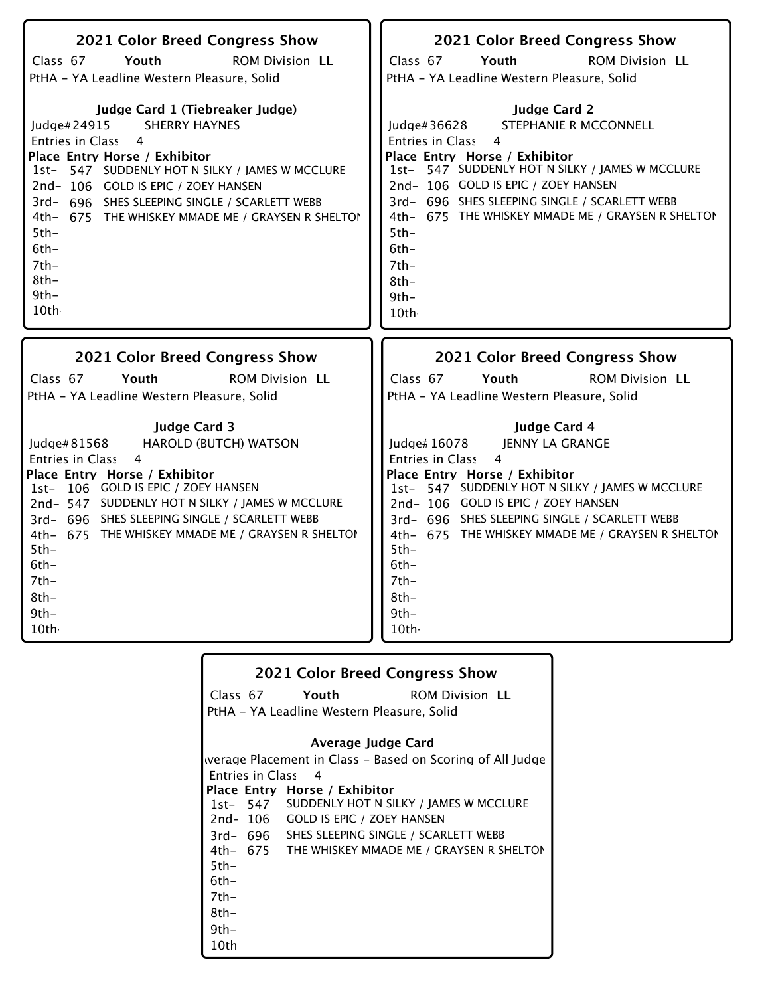| 2021 Color Breed Congress Show<br>Class 67<br>Youth<br><b>ROM Division LL</b><br>PtHA - YA Leadline Western Pleasure, Solid<br>Judge Card 1 (Tiebreaker Judge)<br><b>SHERRY HAYNES</b><br>ludge# $24915$<br>Entries in Class<br>$\overline{4}$<br>Place Entry Horse / Exhibitor<br>1st- 547 SUDDENLY HOT N SILKY / JAMES W MCCLURE<br>2nd-106 GOLD IS EPIC / ZOEY HANSEN<br>3rd- 696 SHES SLEEPING SINGLE / SCARLETT WEBB<br>4th- 675 THE WHISKEY MMADE ME / GRAYSEN R SHELTON<br>$5th-$<br>$6th-$<br>$7th-$<br>$8th-$<br>$9th-$<br>10th | 2021 Color Breed Congress Show<br>Class 67<br>Youth<br><b>ROM Division LL</b><br>PtHA - YA Leadline Western Pleasure, Solid<br><b>Judge Card 2</b><br>STEPHANIE R MCCONNELL<br>Judge#36628<br>Entries in Class<br>$\overline{a}$<br>Place Entry Horse / Exhibitor<br>1st- 547 SUDDENLY HOT N SILKY / JAMES W MCCLURE<br>2nd-106 GOLD IS EPIC / ZOEY HANSEN<br>3rd- 696 SHES SLEEPING SINGLE / SCARLETT WEBB<br>4th- 675 THE WHISKEY MMADE ME / GRAYSEN R SHELTON<br>$5th-$<br>$6th-$<br>$7th-$<br>8th-<br>$9th -$ |
|------------------------------------------------------------------------------------------------------------------------------------------------------------------------------------------------------------------------------------------------------------------------------------------------------------------------------------------------------------------------------------------------------------------------------------------------------------------------------------------------------------------------------------------|-------------------------------------------------------------------------------------------------------------------------------------------------------------------------------------------------------------------------------------------------------------------------------------------------------------------------------------------------------------------------------------------------------------------------------------------------------------------------------------------------------------------|
|                                                                                                                                                                                                                                                                                                                                                                                                                                                                                                                                          | 10th                                                                                                                                                                                                                                                                                                                                                                                                                                                                                                              |
| 2021 Color Breed Congress Show<br><b>ROM Division LL</b><br>Class 67<br>Youth<br>PtHA - YA Leadline Western Pleasure, Solid                                                                                                                                                                                                                                                                                                                                                                                                              | 2021 Color Breed Congress Show<br><b>ROM Division LL</b><br>Class 67<br>Youth<br>PtHA - YA Leadline Western Pleasure, Solid                                                                                                                                                                                                                                                                                                                                                                                       |
| <b>Judge Card 3</b><br>Judge# 81568<br><b>HAROLD (BUTCH) WATSON</b><br>4<br><b>Entries in Class</b><br>Place Entry Horse / Exhibitor<br>1st- 106 GOLD IS EPIC / ZOEY HANSEN<br>2nd-547 SUDDENLY HOT N SILKY / JAMES W MCCLURE<br>3rd- 696 SHES SLEEPING SINGLE / SCARLETT WEBB<br>4th- 675 THE WHISKEY MMADE ME / GRAYSEN R SHELTON<br>$5th -$<br>$6th-$<br>$7th-$<br>$8th-$<br>$9th -$                                                                                                                                                  | Judge Card 4<br>Judge# 16078<br>JENNY LA GRANGE<br>$\overline{4}$<br><b>Entries in Class</b><br>Place Entry Horse / Exhibitor<br>1st- 547 SUDDENLY HOT N SILKY / JAMES W MCCLURE<br>2nd-106 GOLD IS EPIC / ZOEY HANSEN<br>3rd- 696 SHES SLEEPING SINGLE / SCARLETT WEBB<br>4th- 675 THE WHISKEY MMADE ME / GRAYSEN R SHELTON<br>$5th-$<br>$6th-$<br>$7th-$<br>$8th-$                                                                                                                                              |

|        | <b>2021 Color Breed Congress Show</b>         |                                                           |
|--------|-----------------------------------------------|-----------------------------------------------------------|
|        | Class 67 Youth                                | <b>ROM Division LL</b>                                    |
|        | PtHA - YA Leadline Western Pleasure, Solid    |                                                           |
|        |                                               |                                                           |
|        | Average Judge Card                            |                                                           |
|        |                                               | werage Placement in Class - Based on Scoring of All Judge |
|        | Entries in Class 4                            |                                                           |
|        | Place Entry Horse / Exhibitor                 |                                                           |
|        |                                               | 1st- 547 SUDDENLY HOT N SILKY / JAMES W MCCLURE           |
|        | 2nd-106 GOLD IS EPIC / ZOEY HANSEN            |                                                           |
|        | 3rd- 696 SHES SLEEPING SINGLE / SCARLETT WEBB |                                                           |
|        |                                               | 4th- 675 THE WHISKEY MMADE ME / GRAYSEN R SHELTON         |
| $5th-$ |                                               |                                                           |
| 6th-   |                                               |                                                           |
| 7th-   |                                               |                                                           |
| 8th-   |                                               |                                                           |
| 9th-   |                                               |                                                           |
| 10th   |                                               |                                                           |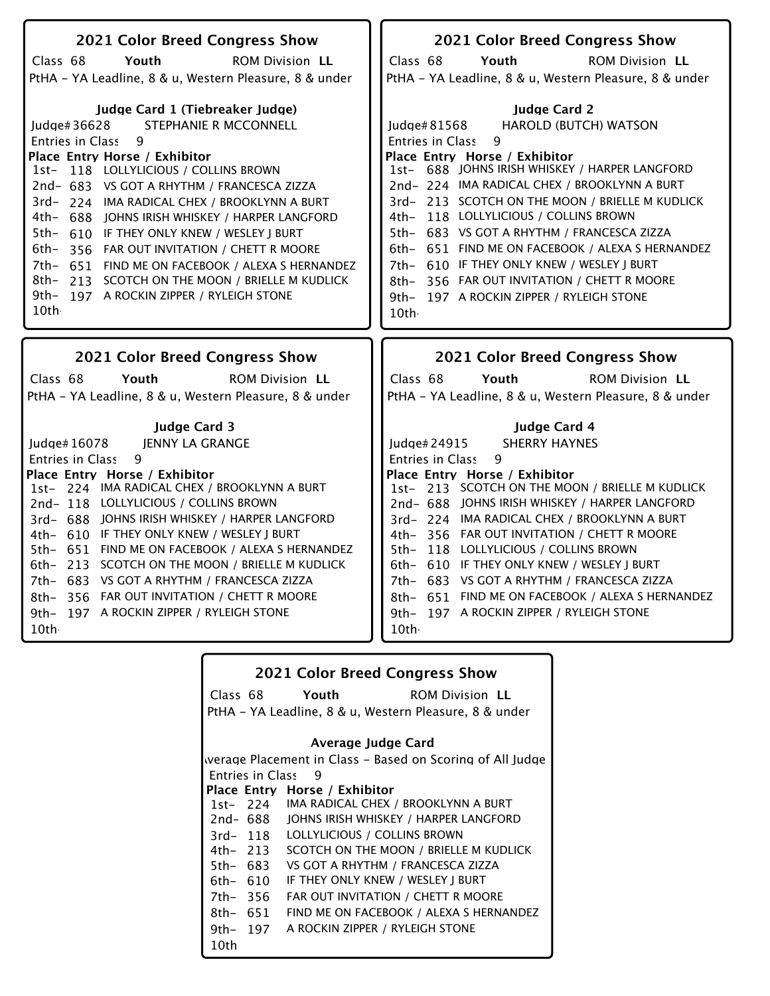| 2021 Color Breed Congress Show                                                                                                                                                                                                                                                                                                                                                                                                                                                                                                                                                                  | <b>2021 Color Breed Congress Show</b>                                                                                                                                                                                                                                                                                                                                                                                                                                                                                                                                             |
|-------------------------------------------------------------------------------------------------------------------------------------------------------------------------------------------------------------------------------------------------------------------------------------------------------------------------------------------------------------------------------------------------------------------------------------------------------------------------------------------------------------------------------------------------------------------------------------------------|-----------------------------------------------------------------------------------------------------------------------------------------------------------------------------------------------------------------------------------------------------------------------------------------------------------------------------------------------------------------------------------------------------------------------------------------------------------------------------------------------------------------------------------------------------------------------------------|
| Class 68<br>Youth<br><b>ROM Division LL</b>                                                                                                                                                                                                                                                                                                                                                                                                                                                                                                                                                     | Class 68<br>Youth<br><b>ROM Division LL</b>                                                                                                                                                                                                                                                                                                                                                                                                                                                                                                                                       |
| PtHA - YA Leadline, 8 & u, Western Pleasure, 8 & under                                                                                                                                                                                                                                                                                                                                                                                                                                                                                                                                          | PtHA - YA Leadline, 8 & u, Western Pleasure, 8 & under                                                                                                                                                                                                                                                                                                                                                                                                                                                                                                                            |
| Judge Card 1 (Tiebreaker Judge)<br><b>STEPHANIE R MCCONNELL</b><br>Judge#36628<br>Entries in Class<br>9<br>Place Entry Horse / Exhibitor<br>1st- 118 LOLLYLICIOUS / COLLINS BROWN<br>2nd- 683 VS GOT A RHYTHM / FRANCESCA ZIZZA<br>3rd- 224 IMA RADICAL CHEX / BROOKLYNN A BURT<br>4th- 688 JOHNS IRISH WHISKEY / HARPER LANGFORD<br>5th-<br>610 IF THEY ONLY KNEW / WESLEY J BURT<br>6th-<br>356 FAR OUT INVITATION / CHETT R MOORE<br>7th- 651 FIND ME ON FACEBOOK / ALEXA S HERNANDEZ<br>8th- 213 SCOTCH ON THE MOON / BRIELLE M KUDLICK<br>9th- 197 A ROCKIN ZIPPER / RYLEIGH STONE<br>10th | <b>Judge Card 2</b><br><b>HAROLD (BUTCH) WATSON</b><br>Judge#81568<br>Entries in Class<br>9<br>Place Entry Horse / Exhibitor<br>1st- 688 JOHNS IRISH WHISKEY / HARPER LANGFORD<br>2nd-224 IMA RADICAL CHEX / BROOKLYNN A BURT<br>3rd-213 SCOTCH ON THE MOON / BRIELLE M KUDLICK<br>4th- 118 LOLLYLICIOUS / COLLINS BROWN<br>5th- 683 VS GOT A RHYTHM / FRANCESCA ZIZZA<br>6th- 651 FIND ME ON FACEBOOK / ALEXA S HERNANDEZ<br>610 IF THEY ONLY KNEW / WESLEY J BURT<br>7th–<br>356 FAR OUT INVITATION / CHETT R MOORE<br>8th-<br>9th- 197 A ROCKIN ZIPPER / RYLEIGH STONE<br>10th |
|                                                                                                                                                                                                                                                                                                                                                                                                                                                                                                                                                                                                 |                                                                                                                                                                                                                                                                                                                                                                                                                                                                                                                                                                                   |
|                                                                                                                                                                                                                                                                                                                                                                                                                                                                                                                                                                                                 |                                                                                                                                                                                                                                                                                                                                                                                                                                                                                                                                                                                   |
| <b>2021 Color Breed Congress Show</b>                                                                                                                                                                                                                                                                                                                                                                                                                                                                                                                                                           | <b>2021 Color Breed Congress Show</b>                                                                                                                                                                                                                                                                                                                                                                                                                                                                                                                                             |
| Class 68<br>Youth<br><b>ROM Division LL</b>                                                                                                                                                                                                                                                                                                                                                                                                                                                                                                                                                     | Class 68<br>Youth<br><b>ROM Division LL</b>                                                                                                                                                                                                                                                                                                                                                                                                                                                                                                                                       |
| PtHA - YA Leadline, 8 & u, Western Pleasure, 8 & under                                                                                                                                                                                                                                                                                                                                                                                                                                                                                                                                          | PtHA - YA Leadline, 8 & u, Western Pleasure, 8 & under                                                                                                                                                                                                                                                                                                                                                                                                                                                                                                                            |
|                                                                                                                                                                                                                                                                                                                                                                                                                                                                                                                                                                                                 |                                                                                                                                                                                                                                                                                                                                                                                                                                                                                                                                                                                   |
| <b>Judge Card 3</b><br>Judge# 16078<br>JENNY LA GRANGE                                                                                                                                                                                                                                                                                                                                                                                                                                                                                                                                          | Judge Card 4<br>Judge#24915<br><b>SHERRY HAYNES</b>                                                                                                                                                                                                                                                                                                                                                                                                                                                                                                                               |
| 9<br><b>Entries in Class</b>                                                                                                                                                                                                                                                                                                                                                                                                                                                                                                                                                                    | 9<br><b>Entries in Class</b>                                                                                                                                                                                                                                                                                                                                                                                                                                                                                                                                                      |
| Place Entry Horse / Exhibitor                                                                                                                                                                                                                                                                                                                                                                                                                                                                                                                                                                   | Place Entry Horse / Exhibitor                                                                                                                                                                                                                                                                                                                                                                                                                                                                                                                                                     |
| 1st- 224 IMA RADICAL CHEX / BROOKLYNN A BURT                                                                                                                                                                                                                                                                                                                                                                                                                                                                                                                                                    | 1st-213 SCOTCH ON THE MOON / BRIELLE M KUDLICK                                                                                                                                                                                                                                                                                                                                                                                                                                                                                                                                    |
| 2nd-118 LOLLYLICIOUS / COLLINS BROWN                                                                                                                                                                                                                                                                                                                                                                                                                                                                                                                                                            | 2nd- 688 JOHNS IRISH WHISKEY / HARPER LANGFORD                                                                                                                                                                                                                                                                                                                                                                                                                                                                                                                                    |
| 3rd- 688 JOHNS IRISH WHISKEY / HARPER LANGFORD<br>4th- 610 IF THEY ONLY KNEW / WESLEY J BURT                                                                                                                                                                                                                                                                                                                                                                                                                                                                                                    | 3rd- 224 IMA RADICAL CHEX / BROOKLYNN A BURT<br>4th-356 FAR OUT INVITATION / CHETT R MOORE                                                                                                                                                                                                                                                                                                                                                                                                                                                                                        |
| 5th- 651 FIND ME ON FACEBOOK / ALEXA S HERNANDEZ                                                                                                                                                                                                                                                                                                                                                                                                                                                                                                                                                | 5th- 118 LOLLYLICIOUS / COLLINS BROWN                                                                                                                                                                                                                                                                                                                                                                                                                                                                                                                                             |
| 6th- 213 SCOTCH ON THE MOON / BRIELLE M KUDLICK                                                                                                                                                                                                                                                                                                                                                                                                                                                                                                                                                 | 6th- 610 IF THEY ONLY KNEW / WESLEY J BURT                                                                                                                                                                                                                                                                                                                                                                                                                                                                                                                                        |
| 7th- 683 VS GOT A RHYTHM / FRANCESCA ZIZZA                                                                                                                                                                                                                                                                                                                                                                                                                                                                                                                                                      | 7th- 683 VS GOT A RHYTHM / FRANCESCA ZIZZA                                                                                                                                                                                                                                                                                                                                                                                                                                                                                                                                        |
| 356 FAR OUT INVITATION / CHETT R MOORE<br>8th–                                                                                                                                                                                                                                                                                                                                                                                                                                                                                                                                                  | 8th- 651 FIND ME ON FACEBOOK / ALEXA S HERNANDEZ                                                                                                                                                                                                                                                                                                                                                                                                                                                                                                                                  |
| 9th- 197 A ROCKIN ZIPPER / RYLEIGH STONE<br>10th                                                                                                                                                                                                                                                                                                                                                                                                                                                                                                                                                | 9th- 197 A ROCKIN ZIPPER / RYLEIGH STONE<br>10th·                                                                                                                                                                                                                                                                                                                                                                                                                                                                                                                                 |

|           |                         | <b>2021 Color Breed Congress Show</b>                     |
|-----------|-------------------------|-----------------------------------------------------------|
|           |                         | Class 68 Youth<br><b>ROM Division LL</b>                  |
|           |                         | PtHA – YA Leadline, 8 & u, Western Pleasure, 8 & under    |
|           |                         | Average Judge Card                                        |
|           |                         | werage Placement in Class – Based on Scoring of All Judge |
|           | <b>Entries in Class</b> | - 9                                                       |
|           |                         | Place Entry Horse / Exhibitor                             |
|           |                         | 1st-224 IMA RADICAL CHEX / BROOKLYNN A BURT               |
|           | 2nd- 688                | JOHNS IRISH WHISKEY / HARPER LANGFORD                     |
|           | 3rd- 118                | LOLLYLICIOUS / COLLINS BROWN                              |
|           | 4th- 213                | SCOTCH ON THE MOON / BRIELLE M KUDLICK                    |
| 5th- 683  |                         | VS GOT A RHYTHM / FRANCESCA ZIZZA                         |
| $6th-610$ |                         | IF THEY ONLY KNEW / WESLEY J BURT                         |
| 7th- 356  |                         | FAR OUT INVITATION / CHETT R MOORE                        |
| 8th- 651  |                         | FIND ME ON FACEBOOK / ALEXA S HERNANDEZ                   |
| 9th– 197  |                         | A ROCKIN ZIPPER / RYLEIGH STONE                           |
| 10th      |                         |                                                           |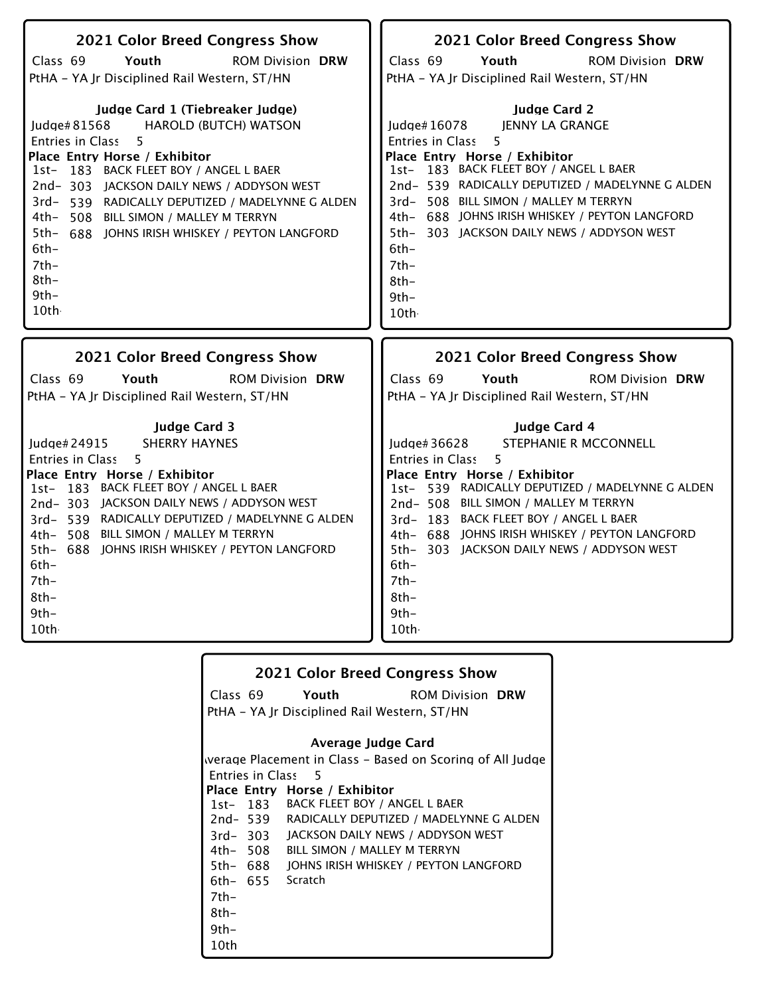| 2021 Color Breed Congress Show                  | 2021 Color Breed Congress Show                  |
|-------------------------------------------------|-------------------------------------------------|
| Class 69                                        | Class 69                                        |
| Youth                                           | Youth                                           |
| <b>ROM Division DRW</b>                         | <b>ROM Division DRW</b>                         |
| PtHA - YA Jr Disciplined Rail Western, ST/HN    | PtHA - YA Jr Disciplined Rail Western, ST/HN    |
| Judge Card 1 (Tiebreaker Judge)                 | <b>Judge Card 2</b>                             |
| <b>HAROLD (BUTCH) WATSON</b>                    | <b>JENNY LA GRANGE</b>                          |
| Judge#81568                                     | ludge# $16078$                                  |
| 5                                               | 5                                               |
| Entries in Class                                | Entries in Class                                |
| Place Entry Horse / Exhibitor                   | Place Entry Horse / Exhibitor                   |
| 1st- 183 BACK FLEET BOY / ANGEL L BAER          | 1st- 183 BACK FLEET BOY / ANGEL L BAER          |
| 2nd-303 JACKSON DAILY NEWS / ADDYSON WEST       | 2nd-539 RADICALLY DEPUTIZED / MADELYNNE G ALDEN |
| 3rd-539 RADICALLY DEPUTIZED / MADELYNNE G ALDEN | 3rd- 508 BILL SIMON / MALLEY M TERRYN           |
| 4th- 508 BILL SIMON / MALLEY M TERRYN           | 4th- 688 JOHNS IRISH WHISKEY / PEYTON LANGFORD  |
| 5th- 688 JOHNS IRISH WHISKEY / PEYTON LANGFORD  | 5th- 303 JACKSON DAILY NEWS / ADDYSON WEST      |
| $6th -$                                         | $6th-$                                          |
| $7th-$                                          | 7th-                                            |
| $8th-$                                          | $8th-$                                          |
| $9th-$                                          | $9th-$                                          |
| 10th                                            | 10th                                            |
| 2021 Color Breed Congress Show                  | 2021 Color Breed Congress Show                  |
|                                                 |                                                 |
| Class 69                                        | Class 69                                        |
| Youth                                           | Youth                                           |
| <b>ROM Division DRW</b>                         | <b>ROM Division DRW</b>                         |
| PtHA - YA Jr Disciplined Rail Western, ST/HN    | PtHA - YA Jr Disciplined Rail Western, ST/HN    |

|        |          | <b>2021 Color Breed Congress Show</b>        |                                                           |
|--------|----------|----------------------------------------------|-----------------------------------------------------------|
|        |          | Class 69 Youth                               | <b>ROM Division DRW</b>                                   |
|        |          | PtHA - YA Jr Disciplined Rail Western, ST/HN |                                                           |
|        |          | Average Judge Card                           |                                                           |
|        |          |                                              | werage Placement in Class – Based on Scoring of All Judge |
|        |          |                                              |                                                           |
|        |          | Entries in Class 5                           |                                                           |
|        |          | Place Entry Horse / Exhibitor                |                                                           |
|        |          | 1st- 183 BACK FLEET BOY / ANGEL L BAER       |                                                           |
|        |          |                                              | 2nd-539 RADICALLY DEPUTIZED / MADELYNNE G ALDEN           |
|        | 3rd-303  | JACKSON DAILY NEWS / ADDYSON WEST            |                                                           |
|        | 4th– 508 | BILL SIMON / MALLEY M TERRYN                 |                                                           |
|        | 5th- 688 | JOHNS IRISH WHISKEY / PEYTON LANGFORD        |                                                           |
|        |          | 6th- 655 Scratch                             |                                                           |
| $7th-$ |          |                                              |                                                           |
| 8th-   |          |                                              |                                                           |
| 9th-   |          |                                              |                                                           |
| 10th   |          |                                              |                                                           |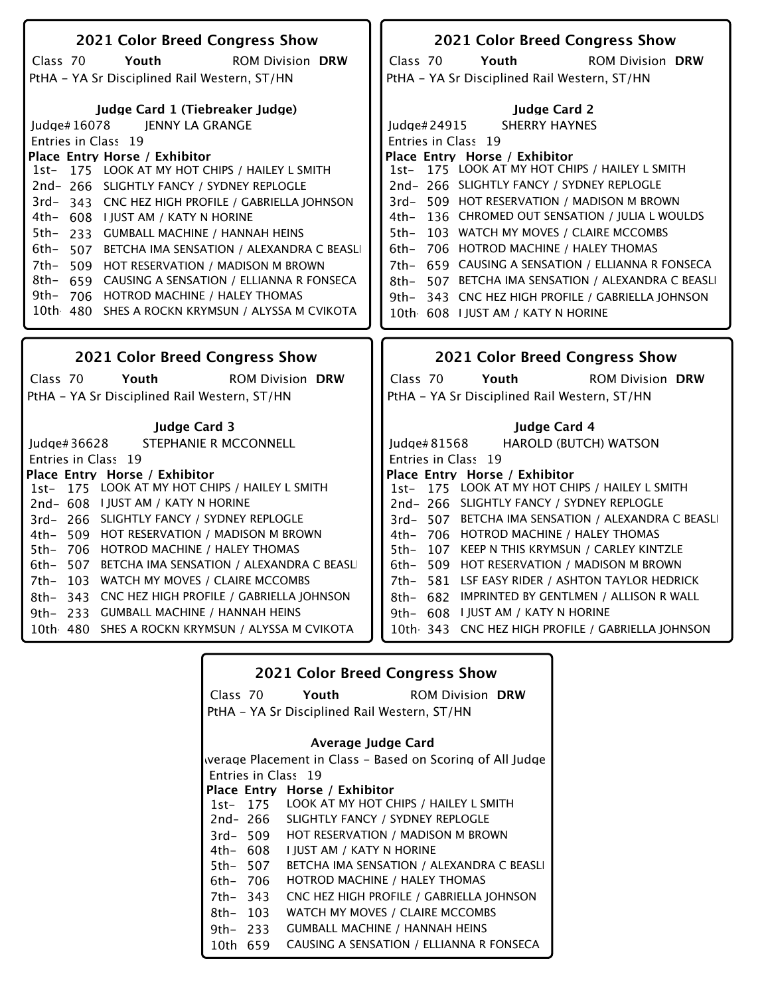| 2021 Color Breed Congress Show<br>2021 Color Breed Congress Show<br>Class 70<br>Youth<br><b>ROM Division DRW</b><br>Class 70<br>Youth<br><b>ROM Division DRW</b><br>PtHA - YA Sr Disciplined Rail Western, ST/HN<br>PtHA - YA Sr Disciplined Rail Western, ST/HN<br>Judge Card 1 (Tiebreaker Judge)<br><b>Judge Card 2</b><br>JENNY LA GRANGE<br><b>SHERRY HAYNES</b><br>Judge# 16078<br>Judge# $24915$<br>Entries in Class 19<br>Entries in Class 19<br>Place Entry Horse / Exhibitor<br>Place Entry Horse / Exhibitor<br>1st- 175 LOOK AT MY HOT CHIPS / HAILEY L SMITH<br>175 LOOK AT MY HOT CHIPS / HAILEY L SMITH<br>1st-<br>2nd-266 SLIGHTLY FANCY / SYDNEY REPLOGLE<br>2nd-266 SLIGHTLY FANCY / SYDNEY REPLOGLE<br>3rd- 509 HOT RESERVATION / MADISON M BROWN<br>3rd-343 CNC HEZ HIGH PROFILE / GABRIELLA JOHNSON<br>4th- 136 CHROMED OUT SENSATION / JULIA L WOULDS<br>4th- 608 I JUST AM / KATY N HORINE<br>103 WATCH MY MOVES / CLAIRE MCCOMBS<br>$5th-$<br>5th-<br>233 GUMBALL MACHINE / HANNAH HEINS<br>706 HOTROD MACHINE / HALEY THOMAS<br>$6th-$<br>6th- |  |
|-------------------------------------------------------------------------------------------------------------------------------------------------------------------------------------------------------------------------------------------------------------------------------------------------------------------------------------------------------------------------------------------------------------------------------------------------------------------------------------------------------------------------------------------------------------------------------------------------------------------------------------------------------------------------------------------------------------------------------------------------------------------------------------------------------------------------------------------------------------------------------------------------------------------------------------------------------------------------------------------------------------------------------------------------------------------------|--|
|                                                                                                                                                                                                                                                                                                                                                                                                                                                                                                                                                                                                                                                                                                                                                                                                                                                                                                                                                                                                                                                                         |  |
|                                                                                                                                                                                                                                                                                                                                                                                                                                                                                                                                                                                                                                                                                                                                                                                                                                                                                                                                                                                                                                                                         |  |
|                                                                                                                                                                                                                                                                                                                                                                                                                                                                                                                                                                                                                                                                                                                                                                                                                                                                                                                                                                                                                                                                         |  |
|                                                                                                                                                                                                                                                                                                                                                                                                                                                                                                                                                                                                                                                                                                                                                                                                                                                                                                                                                                                                                                                                         |  |
|                                                                                                                                                                                                                                                                                                                                                                                                                                                                                                                                                                                                                                                                                                                                                                                                                                                                                                                                                                                                                                                                         |  |
|                                                                                                                                                                                                                                                                                                                                                                                                                                                                                                                                                                                                                                                                                                                                                                                                                                                                                                                                                                                                                                                                         |  |
|                                                                                                                                                                                                                                                                                                                                                                                                                                                                                                                                                                                                                                                                                                                                                                                                                                                                                                                                                                                                                                                                         |  |
|                                                                                                                                                                                                                                                                                                                                                                                                                                                                                                                                                                                                                                                                                                                                                                                                                                                                                                                                                                                                                                                                         |  |
|                                                                                                                                                                                                                                                                                                                                                                                                                                                                                                                                                                                                                                                                                                                                                                                                                                                                                                                                                                                                                                                                         |  |
|                                                                                                                                                                                                                                                                                                                                                                                                                                                                                                                                                                                                                                                                                                                                                                                                                                                                                                                                                                                                                                                                         |  |
|                                                                                                                                                                                                                                                                                                                                                                                                                                                                                                                                                                                                                                                                                                                                                                                                                                                                                                                                                                                                                                                                         |  |
|                                                                                                                                                                                                                                                                                                                                                                                                                                                                                                                                                                                                                                                                                                                                                                                                                                                                                                                                                                                                                                                                         |  |
|                                                                                                                                                                                                                                                                                                                                                                                                                                                                                                                                                                                                                                                                                                                                                                                                                                                                                                                                                                                                                                                                         |  |
| 507 BETCHA IMA SENSATION / ALEXANDRA C BEASLI                                                                                                                                                                                                                                                                                                                                                                                                                                                                                                                                                                                                                                                                                                                                                                                                                                                                                                                                                                                                                           |  |
| 659 CAUSING A SENSATION / ELLIANNA R FONSECA<br>7th- 509 HOT RESERVATION / MADISON M BROWN<br>7th–                                                                                                                                                                                                                                                                                                                                                                                                                                                                                                                                                                                                                                                                                                                                                                                                                                                                                                                                                                      |  |
| 8th- 659 CAUSING A SENSATION / ELLIANNA R FONSECA<br>507 BETCHA IMA SENSATION / ALEXANDRA C BEASLI<br>8th-                                                                                                                                                                                                                                                                                                                                                                                                                                                                                                                                                                                                                                                                                                                                                                                                                                                                                                                                                              |  |
| $9th-$<br>706 HOTROD MACHINE / HALEY THOMAS<br>343 CNC HEZ HIGH PROFILE / GABRIELLA JOHNSON<br>9th–                                                                                                                                                                                                                                                                                                                                                                                                                                                                                                                                                                                                                                                                                                                                                                                                                                                                                                                                                                     |  |
| 10th 480 SHES A ROCKN KRYMSUN / ALYSSA M CVIKOTA<br>10th 608 I JUST AM / KATY N HORINE                                                                                                                                                                                                                                                                                                                                                                                                                                                                                                                                                                                                                                                                                                                                                                                                                                                                                                                                                                                  |  |
|                                                                                                                                                                                                                                                                                                                                                                                                                                                                                                                                                                                                                                                                                                                                                                                                                                                                                                                                                                                                                                                                         |  |
|                                                                                                                                                                                                                                                                                                                                                                                                                                                                                                                                                                                                                                                                                                                                                                                                                                                                                                                                                                                                                                                                         |  |
| 2021 Color Breed Congress Show<br>2021 Color Breed Congress Show                                                                                                                                                                                                                                                                                                                                                                                                                                                                                                                                                                                                                                                                                                                                                                                                                                                                                                                                                                                                        |  |
| Class 70<br>Youth<br><b>ROM Division DRW</b><br>Class 70<br>Youth<br><b>ROM Division DRW</b>                                                                                                                                                                                                                                                                                                                                                                                                                                                                                                                                                                                                                                                                                                                                                                                                                                                                                                                                                                            |  |
| PtHA - YA Sr Disciplined Rail Western, ST/HN<br>PtHA - YA Sr Disciplined Rail Western, ST/HN                                                                                                                                                                                                                                                                                                                                                                                                                                                                                                                                                                                                                                                                                                                                                                                                                                                                                                                                                                            |  |
|                                                                                                                                                                                                                                                                                                                                                                                                                                                                                                                                                                                                                                                                                                                                                                                                                                                                                                                                                                                                                                                                         |  |
| <b>Judge Card 3</b><br>Judge Card 4                                                                                                                                                                                                                                                                                                                                                                                                                                                                                                                                                                                                                                                                                                                                                                                                                                                                                                                                                                                                                                     |  |
| STEPHANIE R MCCONNELL<br><b>HAROLD (BUTCH) WATSON</b><br>ludge $#36628$<br>ludge $#81568$                                                                                                                                                                                                                                                                                                                                                                                                                                                                                                                                                                                                                                                                                                                                                                                                                                                                                                                                                                               |  |
| Entries in Class 19<br>Entries in Class 19                                                                                                                                                                                                                                                                                                                                                                                                                                                                                                                                                                                                                                                                                                                                                                                                                                                                                                                                                                                                                              |  |
|                                                                                                                                                                                                                                                                                                                                                                                                                                                                                                                                                                                                                                                                                                                                                                                                                                                                                                                                                                                                                                                                         |  |
|                                                                                                                                                                                                                                                                                                                                                                                                                                                                                                                                                                                                                                                                                                                                                                                                                                                                                                                                                                                                                                                                         |  |
| Place Entry Horse / Exhibitor<br>Place Entry Horse / Exhibitor<br>1st- 175 LOOK AT MY HOT CHIPS / HAILEY L SMITH<br>1st- 175 LOOK AT MY HOT CHIPS / HAILEY L SMITH                                                                                                                                                                                                                                                                                                                                                                                                                                                                                                                                                                                                                                                                                                                                                                                                                                                                                                      |  |
| 2nd-608 I JUST AM / KATY N HORINE<br>2nd-266 SLIGHTLY FANCY / SYDNEY REPLOGLE                                                                                                                                                                                                                                                                                                                                                                                                                                                                                                                                                                                                                                                                                                                                                                                                                                                                                                                                                                                           |  |
| 3rd-266 SLIGHTLY FANCY / SYDNEY REPLOGLE<br>3rd- 507 BETCHA IMA SENSATION / ALEXANDRA C BEASLI                                                                                                                                                                                                                                                                                                                                                                                                                                                                                                                                                                                                                                                                                                                                                                                                                                                                                                                                                                          |  |
| 4th- 509 HOT RESERVATION / MADISON M BROWN<br>4th- 706 HOTROD MACHINE / HALEY THOMAS                                                                                                                                                                                                                                                                                                                                                                                                                                                                                                                                                                                                                                                                                                                                                                                                                                                                                                                                                                                    |  |
| 706 HOTROD MACHINE / HALEY THOMAS<br>107 KEEP N THIS KRYMSUN / CARLEY KINTZLE<br>5th-<br>5th-                                                                                                                                                                                                                                                                                                                                                                                                                                                                                                                                                                                                                                                                                                                                                                                                                                                                                                                                                                           |  |
| 507 BETCHA IMA SENSATION / ALEXANDRA C BEASLI<br>6th- 509 HOT RESERVATION / MADISON M BROWN<br>6th-                                                                                                                                                                                                                                                                                                                                                                                                                                                                                                                                                                                                                                                                                                                                                                                                                                                                                                                                                                     |  |
| 103 WATCH MY MOVES / CLAIRE MCCOMBS<br>7th- 581 LSF EASY RIDER / ASHTON TAYLOR HEDRICK<br>7th-                                                                                                                                                                                                                                                                                                                                                                                                                                                                                                                                                                                                                                                                                                                                                                                                                                                                                                                                                                          |  |
| 343 CNC HEZ HIGH PROFILE / GABRIELLA JOHNSON<br>8th- 682 IMPRINTED BY GENTLMEN / ALLISON R WALL<br>8th-                                                                                                                                                                                                                                                                                                                                                                                                                                                                                                                                                                                                                                                                                                                                                                                                                                                                                                                                                                 |  |
| $9th-$<br>233<br><b>GUMBALL MACHINE / HANNAH HEINS</b><br>9th- 608 I JUST AM / KATY N HORINE                                                                                                                                                                                                                                                                                                                                                                                                                                                                                                                                                                                                                                                                                                                                                                                                                                                                                                                                                                            |  |
| 10th 480 SHES A ROCKN KRYMSUN / ALYSSA M CVIKOTA<br>10th 343 CNC HEZ HIGH PROFILE / GABRIELLA JOHNSON                                                                                                                                                                                                                                                                                                                                                                                                                                                                                                                                                                                                                                                                                                                                                                                                                                                                                                                                                                   |  |

|          |          | <b>2021 Color Breed Congress Show</b>          |                                                           |
|----------|----------|------------------------------------------------|-----------------------------------------------------------|
|          | Class 70 | Youth                                          | <b>ROM Division DRW</b>                                   |
|          |          | PtHA - YA Sr Disciplined Rail Western, ST/HN   |                                                           |
|          |          |                                                |                                                           |
|          |          | Average Judge Card                             |                                                           |
|          |          |                                                | werage Placement in Class – Based on Scoring of All Judge |
|          |          | Entries in Class 19                            |                                                           |
|          |          | Place Entry Horse / Exhibitor                  |                                                           |
|          |          | 1st- 175 LOOK AT MY HOT CHIPS / HAILEY L SMITH |                                                           |
|          | 2nd- 266 | SLIGHTLY FANCY / SYDNEY REPLOGLE               |                                                           |
|          | 3rd- 509 | <b>HOT RESERVATION / MADISON M BROWN</b>       |                                                           |
|          | 4th– 608 | I IUST AM / KATY N HORINE                      |                                                           |
|          | 5th– 507 |                                                | BETCHA IMA SENSATION / ALEXANDRA C BEASLI                 |
| 6th– 706 |          | HOTROD MACHINE / HALEY THOMAS                  |                                                           |
| 7th- 343 |          |                                                | CNC HEZ HIGH PROFILE / GABRIELLA JOHNSON                  |
| 8th- 103 |          | WATCH MY MOVES / CLAIRE MCCOMBS                |                                                           |
|          | 9th- 233 | <b>GUMBALL MACHINE / HANNAH HEINS</b>          |                                                           |
| 10th 659 |          |                                                | CAUSING A SENSATION / ELLIANNA R FONSECA                  |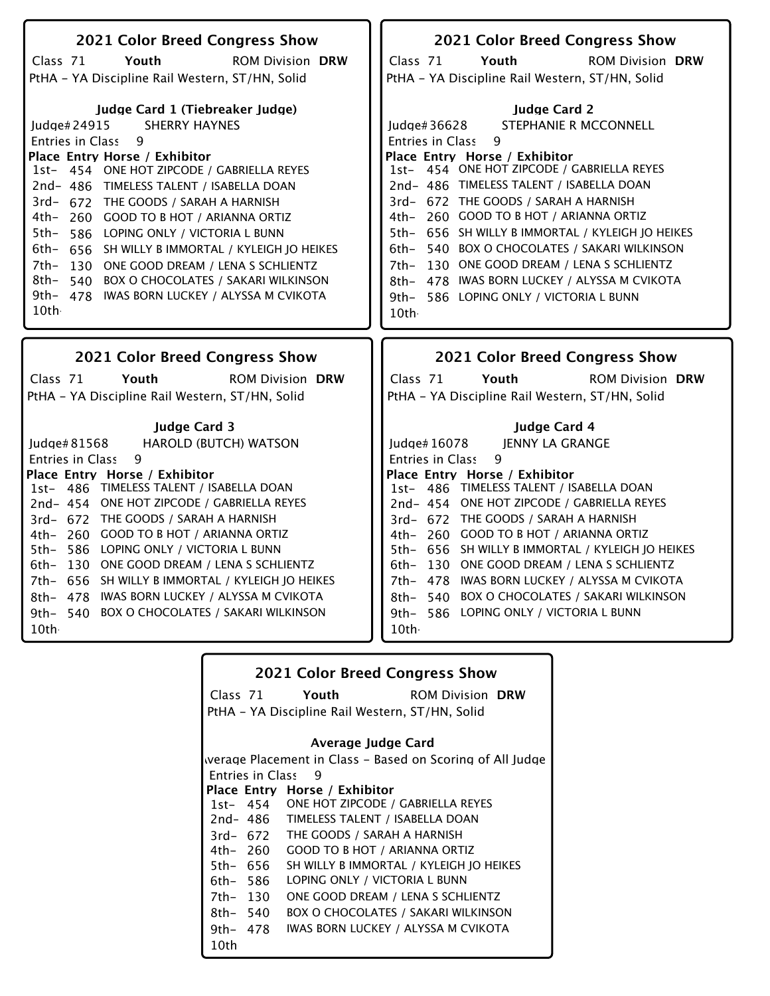| 2021 Color Breed Congress Show                                                                             | 2021 Color Breed Congress Show                                                            |
|------------------------------------------------------------------------------------------------------------|-------------------------------------------------------------------------------------------|
| Class 71<br>Youth<br><b>ROM Division DRW</b>                                                               | Class 71<br>Youth<br><b>ROM Division DRW</b>                                              |
| PtHA - YA Discipline Rail Western, ST/HN, Solid                                                            | PtHA - YA Discipline Rail Western, ST/HN, Solid                                           |
|                                                                                                            |                                                                                           |
| Judge Card 1 (Tiebreaker Judge)                                                                            | <b>Judge Card 2</b>                                                                       |
| <b>SHERRY HAYNES</b><br>Judge#24915                                                                        | STEPHANIE R MCCONNELL<br>Judge# 36628                                                     |
| Entries in Class<br>9                                                                                      | Entries in Class<br>9                                                                     |
| Place Entry Horse / Exhibitor                                                                              | Place Entry Horse / Exhibitor                                                             |
| 1st- 454 ONE HOT ZIPCODE / GABRIELLA REYES                                                                 | 1st- 454 ONE HOT ZIPCODE / GABRIELLA REYES                                                |
| 2nd- 486 TIMELESS TALENT / ISABELLA DOAN                                                                   | 2nd- 486 TIMELESS TALENT / ISABELLA DOAN                                                  |
| 3rd- 672 THE GOODS / SARAH A HARNISH                                                                       | 3rd- 672 THE GOODS / SARAH A HARNISH                                                      |
| 4th- 260 GOOD TO B HOT / ARIANNA ORTIZ                                                                     | 4th- 260 GOOD TO B HOT / ARIANNA ORTIZ                                                    |
| 5th–<br>586 LOPING ONLY / VICTORIA L BUNN                                                                  | 656 SH WILLY B IMMORTAL / KYLEIGH JO HEIKES<br>$5th-$                                     |
| 6th–<br>656<br>SH WILLY B IMMORTAL / KYLEIGH JO HEIKES                                                     | 540 BOX O CHOCOLATES / SAKARI WILKINSON<br>$6th-$                                         |
| 7th–<br>130<br>ONE GOOD DREAM / LENA S SCHLIENTZ<br>8th- 540<br><b>BOX O CHOCOLATES / SAKARI WILKINSON</b> | 130 ONE GOOD DREAM / LENA S SCHLIENTZ<br>$7th-$                                           |
| 9th- 478 IWAS BORN LUCKEY / ALYSSA M CVIKOTA                                                               | 478 IWAS BORN LUCKEY / ALYSSA M CVIKOTA<br>8th–<br>9th- 586 LOPING ONLY / VICTORIA L BUNN |
| 10th                                                                                                       | 10th -                                                                                    |
|                                                                                                            |                                                                                           |
|                                                                                                            |                                                                                           |
|                                                                                                            |                                                                                           |
| <b>2021 Color Breed Congress Show</b>                                                                      | <b>2021 Color Breed Congress Show</b>                                                     |
| Class 71<br>Youth<br><b>ROM Division DRW</b>                                                               | Class 71<br>Youth<br><b>ROM Division DRW</b>                                              |
| PtHA - YA Discipline Rail Western, ST/HN, Solid                                                            | PtHA - YA Discipline Rail Western, ST/HN, Solid                                           |
|                                                                                                            |                                                                                           |
| <b>Judge Card 3</b>                                                                                        | Judge Card 4<br><b>IENNY LA GRANGE</b>                                                    |
| Judge# 81568<br><b>HAROLD (BUTCH) WATSON</b><br>9<br><b>Entries in Class</b>                               | Judge# 16078<br>9<br><b>Entries in Class</b>                                              |
| Place Entry Horse / Exhibitor                                                                              | Place Entry Horse / Exhibitor                                                             |
| 1st- 486 TIMELESS TALENT / ISABELLA DOAN                                                                   | 1st- 486 TIMELESS TALENT / ISABELLA DOAN                                                  |
| 2nd-454 ONE HOT ZIPCODE / GABRIELLA REYES                                                                  | 2nd-454 ONE HOT ZIPCODE / GABRIELLA REYES                                                 |
| 3rd- 672 THE GOODS / SARAH A HARNISH                                                                       | 3rd- 672 THE GOODS / SARAH A HARNISH                                                      |
| 4th- 260 GOOD TO B HOT / ARIANNA ORTIZ                                                                     | 4th- 260 GOOD TO B HOT / ARIANNA ORTIZ                                                    |
| 586 LOPING ONLY / VICTORIA L BUNN<br>5th–                                                                  | 5th- 656 SH WILLY B IMMORTAL / KYLEIGH JO HEIKES                                          |
| 130 ONE GOOD DREAM / LENA S SCHLIENTZ<br>6th-                                                              | 130 ONE GOOD DREAM / LENA S SCHLIENTZ<br>6th-                                             |
| 656 SH WILLY B IMMORTAL / KYLEIGH JO HEIKES<br>7th-                                                        | 7th- 478 IWAS BORN LUCKEY / ALYSSA M CVIKOTA                                              |
| 8th- 478<br>IWAS BORN LUCKEY / ALYSSA M CVIKOTA                                                            | 8th- 540 BOX O CHOCOLATES / SAKARI WILKINSON                                              |
| 540 BOX O CHOCOLATES / SAKARI WILKINSON<br>9th–<br>10th                                                    | 9th- 586 LOPING ONLY / VICTORIA L BUNN<br>10th                                            |

## **2021 Color Breed Congress Show**

ROM Division **Youth DRW**

Class 71 PtHA - YA Discipline Rail Western, ST/HN, Solid

### **Average Judge Card**

Entries in Class 1st-**Place Entry Horse / Exhibitor** 2nd-486 3rd-672 4th-260 5th-656 6th-586 7th-130 Werage Placement in Class - Based on Scoring of All Judge 9 ONE HOT ZIPCODE / GABRIELLA REYES TIMELESS TALENT / ISABELLA DOAN THE GOODS / SARAH A HARNISH GOOD TO B HOT / ARIANNA ORTIZ SH WILLY B IMMORTAL / KYLEIGH JO HEIKES LOPING ONLY / VICTORIA L BUNN ONE GOOD DREAM / LENA S SCHLIENTZ

8th-540 BOX O CHOCOLATES / SAKARI WILKINSON

9th-478 IWAS BORN LUCKEY / ALYSSA M CVIKOTA

10th-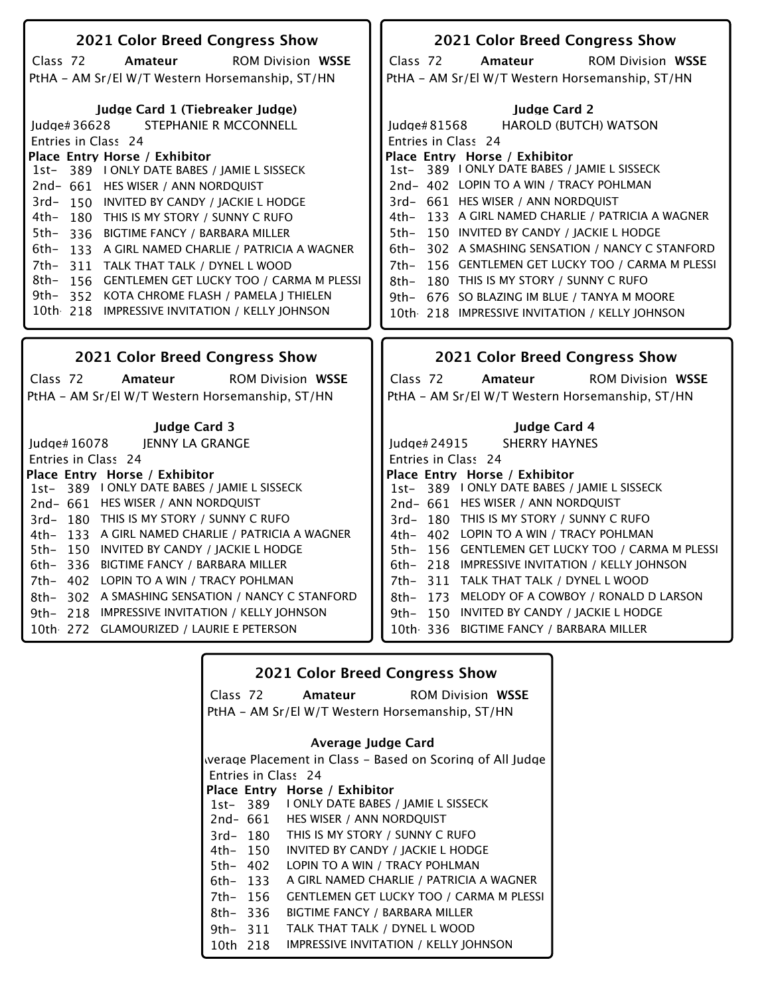| 2021 Color Breed Congress Show                                                                                                                                                                                                                                                                                                                                                                                                                                                                                                                                                                                                          | 2021 Color Breed Congress Show                                                                                                                                                                                                                                                                                                                                                                                                                                                                                                                                                                                              |
|-----------------------------------------------------------------------------------------------------------------------------------------------------------------------------------------------------------------------------------------------------------------------------------------------------------------------------------------------------------------------------------------------------------------------------------------------------------------------------------------------------------------------------------------------------------------------------------------------------------------------------------------|-----------------------------------------------------------------------------------------------------------------------------------------------------------------------------------------------------------------------------------------------------------------------------------------------------------------------------------------------------------------------------------------------------------------------------------------------------------------------------------------------------------------------------------------------------------------------------------------------------------------------------|
| Class 72<br><b>ROM Division WSSE</b><br>Amateur                                                                                                                                                                                                                                                                                                                                                                                                                                                                                                                                                                                         | Class 72<br><b>ROM Division WSSE</b><br>Amateur                                                                                                                                                                                                                                                                                                                                                                                                                                                                                                                                                                             |
| PtHA - AM Sr/El W/T Western Horsemanship, ST/HN                                                                                                                                                                                                                                                                                                                                                                                                                                                                                                                                                                                         | PtHA - AM Sr/El W/T Western Horsemanship, ST/HN                                                                                                                                                                                                                                                                                                                                                                                                                                                                                                                                                                             |
| Judge Card 1 (Tiebreaker Judge)<br><b>STEPHANIE R MCCONNELL</b><br>ludge# $36628$<br>Entries in Class 24<br>Place Entry Horse / Exhibitor<br>1st-389 I ONLY DATE BABES / JAMIE L SISSECK<br>2nd- 661 HES WISER / ANN NORDQUIST<br>3rd-150 INVITED BY CANDY / JACKIE L HODGE<br>4th-<br>180 THIS IS MY STORY / SUNNY C RUFO<br>5th–<br>336 BIGTIME FANCY / BARBARA MILLER<br>6th-<br>133 A GIRL NAMED CHARLIE / PATRICIA A WAGNER<br>$7th-$<br>311 TALK THAT TALK / DYNEL L WOOD<br>8th- 156 GENTLEMEN GET LUCKY TOO / CARMA M PLESSI<br>9th- 352 KOTA CHROME FLASH / PAMELA J THIELEN<br>10th 218 IMPRESSIVE INVITATION / KELLY JOHNSON | <b>Iudge Card 2</b><br><b>HAROLD (BUTCH) WATSON</b><br>Judge# 81568<br>Entries in Class 24<br>Place Entry Horse / Exhibitor<br>1st- 389 I ONLY DATE BABES / JAMIE L SISSECK<br>2nd- 402 LOPIN TO A WIN / TRACY POHLMAN<br>3rd- 661 HES WISER / ANN NORDQUIST<br>4th- 133 A GIRL NAMED CHARLIE / PATRICIA A WAGNER<br>5th- 150 INVITED BY CANDY / JACKIE L HODGE<br>6th- 302 A SMASHING SENSATION / NANCY C STANFORD<br>156 GENTLEMEN GET LUCKY TOO / CARMA M PLESSI<br>7th-<br>180 THIS IS MY STORY / SUNNY C RUFO<br>8th–<br>9th- 676 SO BLAZING IM BLUE / TANYA M MOORE<br>10th 218 IMPRESSIVE INVITATION / KELLY JOHNSON |
|                                                                                                                                                                                                                                                                                                                                                                                                                                                                                                                                                                                                                                         |                                                                                                                                                                                                                                                                                                                                                                                                                                                                                                                                                                                                                             |
|                                                                                                                                                                                                                                                                                                                                                                                                                                                                                                                                                                                                                                         |                                                                                                                                                                                                                                                                                                                                                                                                                                                                                                                                                                                                                             |
| 2021 Color Breed Congress Show                                                                                                                                                                                                                                                                                                                                                                                                                                                                                                                                                                                                          | 2021 Color Breed Congress Show                                                                                                                                                                                                                                                                                                                                                                                                                                                                                                                                                                                              |
| Class 72<br><b>ROM Division WSSE</b><br>Amateur                                                                                                                                                                                                                                                                                                                                                                                                                                                                                                                                                                                         | Class 72<br><b>ROM Division WSSE</b><br>Amateur                                                                                                                                                                                                                                                                                                                                                                                                                                                                                                                                                                             |
| PtHA - AM Sr/El W/T Western Horsemanship, ST/HN                                                                                                                                                                                                                                                                                                                                                                                                                                                                                                                                                                                         | PtHA - AM Sr/El W/T Western Horsemanship, ST/HN                                                                                                                                                                                                                                                                                                                                                                                                                                                                                                                                                                             |
|                                                                                                                                                                                                                                                                                                                                                                                                                                                                                                                                                                                                                                         |                                                                                                                                                                                                                                                                                                                                                                                                                                                                                                                                                                                                                             |
| Judge Card 3                                                                                                                                                                                                                                                                                                                                                                                                                                                                                                                                                                                                                            | Judge Card 4                                                                                                                                                                                                                                                                                                                                                                                                                                                                                                                                                                                                                |
| <b>JENNY LA GRANGE</b><br>ludge $#16078$                                                                                                                                                                                                                                                                                                                                                                                                                                                                                                                                                                                                | <b>SHERRY HAYNES</b><br>ludge $#24915$                                                                                                                                                                                                                                                                                                                                                                                                                                                                                                                                                                                      |
| Entries in Class 24                                                                                                                                                                                                                                                                                                                                                                                                                                                                                                                                                                                                                     | Entries in Class 24                                                                                                                                                                                                                                                                                                                                                                                                                                                                                                                                                                                                         |
| Place Entry Horse / Exhibitor                                                                                                                                                                                                                                                                                                                                                                                                                                                                                                                                                                                                           | Place Entry Horse / Exhibitor                                                                                                                                                                                                                                                                                                                                                                                                                                                                                                                                                                                               |
| 389 I ONLY DATE BABES / JAMIE L SISSECK<br>$1st-$                                                                                                                                                                                                                                                                                                                                                                                                                                                                                                                                                                                       | 1st- 389 I ONLY DATE BABES / JAMIE L SISSECK                                                                                                                                                                                                                                                                                                                                                                                                                                                                                                                                                                                |
| 2nd- 661 HES WISER / ANN NORDQUIST                                                                                                                                                                                                                                                                                                                                                                                                                                                                                                                                                                                                      | 2nd- 661 HES WISER / ANN NORDQUIST                                                                                                                                                                                                                                                                                                                                                                                                                                                                                                                                                                                          |
| 3rd-180 THIS IS MY STORY / SUNNY C RUFO                                                                                                                                                                                                                                                                                                                                                                                                                                                                                                                                                                                                 | 3rd-180 THIS IS MY STORY / SUNNY C RUFO                                                                                                                                                                                                                                                                                                                                                                                                                                                                                                                                                                                     |
| 4th- 133 A GIRL NAMED CHARLIE / PATRICIA A WAGNER                                                                                                                                                                                                                                                                                                                                                                                                                                                                                                                                                                                       | 4th- 402 LOPIN TO A WIN / TRACY POHLMAN                                                                                                                                                                                                                                                                                                                                                                                                                                                                                                                                                                                     |
| 5th- 150 INVITED BY CANDY / JACKIE L HODGE<br>6th- 336 BIGTIME FANCY / BARBARA MILLER                                                                                                                                                                                                                                                                                                                                                                                                                                                                                                                                                   | 5th- 156 GENTLEMEN GET LUCKY TOO / CARMA M PLESSI<br>6th- 218 IMPRESSIVE INVITATION / KELLY JOHNSON                                                                                                                                                                                                                                                                                                                                                                                                                                                                                                                         |
| 7th- 402 LOPIN TO A WIN / TRACY POHLMAN                                                                                                                                                                                                                                                                                                                                                                                                                                                                                                                                                                                                 | TALK THAT TALK / DYNEL L WOOD<br>7th-<br>311                                                                                                                                                                                                                                                                                                                                                                                                                                                                                                                                                                                |
| 8th- 302 A SMASHING SENSATION / NANCY C STANFORD                                                                                                                                                                                                                                                                                                                                                                                                                                                                                                                                                                                        | MELODY OF A COWBOY / RONALD D LARSON<br>8th–<br>- 173                                                                                                                                                                                                                                                                                                                                                                                                                                                                                                                                                                       |
| 9th- 218 IMPRESSIVE INVITATION / KELLY JOHNSON                                                                                                                                                                                                                                                                                                                                                                                                                                                                                                                                                                                          | 9th- 150 INVITED BY CANDY / JACKIE L HODGE                                                                                                                                                                                                                                                                                                                                                                                                                                                                                                                                                                                  |
| 10th 272 GLAMOURIZED / LAURIE E PETERSON                                                                                                                                                                                                                                                                                                                                                                                                                                                                                                                                                                                                | 10th 336 BIGTIME FANCY / BARBARA MILLER                                                                                                                                                                                                                                                                                                                                                                                                                                                                                                                                                                                     |

|             |          | <b>2021 Color Breed Congress Show</b>                     |  |
|-------------|----------|-----------------------------------------------------------|--|
|             |          | Class 72 <b>Amateur</b> ROM Division WSSE                 |  |
|             |          | PtHA – AM Sr/El W/T Western Horsemanship, ST/HN           |  |
|             |          | Average Judge Card                                        |  |
|             |          | werage Placement in Class – Based on Scoring of All Judge |  |
|             |          | Entries in Class 24                                       |  |
|             |          | Place Entry Horse / Exhibitor                             |  |
|             | 1st- 389 | I ONLY DATE BABES / JAMIE L SISSECK                       |  |
|             | 2nd- 661 | HES WISER / ANN NORDQUIST                                 |  |
|             | 3rd- 180 | THIS IS MY STORY / SUNNY C RUFO                           |  |
|             | 4th– 150 | INVITED BY CANDY / JACKIE L HODGE                         |  |
|             | 5th– 402 | LOPIN TO A WIN / TRACY POHLMAN                            |  |
| 6th- 133    |          | A GIRL NAMED CHARLIE / PATRICIA A WAGNER                  |  |
| 7th- 156    |          | <b>GENTLEMEN GET LUCKY TOO / CARMA M PLESSI</b>           |  |
| $8th - 336$ |          | BIGTIME FANCY / BARBARA MILLER                            |  |
| 9th- $311$  |          | TALK THAT TALK / DYNEL L WOOD                             |  |
| 10th 218    |          | IMPRESSIVE INVITATION / KELLY JOHNSON                     |  |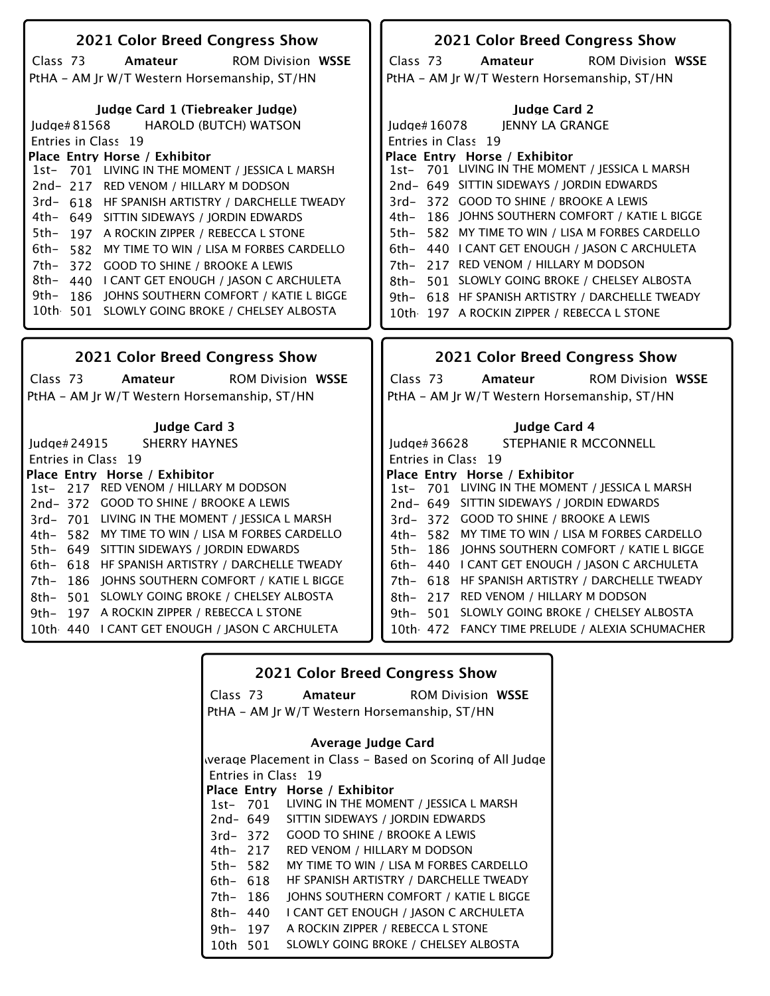| 2021 Color Breed Congress Show                                                                                                                                                                                                                                                                                                                                                                                                                                                                                                                                                                                                                | 2021 Color Breed Congress Show                                                                                                                                                                                                                                                                                                                                                                                                                                                                                                                                                                                 |
|-----------------------------------------------------------------------------------------------------------------------------------------------------------------------------------------------------------------------------------------------------------------------------------------------------------------------------------------------------------------------------------------------------------------------------------------------------------------------------------------------------------------------------------------------------------------------------------------------------------------------------------------------|----------------------------------------------------------------------------------------------------------------------------------------------------------------------------------------------------------------------------------------------------------------------------------------------------------------------------------------------------------------------------------------------------------------------------------------------------------------------------------------------------------------------------------------------------------------------------------------------------------------|
|                                                                                                                                                                                                                                                                                                                                                                                                                                                                                                                                                                                                                                               |                                                                                                                                                                                                                                                                                                                                                                                                                                                                                                                                                                                                                |
| <b>ROM Division WSSE</b><br>Class 73<br>Amateur                                                                                                                                                                                                                                                                                                                                                                                                                                                                                                                                                                                               | Class 73<br><b>ROM Division WSSE</b><br>Amateur                                                                                                                                                                                                                                                                                                                                                                                                                                                                                                                                                                |
| PtHA - AM Jr W/T Western Horsemanship, ST/HN                                                                                                                                                                                                                                                                                                                                                                                                                                                                                                                                                                                                  | PtHA - AM Jr W/T Western Horsemanship, ST/HN                                                                                                                                                                                                                                                                                                                                                                                                                                                                                                                                                                   |
| Judge Card 1 (Tiebreaker Judge)<br><b>HAROLD (BUTCH) WATSON</b><br>Judge#81568<br>Entries in Class 19<br>Place Entry Horse / Exhibitor<br>1st- 701 LIVING IN THE MOMENT / JESSICA L MARSH<br>2nd-217 RED VENOM / HILLARY M DODSON<br>3rd- 618 HF SPANISH ARTISTRY / DARCHELLE TWEADY<br>4th- 649 SITTIN SIDEWAYS / JORDIN EDWARDS<br>5th-<br>197 A ROCKIN ZIPPER / REBECCA L STONE<br>6th- 582 MY TIME TO WIN / LISA M FORBES CARDELLO<br>372 GOOD TO SHINE / BROOKE A LEWIS<br>7th–<br>8th- 440 I CANT GET ENOUGH / IASON C ARCHULETA<br>9th–<br>186 IOHNS SOUTHERN COMFORT / KATIE L BIGGE<br>10th 501 SLOWLY GOING BROKE / CHELSEY ALBOSTA | <b>Judge Card 2</b><br>Judge#16078<br>JENNY LA GRANGE<br>Entries in Class 19<br>Place Entry Horse / Exhibitor<br>1st- 701 LIVING IN THE MOMENT / JESSICA L MARSH<br>2nd- 649 SITTIN SIDEWAYS / JORDIN EDWARDS<br>3rd-372 GOOD TO SHINE / BROOKE A LEWIS<br>4th- 186 JOHNS SOUTHERN COMFORT / KATIE L BIGGE<br>5th- 582 MY TIME TO WIN / LISA M FORBES CARDELLO<br>6th- 440 I CANT GET ENOUGH / JASON C ARCHULETA<br>7th- 217 RED VENOM / HILLARY M DODSON<br>8th-<br>501 SLOWLY GOING BROKE / CHELSEY ALBOSTA<br>9th- 618 HF SPANISH ARTISTRY / DARCHELLE TWEADY<br>10th 197 A ROCKIN ZIPPER / REBECCA L STONE |
|                                                                                                                                                                                                                                                                                                                                                                                                                                                                                                                                                                                                                                               |                                                                                                                                                                                                                                                                                                                                                                                                                                                                                                                                                                                                                |
|                                                                                                                                                                                                                                                                                                                                                                                                                                                                                                                                                                                                                                               |                                                                                                                                                                                                                                                                                                                                                                                                                                                                                                                                                                                                                |
| <b>2021 Color Breed Congress Show</b>                                                                                                                                                                                                                                                                                                                                                                                                                                                                                                                                                                                                         | 2021 Color Breed Congress Show                                                                                                                                                                                                                                                                                                                                                                                                                                                                                                                                                                                 |
| Class 73<br><b>ROM Division WSSE</b><br>Amateur                                                                                                                                                                                                                                                                                                                                                                                                                                                                                                                                                                                               | Class 73<br><b>ROM Division WSSE</b><br>Amateur                                                                                                                                                                                                                                                                                                                                                                                                                                                                                                                                                                |
| PtHA - AM Jr W/T Western Horsemanship, ST/HN                                                                                                                                                                                                                                                                                                                                                                                                                                                                                                                                                                                                  | PtHA - AM Jr W/T Western Horsemanship, ST/HN                                                                                                                                                                                                                                                                                                                                                                                                                                                                                                                                                                   |
|                                                                                                                                                                                                                                                                                                                                                                                                                                                                                                                                                                                                                                               |                                                                                                                                                                                                                                                                                                                                                                                                                                                                                                                                                                                                                |
| <b>Judge Card 3</b>                                                                                                                                                                                                                                                                                                                                                                                                                                                                                                                                                                                                                           | Judge Card 4                                                                                                                                                                                                                                                                                                                                                                                                                                                                                                                                                                                                   |
| Judge# 24915<br><b>SHERRY HAYNES</b>                                                                                                                                                                                                                                                                                                                                                                                                                                                                                                                                                                                                          | STEPHANIE R MCCONNELL<br>Judge# 36628                                                                                                                                                                                                                                                                                                                                                                                                                                                                                                                                                                          |
| Entries in Class 19<br>Place Entry Horse / Exhibitor                                                                                                                                                                                                                                                                                                                                                                                                                                                                                                                                                                                          | Entries in Class 19<br>Place Entry Horse / Exhibitor                                                                                                                                                                                                                                                                                                                                                                                                                                                                                                                                                           |
| 1st- 217 RED VENOM / HILLARY M DODSON                                                                                                                                                                                                                                                                                                                                                                                                                                                                                                                                                                                                         | 1st- 701 LIVING IN THE MOMENT / JESSICA L MARSH                                                                                                                                                                                                                                                                                                                                                                                                                                                                                                                                                                |
| 2nd-372 GOOD TO SHINE / BROOKE A LEWIS                                                                                                                                                                                                                                                                                                                                                                                                                                                                                                                                                                                                        | 2nd- 649 SITTIN SIDEWAYS / JORDIN EDWARDS                                                                                                                                                                                                                                                                                                                                                                                                                                                                                                                                                                      |
| 3rd-701 LIVING IN THE MOMENT / JESSICA L MARSH                                                                                                                                                                                                                                                                                                                                                                                                                                                                                                                                                                                                | 3rd-372 GOOD TO SHINE / BROOKE A LEWIS                                                                                                                                                                                                                                                                                                                                                                                                                                                                                                                                                                         |
| 582 MY TIME TO WIN / LISA M FORBES CARDELLO<br>4th–                                                                                                                                                                                                                                                                                                                                                                                                                                                                                                                                                                                           | 4th- 582 MY TIME TO WIN / LISA M FORBES CARDELLO                                                                                                                                                                                                                                                                                                                                                                                                                                                                                                                                                               |
| 5th- 649 SITTIN SIDEWAYS / JORDIN EDWARDS                                                                                                                                                                                                                                                                                                                                                                                                                                                                                                                                                                                                     | 186 JOHNS SOUTHERN COMFORT / KATIE L BIGGE<br>5th-                                                                                                                                                                                                                                                                                                                                                                                                                                                                                                                                                             |
| 6th- 618 HF SPANISH ARTISTRY / DARCHELLE TWEADY                                                                                                                                                                                                                                                                                                                                                                                                                                                                                                                                                                                               | 6th- 440 I CANT GET ENOUGH / JASON C ARCHULETA                                                                                                                                                                                                                                                                                                                                                                                                                                                                                                                                                                 |
| 186 JOHNS SOUTHERN COMFORT / KATIE L BIGGE<br>7th–                                                                                                                                                                                                                                                                                                                                                                                                                                                                                                                                                                                            | 7th- 618 HF SPANISH ARTISTRY / DARCHELLE TWEADY                                                                                                                                                                                                                                                                                                                                                                                                                                                                                                                                                                |
| 501 SLOWLY GOING BROKE / CHELSEY ALBOSTA<br>8th–                                                                                                                                                                                                                                                                                                                                                                                                                                                                                                                                                                                              | 8th- 217 RED VENOM / HILLARY M DODSON                                                                                                                                                                                                                                                                                                                                                                                                                                                                                                                                                                          |
| 197 A ROCKIN ZIPPER / REBECCA L STONE<br>9th–                                                                                                                                                                                                                                                                                                                                                                                                                                                                                                                                                                                                 | 9th- 501 SLOWLY GOING BROKE / CHELSEY ALBOSTA                                                                                                                                                                                                                                                                                                                                                                                                                                                                                                                                                                  |
| 10th 440   CANT GET ENOUGH / JASON C ARCHULETA                                                                                                                                                                                                                                                                                                                                                                                                                                                                                                                                                                                                | 10th 472 FANCY TIME PRELUDE / ALEXIA SCHUMACHER                                                                                                                                                                                                                                                                                                                                                                                                                                                                                                                                                                |

|           | <b>2021 Color Breed Congress Show</b>                     |
|-----------|-----------------------------------------------------------|
|           | Class 73 <b>Amateur</b> ROM Division WSSE                 |
|           | PtHA - AM Jr W/T Western Horsemanship, ST/HN              |
|           | Average Judge Card                                        |
|           | werage Placement in Class – Based on Scoring of All Judge |
|           |                                                           |
|           | Entries in Class 19                                       |
|           | Place Entry Horse / Exhibitor                             |
| 1st- 701  | LIVING IN THE MOMENT / JESSICA L MARSH                    |
| 2nd- 649  | SITTIN SIDEWAYS / JORDIN EDWARDS                          |
| 3rd-372   | <b>GOOD TO SHINE / BROOKE A LEWIS</b>                     |
| 4th– 217  | RED VENOM / HILLARY M DODSON                              |
| 5th- 582  | MY TIME TO WIN / LISA M FORBES CARDELLO                   |
| 6th- 618  | HF SPANISH ARTISTRY / DARCHELLE TWEADY                    |
| 7th- 186  | JOHNS SOUTHERN COMFORT / KATIE L BIGGE                    |
| $8th-440$ | I CANT GET ENOUGH / JASON C ARCHULETA                     |
| 9th- 197  | A ROCKIN ZIPPER / REBECCA L STONE                         |
| 10th 501  | SLOWLY GOING BROKE / CHELSEY ALBOSTA                      |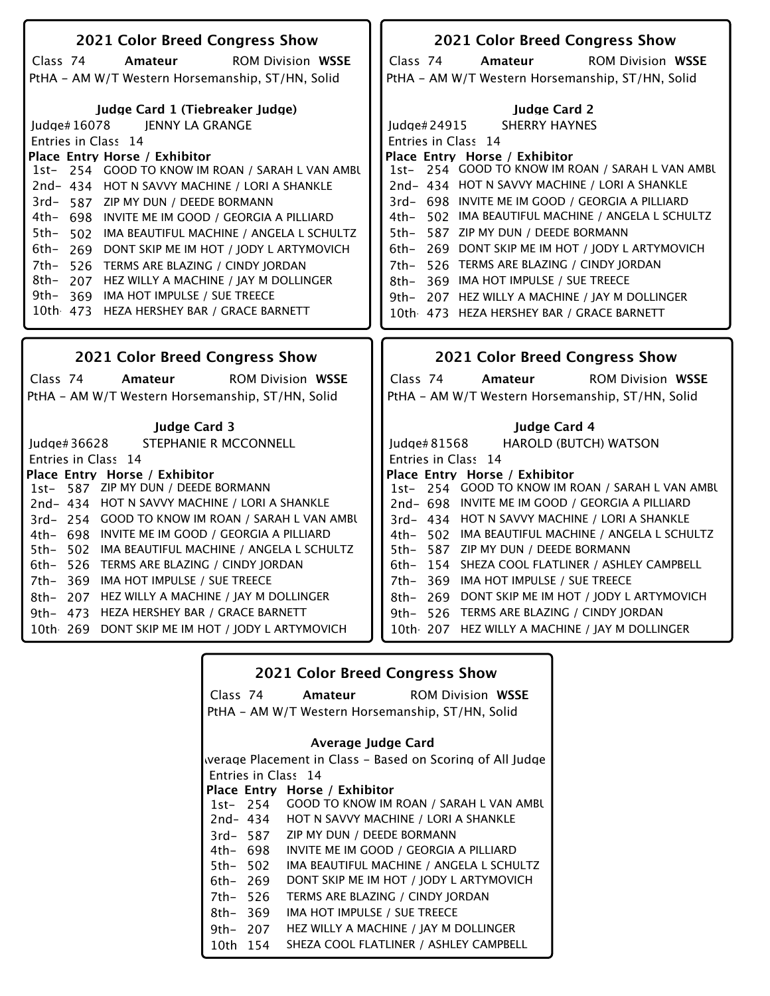| 2021 Color Breed Congress Show                       | 2021 Color Breed Congress Show                       |
|------------------------------------------------------|------------------------------------------------------|
| Class 74<br>Amateur<br><b>ROM Division WSSE</b>      | Class 74<br><b>ROM Division WSSE</b><br>Amateur      |
| PtHA - AM W/T Western Horsemanship, ST/HN, Solid     | PtHA - AM W/T Western Horsemanship, ST/HN, Solid     |
|                                                      |                                                      |
| Judge Card 1 (Tiebreaker Judge)                      | <b>Judge Card 2</b>                                  |
| Judge#16078<br>JENNY LA GRANGE                       | <b>SHERRY HAYNES</b><br>Judge#24915                  |
| Entries in Class 14                                  | Entries in Class 14                                  |
| Place Entry Horse / Exhibitor                        | Place Entry Horse / Exhibitor                        |
| 1st- 254 GOOD TO KNOW IM ROAN / SARAH L VAN AMBU     | 1st- 254 GOOD TO KNOW IM ROAN / SARAH L VAN AMBU     |
| 2nd-434 HOT N SAVVY MACHINE / LORI A SHANKLE         | 2nd- 434 HOT N SAVVY MACHINE / LORI A SHANKLE        |
| 3rd-587 ZIP MY DUN / DEEDE BORMANN                   | 3rd- 698 INVITE ME IM GOOD / GEORGIA A PILLIARD      |
| 4th- 698 INVITE ME IM GOOD / GEORGIA A PILLIARD      | 502 IMA BEAUTIFUL MACHINE / ANGELA L SCHULTZ<br>4th- |
| 5th-<br>502 IMA BEAUTIFUL MACHINE / ANGELA L SCHULTZ | 587 ZIP MY DUN / DEEDE BORMANN<br>5th-               |
| 6th- 269 DONT SKIP ME IM HOT / JODY L ARTYMOVICH     | 269 DONT SKIP ME IM HOT / JODY L ARTYMOVICH<br>6th-  |
| 7th- 526 TERMS ARE BLAZING / CINDY JORDAN            | 526 TERMS ARE BLAZING / CINDY JORDAN<br>7th-         |
| 8th- 207 HEZ WILLY A MACHINE / JAY M DOLLINGER       | 369 IMA HOT IMPULSE / SUE TREECE<br>8th-             |
| 9th- 369 IMA HOT IMPULSE / SUE TREECE                | 207 HEZ WILLY A MACHINE / JAY M DOLLINGER<br>9th–    |
| 10th 473 HEZA HERSHEY BAR / GRACE BARNETT            | 10th 473 HEZA HERSHEY BAR / GRACE BARNETT            |
|                                                      |                                                      |
|                                                      |                                                      |
| 2021 Color Breed Congress Show                       | 2021 Color Breed Congress Show                       |
| Class 74<br><b>ROM Division WSSE</b><br>Amateur      | Class 74<br><b>ROM Division WSSE</b><br>Amateur      |
| PtHA - AM W/T Western Horsemanship, ST/HN, Solid     | PtHA - AM W/T Western Horsemanship, ST/HN, Solid     |
|                                                      |                                                      |
| <b>Judge Card 3</b>                                  | Judge Card 4                                         |
| STEPHANIE R MCCONNELL<br>Judge# $36628$              | Judge#81568<br><b>HAROLD (BUTCH) WATSON</b>          |
| Entries in Class 14                                  | Entries in Class 14                                  |
| Place Entry Horse / Exhibitor                        | Place Entry Horse / Exhibitor                        |
| 587 ZIP MY DUN / DEEDE BORMANN<br>$1st-$             | 1st- 254 GOOD TO KNOW IM ROAN / SARAH L VAN AMBU     |
| 2nd-434 HOT N SAVVY MACHINE / LORI A SHANKLE         | 2nd- 698 INVITE ME IM GOOD / GEORGIA A PILLIARD      |
| 3rd- 254 GOOD TO KNOW IM ROAN / SARAH L VAN AMBU     | 3rd- 434 HOT N SAVVY MACHINE / LORI A SHANKLE        |
| 4th- 698 INVITE ME IM GOOD / GEORGIA A PILLIARD      | 4th- 502 IMA BEAUTIFUL MACHINE / ANGELA L SCHULTZ    |
| 502 IMA BEAUTIFUL MACHINE / ANGELA L SCHULTZ<br>5th– | $5th-$<br>587 ZIP MY DUN / DEEDE BORMANN             |
| 6th- 526<br>TERMS ARE BLAZING / CINDY JORDAN         | 6th- 154 SHEZA COOL FLATLINER / ASHLEY CAMPBELL      |
| 7th- 369 IMA HOT IMPULSE / SUE TREECE                | 7th- 369 IMA HOT IMPULSE / SUE TREECE                |
| 8th- 207 HEZ WILLY A MACHINE / JAY M DOLLINGER       | 8th- 269 DONT SKIP ME IM HOT / JODY L ARTYMOVICH     |
|                                                      |                                                      |
| 9th- 473 HEZA HERSHEY BAR / GRACE BARNETT            | 9th- 526 TERMS ARE BLAZING / CINDY JORDAN            |
| 10th 269 DONT SKIP ME IM HOT / JODY L ARTYMOVICH     | 10th 207 HEZ WILLY A MACHINE / JAY M DOLLINGER       |

|          |          | <b>2021 Color Breed Congress Show</b>                     |
|----------|----------|-----------------------------------------------------------|
|          |          | Class 74 <b>Amateur</b> ROM Division WSSE                 |
|          |          | PtHA - AM W/T Western Horsemanship, ST/HN, Solid          |
|          |          |                                                           |
|          |          | Average Judge Card                                        |
|          |          | werage Placement in Class – Based on Scoring of All Judge |
|          |          | Entries in Class 14                                       |
|          |          | Place Entry Horse / Exhibitor                             |
|          |          | 1st- 254 GOOD TO KNOW IM ROAN / SARAH L VAN AMBU          |
|          | 2nd- 434 | HOT N SAVVY MACHINE / LORI A SHANKLE                      |
|          | 3rd- 587 | ZIP MY DUN / DEEDE BORMANN                                |
| 4th- 698 |          | INVITE ME IM GOOD / GEORGIA A PILLIARD                    |
| 5th- 502 |          | IMA BEAUTIFUL MACHINE / ANGELA L SCHULTZ                  |
| 6th- 269 |          | DONT SKIP ME IM HOT / JODY L ARTYMOVICH                   |
| 7th- 526 |          | TERMS ARE BLAZING / CINDY JORDAN                          |
| 8th-369  |          | IMA HOT IMPULSE / SUE TREECE                              |
| 9th- 207 |          | HEZ WILLY A MACHINE / IAY M DOLLINGER                     |
| 10th 154 |          | SHEZA COOL FLATLINER / ASHLEY CAMPBELL                    |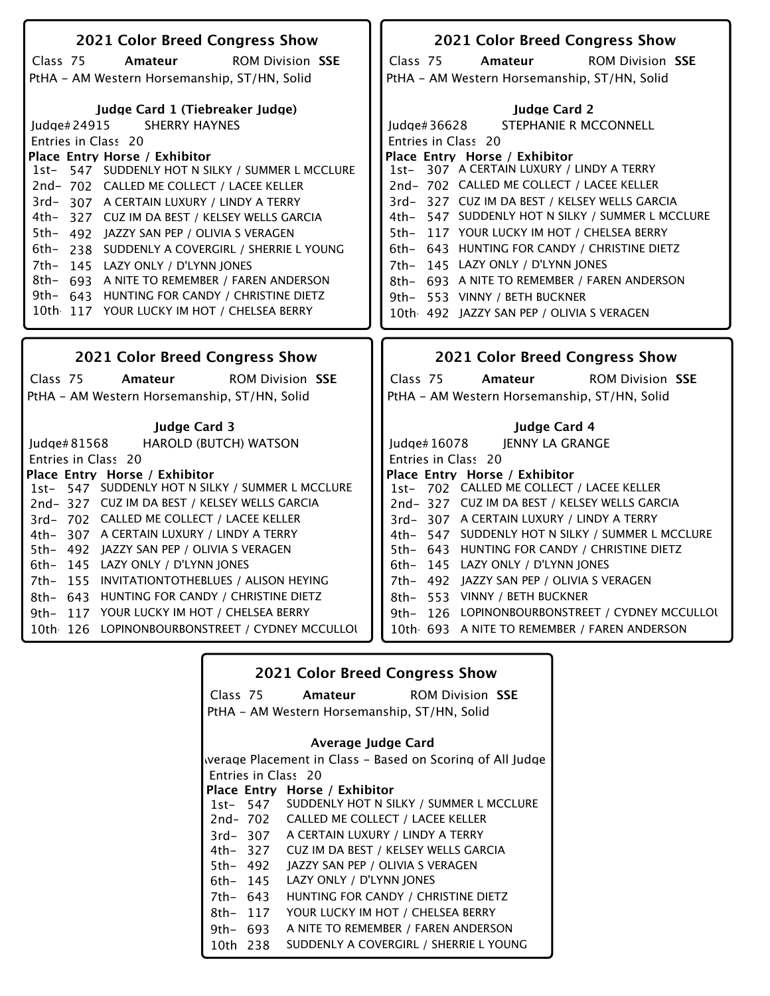| 2021 Color Breed Congress Show                                                                                                                                                                                                                                                                                                                                                                                                                                                                                                                                                                                 | 2021 Color Breed Congress Show                                                                                                                                                                                                                                                                                                                                                                                                                                                                                                       |
|----------------------------------------------------------------------------------------------------------------------------------------------------------------------------------------------------------------------------------------------------------------------------------------------------------------------------------------------------------------------------------------------------------------------------------------------------------------------------------------------------------------------------------------------------------------------------------------------------------------|--------------------------------------------------------------------------------------------------------------------------------------------------------------------------------------------------------------------------------------------------------------------------------------------------------------------------------------------------------------------------------------------------------------------------------------------------------------------------------------------------------------------------------------|
|                                                                                                                                                                                                                                                                                                                                                                                                                                                                                                                                                                                                                |                                                                                                                                                                                                                                                                                                                                                                                                                                                                                                                                      |
| <b>ROM Division SSE</b><br>Class 75<br>Amateur                                                                                                                                                                                                                                                                                                                                                                                                                                                                                                                                                                 | <b>ROM Division SSE</b><br>Class 75<br>Amateur                                                                                                                                                                                                                                                                                                                                                                                                                                                                                       |
| PtHA - AM Western Horsemanship, ST/HN, Solid                                                                                                                                                                                                                                                                                                                                                                                                                                                                                                                                                                   | PtHA - AM Western Horsemanship, ST/HN, Solid                                                                                                                                                                                                                                                                                                                                                                                                                                                                                         |
| Judge Card 1 (Tiebreaker Judge)<br><b>SHERRY HAYNES</b><br>ludae#24915<br>Entries in Class 20<br>Place Entry Horse / Exhibitor<br>1st- 547 SUDDENLY HOT N SILKY / SUMMER L MCCLURE<br>2nd-702 CALLED ME COLLECT / LACEE KELLER<br>3rd-307 A CERTAIN LUXURY / LINDY A TERRY<br>4th- 327 CUZ IM DA BEST / KELSEY WELLS GARCIA<br>5th- 492 JAZZY SAN PEP / OLIVIA S VERAGEN<br>6th- 238 SUDDENLY A COVERGIRL / SHERRIE L YOUNG<br>7th- 145 LAZY ONLY / D'LYNN JONES<br>8th- 693 A NITE TO REMEMBER / FAREN ANDERSON<br>9th- 643 HUNTING FOR CANDY / CHRISTINE DIETZ<br>10th 117 YOUR LUCKY IM HOT / CHELSEA BERRY | <b>Judge Card 2</b><br>STEPHANIE R MCCONNELL<br>Judge#36628<br>Entries in Class 20<br>Place Entry Horse / Exhibitor<br>1st- 307 A CERTAIN LUXURY / LINDY A TERRY<br>2nd-702 CALLED ME COLLECT / LACEE KELLER<br>3rd-327 CUZ IM DA BEST / KELSEY WELLS GARCIA<br>4th- 547 SUDDENLY HOT N SILKY / SUMMER L MCCLURE<br>5th- 117 YOUR LUCKY IM HOT / CHELSEA BERRY<br>6th- 643 HUNTING FOR CANDY / CHRISTINE DIETZ<br>7th- 145 LAZY ONLY / D'LYNN JONES<br>8th- 693 A NITE TO REMEMBER / FAREN ANDERSON<br>9th- 553 VINNY / BETH BUCKNER |
|                                                                                                                                                                                                                                                                                                                                                                                                                                                                                                                                                                                                                | 10th 492 JAZZY SAN PEP / OLIVIA S VERAGEN                                                                                                                                                                                                                                                                                                                                                                                                                                                                                            |
|                                                                                                                                                                                                                                                                                                                                                                                                                                                                                                                                                                                                                |                                                                                                                                                                                                                                                                                                                                                                                                                                                                                                                                      |
| 2021 Color Breed Congress Show                                                                                                                                                                                                                                                                                                                                                                                                                                                                                                                                                                                 | 2021 Color Breed Congress Show                                                                                                                                                                                                                                                                                                                                                                                                                                                                                                       |
| <b>ROM Division SSE</b><br>Class 75<br>Amateur                                                                                                                                                                                                                                                                                                                                                                                                                                                                                                                                                                 | Class 75<br>Amateur<br><b>ROM Division SSE</b>                                                                                                                                                                                                                                                                                                                                                                                                                                                                                       |
|                                                                                                                                                                                                                                                                                                                                                                                                                                                                                                                                                                                                                |                                                                                                                                                                                                                                                                                                                                                                                                                                                                                                                                      |
| PtHA - AM Western Horsemanship, ST/HN, Solid                                                                                                                                                                                                                                                                                                                                                                                                                                                                                                                                                                   | PtHA - AM Western Horsemanship, ST/HN, Solid                                                                                                                                                                                                                                                                                                                                                                                                                                                                                         |
| <b>Judge Card 3</b>                                                                                                                                                                                                                                                                                                                                                                                                                                                                                                                                                                                            | <b>Judge Card 4</b>                                                                                                                                                                                                                                                                                                                                                                                                                                                                                                                  |
| <b>HAROLD (BUTCH) WATSON</b><br>Judge# 81568                                                                                                                                                                                                                                                                                                                                                                                                                                                                                                                                                                   | <b>JENNY LA GRANGE</b><br>Judge# 16078                                                                                                                                                                                                                                                                                                                                                                                                                                                                                               |
| Entries in Class 20                                                                                                                                                                                                                                                                                                                                                                                                                                                                                                                                                                                            | Entries in Class 20                                                                                                                                                                                                                                                                                                                                                                                                                                                                                                                  |
| Place Entry Horse / Exhibitor                                                                                                                                                                                                                                                                                                                                                                                                                                                                                                                                                                                  | Place Entry Horse / Exhibitor                                                                                                                                                                                                                                                                                                                                                                                                                                                                                                        |
| 1st- 547 SUDDENLY HOT N SILKY / SUMMER L MCCLURE                                                                                                                                                                                                                                                                                                                                                                                                                                                                                                                                                               | 1st- 702 CALLED ME COLLECT / LACEE KELLER                                                                                                                                                                                                                                                                                                                                                                                                                                                                                            |
| 2nd-327 CUZ IM DA BEST / KELSEY WELLS GARCIA                                                                                                                                                                                                                                                                                                                                                                                                                                                                                                                                                                   | 2nd-327 CUZ IM DA BEST / KELSEY WELLS GARCIA                                                                                                                                                                                                                                                                                                                                                                                                                                                                                         |
| 3rd-702 CALLED ME COLLECT / LACEE KELLER                                                                                                                                                                                                                                                                                                                                                                                                                                                                                                                                                                       | 3rd-307 A CERTAIN LUXURY / LINDY A TERRY                                                                                                                                                                                                                                                                                                                                                                                                                                                                                             |
| 4th- 307 A CERTAIN LUXURY / LINDY A TERRY                                                                                                                                                                                                                                                                                                                                                                                                                                                                                                                                                                      | 4th- 547 SUDDENLY HOT N SILKY / SUMMER L MCCLURE                                                                                                                                                                                                                                                                                                                                                                                                                                                                                     |
| 5th- 492 JAZZY SAN PEP / OLIVIA S VERAGEN                                                                                                                                                                                                                                                                                                                                                                                                                                                                                                                                                                      | 5th- 643 HUNTING FOR CANDY / CHRISTINE DIETZ                                                                                                                                                                                                                                                                                                                                                                                                                                                                                         |
| 6th- 145 LAZY ONLY / D'LYNN JONES                                                                                                                                                                                                                                                                                                                                                                                                                                                                                                                                                                              | 6th- 145 LAZY ONLY / D'LYNN JONES                                                                                                                                                                                                                                                                                                                                                                                                                                                                                                    |
| 7th- 155 INVITATIONTOTHEBLUES / ALISON HEYING                                                                                                                                                                                                                                                                                                                                                                                                                                                                                                                                                                  | 7th- 492 JAZZY SAN PEP / OLIVIA S VERAGEN                                                                                                                                                                                                                                                                                                                                                                                                                                                                                            |
| 8th- 643 HUNTING FOR CANDY / CHRISTINE DIETZ                                                                                                                                                                                                                                                                                                                                                                                                                                                                                                                                                                   | 8th- 553 VINNY / BETH BUCKNER                                                                                                                                                                                                                                                                                                                                                                                                                                                                                                        |
| 9th- 117 YOUR LUCKY IM HOT / CHELSEA BERRY                                                                                                                                                                                                                                                                                                                                                                                                                                                                                                                                                                     | 9th- 126 LOPINONBOURBONSTREET / CYDNEY MCCULLOL                                                                                                                                                                                                                                                                                                                                                                                                                                                                                      |
| 10th 126 LOPINONBOURBONSTREET / CYDNEY MCCULLOU                                                                                                                                                                                                                                                                                                                                                                                                                                                                                                                                                                | 10th 693 A NITE TO REMEMBER / FAREN ANDERSON                                                                                                                                                                                                                                                                                                                                                                                                                                                                                         |

| <b>2021 Color Breed Congress Show</b> |  |
|---------------------------------------|--|
|---------------------------------------|--|

ROM Division **Amateur SSE**

Class 75 PtHA - AM Western Horsemanship, ST/HN, Solid

### **Average Judge Card**

Entries in Class 20 Werage Placement in Class - Based on Scoring of All Judge

#### 1st-**Place Entry Horse / Exhibitor** 2nd-702 SUDDENLY HOT N SILKY / SUMMER L MCCLURE CALLED ME COLLECT / LACEE KELLER

- 3rd-307 A CERTAIN LUXURY / LINDY A TERRY
- 4th-327 CUZ IM DA BEST / KELSEY WELLS GARCIA
- 5th-492 JAZZY SAN PEP / OLIVIA S VERAGEN
- 6th-145 LAZY ONLY / D'LYNN JONES
- 7th-643 HUNTING FOR CANDY / CHRISTINE DIETZ
- 8th-117 YOUR LUCKY IM HOT / CHELSEA BERRY
- 9th-693 A NITE TO REMEMBER / FAREN ANDERSON
- 10th-238 SUDDENLY A COVERGIRL / SHERRIE L YOUNG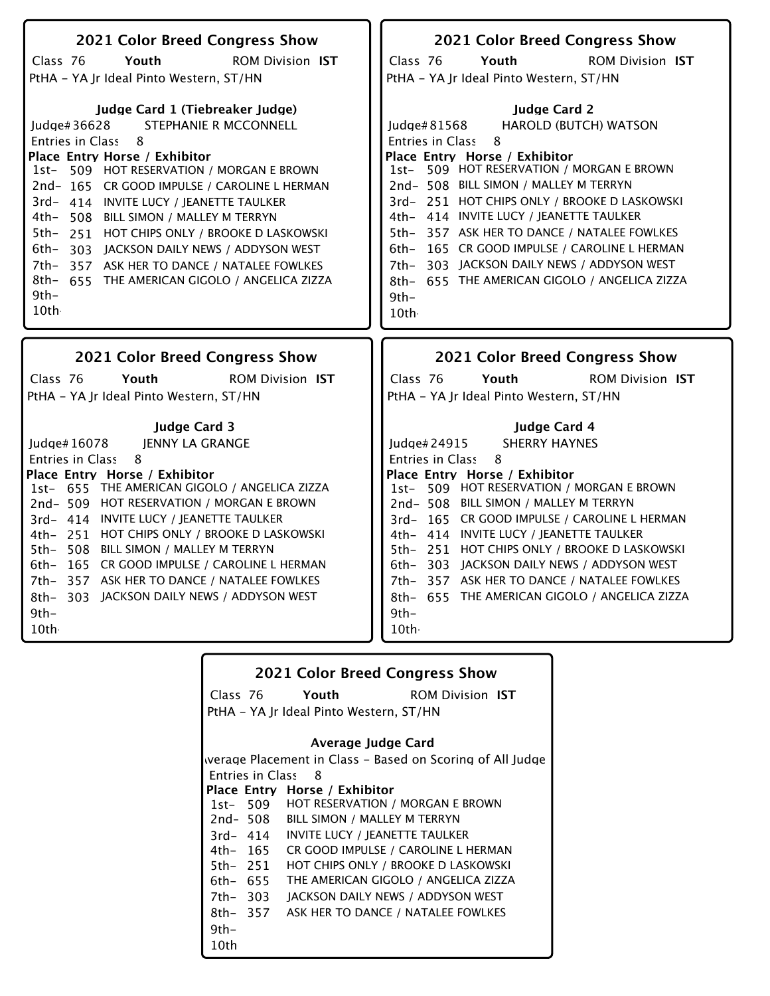| 2021 Color Breed Congress Show                  | 2021 Color Breed Congress Show                |
|-------------------------------------------------|-----------------------------------------------|
| Youth<br>Class 76<br><b>ROM Division IST</b>    | Youth<br><b>ROM Division IST</b><br>Class 76  |
| PtHA - YA Jr Ideal Pinto Western, ST/HN         | PtHA - YA Jr Ideal Pinto Western, ST/HN       |
|                                                 |                                               |
| Judge Card 1 (Tiebreaker Judge)                 | <b>Judge Card 2</b>                           |
| STEPHANIE R MCCONNELL<br>ludge# $36628$         | <b>HAROLD (BUTCH) WATSON</b><br>Judge#81568   |
| Entries in Class<br>8                           | Entries in Class<br>8                         |
| Place Entry Horse / Exhibitor                   | Place Entry Horse / Exhibitor                 |
| 1st- 509 HOT RESERVATION / MORGAN E BROWN       | 1st- 509 HOT RESERVATION / MORGAN E BROWN     |
| 2nd-165 CR GOOD IMPULSE / CAROLINE L HERMAN     | 2nd- 508 BILL SIMON / MALLEY M TERRYN         |
| 3rd- 414 INVITE LUCY / JEANETTE TAULKER         | 3rd-251 HOT CHIPS ONLY / BROOKE D LASKOWSKI   |
| 4th- 508 BILL SIMON / MALLEY M TERRYN           | 4th- 414 INVITE LUCY / JEANETTE TAULKER       |
| 5th-<br>251 HOT CHIPS ONLY / BROOKE D LASKOWSKI | 5th- 357 ASK HER TO DANCE / NATALEE FOWLKES   |
| 6th-<br>303 IACKSON DAILY NEWS / ADDYSON WEST   | 6th- 165 CR GOOD IMPULSE / CAROLINE L HERMAN  |
| 7th- 357 ASK HER TO DANCE / NATALEE FOWLKES     | 7th- 303 JACKSON DAILY NEWS / ADDYSON WEST    |
| 8th- 655 THE AMERICAN GIGOLO / ANGELICA ZIZZA   | 8th- 655 THE AMERICAN GIGOLO / ANGELICA ZIZZA |
| $9th-$                                          | $9th-$                                        |
| 10th                                            | 10th                                          |
|                                                 |                                               |
|                                                 |                                               |
| 2021 Color Breed Congress Show                  | 2021 Color Breed Congress Show                |
| Class 76<br>Youth<br><b>ROM Division IST</b>    | Class 76<br>Youth<br><b>ROM Division IST</b>  |
|                                                 |                                               |
| PtHA - YA Jr Ideal Pinto Western, ST/HN         | PtHA - YA Jr Ideal Pinto Western, ST/HN       |
| <b>Judge Card 3</b>                             | Judge Card 4                                  |
| Judge# 16078<br><b>IENNY LA GRANGE</b>          | <b>SHERRY HAYNES</b><br>Judge#24915           |
| <b>Entries in Class</b><br>8                    | Entries in Class<br>8                         |
| Place Entry Horse / Exhibitor                   | Place Entry Horse / Exhibitor                 |
| 1st- 655 THE AMERICAN GIGOLO / ANGELICA ZIZZA   | 1st- 509 HOT RESERVATION / MORGAN E BROWN     |
| 2nd-509 HOT RESERVATION / MORGAN E BROWN        | 2nd-508 BILL SIMON / MALLEY M TERRYN          |
| 3rd- 414 INVITE LUCY / JEANETTE TAULKER         | 3rd- 165 CR GOOD IMPULSE / CAROLINE L HERMAN  |
| 4th- 251 HOT CHIPS ONLY / BROOKE D LASKOWSKI    | 4th- 414 INVITE LUCY / JEANETTE TAULKER       |
| 5th- 508 BILL SIMON / MALLEY M TERRYN           | 5th- 251 HOT CHIPS ONLY / BROOKE D LASKOWSKI  |
| 6th- 165 CR GOOD IMPULSE / CAROLINE L HERMAN    | 6th- 303 JACKSON DAILY NEWS / ADDYSON WEST    |
| 7th- 357 ASK HER TO DANCE / NATALEE FOWLKES     | 7th- 357 ASK HER TO DANCE / NATALEE FOWLKES   |
| 8th- 303 JACKSON DAILY NEWS / ADDYSON WEST      | 8th- 655 THE AMERICAN GIGOLO / ANGELICA ZIZZA |
| $9th-$                                          | $9th-$                                        |
| 10th                                            | 10th                                          |

|      |                         | <b>2021 Color Breed Congress Show</b>     |                                                           |
|------|-------------------------|-------------------------------------------|-----------------------------------------------------------|
|      |                         | Class 76 Youth                            | <b>ROM Division IST</b>                                   |
|      |                         | PtHA - YA Jr Ideal Pinto Western, ST/HN   |                                                           |
|      |                         | Average Judge Card                        |                                                           |
|      |                         |                                           | werage Placement in Class – Based on Scoring of All Judge |
|      | <b>Entries in Class</b> | - 8                                       |                                                           |
|      |                         | Place Entry Horse / Exhibitor             |                                                           |
|      |                         | 1st- 509 HOT RESERVATION / MORGAN E BROWN |                                                           |
|      | 2nd- 508                | BILL SIMON / MALLEY M TERRYN              |                                                           |
|      | $3rd - 414$             | <b>INVITE LUCY / IEANETTE TAULKER</b>     |                                                           |
|      | 4th- 165                | CR GOOD IMPULSE / CAROLINE L HERMAN       |                                                           |
|      | 5th- 251                | HOT CHIPS ONLY / BROOKE D LASKOWSKI       |                                                           |
|      | 6th– 655                | THE AMERICAN GIGOLO / ANGELICA ZIZZA      |                                                           |
|      | 7th– 303                | JACKSON DAILY NEWS / ADDYSON WEST         |                                                           |
|      | 8th-357                 | ASK HER TO DANCE / NATALEE FOWLKES        |                                                           |
| 9th- |                         |                                           |                                                           |
| 10th |                         |                                           |                                                           |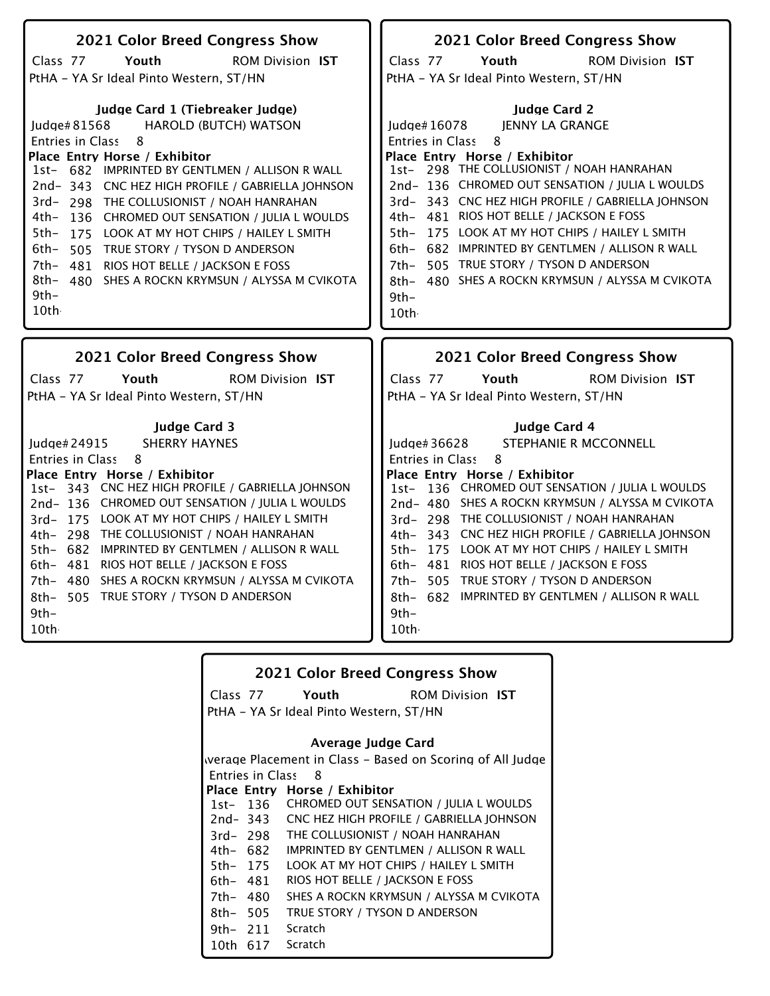| 2021 Color Breed Congress Show                                                                                                                                                                                                                                                                                                                                                                                                                                                                                                                                    | 2021 Color Breed Congress Show                                                                                                                                                                                                                                                                                                                                                                                                                                                                                                                |
|-------------------------------------------------------------------------------------------------------------------------------------------------------------------------------------------------------------------------------------------------------------------------------------------------------------------------------------------------------------------------------------------------------------------------------------------------------------------------------------------------------------------------------------------------------------------|-----------------------------------------------------------------------------------------------------------------------------------------------------------------------------------------------------------------------------------------------------------------------------------------------------------------------------------------------------------------------------------------------------------------------------------------------------------------------------------------------------------------------------------------------|
| Class 77<br>Youth<br><b>ROM Division IST</b>                                                                                                                                                                                                                                                                                                                                                                                                                                                                                                                      | Class 77<br>Youth<br><b>ROM Division IST</b>                                                                                                                                                                                                                                                                                                                                                                                                                                                                                                  |
| PtHA - YA Sr Ideal Pinto Western, ST/HN                                                                                                                                                                                                                                                                                                                                                                                                                                                                                                                           | PtHA - YA Sr Ideal Pinto Western, ST/HN                                                                                                                                                                                                                                                                                                                                                                                                                                                                                                       |
| Judge Card 1 (Tiebreaker Judge)<br>Judge#81568<br><b>HAROLD (BUTCH) WATSON</b><br>Entries in Class 8<br>Place Entry Horse / Exhibitor<br>1st- 682 IMPRINTED BY GENTLMEN / ALLISON R WALL<br>2nd-343 CNC HEZ HIGH PROFILE / GABRIELLA JOHNSON<br>3rd-298 THE COLLUSIONIST / NOAH HANRAHAN<br>4th-<br>136 CHROMED OUT SENSATION / JULIA L WOULDS<br>$5th-$<br>175 LOOK AT MY HOT CHIPS / HAILEY L SMITH<br>6th- 505 TRUE STORY / TYSON D ANDERSON<br>7th- 481 RIOS HOT BELLE / JACKSON E FOSS<br>8th- 480 SHES A ROCKN KRYMSUN / ALYSSA M CVIKOTA<br>$9th-$<br>10th | <b>Judge Card 2</b><br>Judge#16078<br>IENNY LA GRANGE<br><b>Entries in Class</b><br>8<br>Place Entry Horse / Exhibitor<br>1st- 298 THE COLLUSIONIST / NOAH HANRAHAN<br>2nd-136 CHROMED OUT SENSATION / JULIA L WOULDS<br>3rd-343 CNC HEZ HIGH PROFILE / GABRIELLA JOHNSON<br>4th- 481 RIOS HOT BELLE / JACKSON E FOSS<br>5th- 175 LOOK AT MY HOT CHIPS / HAILEY L SMITH<br>6th- 682 IMPRINTED BY GENTLMEN / ALLISON R WALL<br>505 TRUE STORY / TYSON D ANDERSON<br>7th–<br>8th- 480 SHES A ROCKN KRYMSUN / ALYSSA M CVIKOTA<br>$9th-$<br>10th |
|                                                                                                                                                                                                                                                                                                                                                                                                                                                                                                                                                                   |                                                                                                                                                                                                                                                                                                                                                                                                                                                                                                                                               |
| 2021 Color Breed Congress Show                                                                                                                                                                                                                                                                                                                                                                                                                                                                                                                                    | 2021 Color Breed Congress Show                                                                                                                                                                                                                                                                                                                                                                                                                                                                                                                |
| Class 77<br>Youth<br><b>ROM Division IST</b><br>PtHA - YA Sr Ideal Pinto Western, ST/HN                                                                                                                                                                                                                                                                                                                                                                                                                                                                           | Class 77<br>Youth<br><b>ROM Division IST</b><br>PtHA - YA Sr Ideal Pinto Western, ST/HN                                                                                                                                                                                                                                                                                                                                                                                                                                                       |
| <b>Judge Card 3</b><br><b>SHERRY HAYNES</b><br>Judge# 24915<br><b>Entries in Class</b><br>8<br>Place Entry Horse / Exhibitor<br>1st- 343 CNC HEZ HIGH PROFILE / GABRIELLA JOHNSON<br>2nd-136 CHROMED OUT SENSATION / JULIA L WOULDS<br>3rd-175 LOOK AT MY HOT CHIPS / HAILEY L SMITH<br>4th- 298 THE COLLUSIONIST / NOAH HANRAHAN<br>5th- 682 IMPRINTED BY GENTLMEN / ALLISON R WALL<br>6th- 481 RIOS HOT BELLE / JACKSON E FOSS<br>7th- 480 SHES A ROCKN KRYMSUN / ALYSSA M CVIKOTA<br>8th- 505 TRUE STORY / TYSON D ANDERSON<br>$9th-$<br>10th                  | Judge Card 4<br>STEPHANIE R MCCONNELL<br>Judge# $36628$<br>Entries in Class<br>8<br>Place Entry Horse / Exhibitor<br>1st- 136 CHROMED OUT SENSATION / JULIA L WOULDS<br>2nd-480 SHES A ROCKN KRYMSUN / ALYSSA M CVIKOTA<br>3rd- 298 THE COLLUSIONIST / NOAH HANRAHAN<br>4th- 343 CNC HEZ HIGH PROFILE / GABRIELLA JOHNSON<br>5th- 175 LOOK AT MY HOT CHIPS / HAILEY L SMITH<br>6th- 481 RIOS HOT BELLE / JACKSON E FOSS<br>7th- 505 TRUE STORY / TYSON D ANDERSON<br>8th- 682 IMPRINTED BY GENTLMEN / ALLISON R WALL<br>$9th-$<br>10th.       |

|          |                         | <b>2021 Color Breed Congress Show</b>   |                                                           |
|----------|-------------------------|-----------------------------------------|-----------------------------------------------------------|
|          |                         | Class 77 Youth                          | <b>ROM Division IST</b>                                   |
|          |                         | PtHA - YA Sr Ideal Pinto Western, ST/HN |                                                           |
|          |                         | Average Judge Card                      |                                                           |
|          |                         |                                         | werage Placement in Class - Based on Scoring of All Judge |
|          | <b>Entries in Class</b> | - 8                                     |                                                           |
|          |                         | Place Entry Horse / Exhibitor           |                                                           |
|          |                         |                                         | 1st- 136 CHROMED OUT SENSATION / JULIA L WOULDS           |
|          |                         |                                         | 2nd-343 CNC HEZ HIGH PROFILE / GABRIELLA JOHNSON          |
|          | 3rd-298                 | THE COLLUSIONIST / NOAH HANRAHAN        |                                                           |
|          | 4th– 682                |                                         | <b>IMPRINTED BY GENTLMEN / ALLISON R WALL</b>             |
|          | 5th- 175                | LOOK AT MY HOT CHIPS / HAILEY L SMITH   |                                                           |
| 6th- 481 |                         | RIOS HOT BELLE / JACKSON E FOSS         |                                                           |
| 7th- 480 |                         |                                         | SHES A ROCKN KRYMSUN / ALYSSA M CVIKOTA                   |
| 8th- 505 |                         | TRUE STORY / TYSON D ANDERSON           |                                                           |
|          | 9th- 211                | Scratch                                 |                                                           |
| 10th -   | 617                     | Scratch                                 |                                                           |